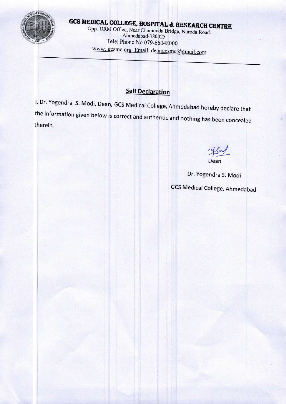

# GCS MEDICAL COLLEGE, HOSPITAL & RESEARCH CENTRE

Opp. DRM Office, Near Chamunda Bridge, Naroda Road. Ahmedabad-380025 Tele: Phone No.079-66048000 www.gcsmc.org Email: deangcsmc@gmail.com

#### **Self Declaration**

I, Dr. Yogendra S. Modi, Dean, GCS Medical College, Ahmedabad hereby declare that the information given below is correct and authentic and nothing has been concealed therein.

Dean

Dr. Yogendra S. Modi

**GCS Medical College, Ahmedabad**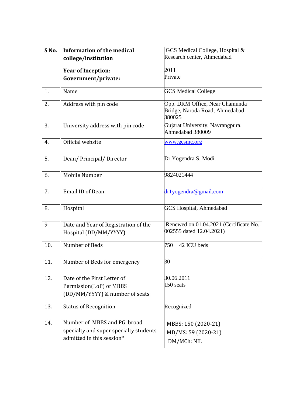| S No. | <b>Information of the medical</b>                             | GCS Medical College, Hospital &                                            |
|-------|---------------------------------------------------------------|----------------------------------------------------------------------------|
|       | college/institution                                           | Research center, Ahmedabad                                                 |
|       |                                                               |                                                                            |
|       | <b>Year of Inception:</b>                                     | 2011<br>Private                                                            |
|       | Government/private:                                           |                                                                            |
| 1.    | Name                                                          | <b>GCS</b> Medical College                                                 |
| 2.    | Address with pin code                                         | Opp. DRM Office, Near Chamunda<br>Bridge, Naroda Road, Ahmedabad<br>380025 |
| 3.    | University address with pin code                              | Gujarat University, Navrangpura,<br>Ahmedabad 380009                       |
| 4.    | Official website                                              | www.gcsmc.org                                                              |
| 5.    | Dean/Principal/Director                                       | Dr. Yogendra S. Modi                                                       |
| 6.    | Mobile Number                                                 | 9824021444                                                                 |
| 7.    | <b>Email ID of Dean</b>                                       | dr1yogendra@gmail.com                                                      |
| 8.    | Hospital                                                      | <b>GCS Hospital, Ahmedabad</b>                                             |
| 9     | Date and Year of Registration of the<br>Hospital (DD/MM/YYYY) | Renewed on 01.04.2021 (Certificate No.<br>002555 dated 12.04.2021)         |
| 10.   | Number of Beds                                                | $750 + 42$ ICU beds                                                        |
| 11.   | Number of Beds for emergency                                  | 30                                                                         |
| 12.   | Date of the First Letter of                                   | 30.06.2011                                                                 |
|       | Permission(LoP) of MBBS                                       | 150 seats                                                                  |
|       | (DD/MM/YYYY) & number of seats                                |                                                                            |
| 13.   | <b>Status of Recognition</b>                                  | Recognized                                                                 |
| 14.   | Number of MBBS and PG broad                                   | MBBS: 150 (2020-21)                                                        |
|       | specialty and super specialty students                        | MD/MS: 59 (2020-21)                                                        |
|       | admitted in this session*                                     | DM/MCh: NIL                                                                |
|       |                                                               |                                                                            |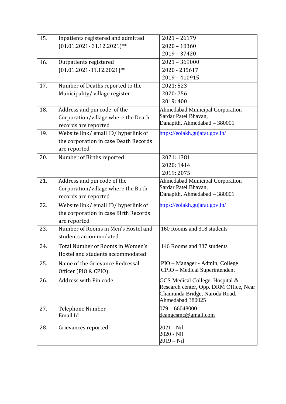| 15. | Inpatients registered and admitted    | $2021 - 26179$                         |
|-----|---------------------------------------|----------------------------------------|
|     | $(01.01.2021 - 31.12.2021)$ **        | $2020 - 18360$                         |
|     |                                       | $2019 - 37420$                         |
| 16. | Outpatients registered                | $2021 - 369000$                        |
|     | $(01.01.2021-31.12.2021)$ **          | 2020 - 235617                          |
|     |                                       | $2019 - 410915$                        |
| 17. | Number of Deaths reported to the      | 2021: 523                              |
|     | Municipality/village register         | 2020: 756                              |
|     |                                       | 2019:400                               |
| 18. | Address and pin code of the           | <b>Ahmedabad Municipal Corporation</b> |
|     | Corporation/village where the Death   | Sardar Patel Bhavan,                   |
|     | records are reported                  | Danapith, Ahmedabad - 380001           |
| 19. | Website link/email ID/hyperlink of    | https://eolakh.gujarat.gov.in/         |
|     | the corporation in case Death Records |                                        |
|     | are reported                          |                                        |
| 20. | Number of Births reported             | 2021: 1381                             |
|     |                                       | 2020: 1414                             |
|     |                                       | 2019: 2075                             |
| 21. | Address and pin code of the           | <b>Ahmedabad Municipal Corporation</b> |
|     | Corporation/village where the Birth   | Sardar Patel Bhavan,                   |
|     | records are reported                  | Danapith, Ahmedabad - 380001           |
| 22. | Website link/email ID/hyperlink of    | https://eolakh.gujarat.gov.in/         |
|     | the corporation in case Birth Records |                                        |
|     | are reported                          |                                        |
| 23. | Number of Rooms in Men's Hostel and   | 160 Rooms and 318 students             |
|     | students accommodated                 |                                        |
| 24. | Total Number of Rooms in Women's      | 146 Rooms and 337 students             |
|     | Hostel and students accommodated      |                                        |
| 25. | Name of the Grievance Redressal       | PIO - Manager - Admin, College         |
|     | Officer (PIO & CPIO):                 | CPIO – Medical Superintendent          |
| 26. | Address with Pin code                 | GCS Medical College, Hospital &        |
|     |                                       | Research center, Opp. DRM Office, Near |
|     |                                       | Chamunda Bridge, Naroda Road,          |
|     |                                       | Ahmedabad 380025                       |
| 27. | <b>Telephone Number</b>               | $079 - 66048000$                       |
|     | Email Id                              | deangcsmc@gmail.com                    |
| 28. | Grievances reported                   | 2021 - Nil                             |
|     |                                       | 2020 - Nil                             |
|     |                                       | $2019 - Nil$                           |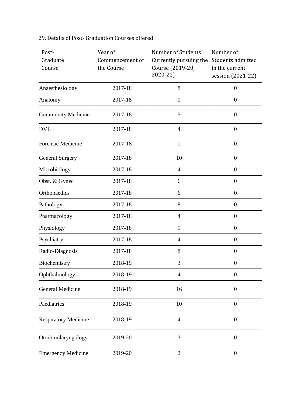#### 29. Details of Post- Graduation Courses offered

| Post-                       | Year of                       | Number of Students                                        | Number of                                                |
|-----------------------------|-------------------------------|-----------------------------------------------------------|----------------------------------------------------------|
| Graduate<br>Course          | Commencement of<br>the Course | Currently pursuing the<br>Course (2019-20,<br>$2020 - 21$ | Students admitted<br>in the current<br>session (2021-22) |
| Anaesthesiology             | 2017-18                       | 8                                                         | $\boldsymbol{0}$                                         |
| Anatomy                     | 2017-18                       | $\boldsymbol{0}$                                          | $\overline{0}$                                           |
| <b>Community Medicine</b>   | 2017-18                       | 5                                                         | $\boldsymbol{0}$                                         |
| <b>DVL</b>                  | 2017-18                       | $\overline{4}$                                            | $\boldsymbol{0}$                                         |
| <b>Forensic Medicine</b>    | 2017-18                       | $\mathbf{1}$                                              | $\boldsymbol{0}$                                         |
| <b>General Surgery</b>      | 2017-18                       | 10                                                        | $\overline{0}$                                           |
| Microbiology                | 2017-18                       | $\overline{4}$                                            | $\overline{0}$                                           |
| Obst. & Gynec               | 2017-18                       | 6                                                         | $\overline{0}$                                           |
| Orthopaedics                | 2017-18                       | 6                                                         | $\overline{0}$                                           |
| Pathology                   | 2017-18                       | 8                                                         | $\overline{0}$                                           |
| Pharmacology                | 2017-18                       | $\overline{4}$                                            | $\overline{0}$                                           |
| Physiology                  | 2017-18                       | $\mathbf{1}$                                              | $\overline{0}$                                           |
| Psychiatry                  | 2017-18                       | $\overline{4}$                                            | $\overline{0}$                                           |
| Radio-Diagnosis             | 2017-18                       | 8                                                         | $\overline{0}$                                           |
| Biochemistry                | 2018-19                       | 3                                                         | $\boldsymbol{0}$                                         |
| Ophthalmology               | 2018-19                       | $\overline{4}$                                            | $\boldsymbol{0}$                                         |
| General Medicine            | 2018-19                       | 16                                                        | $\boldsymbol{0}$                                         |
| Paediatrics                 | 2018-19                       | 10                                                        | $\boldsymbol{0}$                                         |
| <b>Respiratory Medicine</b> | 2018-19                       | $\overline{4}$                                            | $\boldsymbol{0}$                                         |
| Otorhinolaryngology         | 2019-20                       | 3                                                         | $\boldsymbol{0}$                                         |
| <b>Emergency Medicine</b>   | 2019-20                       | $\overline{2}$                                            | $\boldsymbol{0}$                                         |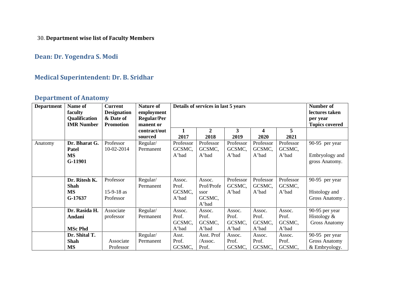30. **Department wise list of Faculty Members**

#### **Dean: Dr. Yogendra S. Modi**

#### **Medical Superintendent: Dr. B. Sridhar**

#### **Department of Anatomy**

| <b>Department</b> | Name of                                              | <b>Current</b>                                      | <b>Nature of</b>                              |                                    | Details of services in last 5 years             |                                    | <b>Number of</b>                                    |                                    |                                                         |
|-------------------|------------------------------------------------------|-----------------------------------------------------|-----------------------------------------------|------------------------------------|-------------------------------------------------|------------------------------------|-----------------------------------------------------|------------------------------------|---------------------------------------------------------|
|                   | faculty<br>Qualification<br><b>IMR Number</b>        | <b>Designation</b><br>& Date of<br><b>Promotion</b> | employment<br><b>Regular/Per</b><br>manent or |                                    |                                                 |                                    | lectures taken<br>per year<br><b>Topics covered</b> |                                    |                                                         |
|                   |                                                      |                                                     | contract/out<br>sourced                       | 1<br>2017                          | $\mathbf{2}$<br>2018                            | 3<br>2019                          | 4<br>2020                                           | 5<br>2021                          |                                                         |
| Anatomy           | Dr. Bharat G.<br><b>Patel</b><br><b>MS</b>           | Professor<br>10-02-2014                             | Regular/<br>Permanent                         | Professor<br>GCSMC,                | Professor<br>GCSMC,                             | Professor<br>GCSMC,                | Professor<br>GCSMC,                                 | Professor<br>GCSMC,                | 90-95 per year                                          |
|                   | G-11901                                              |                                                     |                                               | A'bad                              | A'bad                                           | A'bad                              | A'bad                                               | A'bad                              | Embryology and<br>gross Anatomy.                        |
|                   | Dr. Ritesh K.<br><b>Shah</b><br><b>MS</b><br>G-17637 | Professor<br>$15-9-18$ as<br>Professor              | Regular/<br>Permanent                         | Assoc.<br>Prof.<br>GCSMC,<br>A'bad | Assoc.<br>Prof/Profe<br>ssor<br>GCSMC,<br>A'bad | Professor<br>GCSMC,<br>A'bad       | Professor<br>GCSMC,<br>A'bad                        | Professor<br>GCSMC,<br>A'bad       | 90-95 per year<br>Histology and<br>Gross Anatomy.       |
|                   | Dr. Rasida H.<br>Andani<br><b>MSc Phd</b>            | Associate<br>professor                              | Regular/<br>Permanent                         | Assoc.<br>Prof.<br>GCSMC,<br>A'bad | Assoc.<br>Prof.<br>GCSMC,<br>A'bad              | Assoc.<br>Prof.<br>GCSMC,<br>A'bad | Assoc.<br>Prof.<br>GCSMC,<br>A'bad                  | Assoc.<br>Prof.<br>GCSMC,<br>A'bad | 90-95 per year<br>Histology &<br><b>Gross Anatomy</b>   |
|                   | Dr. Shital T.<br><b>Shah</b><br><b>MS</b>            | Associate<br>Professor                              | Regular/<br>Permanent                         | Asst.<br>Prof.<br>GCSMC,           | Asst. Prof<br>/Assoc.<br>Prof.                  | Assoc.<br>Prof.<br>GCSMC,          | Assoc.<br>Prof.<br>GCSMC,                           | Assoc.<br>Prof.<br>GCSMC,          | 90-95 per year<br><b>Gross Anatomy</b><br>& Embryology. |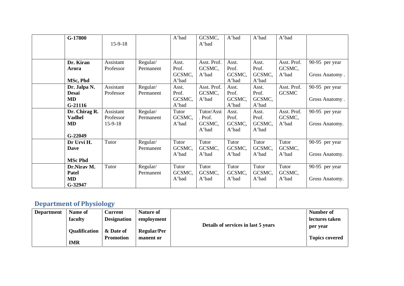| G-17800        | $15-9-18$ |           | A'bad  | GCSMC,<br>A'bad | A'bad           | A'bad           | A'bad        |                |
|----------------|-----------|-----------|--------|-----------------|-----------------|-----------------|--------------|----------------|
|                |           |           |        |                 |                 |                 |              |                |
| Dr. Kiran      | Assistant | Regular/  | Asst.  | Asst. Prof.     | Asst.           | Asst.           | Asst. Prof.  | 90-95 per year |
| Arora          | Professor | Permanent | Prof.  | GCSMC,          | Prof.           | Prof.           | GCSMC,       |                |
|                |           |           | GCSMC, | A'bad           | GCSMC,          | GCSMC,          | A'bad        | Gross Anatomy. |
| MSc, Phd       |           |           | A'bad  |                 | A'bad           | A'bad           |              |                |
| Dr. Jalpa N.   | Assistant | Regular/  | Asst.  | Asst. Prof.     | Asst.           | Asst.           | Asst. Prof.  | 90-95 per year |
| <b>Desai</b>   | Professor | Permanent | Prof.  | GCSMC,          | Prof.           | Prof.           | <b>GCSMC</b> |                |
| MD             |           |           | GCSMC, | A'bad           | GCSMC,          | GCSMC,          |              | Gross Anatomy. |
| $G-21116$      |           |           | A'bad  |                 | A'bad           | A'bad           |              |                |
| Dr. Chirag R.  | Assistant | Regular/  | Tutor  | Tutor/Asst      | Asst.           | Asst.           | Asst. Prof.  | 90-95 per year |
| <b>Vadhel</b>  | Professor | Permanent | GCSMC, | . Prof.         | Prof.           | Prof.           | GCSMC,       |                |
| MD             | $15-9-18$ |           | A'bad  | GCSMC,<br>A'bad | GCSMC,<br>A'bad | GCSMC,<br>A'bad | A'bad        | Gross Anatomy. |
| $G-22049$      |           |           |        |                 |                 |                 |              |                |
| Dr Urvi H.     | Tutor     | Regular/  | Tutor  | Tutor           | Tutor           | Tutor           | Tutor        | 90-95 per year |
| Dave           |           | Permanent | GCSMC, | GCSMC,          | GCSMC,          | GCSMC,          | GCSMC,       |                |
|                |           |           | A'bad  | A'bad           | A'bad           | A'bad           | A'bad        | Gross Anatomy. |
| <b>MSc Phd</b> |           |           |        |                 |                 |                 |              |                |
| Dr.Nirav M.    | Tutor     | Regular/  | Tutor  | Tutor           | Tutor           | Tutor           | Tutor        | 90-95 per year |
| Patel          |           | Permanent | GCSMC, | GCSMC,          | GCSMC,          | GCSMC,          | GCSMC,       |                |
| MD             |           |           | A'bad  | A'bad           | A'bad           | A'bad           | A'bad        | Gross Anatomy. |
| G-32947        |           |           |        |                 |                 |                 |              |                |

# **Department of Physiology**

| <b>Department</b> | Name of              | Current            | <b>Nature of</b>   |                                     | Number of             |
|-------------------|----------------------|--------------------|--------------------|-------------------------------------|-----------------------|
|                   | faculty              | <b>Designation</b> | employment         |                                     | lectures taken        |
|                   | <b>Qualification</b> | & Date of          | <b>Regular/Per</b> | Details of services in last 5 years | per year              |
|                   | <b>IMR</b>           | <b>Promotion</b>   | manent or          |                                     | <b>Topics covered</b> |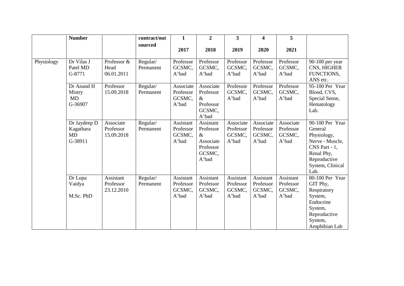|            | <b>Number</b>                                     |                                      | contract/out          | $\mathbf{1}$                              | $\overline{2}$                                                              | 3 <sup>1</sup>                            | 4                                         | $5\overline{)}$                           |                                                                                                                                           |
|------------|---------------------------------------------------|--------------------------------------|-----------------------|-------------------------------------------|-----------------------------------------------------------------------------|-------------------------------------------|-------------------------------------------|-------------------------------------------|-------------------------------------------------------------------------------------------------------------------------------------------|
|            |                                                   |                                      | sourced               | 2017                                      | 2018                                                                        | 2019                                      | 2020                                      | 2021                                      |                                                                                                                                           |
| Physiology | Dr Vilas J<br>Patel MD<br>G-8771                  | Professor &<br>Head<br>06.01.2011    | Regular/<br>Permanent | Professor<br>GCSMC,<br>A'bad              | Professor<br>GCSMC,<br>A'bad                                                | Professor<br>GCSMC,<br>A'bad              | Professor<br>GCSMC,<br>A'bad              | Professor<br>GCSMC,<br>A'bad              | 90-100 per year<br>CNS, HIGHER<br>FUNCTIONS,<br>ANS etc.                                                                                  |
|            | Dr Anand H<br>Mistry<br><b>MD</b><br>G-36907      | Professor<br>15.09.2018              | Regular/<br>Permanent | Associate<br>Professor<br>GCSMC,<br>A'bad | Associate<br>Professor<br>$\&$<br>Professor<br>GCSMC,<br>A'bad              | Professor<br>GCSMC,<br>A'bad              | Professor<br>GCSMC,<br>A'bad              | Professor<br>GCSMC,<br>A'bad              | 95-100 Per Year<br>Blood, CVS,<br>Special Sense,<br>Hematology<br>Lab.                                                                    |
|            | Dr Jaydeep D<br>Kagathara<br><b>MD</b><br>G-38911 | Associate<br>Professor<br>15.09.2018 | Regular/<br>Permanent | Assistant<br>Professor<br>GCSMC,<br>A'bad | Assistant<br>Professor<br>$\&$<br>Associate<br>Professor<br>GCSMC,<br>A'bad | Associate<br>Professor<br>GCSMC,<br>A'bad | Associate<br>Professor<br>GCSMC,<br>A'bad | Associate<br>Professor<br>GCSMC,<br>A'bad | 90-100 Per Year<br>General<br>Physiology,<br>Nerve - Muscle,<br>$CNS$ Part - 1,<br>Renal Phy,<br>Reproductive<br>System, Clinical<br>Lab. |
|            | Dr Lopa<br>Vaidya<br>M.Sc. PhD                    | Assistant<br>Professor<br>23.12.2010 | Regular/<br>Permanent | Assistant<br>Professor<br>GCSMC,<br>A'bad | Assistant<br>Professor<br>GCSMC,<br>A'bad                                   | Assistant<br>Professor<br>GCSMC,<br>A'bad | Assistant<br>Professor<br>GCSMC,<br>A'bad | Assistant<br>Professor<br>GCSMC,<br>A'bad | 80-100 Per Year<br>GIT Phy,<br>Respiratory<br>System,<br>Endocrine<br>System,<br>Reproductive<br>System,<br>Amphibian Lab                 |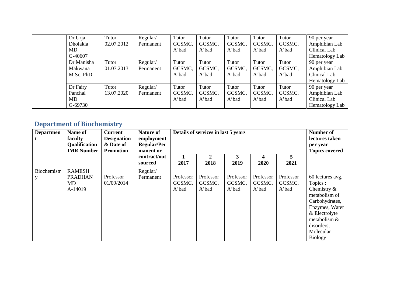| Dr Urja    | Tutor      | Regular/  | Tutor  | Tutor  | Tutor  | Tutor  | Tutor  | 90 per year    |
|------------|------------|-----------|--------|--------|--------|--------|--------|----------------|
| Dholakia   | 02.07.2012 | Permanent | GCSMC, | GCSMC, | GCSMC, | GCSMC, | GCSMC, | Amphibian Lab  |
| MD.        |            |           | A'bad  | A'bad  | A'bad  | A'bad  | A'bad  | Clinical Lab   |
| G-40607    |            |           |        |        |        |        |        | Hematology Lab |
| Dr Manisha | Tutor      | Regular/  | Tutor  | Tutor  | Tutor  | Tutor  | Tutor  | 90 per year    |
| Makwana    | 01.07.2013 | Permanent | GCSMC, | GCSMC, | GCSMC, | GCSMC, | GCSMC, | Amphibian Lab  |
| M.Sc. PhD  |            |           | A'bad  | A'bad  | A'bad  | A'bad  | A'bad  | Clinical Lab   |
|            |            |           |        |        |        |        |        | Hematology Lab |
| Dr Fairy   | Tutor      | Regular/  | Tutor  | Tutor  | Tutor  | Tutor  | Tutor  | 90 per year    |
| Panchal    | 13.07.2020 | Permanent | GCSMC, | GCSMC, | GCSMC, | GCSMC, | GCSMC, | Amphibian Lab  |
| MD         |            |           | A'bad  | A'bad  | A'bad  | A'bad  | A'bad  | Clinical Lab   |
| G-69730    |            |           |        |        |        |        |        | Hematology Lab |

#### **Department of Biochemistry**

| <b>Departmen</b> | Name of<br>faculty<br>Qualification<br><b>IMR</b> Number | <b>Current</b><br><b>Designation</b><br>& Date of<br><b>Promotion</b> | <b>Nature of</b><br>employment<br><b>Regular/Per</b><br>manent or |                              | Details of services in last 5 years |                              |                              |                              |                                                                                                                                                                                   |
|------------------|----------------------------------------------------------|-----------------------------------------------------------------------|-------------------------------------------------------------------|------------------------------|-------------------------------------|------------------------------|------------------------------|------------------------------|-----------------------------------------------------------------------------------------------------------------------------------------------------------------------------------|
|                  | sourced                                                  | contract/out                                                          | 2017                                                              | 2<br>2018                    | 3<br>2019                           | 4<br>2020                    | 5<br>2021                    |                              |                                                                                                                                                                                   |
| Biochemistr      | <b>RAMESH</b><br><b>PRADHAN</b><br>MD<br>A-14019         | Professor<br>01/09/2014                                               | Regular/<br>Permanent                                             | Professor<br>GCSMC,<br>A'bad | Professor<br>GCSMC,<br>A'bad        | Professor<br>GCSMC,<br>A'bad | Professor<br>GCSMC,<br>A'bad | Professor<br>GCSMC,<br>A'bad | 60 lectures avg.<br>Topics :<br>Chemistry $\&$<br>metabolism of<br>Carbohydrates,<br>Enzymes, Water<br>& Electrolyte<br>metabolism &<br>disorders,<br>Molecular<br><b>Biology</b> |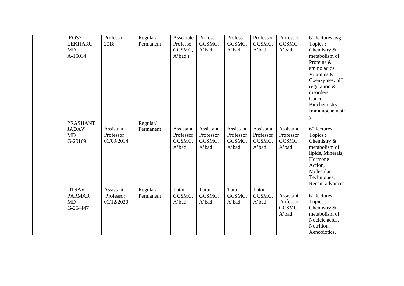| <b>ROSY</b><br><b>LEKHARU</b><br>MD<br>A-15014   | Professor<br>2018                    | Regular/<br>Permanent | Associate<br>Professo<br>GCSMC,<br>A'bad r | Professor<br>GCSMC,<br>A'bad              | Professor<br>GCSMC,<br>A'bad              | Professor<br>GCSMC,<br>A'bad              | Professor<br>GCSMC,<br>A'bad              | 60 lectures avg.<br>Topics:<br>Chemistry $\&$<br>metabolism of<br>Proteins &<br>amino acids,<br>Vitamins &<br>Coenzymes, pH<br>regulation $\&$<br>disorders,<br>Cancer<br>Biochemistry,<br>Immunochemistr<br>y |
|--------------------------------------------------|--------------------------------------|-----------------------|--------------------------------------------|-------------------------------------------|-------------------------------------------|-------------------------------------------|-------------------------------------------|----------------------------------------------------------------------------------------------------------------------------------------------------------------------------------------------------------------|
| <b>PRASHANT</b><br><b>JADAV</b><br>MD<br>G-20169 | Assistant<br>Professor<br>01/09/2014 | Regular/<br>Permanent | Assistant<br>Professor<br>GCSMC,<br>A'bad  | Assistant<br>Professor<br>GCSMC,<br>A'bad | Assistant<br>Professor<br>GCSMC,<br>A'bad | Assistant<br>Professor<br>GCSMC,<br>A'bad | Assistant<br>Professor<br>GCSMC,<br>A'bad | 60 lectures<br>Topics:<br>Chemistry &<br>metabolism of<br>lipids, Minerals,<br>Hormone<br>Action,<br>Molecular<br>Techniques,<br>Recent advances                                                               |
| <b>UTSAV</b><br><b>PARMAR</b><br>MD<br>G-254447  | Assistant<br>Professor<br>01/12/2020 | Regular/<br>Permanent | Tutor<br>GCSMC,<br>A'bad                   | Tutor<br>GCSMC,<br>A'bad                  | Tutor<br>GCSMC,<br>A'bad                  | Tutor<br>GCSMC,<br>A'bad                  | Assistant<br>Professor<br>GCSMC,<br>A'bad | 60 lectures<br>Topics:<br>Chemistry $\&$<br>metabolism of<br>Nucleic acids,<br>Nutrition,<br>Xenobiotics,                                                                                                      |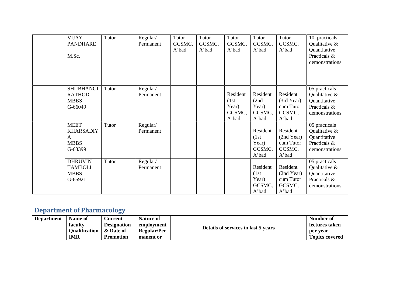| <b>VIJAY</b><br><b>PANDHARE</b><br>M.Sc.                       | Tutor | Regular/<br>Permanent | Tutor<br>GCSMC,<br>A'bad | Tutor<br>GCSMC,<br>A'bad | Tutor<br>GCSMC,<br>A'bad                      | Tutor<br>GCSMC,<br>A'bad                      | Tutor<br>GCSMC,<br>A'bad                               | 10 practicals<br>Qualitative &<br>Quantitative<br>Practicals &<br>demonstrations |
|----------------------------------------------------------------|-------|-----------------------|--------------------------|--------------------------|-----------------------------------------------|-----------------------------------------------|--------------------------------------------------------|----------------------------------------------------------------------------------|
| <b>SHUBHANGI</b><br><b>RATHOD</b><br><b>MBBS</b><br>G-66049    | Tutor | Regular/<br>Permanent |                          |                          | Resident<br>(1st)<br>Year)<br>GCSMC,<br>A'bad | Resident<br>(2nd)<br>Year)<br>GCSMC,<br>A'bad | Resident<br>(3rd Year)<br>cum Tutor<br>GCSMC,<br>A'bad | 05 practicals<br>Qualitative &<br>Quantitative<br>Practicals &<br>demonstrations |
| <b>MEET</b><br><b>KHARSADIY</b><br>A<br><b>MBBS</b><br>G-63399 | Tutor | Regular/<br>Permanent |                          |                          |                                               | Resident<br>(1st)<br>Year)<br>GCSMC,<br>A'bad | Resident<br>(2nd Year)<br>cum Tutor<br>GCSMC,<br>A'bad | 05 practicals<br>Qualitative &<br>Quantitative<br>Practicals &<br>demonstrations |
| <b>DHRUVIN</b><br><b>TAMBOLI</b><br><b>MBBS</b><br>G-65921     | Tutor | Regular/<br>Permanent |                          |                          |                                               | Resident<br>(1st)<br>Year)<br>GCSMC,<br>A'bad | Resident<br>(2nd Year)<br>cum Tutor<br>GCSMC,<br>A'bad | 05 practicals<br>Qualitative &<br>Quantitative<br>Practicals &<br>demonstrations |

## **Department of Pharmacology**

| <b>Department</b> | Name of              | <b>Current</b>     | <b>Nature of</b>   |                                     | Number of      |
|-------------------|----------------------|--------------------|--------------------|-------------------------------------|----------------|
|                   | faculty              | <b>Designation</b> | employment         | Details of services in last 5 years | lectures taken |
|                   | <b>Oualification</b> | & Date of          | <b>Regular/Per</b> |                                     | per vear       |
|                   | IMR                  | <b>Promotion</b>   | manent or          |                                     | Topics covered |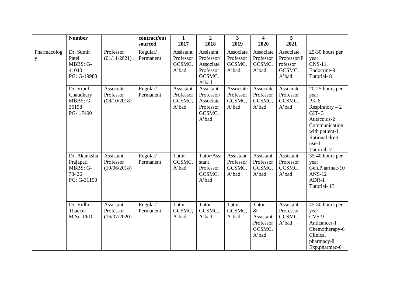|                            | <b>Number</b>                                                 |                                        | contract/out<br>sourced | 1<br>2017                                 | $\overline{2}$<br>2018                                               | 3<br>2019                                 | 4<br>2020                                                  | 5<br>2021                                               |                                                                                                                                                           |
|----------------------------|---------------------------------------------------------------|----------------------------------------|-------------------------|-------------------------------------------|----------------------------------------------------------------------|-------------------------------------------|------------------------------------------------------------|---------------------------------------------------------|-----------------------------------------------------------------------------------------------------------------------------------------------------------|
| Pharmacolog<br>$\mathbf y$ | Dr. Sumit<br>Patel<br>MBBS: G-<br>41040<br>PG: G-19980        | Professor<br>(01/11/2021)              | Regular/<br>Permanent   | Assistant<br>Professor<br>GCSMC,<br>A'bad | Assistant<br>Professor/<br>Associate<br>Professor<br>GCSMC,<br>A'bad | Associate<br>Professor<br>GCSMC,<br>A'bad | Associate<br>Professor<br>GCSMC,<br>A'bad                  | Associate<br>Professor/P<br>rofessor<br>GCSMC,<br>A'bad | 25-30 hours per<br>year<br>CNS-11,<br>Endocrine-9<br>Tutorial-8                                                                                           |
|                            | Dr. Vipul<br>Chaudhary<br>MBBS: G-<br>35198<br>PG-17490       | Associate<br>Professor<br>(08/10/2018) | Regular/<br>Permanent   | Assistant<br>Professor<br>GCSMC,<br>A'bad | Assistant<br>Professor/<br>Associate<br>Professor<br>GCSMC,<br>A'bad | Associate<br>Professor<br>GCSMC,<br>A'bad | Associate<br>Professor<br>GCSMC,<br>A'bad                  | Associate<br>Professor<br>GCSMC,<br>A'bad               | 20-25 hours per<br>year<br>PK-6,<br>Respiratory $-2$<br>$GIT-3$<br>Autacoids-2<br>Communication<br>with patient-1<br>Rational drug<br>use-1<br>Tutorial-7 |
|                            | Dr. Akanksha<br>Prajapati<br>MBBS: G-<br>73426<br>PG: G-31190 | Assistant<br>Professor<br>(19/06/2018) | Regular/<br>Permanent   | Tutor<br>GCSMC,<br>A'bad                  | Tutor/Assi<br>stant<br>Professor<br>GCSMC,<br>A'bad                  | Assistant<br>Professor<br>GCSMC,<br>A'bad | Assistant<br>Professor<br>GCSMC,<br>A'bad                  | Assistant<br>Professor<br>GCSMC,<br>A'bad               | 35-40 hours per<br>year<br>Gen.Pharmac-10<br>$ANS-12$<br>ADR-1<br>Tutorial-13                                                                             |
|                            | Dr. Vidhi<br>Thacker<br>M.Sc. PhD                             | Assistant<br>Professor<br>(16/07/2020) | Regular/<br>Permanent   | Tutor<br>GCSMC,<br>A'bad                  | Tutor<br>GCSMC,<br>A'bad                                             | Tutor<br>GCSMC,<br>A'bad                  | Tutor<br>$\&$<br>Assistant<br>Professor<br>GCSMC,<br>A'bad | Assistant<br>Professor<br>GCSMC,<br>A'bad               | 45-50 hours per<br>year<br>CVS-9<br>Anticancer-1<br>Chemotherapy-6<br>Clinical<br>pharmacy-8<br>Exp.pharmac-6                                             |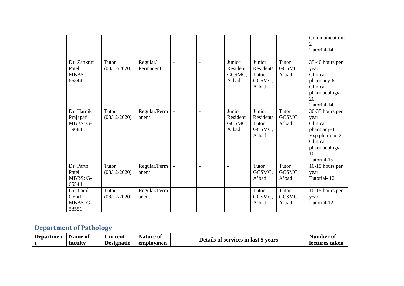|                                              |                       |                       |                          |                          |                                       |                                                 |                          | Communication-<br>$\overline{2}$<br>Tutorial-14                                                                      |
|----------------------------------------------|-----------------------|-----------------------|--------------------------|--------------------------|---------------------------------------|-------------------------------------------------|--------------------------|----------------------------------------------------------------------------------------------------------------------|
| Dr. Zankrut<br>Patel<br>MBBS:<br>65544       | Tutor<br>(08/12/2020) | Regular/<br>Permanent | $\blacksquare$           | $\overline{\phantom{a}}$ | Junior<br>Resident<br>GCSMC,<br>A'bad | Junior<br>Resident/<br>Tutor<br>GCSMC,<br>A'bad | Tutor<br>GCSMC,<br>A'bad | 35-40 hours per<br>year<br>Clinical<br>pharmacy-6<br>Clinical<br>pharmacology-<br>20<br>Tutorial-14                  |
| Dr. Hardik<br>Prajapati<br>MBBS: G-<br>59688 | Tutor<br>(08/12/2020) | Regular/Perm<br>anent | $\overline{\phantom{a}}$ | $\overline{\phantom{a}}$ | Junior<br>Resident<br>GCSMC,<br>A'bad | Junior<br>Resident/<br>Tutor<br>GCSMC,<br>A'bad | Tutor<br>GCSMC,<br>A'bad | 30-35 hours per<br>year<br>Clinical<br>pharmacy-4<br>Exp.pharmac-2<br>Clinical<br>pharmacology-<br>10<br>Tutorial-15 |
| Dr. Parth<br>Patel<br>MBBS: G-<br>65544      | Tutor<br>(08/12/2020) | Regular/Perm<br>anent | $\overline{\phantom{a}}$ | $\overline{\phantom{a}}$ | $\blacksquare$                        | Tutor<br>GCSMC,<br>A'bad                        | Tutor<br>GCSMC,<br>A'bad | 10-15 hours per<br>year<br>Tutorial-12                                                                               |
| Dr. Toral<br>Gohil<br>MBBS: G-<br>58551      | Tutor<br>(08/12/2020) | Regular/Perm<br>anent | $\overline{\phantom{a}}$ | $\overline{\phantom{a}}$ | $-$                                   | Tutor<br>GCSMC,<br>A'bad                        | Tutor<br>GCSMC,<br>A'bad | 10-15 hours per<br>year<br>Tutorial-12                                                                               |

# **Department of Pathology**

| <b>Departmen</b> | Name of | ∠urrent           | Nature of |                                     | Number oi      |
|------------------|---------|-------------------|-----------|-------------------------------------|----------------|
|                  | faculty | <b>Designatio</b> | employmen | Details of services in last 5 years | lectures taken |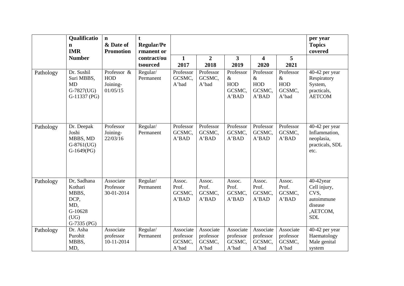|           | Qualificatio<br>n<br><b>IMR</b>                                                    | $\mathbf n$<br>& Date of<br><b>Promotion</b>      | t<br><b>Regular/Pe</b><br>rmanent or |                                           |                                           |                                                    |                                                    |                                             | per year<br><b>Topics</b><br>covered                                                    |
|-----------|------------------------------------------------------------------------------------|---------------------------------------------------|--------------------------------------|-------------------------------------------|-------------------------------------------|----------------------------------------------------|----------------------------------------------------|---------------------------------------------|-----------------------------------------------------------------------------------------|
|           | <b>Number</b>                                                                      |                                                   | contract/ou<br>tsourced              | $\mathbf{1}$<br>2017                      | $\overline{2}$<br>2018                    | 3<br>2019                                          | $\overline{\mathbf{4}}$<br>2020                    | 5<br>2021                                   |                                                                                         |
| Pathology | Dr. Sushil<br>Suri MBBS,<br><b>MD</b><br>$G-7827(UG)$<br>$G-11337$ (PG)            | Professor &<br><b>HOD</b><br>Joining-<br>01/05/15 | Regular/<br>Permanent                | Professor<br>GCSMC,<br>A'bad              | Professor<br>GCSMC,<br>A'bad              | Professor<br>$\&$<br><b>HOD</b><br>GCSMC,<br>A'BAD | Professor<br>$\&$<br><b>HOD</b><br>GCSMC,<br>A'BAD | Professor<br>$\&$<br>HOD<br>GCSMC,<br>A'bad | 40-42 per year<br>Respiratory<br>System,<br>practicals,<br><b>AETCOM</b>                |
| Pathology | Dr. Deepak<br>Joshi<br>MBBS, MD<br>$G-8761(UG)$<br>$G-1649(PG)$                    | Professor<br>Joining-<br>22/03/16                 | Regular/<br>Permanent                | Professor<br>GCSMC,<br>A'BAD              | Professor<br>GCSMC,<br>A'BAD              | Professor<br>GCSMC,<br>A'BAD                       | Professor<br>GCSMC,<br>A'BAD                       | Professor<br>GCSMC,<br>A'BAD                | 40-42 per year<br>Inflammation,<br>neoplasia,<br>practicals, SDL<br>etc.                |
| Pathology | Dr, Sadhana<br>Kothari<br>MBBS,<br>DCP,<br>MD,<br>G-10628<br>(UG)<br>$G-7335$ (PG) | Associate<br>Professor<br>30-01-2014              | Regular/<br>Permanent                | Assoc.<br>Prof.<br>GCSMC,<br>A'BAD        | Assoc.<br>Prof.<br>GCSMC,<br>A'BAD        | Assoc.<br>Prof.<br>GCSMC,<br>A'BAD                 | Assoc.<br>Prof.<br>GCSMC,<br>A'BAD                 | Assoc.<br>Prof.<br>GCSMC,<br>A'BAD          | $40-42$ year<br>Cell injury,<br>CVS,<br>autoimmune<br>disease<br>,AETCOM,<br><b>SDL</b> |
| Pathology | Dr. Asha<br>Purohit<br>MBBS,<br>MD,                                                | Associate<br>professor<br>10-11-2014              | Regular/<br>Permanent                | Associate<br>professor<br>GCSMC,<br>A'bad | Associate<br>professor<br>GCSMC,<br>A'bad | Associate<br>professor<br>GCSMC,<br>A'bad          | Associate<br>professor<br>GCSMC,<br>A'bad          | Associate<br>professor<br>GCSMC,<br>A'bad   | 40-42 per year<br>Haematology<br>Male genital<br>system                                 |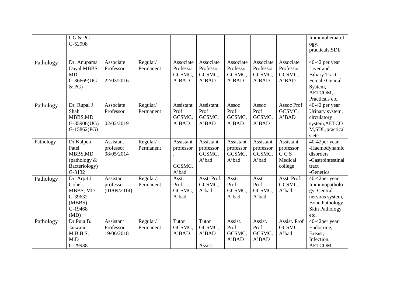|           | UG & $PG-$<br>G-52998                                                        |                                        |                       |                                           |                                           |                                           |                                           |                                                     | Immunohematol<br>ogy,<br>practicals, SDL                                                                             |
|-----------|------------------------------------------------------------------------------|----------------------------------------|-----------------------|-------------------------------------------|-------------------------------------------|-------------------------------------------|-------------------------------------------|-----------------------------------------------------|----------------------------------------------------------------------------------------------------------------------|
| Pathology | Dr. Anupama<br>Dayal MBBS,<br><b>MD</b><br>G-36669(UG<br>& PG)               | Associate<br>Professor<br>22/03/2016   | Regular/<br>Permanent | Associate<br>Professor<br>GCSMC,<br>A'BAD | Associate<br>Professor<br>GCSMC,<br>A'BAD | Associate<br>Professor<br>GCSMC,<br>A'BAD | Associate<br>Professor<br>GCSMC,<br>A'BAD | Associate<br>Professor<br>GCSMC,<br>A'BAD           | 40-42 per year<br>Liver and<br>Biliary Tract,<br><b>Female Genital</b><br>System,<br>AETCOM,<br>Practicals etc.      |
| Pathology | Dr. Rupal J<br>Shah<br>MBBS, MD<br>G-35906(UG)<br>$G-15862(PG)$              | Associate<br>Professor<br>02/02/2019   | Regular/<br>Permanent | Assistant<br>Prof<br>GCSMC,<br>A'BAD      | Assistant<br>Prof<br>GCSMC,<br>A'BAD      | Assoc<br>Prof<br>GCSMC,<br>A'BAD          | Assoc<br>Prof<br>GCSMC,<br>A'BAD          | Assoc Prof<br>GCSMC,<br>A'BAD                       | 40-42 per year<br>Urinary system,<br>circulatory<br>system, AETCO<br>M,SDL, practical<br>s etc.                      |
| Pathology | Dr Kalpen<br>Patel<br>MBBS, MD<br>(pathology $\&$<br>Bacteriology)<br>G-3132 | Assistant<br>professor<br>08/05/2014   | Regular/<br>Permanent | Assistant<br>professor<br>GCSMC,<br>A'bad | Assistant<br>professor<br>GCSMC,<br>A'bad | Assistant<br>professor<br>GCSMC,<br>A'bad | Assistant<br>professor<br>GCSMC,<br>A'bad | Assistant<br>professor<br>GCS<br>Medical<br>college | 40-42per year<br>-Haemodynamic<br>disorders<br>-Gastrointestinal<br>tract<br>-Genetics                               |
| Pathology | Dr. Arpit J<br>Gohel<br>MBBS, MD.<br>G-39632<br>(MBBS)<br>G-19468<br>(MD)    | Assistant<br>professor<br>(01/09/2014) | Regular/<br>Permanent | Asst.<br>Prof.<br>GCSMC,<br>A'bad         | Asst. Prof.<br>GCSMC,<br>A'bad            | Asst.<br>Prof.<br>GCSMC,<br>A'bad         | Asst.<br>Prof.<br>GCSMC,<br>A'bad         | Asst. Prof.<br>GCSMC,<br>A'bad                      | 40-42per year<br>Immunopatholo<br>gy. Central<br>nervous system,<br>Bone Pathology,<br><b>Skin Pathology</b><br>etc. |
| Pathology | Dr.Puja B.<br>Jarwani<br>M.B.B.S,<br>M.D<br>G-29938                          | Assistant<br>Professor<br>19/06/2018   | Regular/<br>Permanent | Tutor<br>GCSMC,<br>A'BAD                  | Tutor<br>GCSMC,<br>A'BAD<br>Assist.       | Assist.<br>Prof<br>GCSMC,<br>A'BAD        | Assist.<br>Prof<br>GCSMC,<br>A'BAD        | Assist. Prof<br>GCSMC,<br>A'bad                     | 40-42per year<br>Endocrine,<br>Breast,<br>Infection,<br><b>AETCOM</b>                                                |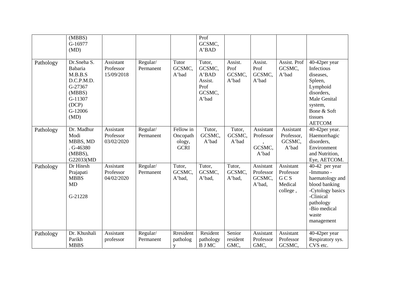|           | (MBBS)<br>G-16977<br>(MD)                                                                                   |                                      |                       |                                                | Prof<br>GCSMC,<br>A'BAD                                         |                                    |                                            |                                                      |                                                                                                                                                      |
|-----------|-------------------------------------------------------------------------------------------------------------|--------------------------------------|-----------------------|------------------------------------------------|-----------------------------------------------------------------|------------------------------------|--------------------------------------------|------------------------------------------------------|------------------------------------------------------------------------------------------------------------------------------------------------------|
| Pathology | Dr.Sneha S.<br>Babaria<br>M.B.B.S<br>D.C.P.M.D.<br>G-27367<br>(MBBS)<br>G-11307<br>(DCP)<br>G-12006<br>(MD) | Assistant<br>Professor<br>15/09/2018 | Regular/<br>Permanent | Tutor<br>GCSMC,<br>A'bad                       | Tutor,<br>GCSMC,<br>A'BAD<br>Assist.<br>Prof<br>GCSMC,<br>A'bad | Assist.<br>Prof<br>GCSMC,<br>A'bad | Assist.<br>Prof<br>GCSMC,<br>A'bad         | Assist. Prof<br>GCSMC,<br>A'bad                      | 40-42per year<br>Infectious<br>diseases,<br>Spleen,<br>Lymphoid<br>disorders,<br>Male Genital<br>system,<br>Bone & Soft<br>tissues<br><b>AETCOM</b>  |
| Pathology | Dr. Madhur<br>Modi<br>MBBS, MD<br>$.G-46380$<br>(MBBS),<br>G22033(MD                                        | Assistant<br>Professor<br>03/02/2020 | Regular/<br>Permanent | Fellow in<br>Oncopath<br>ology,<br><b>GCRI</b> | Tutor,<br>GCSMC,<br>A'bad                                       | Tutor,<br>GCSMC,<br>A'bad          | Assistant<br>Professor<br>GCSMC,<br>A'bad  | Assistant<br>Professor,<br>GCSMC,<br>A'bad           | 40-42per year.<br>Haemorrhagic<br>disorders,<br>Environment<br>and Nutrition,<br>Eye, AETCOM.                                                        |
| Pathology | Dr Hitesh<br>Prajapati<br><b>MBBS</b><br><b>MD</b><br>G-21228                                               | Assistant<br>Professor<br>04/02/2020 | Regular/<br>Permanent | Tutor,<br>GCSMC,<br>A'bad,                     | Tutor,<br>GCSMC,<br>A'bad,                                      | Tutor,<br>GCSMC,<br>A'bad,         | Assistant<br>Professor<br>GCSMC,<br>A'bad, | Assistant<br>Professor<br>GCS<br>Medical<br>college, | 40-42 per year<br>-Immuno -<br>haematology and<br>blood banking<br>-Cytology basics<br>-Clinical<br>pathology<br>-Bio medical<br>waste<br>management |
| Pathology | Dr. Khushali<br>Parikh<br><b>MBBS</b>                                                                       | Assistant<br>professor               | Regular/<br>Permanent | Rresident<br>patholog<br>V                     | Resident<br>pathology<br><b>B</b> J MC                          | Senior<br>resident<br>GMC,         | Assistant<br>Professor<br>GMC,             | Assistant<br>Professor<br>GCSMC,                     | 40-42per year<br>Respiratory sys.<br>CVS etc.                                                                                                        |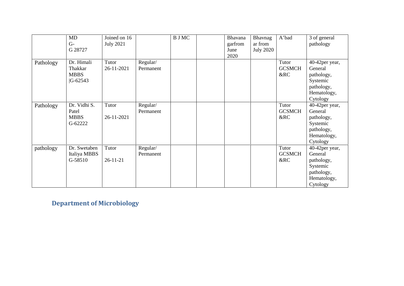|           | MD<br>$G-$<br>G 28727                                 | Joined on 16<br><b>July 2021</b> | <b>B</b> J MC         | Bhavana<br>garfrom<br>June<br>2020 | Bhavnag<br>ar from<br><b>July 2020</b> | A'bad                         | 3 of general<br>pathology                                                                    |
|-----------|-------------------------------------------------------|----------------------------------|-----------------------|------------------------------------|----------------------------------------|-------------------------------|----------------------------------------------------------------------------------------------|
| Pathology | Dr. Himali<br>Thakkar<br><b>MBBS</b><br>$ G - 62543 $ | Tutor<br>26-11-2021              | Regular/<br>Permanent |                                    |                                        | Tutor<br><b>GCSMCH</b><br>&RC | 40-42per year,<br>General<br>pathology,<br>Systemic<br>pathology,<br>Hematology,<br>Cytology |
| Pathology | Dr. Vidhi S.<br>Patel<br><b>MBBS</b><br>G-62222       | Tutor<br>26-11-2021              | Regular/<br>Permanent |                                    |                                        | Tutor<br><b>GCSMCH</b><br>&RC | 40-42per year,<br>General<br>pathology,<br>Systemic<br>pathology,<br>Hematology,<br>Cytology |
| pathology | Dr. Swetaben<br>Italiya MBBS<br>G-58510               | Tutor<br>$26 - 11 - 21$          | Regular/<br>Permanent |                                    |                                        | Tutor<br><b>GCSMCH</b><br>&RC | 40-42per year,<br>General<br>pathology,<br>Systemic<br>pathology,<br>Hematology,<br>Cytology |

**Department of Microbiology**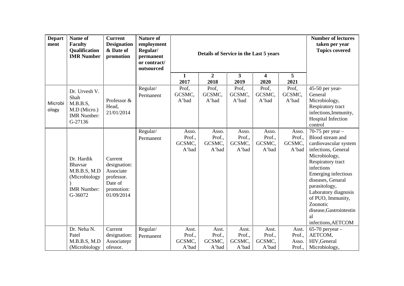| <b>Depart</b><br>ment | Name of<br><b>Faculty</b><br>Qualification<br><b>IMR</b> Number                                | <b>Current</b><br><b>Designation</b><br>& Date of<br>promotion                            | <b>Nature of</b><br>employment<br>Regular/<br>permanent<br>or contract/<br>outsourced |                                    | Details of Service in the Last 5 years |                                    | <b>Number of lectures</b><br>taken per year<br><b>Topics covered</b> |                                    |                                                                                                                                                                                                                                                                                                                                   |
|-----------------------|------------------------------------------------------------------------------------------------|-------------------------------------------------------------------------------------------|---------------------------------------------------------------------------------------|------------------------------------|----------------------------------------|------------------------------------|----------------------------------------------------------------------|------------------------------------|-----------------------------------------------------------------------------------------------------------------------------------------------------------------------------------------------------------------------------------------------------------------------------------------------------------------------------------|
|                       |                                                                                                |                                                                                           |                                                                                       | 1<br>2017                          | $\overline{2}$<br>2018                 | $\mathbf{3}$<br>2019               | 4<br>2020                                                            | 5<br>2021                          |                                                                                                                                                                                                                                                                                                                                   |
| Microbi<br>ology      | Dr. Urvesh V.<br>Shah<br>M.B.B.S,<br>M.D (Micro.)<br><b>IMR</b> Number:<br>G-27136             | Professor &<br>Head,<br>21/01/2014                                                        | Regular/<br>Permanent                                                                 | Prof,<br>GCSMC,<br>A'bad           | Prof,<br>GCSMC,<br>A'bad               | Prof,<br>GCSMC,<br>A'bad           | Prof,<br>GCSMC,<br>A'bad                                             | Prof,<br>GCSMC,<br>A'bad           | 45-50 per year-<br>General<br>Microbiology,<br>Respiratory tract<br>infections, Immunity,<br>Hospital Infection<br>control                                                                                                                                                                                                        |
|                       | Dr. Hardik<br><b>Bhavsar</b><br>M.B.B.S, M.D<br>(Microbiology<br><b>IMR</b> Number:<br>G-36072 | Current<br>designation:<br>Associate<br>professor.<br>Date of<br>promotion:<br>01/09/2014 | Regular/<br>Permanent                                                                 | Asso.<br>Prof.,<br>GCSMC,<br>A'bad | Asso.<br>Prof.,<br>GCSMC,<br>A'bad     | Asso.<br>Prof.,<br>GCSMC,<br>A'bad | Asso.<br>Prof.,<br>GCSMC,<br>A'bad                                   | Asso.<br>Prof.,<br>GCSMC,<br>A'bad | 70-75 per year $-$<br>Blood stream and<br>cardiovascular system<br>infections, General<br>Microbiology,<br>Respiratory tract<br>infections<br>Emerging infectious<br>diseases, Genaral<br>parasitology,<br>Laboratory diagnosis<br>of PUO, Immunity,<br>Zoonotic<br>disease, Gastrointestin<br><sub>a</sub><br>infections, AETCOM |
|                       | Dr. Neha N.<br>Patel<br>M.B.B.S, M.D<br>(Microbiology                                          | Current<br>designation:<br>Associatepr<br>ofessor.                                        | Regular/<br>Permanent                                                                 | Asst.<br>Prof.,<br>GCSMC,<br>A'bad | Asst.<br>Prof.,<br>GCSMC,<br>A'bad     | Asst.<br>Prof.,<br>GCSMC,<br>A'bad | Asst.<br>Prof.,<br>GCSMC,<br>A'bad                                   | Asst.<br>Prof.,<br>Asso.<br>Prof., | 65-70 peryear -<br>AETCOM,<br>HIV, General<br>Microbiology,                                                                                                                                                                                                                                                                       |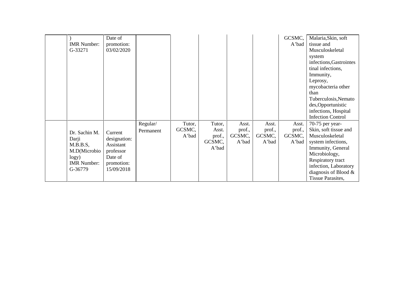|                    | Date of      |           |        |        |        |        | GCSMC, | Malaria, Skin, soft      |  |
|--------------------|--------------|-----------|--------|--------|--------|--------|--------|--------------------------|--|
| <b>IMR</b> Number: | promotion:   |           |        |        |        |        | A'bad  | tissue and               |  |
| G-33271            | 03/02/2020   |           |        |        |        |        |        | Musculoskeletal          |  |
|                    |              |           |        |        |        |        |        | system                   |  |
|                    |              |           |        |        |        |        |        | infections, Gastrointes  |  |
|                    |              |           |        |        |        |        |        | tinal infections,        |  |
|                    |              |           |        |        |        |        |        | Immunity,                |  |
|                    |              |           |        |        |        |        |        | Leprosy,                 |  |
|                    |              |           |        |        |        |        |        | mycobacteria other       |  |
|                    |              |           |        |        |        |        |        | than                     |  |
|                    |              |           |        |        |        |        |        | Tuberculosis, Nemato     |  |
|                    |              |           |        |        |        |        |        | des, Opportunistic       |  |
|                    |              |           |        |        |        |        |        | infections, Hospital     |  |
|                    |              |           |        |        |        |        |        | <b>Infection Control</b> |  |
|                    |              | Regular/  | Tutor, | Tutor, | Asst.  | Asst.  | Asst.  | 70-75 per year-          |  |
| Dr. Sachin M.      | Current      | Permanent | GCSMC, | Asst.  | prof., | prof., | prof., | Skin, soft tissue and    |  |
| Darji              | designation: |           | A'bad  | prof., | GCSMC, | GCSMC, | GCSMC, | Musculoskeletal          |  |
| M.B.B.S,           | Assistant    |           |        | GCSMC, | A'bad  | A'bad  | A'bad  | system infections,       |  |
| M.D(Microbio       | professor    |           |        | A'bad  |        |        |        | Immunity, General        |  |
| logy)              | Date of      |           |        |        |        |        |        | Microbiology,            |  |
| <b>IMR</b> Number: | promotion:   |           |        |        |        |        |        | Respiratory tract        |  |
| G-36779            | 15/09/2018   |           |        |        |        |        |        | infection, Laboratory    |  |
|                    |              |           |        |        |        |        |        | diagnosis of Blood $\&$  |  |
|                    |              |           |        |        |        |        |        | Tissue Parasites,        |  |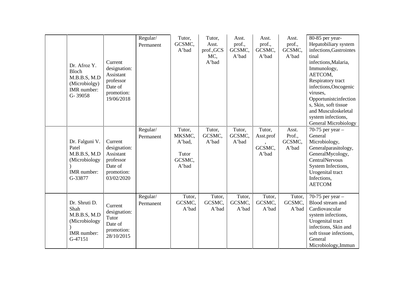| Dr. Afroz Y.<br>Bloch<br>M.B.B.S, M.D<br>(Microbiolgy)<br>IMR number:<br>G-39058   | Current<br>designation:<br>Assistant<br>professor<br>Date of<br>promotion:<br>19/06/2018 | Regular/<br>Permanent | Tutor,<br>GCSMC,<br>A'bad                              | Tutor,<br>Asst.<br>prof., GCS<br>MC,<br>A'bad | Asst.<br>prof.,<br>GCSMC,<br>A'bad | Asst.<br>prof.,<br>GCSMC,<br>A'bad     | Asst.<br>prof.,<br>GCSMC,<br>A'bad | 80-85 per year-<br>Hepatobiliary system<br>infections, Gastrointes<br>tinal<br>infections, Malaria,<br>Immunology,<br>AETCOM,<br>Respiratory tract<br>infections, Oncogenic<br>viruses,<br>Opportunistcinfection<br>s, Skin, soft tissue<br>and Musculoskeletal<br>system infections,<br><b>General Microbiology</b> |
|------------------------------------------------------------------------------------|------------------------------------------------------------------------------------------|-----------------------|--------------------------------------------------------|-----------------------------------------------|------------------------------------|----------------------------------------|------------------------------------|----------------------------------------------------------------------------------------------------------------------------------------------------------------------------------------------------------------------------------------------------------------------------------------------------------------------|
| Dr. Falguni V.<br>Patel<br>M.B.B.S, M.D<br>(Microbiology<br>IMR number:<br>G-33877 | Current<br>designation:<br>Assistant<br>professor<br>Date of<br>promotion:<br>03/02/2020 | Regular/<br>Permanent | Tutor,<br>MKSMC,<br>A'bad,<br>Tutor<br>GCSMC,<br>A'bad | Tutor,<br>GCSMC,<br>A'bad                     | Tutor,<br>GCSMC,<br>A'bad          | Tutor,<br>Asst.prof<br>GCSMC,<br>A'bad | Asst.<br>Prof.,<br>GCSMC,<br>A'bad | 70-75 per year $-$<br>General<br>Microbiology,<br>Generalparasitology,<br>GeneralMycology,<br><b>CentralNervous</b><br>System Infections,<br>Urogenital tract<br>Infections,<br><b>AETCOM</b>                                                                                                                        |
| Dr. Shruti D.<br>Shah<br>M.B.B.S, M.D<br>(Microbiology<br>IMR number:<br>G-47151   | Current<br>designation:<br>Tutor<br>Date of<br>promotion:<br>28/10/2015                  | Regular/<br>Permanent | Tutor,<br>GCSMC,<br>A'bad                              | Tutor,<br>GCSMC,<br>A'bad                     | Tutor,<br>GCSMC,<br>A'bad          | Tutor,<br>GCSMC,<br>A'bad              | Tutor,<br>GCSMC,<br>A'bad          | 70-75 per year $-$<br>Blood stream and<br>Cardiovascular<br>system infections,<br>Urogenital tract<br>infections, Skin and<br>soft tissue infections,<br>General<br>Microbiology, Immun                                                                                                                              |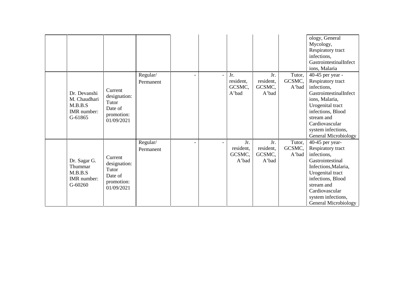|                                                                   |                                                                         |                       |                |                                     |                                     |                           | ology, General<br>Mycology,<br>Respiratory tract<br>infections,<br>GastrointestinalInfect<br>ions, Malaria                                                                                                                     |
|-------------------------------------------------------------------|-------------------------------------------------------------------------|-----------------------|----------------|-------------------------------------|-------------------------------------|---------------------------|--------------------------------------------------------------------------------------------------------------------------------------------------------------------------------------------------------------------------------|
| Dr. Devanshi<br>M. Chaudhari<br>M.B.B.S<br>IMR number:<br>G-61865 | Current<br>designation:<br>Tutor<br>Date of<br>promotion:<br>01/09/2021 | Regular/<br>Permanent | $\blacksquare$ | Jr.<br>resident,<br>GCSMC,<br>A'bad | Jr.<br>resident,<br>GCSMC,<br>A'bad | Tutor,<br>GCSMC,<br>A'bad | 40-45 per year -<br>Respiratory tract<br>infections,<br>GastrointestinalInfect<br>ions, Malaria,<br>Urogenital tract<br>infections, Blood<br>stream and<br>Cardiovascular<br>system infections,<br><b>General Microbiology</b> |
| Dr. Sagar G.<br>Thummar<br>M.B.B.S<br>IMR number:<br>$G-60260$    | Current<br>designation:<br>Tutor<br>Date of<br>promotion:<br>01/09/2021 | Regular/<br>Permanent |                | Jr.<br>resident,<br>GCSMC,<br>A'bad | Jr.<br>resident,<br>GCSMC,<br>A'bad | Tutor,<br>GCSMC,<br>A'bad | 40-45 per year-<br>Respiratory tract<br>infections,<br>Gastrointestinal<br>Infections, Malaria,<br>Urogenital tract<br>infections, Blood<br>stream and<br>Cardiovascular<br>system infections,<br>General Microbiology         |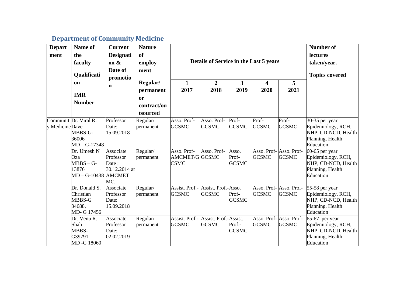## **Department of Community Medicine**

| <b>Depart</b><br>ment | Name of<br>the<br>faculty<br>Qualificati<br>on<br><b>IMR</b><br><b>Number</b> | <b>Current</b><br><b>Designati</b><br>on $\&$<br>Date of<br>promotio<br>$\mathbf n$ | <b>Nature</b><br>of<br>employ<br>ment<br>Regular/<br>permanent<br><sub>or</sub><br>contract/ou | $\mathbf{1}$<br>2017                                 | Details of Service in the Last 5 years<br>$\overline{2}$<br>2018 | 3<br>2019                      | $\overline{\mathbf{4}}$<br>2020 | 5<br>2021                               | <b>Number of</b><br>lectures<br>taken/year.<br><b>Topics covered</b>                           |
|-----------------------|-------------------------------------------------------------------------------|-------------------------------------------------------------------------------------|------------------------------------------------------------------------------------------------|------------------------------------------------------|------------------------------------------------------------------|--------------------------------|---------------------------------|-----------------------------------------|------------------------------------------------------------------------------------------------|
|                       | Communit Dr. Viral R.                                                         | Professor                                                                           | tsourced                                                                                       | Asso. Prof-                                          | Asso. Prof-                                                      | Prof-                          | Prof-                           | Prof-                                   |                                                                                                |
| y MedicineDave        | MBBS-G-<br>36006<br>$MD - G-17348$                                            | Date:<br>15.09.2018                                                                 | Regular/<br>permanent                                                                          | <b>GCSMC</b>                                         | <b>GCSMC</b>                                                     | <b>GCSMC</b>                   | <b>GCSMC</b>                    | <b>GCSMC</b>                            | 30-35 per year<br>Epidemiology, RCH,<br>NHP, CD-NCD, Health<br>Planning, Health<br>Education   |
|                       | Dr. Umesh N<br>Oza<br>$MBBS - G-$<br>13876<br>MD - G-10438 AMCMET             | Associate<br>Professor<br>Date:<br>30.12.2014 at<br>MC.                             | Regular/<br>permanent                                                                          | Asso. Prof-<br><b>AMCMET/G GCSMC</b><br><b>CSMC</b>  | Asso. Prof-                                                      | Asso.<br>Prof-<br><b>GCSMC</b> | <b>GCSMC</b>                    | Asso. Prof- Asso. Prof-<br><b>GCSMC</b> | $60-65$ per year<br>Epidemiology, RCH,<br>NHP, CD-NCD, Health<br>Planning, Health<br>Education |
|                       | Dr. Donald S.<br>Christian<br>MBBS-G<br>34688.<br>MD- G 17456                 | Associate<br>Professor<br>Date:<br>15.09.2018                                       | Regular/<br>permanent                                                                          | Assist. Prof.-<br><b>GCSMC</b>                       | Assist. Prof.-Asso.<br><b>GCSMC</b>                              | Prof-<br><b>GCSMC</b>          | <b>GCSMC</b>                    | Asso. Prof- Asso. Prof-<br><b>GCSMC</b> | 55-58 per year<br>Epidemiology, RCH,<br>NHP, CD-NCD, Health<br>Planning, Health<br>Education   |
|                       | Dr. Venu R.<br>Shah<br>MBBS-<br>G39791<br>MD-G 18060                          | Associate<br>Professor<br>Date:<br>02.02.2019                                       | Regular/<br>permanent                                                                          | Assist. Prof.- Assist. Prof.-Assist.<br><b>GCSMC</b> | <b>GCSMC</b>                                                     | Prof.-<br><b>GCSMC</b>         | <b>GCSMC</b>                    | Asso. Prof- Asso. Prof-<br><b>GCSMC</b> | $65-67$ per year<br>Epidemiology, RCH,<br>NHP, CD-NCD, Health<br>Planning, Health<br>Education |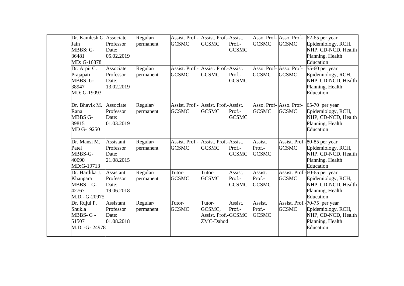| Dr. Kamlesh G. Associate<br>Jain<br>MBBS: G-<br>36481<br>MD: G-16878 | Professor<br>Date:<br>05.02.2019                     | Regular/<br>permanent | Assist. Prof.- Assist. Prof.-Assist.<br><b>GCSMC</b> | <b>GCSMC</b>                                         | Prof.-<br><b>GCSMC</b>            | <b>GCSMC</b>                      | Asso. Prof- Asso. Prof-<br><b>GCSMC</b> | 62-65 per year<br>Epidemiology, RCH,<br>NHP, CD-NCD, Health<br>Planning, Health<br>Education               |
|----------------------------------------------------------------------|------------------------------------------------------|-----------------------|------------------------------------------------------|------------------------------------------------------|-----------------------------------|-----------------------------------|-----------------------------------------|------------------------------------------------------------------------------------------------------------|
| Dr. Arpit C.<br>Prajapati<br>MBBS: G-<br>38947<br>MD: G-19093        | Associate<br>Professor<br>Date:<br>13.02.2019        | Regular/<br>permanent | Assist. Prof.- Assist. Prof.-Assist.<br><b>GCSMC</b> | <b>GCSMC</b>                                         | Prof.-<br><b>GCSMC</b>            | <b>GCSMC</b>                      | Asso. Prof- Asso. Prof-<br><b>GCSMC</b> | 55-60 per year<br>Epidemiology, RCH,<br>NHP, CD-NCD, Health<br>Planning, Health<br>Education               |
| Dr. Bhavik M.<br>Rana<br>MBBS G-<br>39815<br>MD G-19250              | Associate<br>Professor<br>Date:<br>01.03.2019        | Regular/<br>permanent | Assist. Prof.-<br><b>GCSMC</b>                       | Assist. Prof.-Assist.<br><b>GCSMC</b>                | Prof.-<br><b>GCSMC</b>            | <b>GCSMC</b>                      | Asso. Prof- Asso. Prof-<br><b>GCSMC</b> | $65-70$ per year<br>Epidemiology, RCH,<br>NHP, CD-NCD, Health<br>Planning, Health<br>Education             |
| Dr. Mansi M.<br>Patel<br>MBBS-G-<br>40090<br>MD:G-19713              | <b>Assistant</b><br>Professor<br>Date:<br>21.08.2015 | Regular/<br>permanent | Assist. Prof.-<br><b>GCSMC</b>                       | Assist. Prof.-Assist.<br><b>GCSMC</b>                | Prof.-<br><b>GCSMC</b>            | Assist.<br>Prof.-<br><b>GCSMC</b> | <b>GCSMC</b>                            | Assist. Prof.-80-85 per year<br>Epidemiology, RCH,<br>NHP, CD-NCD, Health<br>Planning, Health<br>Education |
| Dr. Hardika J.<br>Khanpara<br>$MBBS - G-$<br>42767<br>M.D.- G-20975  | Assistant<br>Professor<br>Date:<br>19.06.2018        | Regular/<br>permanent | Tutor-<br><b>GCSMC</b>                               | Tutor-<br><b>GCSMC</b>                               | Assist.<br>Prof.-<br><b>GCSMC</b> | Assist.<br>Prof.-<br><b>GCSMC</b> | <b>GCSMC</b>                            | Assist. Prof.-60-65 per year<br>Epidemiology, RCH,<br>NHP, CD-NCD, Health<br>Planning, Health<br>Education |
| Dr. Rujul P.<br>Shukla<br>MBBS-G-<br>51507<br>M.D. -G-24978          | Assistant<br>Professor<br>Date:<br>01.08.2018        | Regular/<br>permanent | Tutor-<br><b>GCSMC</b>                               | Tutor-<br>GCSMC,<br>Assist. Prof.-GCSMC<br>ZMC-Dahod | Assist.<br>Prof.-                 | Assist.<br>Prof.-<br><b>GCSMC</b> | <b>GCSMC</b>                            | Assist. Prof.-70-75 per year<br>Epidemiology, RCH,<br>NHP, CD-NCD, Health<br>Planning, Health<br>Education |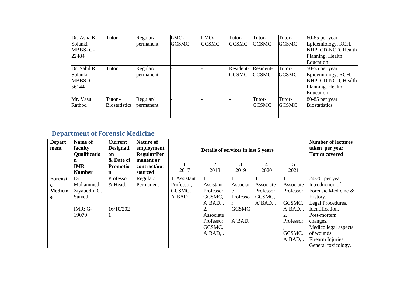| Dr. Asha K.  | Tutor                | Regular/  | LMO-         | LMO-         | Tutor-       | Tutor-       | Tutor-       | $60-65$ per year     |
|--------------|----------------------|-----------|--------------|--------------|--------------|--------------|--------------|----------------------|
| Solanki      |                      | permanent | <b>GCSMC</b> | <b>GCSMC</b> | <b>GCSMC</b> | <b>GCSMC</b> | <b>GCSMC</b> | Epidemiology, RCH,   |
| MBBS-G-      |                      |           |              |              |              |              |              | NHP, CD-NCD, Health  |
| 22484        |                      |           |              |              |              |              |              | Planning, Health     |
|              |                      |           |              |              |              |              |              | Education            |
| Dr. Sahil R. | Tutor                | Regular/  |              |              | Resident-    | Resident-    | Tutor-       | $50-55$ per year     |
| Solanki      |                      | permanent |              |              | <b>GCSMC</b> | <b>GCSMC</b> | <b>GCSMC</b> | Epidemiology, RCH,   |
| MBBS-G-      |                      |           |              |              |              |              |              | NHP, CD-NCD, Health  |
| 56144        |                      |           |              |              |              |              |              | Planning, Health     |
|              |                      |           |              |              |              |              |              | Education            |
| Mr. Vasu     | Tutor -              | Regular/  |              |              |              | Tutor-       | Tutor-       | 80-85 per year       |
| Rathod       | <b>Biostatistics</b> | permanent |              |              |              | <b>GCSMC</b> | <b>GCSMC</b> | <b>Biostatistics</b> |
|              |                      |           |              |              |              |              |              |                      |
|              |                      |           |              |              |              |              |              |                      |

# **Department of Forensic Medicine**

| <b>Depart</b><br>ment | Name of<br>faculty<br><b>Qualificatio</b><br>n | <b>Current</b><br><b>Designati</b><br>on<br>& Date of | <b>Nature of</b><br>employment<br><b>Regular/Per</b><br>manent or |              | Details of services in last 5 years | <b>Number of lectures</b><br>taken per year<br><b>Topics covered</b> |                |                |                      |
|-----------------------|------------------------------------------------|-------------------------------------------------------|-------------------------------------------------------------------|--------------|-------------------------------------|----------------------------------------------------------------------|----------------|----------------|----------------------|
|                       | <b>IMR</b>                                     | <b>Promotio</b>                                       | contract/out                                                      |              | 2                                   | 3                                                                    | $\overline{4}$ | 5              |                      |
|                       | <b>Number</b>                                  | n                                                     | sourced                                                           | 2017         | 2018                                | 2019                                                                 | 2020           | 2021           |                      |
| Forensi               | Dr.                                            | Professor                                             | Regular/                                                          | 1. Assistant | 1.                                  | 1.                                                                   | -1.            | $\mathbf{I}$ . | 24-26 per year,      |
| c                     | Mohammed                                       | & Head,                                               | Permanent                                                         | Professor,   | Assistant                           | Associat                                                             | Associate      | Associate      | Introduction of      |
| <b>Medicin</b>        | Ziyauddin G.                                   |                                                       |                                                                   | GCSMC,       | Professor,                          | e                                                                    | Professor,     | Professor      | Forensic Medicine &  |
| e                     | Saiyed                                         |                                                       |                                                                   | A'BAD        | GCSMC,                              | Professo                                                             | GCSMC,         |                | History,             |
|                       |                                                |                                                       |                                                                   |              | $A'BAD$ .                           | r,                                                                   | $A'BAD$ .      | GCSMC,         | Legal Procedures,    |
|                       | IMR: G-                                        | 16/10/202                                             |                                                                   |              | 2.                                  | <b>GCSMC</b>                                                         |                | $A'BAD$ ,.     | Identification,      |
|                       | 19079                                          |                                                       |                                                                   |              | Associate                           |                                                                      |                | 2.             | Post-mortem          |
|                       |                                                |                                                       |                                                                   |              | Professor,                          | $A'BAD$ ,                                                            |                | Professor      | changes,             |
|                       |                                                |                                                       |                                                                   |              | GCSMC,                              |                                                                      |                |                | Medico legal aspects |
|                       |                                                |                                                       |                                                                   |              | $A'BAD$ ,.                          |                                                                      |                | GCSMC,         | of wounds,           |
|                       |                                                |                                                       |                                                                   |              |                                     |                                                                      |                | $A'BAD$ .      | Firearm Injuries,    |
|                       |                                                |                                                       |                                                                   |              |                                     |                                                                      |                |                | General toxicology,  |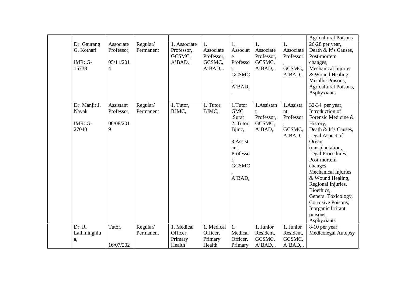|               |            |                       |              |            |              |                |            | <b>Agricultural Poisons</b>        |
|---------------|------------|-----------------------|--------------|------------|--------------|----------------|------------|------------------------------------|
| Dr. Gaurang   | Associate  | Regular/              | 1. Associate | 1.         | 1.           | $\mathbf{1}$ . |            | 26-28 per year,                    |
| G. Kothari    | Professor, | Permanent             | Professor,   | Associate  | Associat     | Associate      | Associate  | Death & It's Causes,               |
|               |            |                       | GCSMC,       | Professor, | e            | Professor,     | Professor  | Post-mortem                        |
| $IMR: G-$     | 05/11/201  |                       | $A'BAD$ ,.   | GCSMC,     | Professo     | GCSMC,         |            | changes,                           |
| 15738         | 4          |                       |              | $A'BAD,$ . | r,           | $A'BAD$ ,.     | GCSMC,     | Mechanical Injuries                |
|               |            |                       |              |            | <b>GCSMC</b> |                | $A'BAD$ .  | & Wound Healing,                   |
|               |            |                       |              |            |              |                |            | Metallic Poisons,                  |
|               |            |                       |              |            | A'BAD,       |                |            | Agricultural Poisons,              |
|               |            |                       |              |            |              |                |            | Asphyxiants                        |
| Dr. Manjit J. | Assistant  |                       | 1. Tutor,    | 1. Tutor,  | 1.Tutor      | 1.Assistan     | 1.Assista  |                                    |
| Nayak         | Professor, | Regular/<br>Permanent | BJMC,        | BJMC,      | <b>GMC</b>   |                | nt         | 32-34 per year,<br>Introduction of |
|               |            |                       |              |            | ,Surat       | Professor,     | Professor  | Forensic Medicine &                |
| $IMR: G-$     | 06/08/201  |                       |              |            | 2. Tutor,    | GCSMC,         |            | History,                           |
| 27040         | 9          |                       |              |            | Bjmc,        | A'BAD,         | GCSMC,     | Death & It's Causes,               |
|               |            |                       |              |            |              |                | A'BAD,     | Legal Aspect of                    |
|               |            |                       |              |            | 3.Assist     |                |            | Organ                              |
|               |            |                       |              |            | ant          |                |            | transplantation,                   |
|               |            |                       |              |            | Professo     |                |            | Legal Procedures,                  |
|               |            |                       |              |            | r,           |                |            | Post-mortem                        |
|               |            |                       |              |            | <b>GCSMC</b> |                |            | changes,                           |
|               |            |                       |              |            |              |                |            | Mechanical Injuries                |
|               |            |                       |              |            | A'BAD,       |                |            | & Wound Healing,                   |
|               |            |                       |              |            |              |                |            | Regional Injuries,                 |
|               |            |                       |              |            |              |                |            | Bioethics,                         |
|               |            |                       |              |            |              |                |            | General Toxicology,                |
|               |            |                       |              |            |              |                |            | Corrosive Poisons,                 |
|               |            |                       |              |            |              |                |            | Inorganic Irritant                 |
|               |            |                       |              |            |              |                |            | poisons,                           |
|               |            |                       |              |            |              |                |            | Asphyxiants                        |
| Dr. R.        | Tutor,     | Regular/              | 1. Medical   | 1. Medical | 1.           | 1. Junior      | 1. Junior  | 8-10 per year,                     |
| Lalhminghlu   |            | Permanent             | Officer,     | Officer,   | Medical      | Resident,      | Resident,  | Medicolegal Autopsy                |
| a,            |            |                       | Primary      | Primary    | Officer,     | GCSMC,         | GCSMC,     |                                    |
|               | 16/07/202  |                       | Health       | Health     | Primary      | $A'BAD$ ,.     | $A'BAD,$ . |                                    |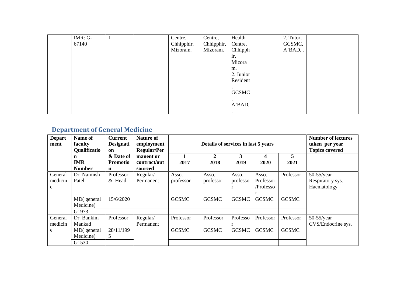| IMR: G- | $\mathbf{I}$ | Centre,    | Centre,    | Health       | 2. Tutor,  |
|---------|--------------|------------|------------|--------------|------------|
| 67140   |              | Chhipphir, | Chhipphir, | Centre,      | GCSMC,     |
|         |              | Mizoram.   | Mizoram.   | Chhipph      | $A'BAD,$ . |
|         |              |            |            | ir,          |            |
|         |              |            |            | Mizora       |            |
|         |              |            |            | m.           |            |
|         |              |            |            | 2. Junior    |            |
|         |              |            |            | Resident     |            |
|         |              |            |            |              |            |
|         |              |            |            | <b>GCSMC</b> |            |
|         |              |            |            |              |            |
|         |              |            |            | A'BAD,       |            |
|         |              |            |            | $\bullet$    |            |

## **Department of General Medicine**

| <b>Depart</b><br>ment | Name of<br><b>Nature of</b><br><b>Current</b><br><b>Designati</b><br>Details of services in last 5 years<br>faculty<br>employment<br><b>Qualificatio</b><br><b>Regular/Per</b><br>on |                              |                           |              |              |              |              |              | <b>Number of lectures</b><br>taken per year<br><b>Topics covered</b> |
|-----------------------|--------------------------------------------------------------------------------------------------------------------------------------------------------------------------------------|------------------------------|---------------------------|--------------|--------------|--------------|--------------|--------------|----------------------------------------------------------------------|
|                       | n<br><b>IMR</b>                                                                                                                                                                      | & Date of<br><b>Promotio</b> | manent or<br>contract/out | 2017         | 2<br>2018    | 3<br>2019    | 4<br>2020    | 5<br>2021    |                                                                      |
|                       | <b>Number</b>                                                                                                                                                                        | $\mathbf n$                  | sourced                   |              |              |              |              |              |                                                                      |
| General               | Dr. Naimish                                                                                                                                                                          | Professor                    | Regular/                  | Asso.        | Asso.        | Asso.        | Asso.        | Professor    | $50-55$ /year                                                        |
| medicin               | Patel                                                                                                                                                                                | & Head                       | Permanent                 | professor    | professor    | professo     | Professor    |              | Respiratory sys.                                                     |
| e                     |                                                                                                                                                                                      |                              |                           |              |              |              | /Professo    |              | Haematology                                                          |
|                       | MD(general                                                                                                                                                                           | 15/6/2020                    |                           | <b>GCSMC</b> | <b>GCSMC</b> | <b>GCSMC</b> | <b>GCSMC</b> | <b>GCSMC</b> |                                                                      |
|                       | Medicine)                                                                                                                                                                            |                              |                           |              |              |              |              |              |                                                                      |
|                       | G1973                                                                                                                                                                                |                              |                           |              |              |              |              |              |                                                                      |
| General               | Dr. Bankim                                                                                                                                                                           | Professor                    | Regular/                  | Professor    | Professor    | Professo     | Professor    | Professor    | $50-55$ /year                                                        |
| medicin               | Mankad                                                                                                                                                                               |                              | Permanent                 |              |              |              |              |              | CVS/Endocrine sys.                                                   |
| e                     | MD(general                                                                                                                                                                           | 28/11/199                    |                           | <b>GCSMC</b> | <b>GCSMC</b> | <b>GCSMC</b> | <b>GCSMC</b> | <b>GCSMC</b> |                                                                      |
|                       | Medicine)                                                                                                                                                                            | 5                            |                           |              |              |              |              |              |                                                                      |
|                       | G1530                                                                                                                                                                                |                              |                           |              |              |              |              |              |                                                                      |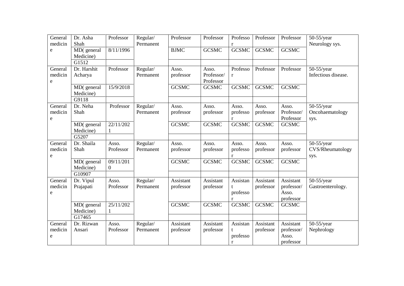| General<br>medicin      | Dr. Asha<br>Shah                  | Professor                 | Regular/<br>Permanent | Professor              | Professor                        | Professo<br>r             | Professor              | Professor                                     | 50-55/year<br>Neurology sys.              |
|-------------------------|-----------------------------------|---------------------------|-----------------------|------------------------|----------------------------------|---------------------------|------------------------|-----------------------------------------------|-------------------------------------------|
| e                       | MD(general<br>Medicine)           | 8/11/1996                 |                       | <b>BJMC</b>            | <b>GCSMC</b>                     | <b>GCSMC</b>              | <b>GCSMC</b>           | <b>GCSMC</b>                                  |                                           |
|                         | G1512                             |                           |                       |                        |                                  |                           |                        |                                               |                                           |
| General<br>medicin<br>e | Dr. Harshit<br>Acharya            | Professor                 | Regular/<br>Permanent | Asso.<br>professor     | Asso.<br>Professor/<br>Professor | Professo<br>r             | Professor              | Professor                                     | $50-55$ /year<br>Infectious disease.      |
|                         | MD(general<br>Medicine)           | 15/9/2018                 |                       | <b>GCSMC</b>           | <b>GCSMC</b>                     | <b>GCSMC</b>              | <b>GCSMC</b>           | <b>GCSMC</b>                                  |                                           |
| General<br>medicin<br>e | G9118<br>Dr. Neha<br>Shah         | Professor                 | Regular/<br>Permanent | Asso.<br>professor     | Asso.<br>professor               | Asso.<br>professo<br>r    | Asso.<br>professor     | Asso.<br>Professor/<br>Professor              | $50-55$ /year<br>Oncohaematology<br>sys.  |
|                         | MD(general<br>Medicine)           | 22/11/202<br>$\mathbf{1}$ |                       | <b>GCSMC</b>           | <b>GCSMC</b>                     | <b>GCSMC</b>              | <b>GCSMC</b>           | <b>GCSMC</b>                                  |                                           |
|                         | G5207                             |                           |                       |                        |                                  |                           |                        |                                               |                                           |
| General<br>medicin<br>e | Dr. Shaila<br>Shah                | Asso.<br>Professor        | Regular/<br>Permanent | Asso.<br>professor     | Asso.<br>professor               | Asso.<br>professo<br>r    | Asso.<br>professor     | Asso.<br>professor                            | $50-55$ /year<br>CVS/Rheumatology<br>sys. |
|                         | MD(general<br>Medicine)           | 09/11/201<br>$\mathbf{0}$ |                       | <b>GCSMC</b>           | <b>GCSMC</b>                     | <b>GCSMC</b>              | <b>GCSMC</b>           | <b>GCSMC</b>                                  |                                           |
|                         | G10907                            |                           |                       |                        |                                  |                           |                        |                                               |                                           |
| General<br>medicin<br>e | Dr. Vipul<br>Prajapati            | Asso.<br>Professor        | Regular/<br>Permanent | Assistant<br>professor | Assistant<br>professor           | Assistan<br>professo<br>r | Assistant<br>professor | Assistant<br>professor/<br>Asso.<br>professor | $50-55$ /year<br>Gastroenterology.        |
|                         | MD(general<br>Medicine)<br>G17465 | 25/11/202<br>-1           |                       | <b>GCSMC</b>           | <b>GCSMC</b>                     | <b>GCSMC</b>              | <b>GCSMC</b>           | <b>GCSMC</b>                                  |                                           |
| General                 | Dr. Rizwan                        | Asso.                     | Regular/              | Assistant              | Assistant                        | Assistan                  | Assistant              | Assistant                                     | $50-55$ /year                             |
| medicin<br>e            | Ansari                            | Professor                 | Permanent             | professor              | professor                        | t<br>professo<br>$\bf r$  | professor              | professor/<br>Asso.<br>professor              | Nephrology                                |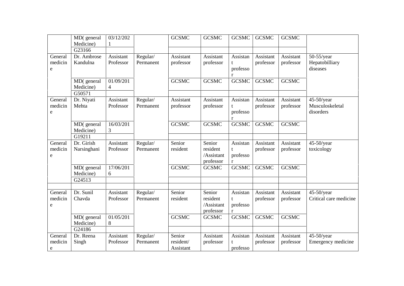|                         | MD(general              | 03/12/202              |                       | <b>GCSMC</b>           | <b>GCSMC</b>                        | <b>GCSMC</b>                   | <b>GCSMC</b>           | <b>GCSMC</b>           |                                               |
|-------------------------|-------------------------|------------------------|-----------------------|------------------------|-------------------------------------|--------------------------------|------------------------|------------------------|-----------------------------------------------|
|                         | Medicine)               | 1                      |                       |                        |                                     |                                |                        |                        |                                               |
|                         | G23166                  |                        |                       |                        |                                     |                                |                        |                        |                                               |
| General                 | Dr. Ambrose             | Assistant<br>Professor | Regular/              | Assistant              | Assistant                           | Assistan                       | Assistant              | Assistant              | $50-55$ /year                                 |
| medicin<br>e            | Kandulna                |                        | Permanent             | professor              | professor                           | t<br>professo<br>r             | professor              | professor              | Hepatobilliary<br>diseases                    |
|                         | MD(general<br>Medicine) | 01/09/201<br>4         |                       | <b>GCSMC</b>           | <b>GCSMC</b>                        | <b>GCSMC</b>                   | <b>GCSMC</b>           | <b>GCSMC</b>           |                                               |
|                         | G50571                  |                        |                       |                        |                                     |                                |                        |                        |                                               |
| General<br>medicin<br>e | Dr. Niyati<br>Mehta     | Assistant<br>Professor | Regular/<br>Permanent | Assistant<br>professor | Assistant<br>professor              | Assistan<br>t<br>professo<br>r | Assistant<br>professor | Assistant<br>professor | $45-50$ /year<br>Musculoskeletal<br>disorders |
|                         | MD(general<br>Medicine) | 16/03/201<br>3         |                       | <b>GCSMC</b>           | <b>GCSMC</b>                        | <b>GCSMC</b>                   | <b>GCSMC</b>           | <b>GCSMC</b>           |                                               |
|                         | G19211                  |                        |                       |                        |                                     |                                |                        |                        |                                               |
| General                 | Dr. Girish              | Assistant              | Regular/              | Senior                 | Senior                              | Assistan                       | Assistant              | Assistant              | $45-50$ /year                                 |
| medicin<br>e            | Narsinghani             | Professor              | Permanent             | resident               | resident<br>/Assistant<br>professor | t<br>professo<br>r             | professor              | professor              | toxicology                                    |
|                         | MD(general<br>Medicine) | 17/06/201<br>6         |                       | <b>GCSMC</b>           | <b>GCSMC</b>                        | <b>GCSMC</b>                   | <b>GCSMC</b>           | <b>GCSMC</b>           |                                               |
|                         | G24513                  |                        |                       |                        |                                     |                                |                        |                        |                                               |
| General                 | Dr. Sunil               | Assistant              | Regular/              | Senior                 | Senior                              | Assistan                       | Assistant              | Assistant              | $45-50$ /year                                 |
| medicin<br>e            | Chavda                  | Professor              | Permanent             | resident               | resident<br>/Assistant<br>professor | t<br>professo<br>r             | professor              | professor              | Critical care medicine                        |
|                         | MD(general<br>Medicine) | 01/05/201<br>8         |                       | <b>GCSMC</b>           | <b>GCSMC</b>                        | <b>GCSMC</b>                   | <b>GCSMC</b>           | <b>GCSMC</b>           |                                               |
|                         | G24186                  |                        |                       |                        |                                     |                                |                        |                        |                                               |
| General                 | Dr. Reena               | Assistant              | Regular/              | Senior                 | Assistant                           | Assistan                       | Assistant              | Assistant              | $45-50$ /year                                 |
| medicin<br>e            | Singh                   | Professor              | Permanent             | resident/<br>Assistant | professor                           | professo                       | professor              | professor              | Emergency medicine                            |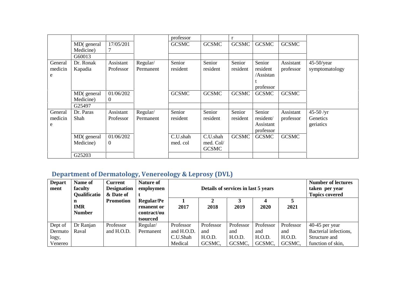|         |            |                  |           | professor    |              | r            |              |              |                |
|---------|------------|------------------|-----------|--------------|--------------|--------------|--------------|--------------|----------------|
|         | MD(general | 17/05/201        |           | <b>GCSMC</b> | <b>GCSMC</b> | <b>GCSMC</b> | <b>GCSMC</b> | <b>GCSMC</b> |                |
|         | Medicine)  |                  |           |              |              |              |              |              |                |
|         | G60013     |                  |           |              |              |              |              |              |                |
| General | Dr. Ronak  | Assistant        | Regular/  | Senior       | Senior       | Senior       | Senior       | Assistant    | $45-50$ /year  |
| medicin | Kapadia    | Professor        | Permanent | resident     | resident     | resident     | resident     | professor    | symptomatology |
| e       |            |                  |           |              |              |              | /Assistan    |              |                |
|         |            |                  |           |              |              |              |              |              |                |
|         |            |                  |           |              |              |              | professor    |              |                |
|         | MD(general | 01/06/202        |           | <b>GCSMC</b> | <b>GCSMC</b> | <b>GCSMC</b> | <b>GCSMC</b> | <b>GCSMC</b> |                |
|         | Medicine)  | $\overline{0}$   |           |              |              |              |              |              |                |
|         | G25497     |                  |           |              |              |              |              |              |                |
| General | Dr. Paras  | Assistant        | Regular/  | Senior       | Senior       | Senior       | Senior       | Assistant    | $45 - 50 / yr$ |
| medicin | Shah       | Professor        | Permanent | resident     | resident     | resident     | resident/    | professor    | Genetics       |
| e       |            |                  |           |              |              |              | Assistant    |              | geriatics      |
|         |            |                  |           |              |              |              | professor    |              |                |
|         | MD(general | 01/06/202        |           | C.U.shah     | C.U.shah     | <b>GCSMC</b> | <b>GCSMC</b> | <b>GCSMC</b> |                |
|         | Medicine)  | $\boldsymbol{0}$ |           | med. col     | med. Col/    |              |              |              |                |
|         |            |                  |           |              | <b>GCSMC</b> |              |              |              |                |
|         | G25203     |                  |           |              |              |              |              |              |                |

# **Department of Dermatology, Venereology & Leprosy (DVL)**

| <b>Depart</b><br>ment | Name of<br>faculty<br><b>Qualificatio</b> | <b>Current</b><br><b>Designation</b><br>& Date of | <b>Nature of</b><br>employmen                              |            | Details of services in last 5 years | <b>Number of lectures</b><br>taken per year<br><b>Topics covered</b> |           |           |                       |
|-----------------------|-------------------------------------------|---------------------------------------------------|------------------------------------------------------------|------------|-------------------------------------|----------------------------------------------------------------------|-----------|-----------|-----------------------|
|                       | n<br><b>IMR</b><br><b>Number</b>          | <b>Promotion</b>                                  | <b>Regular/Pe</b><br>rmanent or<br>contract/ou<br>tsourced | 2017       | 2018                                | 2019                                                                 | 2020      | 2021      |                       |
| Dept of               | Dr Ranjan                                 | Professor                                         | Regular/                                                   | Professor  | Professor                           | Professor                                                            | Professor | Professor | 40-45 per year        |
| Dermato               | Raval                                     | and H.O.D.                                        | Permanent                                                  | and H.O.D. | and                                 | and                                                                  | and       | and       | Bacterial infections, |
| logy,                 |                                           |                                                   |                                                            | C.U.Shah   | H.O.D.                              | H.O.D.                                                               | H.O.D.    | H.O.D.    | Structure and         |
| Venereo               |                                           |                                                   |                                                            | Medical    | GCSMC,                              | GCSMC,                                                               | GCSMC,    | GCSMC,    | function of skin,     |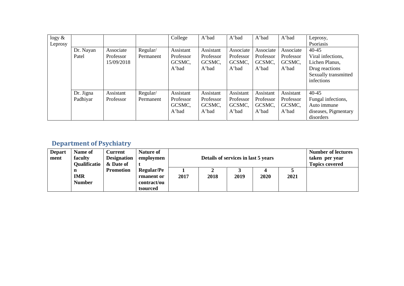| $\log y \&$<br>Leprosy |                       |                                      |                       | College                                   | A'bad                                     | A'bad                                     | A'bad                                     | A'bad                                     | Leprosy,<br>Psoriasis                                                                                    |
|------------------------|-----------------------|--------------------------------------|-----------------------|-------------------------------------------|-------------------------------------------|-------------------------------------------|-------------------------------------------|-------------------------------------------|----------------------------------------------------------------------------------------------------------|
|                        | Dr. Nayan<br>Patel    | Associate<br>Professor<br>15/09/2018 | Regular/<br>Permanent | Assistant<br>Professor<br>GCSMC,<br>A'bad | Assistant<br>Professor<br>GCSMC,<br>A'bad | Associate<br>Professor<br>GCSMC,<br>A'bad | Associate<br>Professor<br>GCSMC,<br>A'bad | Associate<br>Professor<br>GCSMC,<br>A'bad | $40 - 45$<br>Viral infections,<br>Lichen Planus,<br>Drug reactions<br>Sexually transmitted<br>infections |
|                        | Dr. Jigna<br>Padhiyar | Assistant<br>Professor               | Regular/<br>Permanent | Assistant<br>Professor<br>GCSMC,<br>A'bad | Assistant<br>Professor<br>GCSMC,<br>A'bad | Assistant<br>Professor<br>GCSMC,<br>A'bad | Assistant<br>Professor<br>GCSMC,<br>A'bad | Assistant<br>Professor<br>GCSMC,<br>A'bad | $40 - 45$<br>Fungal infections,<br>Auto immune<br>diseases, Pigmentary<br>disorders                      |

## **Department of Psychiatry**

| <b>Depart</b><br>ment | Name of<br>faculty<br><b>Qualificatio</b> | <b>Current</b><br><b>Designation</b><br>& Date of | <b>Nature of</b><br>employmen                              |      | Details of services in last 5 years |      | <b>Number of lectures</b><br>taken per year<br><b>Topics covered</b> |      |  |
|-----------------------|-------------------------------------------|---------------------------------------------------|------------------------------------------------------------|------|-------------------------------------|------|----------------------------------------------------------------------|------|--|
|                       | n<br><b>IMR</b><br><b>Number</b>          | <b>Promotion</b>                                  | <b>Regular/Pe</b><br>rmanent or<br>contract/ou<br>tsourced | 2017 | 2018                                | 2019 | 2020                                                                 | 2021 |  |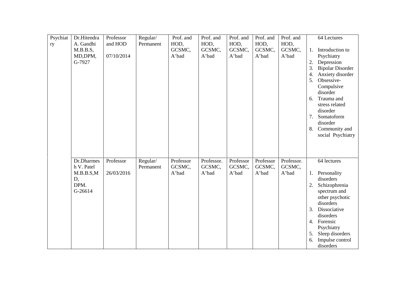| Psychiat<br>ry | Dr.Hitendra<br>A. Gandhi | Professor<br>and HOD | Regular/<br>Permanent | Prof. and<br>HOD,   | Prof. and<br>HOD,    | Prof. and<br>HOD,   | Prof. and<br>HOD,   | Prof. and<br>HOD,    |    | 64 Lectures             |
|----------------|--------------------------|----------------------|-----------------------|---------------------|----------------------|---------------------|---------------------|----------------------|----|-------------------------|
|                | M.B.B.S,                 |                      |                       | GCSMC,              | GCSMC,               | GCSMC,              | GCSMC,              | GCSMC,               | 1. | Introduction to         |
|                | MD, DPM,                 | 07/10/2014           |                       | A'bad               | A'bad                | A'bad               | A'bad               | A'bad                |    | Psychiatry              |
|                | G-7927                   |                      |                       |                     |                      |                     |                     |                      | 2. | Depression              |
|                |                          |                      |                       |                     |                      |                     |                     |                      | 3. | <b>Bipolar Disorder</b> |
|                |                          |                      |                       |                     |                      |                     |                     |                      | 4. | Anxiety disorder        |
|                |                          |                      |                       |                     |                      |                     |                     |                      | 5. | Obsessive-              |
|                |                          |                      |                       |                     |                      |                     |                     |                      |    | Compulsive              |
|                |                          |                      |                       |                     |                      |                     |                     |                      |    | disorder                |
|                |                          |                      |                       |                     |                      |                     |                     |                      | 6. | Trauma and              |
|                |                          |                      |                       |                     |                      |                     |                     |                      |    | stress related          |
|                |                          |                      |                       |                     |                      |                     |                     |                      |    | disorder                |
|                |                          |                      |                       |                     |                      |                     |                     |                      | 7. | Somatoform              |
|                |                          |                      |                       |                     |                      |                     |                     |                      |    | disorder                |
|                |                          |                      |                       |                     |                      |                     |                     |                      | 8. | Community and           |
|                |                          |                      |                       |                     |                      |                     |                     |                      |    | social Psychiatry       |
|                | Dr.Dharmes<br>h V. Patel | Professor            | Regular/<br>Permanent | Professor<br>GCSMC, | Professor.<br>GCSMC, | Professor<br>GCSMC, | Professor<br>GCSMC, | Professor.<br>GCSMC, |    | 64 lectures             |
|                | M.B.B.S.M                | 26/03/2016           |                       | A'bad               | A'bad                | A'bad               | A'bad               | A'bad                | 1. | Personality             |
|                | D,                       |                      |                       |                     |                      |                     |                     |                      |    | disorders               |
|                | DPM.                     |                      |                       |                     |                      |                     |                     |                      | 2. | Schizophrenia           |
|                | G-26614                  |                      |                       |                     |                      |                     |                     |                      |    | spectrum and            |
|                |                          |                      |                       |                     |                      |                     |                     |                      |    | other psychotic         |
|                |                          |                      |                       |                     |                      |                     |                     |                      |    | disorders               |
|                |                          |                      |                       |                     |                      |                     |                     |                      | 3. | Dissociative            |
|                |                          |                      |                       |                     |                      |                     |                     |                      |    | disorders               |
|                |                          |                      |                       |                     |                      |                     |                     |                      | 4. | Forensic                |
|                |                          |                      |                       |                     |                      |                     |                     |                      |    | Psychiatry              |
|                |                          |                      |                       |                     |                      |                     |                     |                      | 5. | Sleep disorders         |
|                |                          |                      |                       |                     |                      |                     |                     |                      | 6. | Impulse control         |
|                |                          |                      |                       |                     |                      |                     |                     |                      |    | disorders               |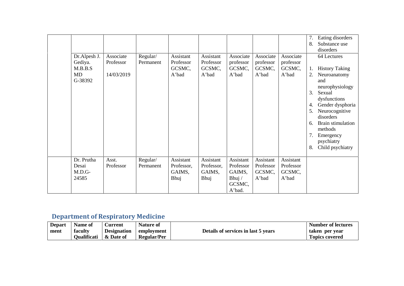|                                                     |                                      |                       |                                           |                                           |                                                                  |                                           |                                           | 7.<br>8.                                     | Eating disorders<br>Substance use<br>disorders                                                                                                                                                                                                    |
|-----------------------------------------------------|--------------------------------------|-----------------------|-------------------------------------------|-------------------------------------------|------------------------------------------------------------------|-------------------------------------------|-------------------------------------------|----------------------------------------------|---------------------------------------------------------------------------------------------------------------------------------------------------------------------------------------------------------------------------------------------------|
| Dr.Alpesh J.<br>Gediya.<br>M.B.B.S<br>MD<br>G-38392 | Associate<br>Professor<br>14/03/2019 | Regular/<br>Permanent | Assistant<br>Professor<br>GCSMC,<br>A'bad | Assistant<br>Professor<br>GCSMC,<br>A'bad | Associate<br>professor<br>GCSMC,<br>A'bad                        | Associate<br>professor<br>GCSMC,<br>A'bad | Associate<br>professor<br>GCSMC,<br>A'bad | 1.<br>2.<br>3.<br>4.<br>5.<br>6.<br>7.<br>8. | 64 Lectures<br><b>History Taking</b><br>Neuroanatomy<br>and<br>neurophysiology<br>Sexual<br>dysfunctions<br>Gender dysphoria<br>Neurocognitive<br>disorders<br><b>Brain stimulation</b><br>methods<br>Emergency<br>psychiatry<br>Child psychiatry |
| Dr. Prutha<br>Desai<br>$M.D.G-$<br>24585            | Asst.<br>Professor                   | Regular/<br>Permanent | Assistant<br>Professor,<br>GAIMS,<br>Bhuj | Assistant<br>Professor,<br>GAIMS,<br>Bhuj | Assistant<br>Professor<br>GAIMS,<br>Bhuj $/$<br>GCSMC,<br>A'bad. | Assistant<br>Professor<br>GCSMC,<br>A'bad | Assistant<br>Professor<br>GCSMC,<br>A'bad |                                              |                                                                                                                                                                                                                                                   |

# **Department of Respiratory Medicine**

| <b>Depart</b> | Name of            | <b>Aurrent</b> -   | <b>Nature of</b>   |                                     | <b>Number of lectures</b> |
|---------------|--------------------|--------------------|--------------------|-------------------------------------|---------------------------|
| ment          | faculty            | <b>Designation</b> | employment         | Details of services in last 5 years | taken per vear            |
|               | <b>Oualificati</b> | & Date of          | <b>Regular/Per</b> |                                     | <b>Topics covered</b>     |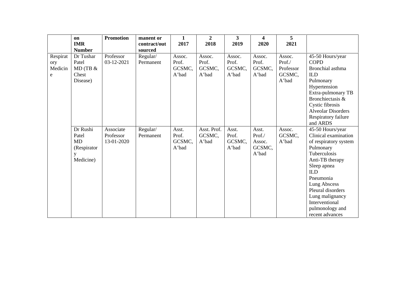|                                 | on<br><b>IMR</b><br><b>Number</b>                        | <b>Promotion</b>                     | manent or<br>contract/out        | 1<br>2017                          | $\overline{2}$<br>2018             | 3<br>2019                          | 4<br>2020                                    | 5<br>2021                                        |                                                                                                                                                                                                                                                                             |
|---------------------------------|----------------------------------------------------------|--------------------------------------|----------------------------------|------------------------------------|------------------------------------|------------------------------------|----------------------------------------------|--------------------------------------------------|-----------------------------------------------------------------------------------------------------------------------------------------------------------------------------------------------------------------------------------------------------------------------------|
| Respirat<br>ory<br>Medicin<br>e | Dr Tushar<br>Patel<br>MD(TB &<br>Chest<br>Disease)       | Professor<br>03-12-2021              | sourced<br>Regular/<br>Permanent | Assoc.<br>Prof.<br>GCSMC,<br>A'bad | Assoc.<br>Prof.<br>GCSMC,<br>A'bad | Assoc.<br>Prof.<br>GCSMC,<br>A'bad | Assoc.<br>Prof.<br>GCSMC,<br>A'bad           | Assoc.<br>Prof./<br>Professor<br>GCSMC,<br>A'bad | 45-50 Hours/year<br><b>COPD</b><br>Bronchial asthma<br><b>ILD</b><br>Pulmonary<br>Hypertension<br>Extra-pulmonary TB<br>Bronchiectasis &<br>Cystic fibrosis<br><b>Alveolar Disorders</b><br>Respiratory failure<br>and ARDS                                                 |
|                                 | Dr Rushi<br>Patel<br>MD<br>(Respirator<br>y<br>Medicine) | Associate<br>Professor<br>13-01-2020 | Regular/<br>Permanent            | Asst.<br>Prof.<br>GCSMC,<br>A'bad  | Asst. Prof.<br>GCSMC,<br>A'bad     | Asst.<br>Prof.<br>GCSMC,<br>A'bad  | Asst.<br>Prof./<br>Assoc.<br>GCSMC,<br>A'bad | Assoc.<br>GCSMC,<br>A'bad                        | 45-50 Hours/year<br>Clinical examination<br>of respiratory system<br>Pulmonary<br>Tuberculosis<br>Anti-TB therapy<br>Sleep apnea<br><b>ILD</b><br>Pneumonia<br>Lung Abscess<br>Pleural disorders<br>Lung malignancy<br>Interventional<br>pulmonology and<br>recent advances |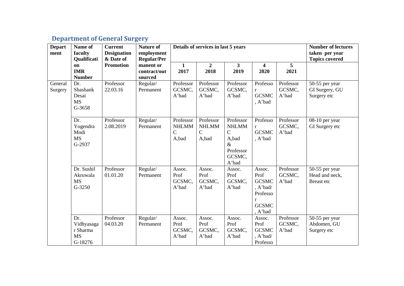## **Department of General Surgery**

| <b>Depart</b>      | Name of                                               | <b>Current</b>                                      | <b>Nature of</b>                     | <b>Number of lectures</b>                           |                                                     |                                                                                           |                                                                                              |                              |                                                       |
|--------------------|-------------------------------------------------------|-----------------------------------------------------|--------------------------------------|-----------------------------------------------------|-----------------------------------------------------|-------------------------------------------------------------------------------------------|----------------------------------------------------------------------------------------------|------------------------------|-------------------------------------------------------|
| ment               | faculty<br>Qualificati                                | <b>Designation</b><br>& Date of<br><b>Promotion</b> | employment<br><b>Regular/Per</b>     |                                                     |                                                     |                                                                                           | taken per year<br><b>Topics covered</b>                                                      |                              |                                                       |
|                    | on<br><b>IMR</b><br><b>Number</b>                     |                                                     | manent or<br>contract/out<br>sourced | $\mathbf{1}$<br>2017                                | $\overline{2}$<br>2018                              | $\mathbf{3}$<br>2019                                                                      | 4<br>2020                                                                                    | 5<br>2021                    |                                                       |
| General<br>Surgery | Dr.<br>Shashank<br>Desai<br><b>MS</b><br>G-3658       | Professor<br>22.03.16                               | Regular/<br>Permanent                | Professor<br>GCSMC,<br>A'bad                        | Professor<br>GCSMC,<br>A'bad                        | Professor<br>GCSMC,<br>A'bad                                                              | Professo<br>$\mathbf r$<br><b>GCSMC</b><br>, A'bad                                           | Professor<br>GCSMC,<br>A'bad | $50-55$ per year<br>GI Surgery, GU<br>Surgery etc     |
|                    | Dr.<br>Yogendra<br>Modi<br><b>MS</b><br>G-2937        | Professor<br>2.08.2019                              | Regular/<br>Permanent                | Professor<br><b>NHLMM</b><br>$\mathcal{C}$<br>A,bad | Professor<br><b>NHLMM</b><br>$\mathcal{C}$<br>A,bad | Professor<br><b>NHLMM</b><br>$\mathbf C$<br>A,bad<br>$\&$<br>Professor<br>GCSMC,<br>A'bad | Professo<br>$\mathbf{r}$<br><b>GCSMC</b><br>, A'bad                                          | Professor<br>GCSMC,<br>A'bad | 08-10 per year<br>GI Surgery etc                      |
|                    | Dr. Sushil<br>Akruwala<br><b>MS</b><br>$G-3250$       | Professor<br>01.01.20                               | Regular/<br>Permanent                | Assoc.<br>Prof<br>GCSMC,<br>A'bad                   | Assoc.<br>Prof<br>GCSMC,<br>A'bad                   | Assoc.<br>Prof<br>GCSMC,<br>A'bad                                                         | Assoc.<br>Prof<br><b>GCSMC</b><br>, A'bad/<br>Professo<br>$\bf r$<br><b>GCSMC</b><br>, A'bad | Professor<br>GCSMC,<br>A'bad | 50-55 per year<br>Head and neck,<br><b>Breast</b> etc |
|                    | Dr.<br>Vidhyasaga<br>r Sharma<br><b>MS</b><br>G-18276 | Professor<br>04.03.20                               | Regular/<br>Permanent                | Assoc.<br>Prof<br>GCSMC,<br>A'bad                   | Assoc.<br>Prof<br>GCSMC,<br>A'bad                   | Assoc.<br>Prof<br>GCSMC,<br>A'bad                                                         | Assoc.<br>Prof<br><b>GCSMC</b><br>, A'bad/<br>Professo                                       | Professor<br>GCSMC,<br>A'bad | 50-55 per year<br>Abdomen, GU<br>Surgery etc          |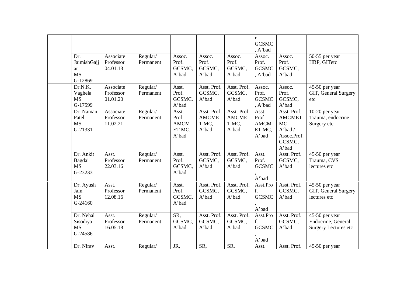| Dr.<br>JaimishGajj<br>ar<br><b>MS</b><br>G-12869           | Associate<br>Professor<br>04.01.13 | Regular/<br>Permanent | Assoc.<br>Prof.<br>GCSMC,<br>A'bad              | Assoc.<br>Prof.<br>GCSMC,<br>A'bad           | Assoc.<br>Prof.<br>GCSMC,<br>A'bad           | $\mathbf{r}$<br><b>GCSMC</b><br>, A'bad<br>Assoc.<br>Prof.<br><b>GCSMC</b><br>, A'bad | Assoc.<br>Prof.<br>GCSMC,<br>A'bad                                                  | 50-55 per year<br>HBP, GITetc                                       |
|------------------------------------------------------------|------------------------------------|-----------------------|-------------------------------------------------|----------------------------------------------|----------------------------------------------|---------------------------------------------------------------------------------------|-------------------------------------------------------------------------------------|---------------------------------------------------------------------|
| Dr.N.K.<br>Vaghela<br><b>MS</b><br>G-17599                 | Associate<br>Professor<br>01.01.20 | Regular/<br>Permanent | Asst.<br>Prof.<br>GCSMC,<br>A'bad               | Asst. Prof.<br>GCSMC,<br>A'bad               | Asst. Prof.<br>GCSMC,<br>A'bad               | Assoc.<br>Prof.<br><b>GCSMC</b><br>, A'bad                                            | Assoc.<br>Prof.<br>GCSMC,<br>A'bad                                                  | 45-50 per year<br>GIT, General Surgery<br>etc                       |
| Dr. Naman<br>Patel<br><b>MS</b><br>G-21331                 | Associate<br>Professor<br>11.02.21 | Regular/<br>Permanent | Asst.<br>Prof<br><b>AMCM</b><br>ET MC,<br>A'bad | Asst. Prof<br><b>AMCME</b><br>T MC,<br>A'bad | Asst. Prof<br><b>AMCME</b><br>T MC,<br>A'bad | Asst.<br>Prof<br><b>AMCM</b><br>ET MC,<br>A'bad                                       | Asst. Prof.<br><b>AMCMET</b><br>MC,<br>$A'$ bad /<br>Assoc.Prof.<br>GCSMC,<br>A'bad | 10-20 per year<br>Trauma, endocrine<br>Surgery etc                  |
| Dr. Ankit<br>Bagdai<br><b>MS</b><br>G-23233                | Asst.<br>Professor<br>22.03.16     | Regular/<br>Permanent | Asst.<br>Prof.<br>GCSMC,<br>A'bad               | Asst. Prof.<br>GCSMC,<br>A'bad               | Asst. Prof.<br>GCSMC,<br>A'bad               | Asst.<br>Prof.<br><b>GCSMC</b><br>A'bad                                               | Asst. Prof.<br>GCSMC,<br>A'bad                                                      | 45-50 per year<br>Trauma, CVS<br>lectures etc                       |
| Dr. Ayush<br>Jain<br><b>MS</b><br>G-24160                  | Asst.<br>Professor<br>12.08.16     | Regular/<br>Permanent | Asst.<br>Prof.<br>GCSMC,<br>A'bad               | Asst. Prof.<br>GCSMC,<br>A'bad               | Asst. Prof.<br>GCSMC,<br>A'bad               | Asst.Pro<br>f.<br><b>GCSMC</b><br>A'bad                                               | Asst. Prof.<br>GCSMC.<br>A'bad                                                      | 45-50 per year<br>GIT, General Surgery<br>lectures etc              |
| Dr. Nehal<br>Sisodiya<br><b>MS</b><br>G-24586<br>Dr. Nirav | Asst.<br>Professor<br>16.05.18     | Regular/<br>Permanent | SR,<br>GCSMC,<br>A'bad                          | Asst. Prof.<br>GCSMC,<br>A'bad               | Asst. Prof.<br>GCSMC,<br>A'bad<br>SR,        | Asst.Pro<br>f.<br><b>GCSMC</b><br>A'bad                                               | Asst. Prof.<br>GCSMC,<br>A'bad<br>Asst. Prof.                                       | 45-50 per year<br>Endocrine, General<br><b>Surgery Lectures etc</b> |
|                                                            | Asst.                              | Regular/              | JR,                                             | SR,                                          |                                              | Asst.                                                                                 |                                                                                     | 45-50 per year                                                      |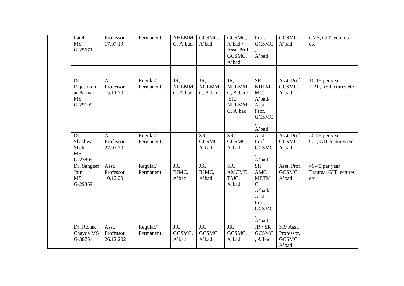|     | Patel<br><b>MS</b><br>G-25671                  | Professor<br>17.07.19            | Permanent             | <b>NHLMM</b><br>C, A'bad        | GCSMC,<br>A'bad                 | GCSMC,<br>$A'$ bad /<br>Asst. Prof.<br>GCSMC,<br>A'bad              | Prof.<br><b>GCSMC</b><br>A'bad                                                       | GCSMC,<br>A'bad                           | CVS, GIT lectures<br>etc                      |
|-----|------------------------------------------------|----------------------------------|-----------------------|---------------------------------|---------------------------------|---------------------------------------------------------------------|--------------------------------------------------------------------------------------|-------------------------------------------|-----------------------------------------------|
| Dr. | Rajeshkum<br>ar Parmar<br><b>MS</b><br>G-29199 | Asst.<br>Professor<br>15.11.20   | Regular/<br>Permanent | JR,<br><b>NHLMM</b><br>C, A'bad | JR,<br><b>NHLMM</b><br>C, A'bad | JR,<br><b>NHLMM</b><br>C, A'bad/<br>SR,<br><b>NHLMM</b><br>C, A'bad | SR,<br><b>NHLM</b><br>MC,<br>A'bad/<br>Asst.<br>Prof.<br><b>GCSMC</b><br>A'bad       | Asst. Prof.<br>GCSMC,<br>A'bad            | 10-15 per year<br>HBP, RS lectures etc        |
| Dr. | Shashwat<br>Shah<br><b>MS</b><br>G-23805       | Asst.<br>Professor<br>27.07.20   | Regular/<br>Permanent | $\overline{\phantom{a}}$        | SR,<br>GCSMC,<br>A'bad          | SR,<br>GCSMC,<br>A'bad                                              | Asst.<br>Prof.<br><b>GCSMC</b><br>A'bad                                              | Asst. Prof.<br>GCSMC,<br>A'bad            | 40-45 per year<br>GU, GIT lectures etc        |
|     | Dr. Sangeet<br>Jain<br><b>MS</b><br>G-29369    | Asst.<br>Professor<br>10.12.20   | Regular/<br>Permanent | JR,<br>BJMC,<br>A'bad           | JR,<br>BJMC,<br>A'bad           | SR,<br><b>AMCME</b><br>TMC,<br>A'bad                                | SR,<br>AMC<br><b>METM</b><br>C,<br>A'bad/<br>Asst.<br>Prof.<br><b>GCSMC</b><br>A'bad | Asst. Prof.<br>GCSMC,<br>A'bad            | 40-45 per year<br>Trauma, GIT lectures<br>etc |
|     | Dr. Ronak<br>Chavda MS<br>G-30764              | Asst.<br>Professor<br>26.12.2021 | Regular/<br>Permanent | JR,<br>GCSMC,<br>A'bad          | JR,<br>GCSMC,<br>A'bad          | JR,<br>GCSMC,<br>A'bad                                              | JR / SR<br><b>GCSMC</b><br>, A'bad                                                   | SR/Asst.<br>Professor,<br>GCSMC,<br>A'bad |                                               |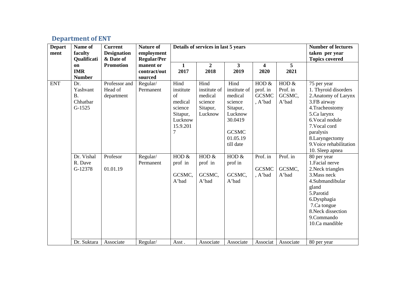# **Department of ENT**

| <b>Depart</b><br>ment | Name of<br>faculty<br>Qualificati                    | <b>Current</b><br><b>Designation</b><br>& Date of | <b>Nature of</b><br>employment<br><b>Regular/Per</b> |                                                                                       | Details of services in last 5 years                               | <b>Number of lectures</b><br>taken per year<br><b>Topics covered</b>                                                  |                                                |                                        |                                                                                                                                                                                                                               |
|-----------------------|------------------------------------------------------|---------------------------------------------------|------------------------------------------------------|---------------------------------------------------------------------------------------|-------------------------------------------------------------------|-----------------------------------------------------------------------------------------------------------------------|------------------------------------------------|----------------------------------------|-------------------------------------------------------------------------------------------------------------------------------------------------------------------------------------------------------------------------------|
| on                    | <b>IMR</b><br><b>Number</b>                          | <b>Promotion</b>                                  | manent or<br>contract/out<br>sourced                 | $\mathbf{1}$<br>2017                                                                  | $\overline{2}$<br>2018                                            | $\mathbf{3}$<br>2019                                                                                                  | $\overline{\mathbf{4}}$<br>2020                | 5<br>2021                              |                                                                                                                                                                                                                               |
| <b>ENT</b>            | Dr.<br>Yashvant<br><b>B.</b><br>Chhatbar<br>$G-1525$ | Professor and<br>Head of<br>department            | Regular/<br>Permanent                                | Hind<br>institute<br>of<br>medical<br>science<br>Sitapur,<br>Lucknow<br>15.9.201<br>7 | Hind<br>institute of<br>medical<br>science<br>Sitapur,<br>Lucknow | Hind<br>institute of<br>medical<br>science<br>Sitapur,<br>Lucknow<br>30.0419<br><b>GCSMC</b><br>01.05.19<br>till date | HOD $&$<br>prof. in<br><b>GCSMC</b><br>, A'bad | HOD $&$<br>Prof. in<br>GCSMC,<br>A'bad | 75 per year<br>1. Thyroid disorders<br>2. Anatomy of Larynx<br>3.FB airway<br>4. Tracheostomy<br>5.Ca larynx<br>6. Vocal nodule<br>7. Vocal cord<br>paralysis<br>8.Laryngectomy<br>9. Voice rehabilitation<br>10. Sleep apnea |
|                       | Dr. Vishal<br>R. Dave<br>G-12378                     | Profesor<br>01.01.19                              | Regular/<br>Permanent                                | HOD $&$<br>prof in<br>GCSMC,<br>A'bad                                                 | HOD $&$<br>prof in<br>GCSMC,<br>A'bad                             | HOD $&$<br>prof in<br>GCSMC.<br>A'bad                                                                                 | Prof. in<br><b>GCSMC</b><br>, A'bad            | Prof. in<br>GCSMC,<br>A'bad            | 80 per year<br>1. Facial nerve<br>2. Neck triangles<br>3. Mass neck<br>4.Submandibular<br>gland<br>5.Parotid<br>6.Dysphagia<br>7.Ca tongue<br>8. Neck dissection<br>9.Commando<br>10.Ca mandible                              |
|                       | Dr. Suktara                                          | Associate                                         | Regular/                                             | Asst.                                                                                 | Associate                                                         | Associate                                                                                                             | Associat                                       | Associate                              | 80 per year                                                                                                                                                                                                                   |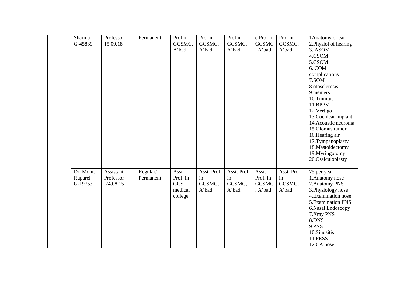| Sharma    | Professor | Permanent | Prof in    | Prof in     | Prof in     | e Prof in    | Prof in     | 1 Anatomy of ear                      |
|-----------|-----------|-----------|------------|-------------|-------------|--------------|-------------|---------------------------------------|
| G-45839   | 15.09.18  |           | GCSMC,     | GCSMC,      | GCSMC,      | <b>GCSMC</b> | GCSMC,      | 2. Physiol of hearing                 |
|           |           |           | A'bad      | A'bad       | A'bad       | , A'bad      | A'bad       | 3. ASOM                               |
|           |           |           |            |             |             |              |             | 4.CSOM                                |
|           |           |           |            |             |             |              |             | 5.CSOM                                |
|           |           |           |            |             |             |              |             | 6. COM                                |
|           |           |           |            |             |             |              |             | complications                         |
|           |           |           |            |             |             |              |             | 7.SOM                                 |
|           |           |           |            |             |             |              |             | 8.otosclerosis                        |
|           |           |           |            |             |             |              |             | 9.meniers                             |
|           |           |           |            |             |             |              |             | 10 Tinnitus                           |
|           |           |           |            |             |             |              |             | 11.BPPV                               |
|           |           |           |            |             |             |              |             | 12. Vertigo                           |
|           |           |           |            |             |             |              |             | 13. Cochlear implant                  |
|           |           |           |            |             |             |              |             | 14. Acoustic neuroma                  |
|           |           |           |            |             |             |              |             | 15.Glomus tumor                       |
|           |           |           |            |             |             |              |             | 16. Hearing air                       |
|           |           |           |            |             |             |              |             | 17.Tympanoplasty<br>18. Mastoidectomy |
|           |           |           |            |             |             |              |             | 19.Myringotomy                        |
|           |           |           |            |             |             |              |             | 20. Ossiculoplasty                    |
|           |           |           |            |             |             |              |             |                                       |
| Dr. Mohit | Assistant | Regular/  | Asst.      | Asst. Prof. | Asst. Prof. | Asst.        | Asst. Prof. | 75 per year                           |
| Ruparel   | Professor | Permanent | Prof. in   | in          | in          | Prof. in     | in          | 1. Anatomy nose                       |
| G-19753   | 24.08.15  |           | <b>GCS</b> | GCSMC,      | GCSMC,      | <b>GCSMC</b> | GCSMC,      | 2. Anatomy PNS                        |
|           |           |           | medical    | A'bad       | A'bad       | , A'bad      | A'bad       | 3. Physiology nose                    |
|           |           |           | college    |             |             |              |             | 4. Examination nose                   |
|           |           |           |            |             |             |              |             | 5. Examination PNS                    |
|           |           |           |            |             |             |              |             | 6. Nasal Endoscopy                    |
|           |           |           |            |             |             |              |             | 7.Xray PNS                            |
|           |           |           |            |             |             |              |             | 8.DNS                                 |
|           |           |           |            |             |             |              |             | 9.PNS                                 |
|           |           |           |            |             |             |              |             | 10.Sinusitis                          |
|           |           |           |            |             |             |              |             | 11.FESS                               |
|           |           |           |            |             |             |              |             | 12.CA nose                            |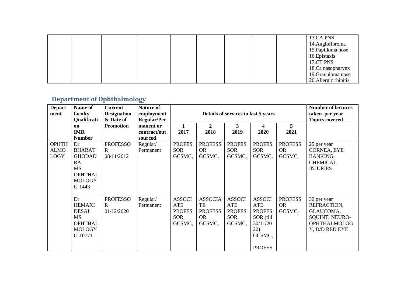|  |  |  | 13.CA PNS             |
|--|--|--|-----------------------|
|  |  |  | 14.Angiofibroma       |
|  |  |  | 15. Papilloma nose    |
|  |  |  | 16. Epistaxis         |
|  |  |  | 17.CT PNS             |
|  |  |  | 18.Ca nasopharynx     |
|  |  |  | 19. Granuloma nose    |
|  |  |  | 20. Allergic rhinitis |

## **Department of Ophthalmology**

| <b>Depart</b><br>ment                      | Name of<br>faculty<br>Qualificati                                                                      | <b>Current</b><br><b>Designation</b><br>& Date of | <b>Nature of</b><br>employment<br><b>Regular/Per</b> |                                                               | Details of services in last 5 years                           |                                                               | <b>Number of lectures</b><br>taken per year<br><b>Topics covered</b>                             |                                       |                                                                                                           |
|--------------------------------------------|--------------------------------------------------------------------------------------------------------|---------------------------------------------------|------------------------------------------------------|---------------------------------------------------------------|---------------------------------------------------------------|---------------------------------------------------------------|--------------------------------------------------------------------------------------------------|---------------------------------------|-----------------------------------------------------------------------------------------------------------|
|                                            | on<br><b>IMR</b><br><b>Number</b>                                                                      | <b>Promotion</b>                                  | manent or<br>contract/out<br>sourced                 | 1<br>2017                                                     | 2<br>2018                                                     | $\mathbf{3}$<br>2019                                          | 4<br>2020                                                                                        | $5\overline{)}$<br>2021               |                                                                                                           |
| <b>OPHTH</b><br><b>ALMO</b><br><b>LOGY</b> | Dr<br><b>BHARAT</b><br><b>GHODAD</b><br>RA<br><b>MS</b><br><b>OPHTHAL</b><br><b>MOLOGY</b><br>$G-1443$ | <b>PROFESSO</b><br>R<br>08/11/2012                | Regular/<br>Permanent                                | <b>PROFES</b><br><b>SOR</b><br>GCSMC,                         | <b>PROFESS</b><br><b>OR</b><br>GCSMC,                         | <b>PROFES</b><br><b>SOR</b><br>GCSMC,                         | <b>PROFES</b><br><b>SOR</b><br>GCSMC,                                                            | <b>PROFESS</b><br><b>OR</b><br>GCSMC, | 25 per year<br><b>CORNEA, EYE</b><br>BANKING,<br><b>CHEMICAL</b><br><b>INJURIES</b>                       |
|                                            | Dr<br><b>HEMAXI</b><br><b>DESAI</b><br>MS<br><b>OPHTHAL</b><br><b>MOLOGY</b><br>G-10771                | <b>PROFESSO</b><br>R<br>01/12/2020                | Regular/<br>Permanent                                | <b>ASSOCI</b><br>ATE<br><b>PROFES</b><br><b>SOR</b><br>GCSMC, | <b>ASSOCIA</b><br>TE<br><b>PROFESS</b><br><b>OR</b><br>GCSMC, | <b>ASSOCI</b><br>ATE<br><b>PROFES</b><br><b>SOR</b><br>GCSMC, | <b>ASSOCI</b><br>ATE<br><b>PROFES</b><br>SOR (till<br>30/11/20<br>20)<br>GCSMC,<br><b>PROFES</b> | <b>PROFESS</b><br><b>OR</b><br>GCSMC, | 30 per year<br>REFRACTION,<br>GLAUCOMA,<br><b>SQUINT, NEURO-</b><br><b>OPHTHALMOLOG</b><br>Y, D/D RED EYE |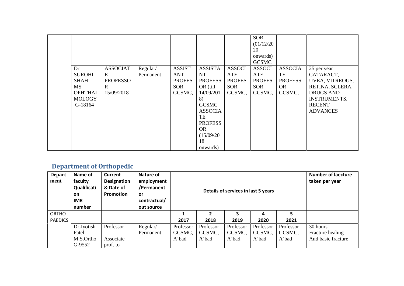|                |                 |           |               |                |               | <b>SOR</b>    |                |                     |
|----------------|-----------------|-----------|---------------|----------------|---------------|---------------|----------------|---------------------|
|                |                 |           |               |                |               |               |                |                     |
|                |                 |           |               |                |               | (01/12/20)    |                |                     |
|                |                 |           |               |                |               | 20            |                |                     |
|                |                 |           |               |                |               | onwards)      |                |                     |
|                |                 |           |               |                |               | <b>GCSMC</b>  |                |                     |
| Dr             | <b>ASSOCIAT</b> | Regular/  | <b>ASSIST</b> | <b>ASSISTA</b> | <b>ASSOCI</b> | <b>ASSOCI</b> | <b>ASSOCIA</b> | 25 per year         |
| <b>SUROHI</b>  | E               | Permanent | <b>ANT</b>    | <b>NT</b>      | ATE           | ATE           | TE             | CATARACT,           |
| SHAH           | <b>PROFESSO</b> |           | <b>PROFES</b> | <b>PROFESS</b> | <b>PROFES</b> | <b>PROFES</b> | <b>PROFESS</b> | UVEA, VITREOUS,     |
| <b>MS</b>      | R               |           | <b>SOR</b>    | OR (till       | SOR           | <b>SOR</b>    | <b>OR</b>      | RETINA, SCLERA,     |
| <b>OPHTHAL</b> | 15/09/2018      |           | GCSMC,        | 14/09/201      | GCSMC,        | GCSMC,        | GCSMC,         | <b>DRUGS AND</b>    |
| <b>MOLOGY</b>  |                 |           |               | 8)             |               |               |                | <b>INSTRUMENTS,</b> |
| G-18164        |                 |           |               | <b>GCSMC</b>   |               |               |                | <b>RECENT</b>       |
|                |                 |           |               | <b>ASSOCIA</b> |               |               |                | <b>ADVANCES</b>     |
|                |                 |           |               |                |               |               |                |                     |
|                |                 |           |               | TE             |               |               |                |                     |
|                |                 |           |               | <b>PROFESS</b> |               |               |                |                     |
|                |                 |           |               | OR.            |               |               |                |                     |
|                |                 |           |               | (15/09/20)     |               |               |                |                     |
|                |                 |           |               | 18             |               |               |                |                     |
|                |                 |           |               | onwards)       |               |               |                |                     |

## **Department of Orthopedic**

| <b>Depart</b><br>ment | Name of<br>faculty<br>Qualificati<br>on<br><b>IMR</b><br>number | Current<br>Designation<br>& Date of<br><b>Promotion</b> | Nature of<br>employment<br>/Permanent<br>or<br>contractual/<br>out source |           | Details of services in last 5 years | <b>Number of laecture</b><br>taken per year |           |           |                    |
|-----------------------|-----------------------------------------------------------------|---------------------------------------------------------|---------------------------------------------------------------------------|-----------|-------------------------------------|---------------------------------------------|-----------|-----------|--------------------|
| ORTHO                 |                                                                 |                                                         |                                                                           |           |                                     |                                             | 4         | 5         |                    |
| <b>PAEDICS</b>        |                                                                 |                                                         |                                                                           | 2017      | 2018                                | 2019                                        | 2020      | 2021      |                    |
|                       | Dr.Jyotish                                                      | Professor                                               | Regular/                                                                  | Professor | Professor                           | Professor                                   | Professor | Professor | 30 hours           |
|                       | Patel                                                           |                                                         | Permanent                                                                 | GCSMC,    | GCSMC,                              | GCSMC,                                      | GCSMC,    | GCSMC,    | Fracture healing   |
|                       | M.S.Ortho                                                       | Associate                                               |                                                                           | A'bad     | A'bad                               | A'bad                                       | A'bad     | A'bad     | And basic fracture |
|                       | G-9552                                                          | prof. to                                                |                                                                           |           |                                     |                                             |           |           |                    |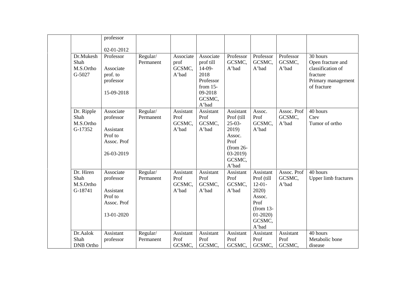|                      | professor   |                       |                   |                        |                     |                     |                     |                               |
|----------------------|-------------|-----------------------|-------------------|------------------------|---------------------|---------------------|---------------------|-------------------------------|
|                      | 02-01-2012  |                       |                   |                        |                     |                     |                     |                               |
| Dr.Mukesh<br>Shah    | Professor   | Regular/<br>Permanent | Associate<br>prof | Associate<br>prof till | Professor<br>GCSMC, | Professor<br>GCSMC, | Professor<br>GCSMC, | 30 hours<br>Open fracture and |
| M.S.Ortho            | Associate   |                       | GCSMC,            | $14-09-$               | A'bad               | A'bad               | A'bad               | classification of             |
| G-5027               | prof. to    |                       | A'bad             | 2018                   |                     |                     |                     | fracture                      |
|                      | professor   |                       |                   | Professor              |                     |                     |                     | Primary management            |
|                      | 15-09-2018  |                       |                   | from $15-$<br>09-2018  |                     |                     |                     | of fracture                   |
|                      |             |                       |                   | GCSMC,                 |                     |                     |                     |                               |
|                      |             |                       |                   | A'bad                  |                     |                     |                     |                               |
| Dr. Ripple           | Associate   | Regular/              | Assistant         | Assistant              | Assistant           | Assoc.              | Assoc. Prof         | 40 hours                      |
| Shah                 | professor   | Permanent             | Prof              | Prof                   | Prof (till          | Prof                | GCSMC,              | Ctev                          |
| M.S.Ortho<br>G-17352 | Assistant   |                       | GCSMC,<br>A'bad   | GCSMC,<br>A'bad        | $25-03-$<br>2019)   | GCSMC,<br>A'bad     | A'bad               | Tumor of ortho                |
|                      | Prof to     |                       |                   |                        | Assoc.              |                     |                     |                               |
|                      | Assoc. Prof |                       |                   |                        | Prof                |                     |                     |                               |
|                      |             |                       |                   |                        | $(from 26-$         |                     |                     |                               |
|                      | 26-03-2019  |                       |                   |                        | $03-2019$           |                     |                     |                               |
|                      |             |                       |                   |                        | GCSMC,              |                     |                     |                               |
| Dr. Hiren            | Associate   |                       | Assistant         | Assistant              | A'bad<br>Assistant  | Assistant           | Assoc. Prof         | 40 hours                      |
| Shah                 | professor   | Regular/<br>Permanent | Prof              | Prof                   | Prof                | Prof (till          | GCSMC,              | <b>Upper limb fractures</b>   |
| M.S.Ortho            |             |                       | GCSMC,            | GCSMC,                 | GCSMC,              | $12-01-$            | A'bad               |                               |
| G-18741              | Assistant   |                       | A'bad             | A'bad                  | A'bad               | 2020)               |                     |                               |
|                      | Prof to     |                       |                   |                        |                     | Assoc.              |                     |                               |
|                      | Assoc. Prof |                       |                   |                        |                     | Prof                |                     |                               |
|                      |             |                       |                   |                        |                     | $(from 13-$         |                     |                               |
|                      | 13-01-2020  |                       |                   |                        |                     | $01-2020$<br>GCSMC, |                     |                               |
|                      |             |                       |                   |                        |                     | A'bad               |                     |                               |
| Dr.Aalok             | Assistant   | Regular/              | Assistant         | Assistant              | Assistant           | Assistant           | Assistant           | 40 hours                      |
| Shah                 | professor   | Permanent             | Prof              | Prof                   | Prof                | Prof                | Prof                | Metabolic bone                |
| <b>DNB</b> Ortho     |             |                       | GCSMC,            | GCSMC,                 | GCSMC,              | GCSMC,              | GCSMC,              | disease                       |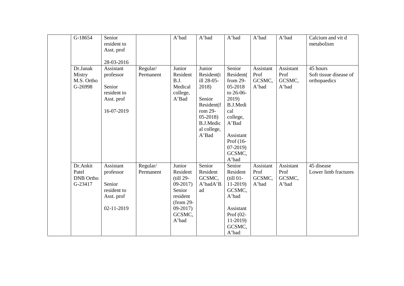| G-18654                                          | Senior<br>resident to<br>Asst. prof                                         |                       | A'bad                                                                                                               | A'bad                                                                                                                                    | A'bad                                                                                                                                                                                            | A'bad                                | A'bad                                | Calcium and vit d<br>metabolism                    |
|--------------------------------------------------|-----------------------------------------------------------------------------|-----------------------|---------------------------------------------------------------------------------------------------------------------|------------------------------------------------------------------------------------------------------------------------------------------|--------------------------------------------------------------------------------------------------------------------------------------------------------------------------------------------------|--------------------------------------|--------------------------------------|----------------------------------------------------|
|                                                  | 28-03-2016                                                                  |                       |                                                                                                                     |                                                                                                                                          |                                                                                                                                                                                                  |                                      |                                      |                                                    |
| Dr.Janak<br>Mistry<br>M.S. Ortho<br>G-26998      | Assistant<br>professor<br>Senior<br>resident to<br>Asst. prof<br>16-07-2019 | Regular/<br>Permanent | Junior<br>Resident<br>B.J.<br>Medical<br>college,<br>A'Bad                                                          | Junior<br>Resident(t)<br>ill 28-05-<br>2018)<br>Senior<br>Resident(f<br>rom 29-<br>$05-2018$<br><b>B.J.Medic</b><br>al college,<br>A'Bad | Senior<br>Resident(<br>from 29-<br>05-2018<br>to 26-06-<br>2019)<br>B.J.Medi<br>cal<br>college,<br>$\mathbf{A}^{\text{*}}\mathbf{Bad}$<br>Assistant<br>Prof (16-<br>$07-2019$<br>GCSMC,<br>A'bad | Assistant<br>Prof<br>GCSMC,<br>A'bad | Assistant<br>Prof<br>GCSMC,<br>A'bad | 45 hours<br>Soft tissue disease of<br>orthopaedics |
| Dr.Ankit<br>Patel<br><b>DNB</b> Ortho<br>G-23417 | Assistant<br>professor<br>Senior<br>resident to<br>Asst. prof<br>02-11-2019 | Regular/<br>Permanent | Junior<br>Resident<br>$(till 29-$<br>$09-2017$<br>Senior<br>resident<br>$(from 29-$<br>$09-2017$<br>GCSMC,<br>A'bad | Senior<br>Resident<br>GCSMC,<br>A'badA'B<br>ad                                                                                           | Senior<br>Resident<br>$(till 01-$<br>$11-2019$<br>GCSMC,<br>A'bad<br>Assistant<br>Prof $(02$ -<br>$11-2019$<br>GCSMC,<br>A'bad                                                                   | Assistant<br>Prof<br>GCSMC,<br>A'bad | Assistant<br>Prof<br>GCSMC,<br>A'bad | 45 disease<br>Lower limb fractures                 |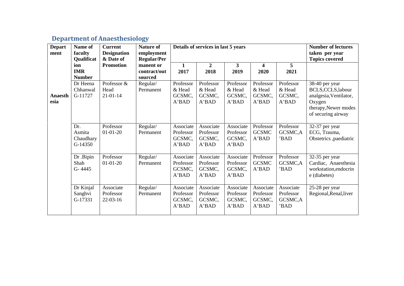## **Department of Anaesthesiology**

| <b>Depart</b><br>ment  | Name of<br>faculty<br>Qualificat      | <b>Current</b><br><b>Designation</b><br>& Date of | Nature of<br>employment<br><b>Regular/Per</b> |                                           | Details of services in last 5 years       |                                           | <b>Number of lectures</b><br>taken per year<br><b>Topics covered</b> |                                           |                                                                                                                        |
|------------------------|---------------------------------------|---------------------------------------------------|-----------------------------------------------|-------------------------------------------|-------------------------------------------|-------------------------------------------|----------------------------------------------------------------------|-------------------------------------------|------------------------------------------------------------------------------------------------------------------------|
|                        | ion<br><b>IMR</b><br><b>Number</b>    | <b>Promotion</b>                                  | manent or<br>contract/out<br>sourced          | 1<br>2017                                 | 2<br>2018                                 | 3<br>2019                                 | 4<br>2020                                                            | 5<br>2021                                 |                                                                                                                        |
| <b>Anaesth</b><br>esia | Dr Heena<br>Chhanwal<br>G-11727       | Professor &<br>Head<br>$21 - 01 - 14$             | Regular/<br>Permanent                         | Professor<br>& Head<br>GCSMC,<br>A'BAD    | Professor<br>& Head<br>GCSMC,<br>A'BAD    | Professor<br>& Head<br>GCSMC,<br>A'BAD    | Professor<br>& Head<br>GCSMC,<br>A'BAD                               | Professor<br>& Head<br>GCSMC,<br>A'BAD    | 38-40 per year<br>BCLS, CCLS, labour<br>analgesia, Ventilator,<br>Oxygen<br>therapy, Newer modes<br>of securing airway |
|                        | Dr.<br>Asmita<br>Chaudhary<br>G-14350 | Professor<br>$01 - 01 - 20$                       | Regular/<br>Permanent                         | Associate<br>Professor<br>GCSMC,<br>A'BAD | Associate<br>Professor<br>GCSMC,<br>A'BAD | Associate<br>Professor<br>GCSMC,<br>A'BAD | Professor<br><b>GCSMC</b><br>A'BAD                                   | Professor<br>GCSMC,A<br>'BAD              | 32-37 per year<br>ECG, Trauma,<br>Obstetrics ,paediatric                                                               |
|                        | Dr .Bipin<br>Shah<br>$G - 4445$       | Professor<br>$01 - 01 - 20$                       | Regular/<br>Permanent                         | Associate<br>Professor<br>GCSMC,<br>A'BAD | Associate<br>Professor<br>GCSMC,<br>A'BAD | Associate<br>Professor<br>GCSMC,<br>A'BAD | Professor<br><b>GCSMC</b><br>A'BAD                                   | Professor<br>GCSMC,A<br>'BAD              | 32-35 per year<br>Cardiac, Anaesthesia<br>workstation, endocrin<br>e (diabetes)                                        |
|                        | Dr Kinjal<br>Sanghvi<br>G-17331       | Associate<br>Professor<br>$22-03-16$              | Regular/<br>Permanent                         | Associate<br>Professor<br>GCSMC,<br>A'BAD | Associate<br>Professor<br>GCSMC,<br>A'BAD | Associate<br>Professor<br>GCSMC,<br>A'BAD | Associate<br>Professor<br>GCSMC,<br>A'BAD                            | Associate<br>Professor<br>GCSMC,A<br>'BAD | 25-28 per year<br>Regional, Renal, liver                                                                               |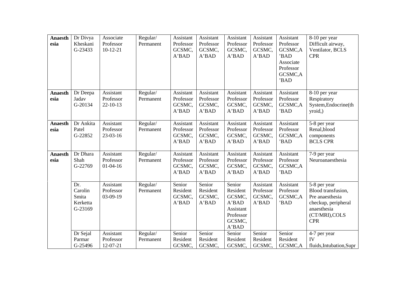| <b>Anaesth</b><br>esia | Dr Divya<br>Kheskani<br>G-23433                | Associate<br>Professor<br>$10-12-21$     | Regular/<br>Permanent | Assistant<br>Professor<br>GCSMC,<br>A'BAD | Assistant<br>Professor<br>GCSMC,<br>A'BAD | Assistant<br>Professor<br>GCSMC,<br>A'BAD                                          | Assistant<br>Professor<br>GCSMC,<br>A'BAD | Assistant<br>Professor<br>GCSMC,A<br>'BAD<br>Associate<br>Professor<br>GCSMC,A<br>'BAD | 8-10 per year<br>Difficult airway,<br>Ventilator, BCLS<br><b>CPR</b>                                                        |
|------------------------|------------------------------------------------|------------------------------------------|-----------------------|-------------------------------------------|-------------------------------------------|------------------------------------------------------------------------------------|-------------------------------------------|----------------------------------------------------------------------------------------|-----------------------------------------------------------------------------------------------------------------------------|
| <b>Anaesth</b><br>esia | Dr Deepa<br>Jadav<br>G-20134                   | Assistant<br>Professor<br>$22 - 10 - 13$ | Regular/<br>Permanent | Assistant<br>Professor<br>GCSMC,<br>A'BAD | Assistant<br>Professor<br>GCSMC,<br>A'BAD | Assistant<br>Professor<br>GCSMC,<br>A'BAD                                          | Assistant<br>Professor<br>GCSMC,<br>A'BAD | Assistant<br>Professor<br>GCSMC,A<br>'BAD                                              | 8-10 per year<br>Respiratory<br>System, Endocrine(th<br>yroid,                                                              |
| <b>Anaesth</b><br>esia | Dr Ankita<br>Patel<br>G-22852                  | Assistant<br>Professor<br>23-03-16       | Regular/<br>Permanent | Assistant<br>Professor<br>GCSMC,<br>A'BAD | Assistant<br>Professor<br>GCSMC,<br>A'BAD | Assistant<br>Professor<br>GCSMC,<br>A'BAD                                          | Assistant<br>Professor<br>GCSMC,<br>A'BAD | Assistant<br>Professor<br>GCSMC,A<br>'BAD                                              | 5-8 per year<br>Renal, blood<br>components<br><b>BCLS CPR</b>                                                               |
| <b>Anaesth</b><br>esia | Dr Dhara<br>Shah<br>G-22769                    | Assistant<br>Professor<br>$01-04-16$     | Regular/<br>Permanent | Assistant<br>Professor<br>GCSMC,<br>A'BAD | Assistant<br>Professor<br>GCSMC,<br>A'BAD | Assistant<br>Professor<br>GCSMC,<br>A'BAD                                          | Assistant<br>Professor<br>GCSMC,<br>A'BAD | Assistant<br>Professor<br>GCSMC,A<br>'BAD                                              | 7-9 per year<br>Neuroanaesthesia                                                                                            |
|                        | Dr.<br>Carolin<br>Smita<br>Kerketta<br>G-23169 | Assistant<br>Professor<br>03-09-19       | Regular/<br>Permanent | Senior<br>Resident<br>GCSMC,<br>A'BAD     | Senior<br>Resident<br>GCSMC,<br>A'BAD     | Senior<br>Resident<br>GCSMC,<br>A'BAD<br>Assistant<br>Professor<br>GCSMC,<br>A'BAD | Assistant<br>Professor<br>GCSMC,<br>A'BAD | Assistant<br>Professor<br>GCSMC,A<br>'BAD                                              | 5-8 per year<br>Blood transfusion,<br>Pre anaesthesia<br>checkup, peripheral<br>anaesthesia<br>(CT/MRI), COLS<br><b>CPR</b> |
|                        | Dr Sejal<br>Parmar<br>G-25496                  | Assistant<br>Professor<br>12-07-21       | Regular/<br>Permanent | Senior<br>Resident<br>GCSMC,              | Senior<br>Resident<br>GCSMC,              | Senior<br>Resident<br>GCSMC,                                                       | Senior<br>Resident<br>GCSMC,              | Senior<br>Resident<br>GCSMC,A                                                          | 4-7 per year<br>IV<br>fluids, Intubation, Supr                                                                              |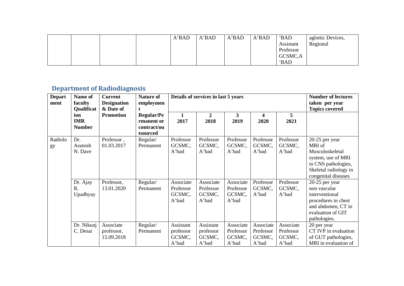|  |  | A'BAD | A'BAD | A'BAD | A'BAD | 'BAD      | aglottic Devices, |
|--|--|-------|-------|-------|-------|-----------|-------------------|
|  |  |       |       |       |       | Assistant | Regional          |
|  |  |       |       |       |       | Professor |                   |
|  |  |       |       |       |       | GCSMC,A   |                   |
|  |  |       |       |       |       | 'BAD      |                   |

# **Department of Radiodiagnosis**

| <b>Depart</b><br>ment<br>Radiolo<br>gy | Name of<br>faculty<br>Qualificat   | <b>Current</b><br><b>Designation</b><br>& Date of<br><b>Promotion</b> | <b>Nature of</b><br>employmen                              |                                           | Details of services in last 5 years       |                                           |                                           |                                           | <b>Number of lectures</b><br>taken per year<br><b>Topics covered</b>                                                                     |
|----------------------------------------|------------------------------------|-----------------------------------------------------------------------|------------------------------------------------------------|-------------------------------------------|-------------------------------------------|-------------------------------------------|-------------------------------------------|-------------------------------------------|------------------------------------------------------------------------------------------------------------------------------------------|
|                                        | ion<br><b>IMR</b><br><b>Number</b> |                                                                       | <b>Regular/Pe</b><br>rmanent or<br>contract/ou<br>tsourced | 2017                                      | $\boldsymbol{2}$<br>2018                  | $\mathbf{3}$<br>2019                      | 4<br>2020                                 | 5<br>2021                                 |                                                                                                                                          |
|                                        | Dr.<br>Asutosh<br>N. Dave          | Professor,<br>01.03.2017                                              | Regular/<br>Permanent                                      | Professor<br>GCSMC,<br>A'bad              | Professor<br>GCSMC,<br>A'bad              | Professor<br>GCSMC,<br>A'bad              | Professor<br>GCSMC,<br>A'bad              | Professor<br>GCSMC,<br>A'bad              | 20-25 per year<br>MRI of<br>Musculoskeletal<br>system, use of MRI<br>in CNS pathologies,<br>Skeletal radiology in<br>congenital diseases |
|                                        | Dr. Ajay<br>R.<br>Upadhyay         | Professor,<br>13.01.2020                                              | Regular/<br>Permanent                                      | Associate<br>Professor<br>GCSMC,<br>A'bad | Associate<br>Professor<br>GCSMC,<br>A'bad | Associate<br>Professor<br>GCSMC,<br>A'bad | Professor<br>GCSMC,<br>A'bad              | Professor<br>GCSMC,<br>A'bad              | 20-25 per year<br>non vascular<br>interventional<br>procedures in chest<br>and abdomen, CT in<br>evaluation of GIT<br>pathologies.       |
|                                        | Dr. Nikunj<br>C. Desai             | Associate<br>professor,<br>15.09.2018                                 | Regular/<br>Permanent                                      | Assistant<br>professor<br>GCSMC,<br>A'bad | Assistant<br>professor<br>GCSMC,<br>A'bad | Associate<br>Professor<br>GCSMC,<br>A'bad | Associate<br>Professor<br>GCSMC,<br>A'bad | Associate<br>Professor<br>GCSMC,<br>A'bad | 20 per year<br>CT IVP in evaluation<br>of GUT pathologies,<br>MRI in evaluation of                                                       |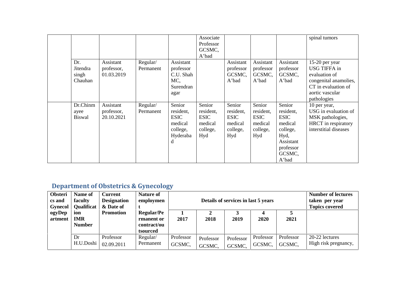|               |            |           |             | Associate   |             |             |             | spinal tumors         |
|---------------|------------|-----------|-------------|-------------|-------------|-------------|-------------|-----------------------|
|               |            |           |             | Professor   |             |             |             |                       |
|               |            |           |             | GCSMC,      |             |             |             |                       |
|               |            |           |             | A'bad       |             |             |             |                       |
| Dr.           | Assistant  | Regular/  | Assistant   |             | Assistant   | Assistant   | Assistant   | 15-20 per year        |
| Jitendra      | professor, | Permanent | professor   |             | professor   | professor   | professor   | USG TIFFA in          |
| singh         | 01.03.2019 |           | C.U. Shah   |             | GCSMC,      | GCSMC,      | GCSMC,      | evaluation of         |
| Chauhan       |            |           | MC,         |             | A'bad       | A'bad       | A'bad       | congenital anamolies, |
|               |            |           | Surendran   |             |             |             |             | CT in evaluation of   |
|               |            |           | agar        |             |             |             |             | aortic vascular       |
|               |            |           |             |             |             |             |             | pathologies           |
| Dr.Chinm      | Assistant  | Regular/  | Senior      | Senior      | Senior      | Senior      | Senior      | 10 per year,          |
| ayee          | professor, | Permanent | resident,   | resident,   | resident,   | resident,   | resident,   | USG in evaluation of  |
| <b>Biswal</b> | 20.10.2021 |           | <b>ESIC</b> | <b>ESIC</b> | <b>ESIC</b> | <b>ESIC</b> | <b>ESIC</b> | MSK pathologies,      |
|               |            |           | medical     | medical     | medical     | medical     | medical     | HRCT in respiratory   |
|               |            |           | college,    | college,    | college,    | college,    | college,    | interstitial diseases |
|               |            |           | Hyderaba    | Hyd         | Hyd         | Hyd         | Hyd,        |                       |
|               |            |           |             |             |             |             | Assistant   |                       |
|               |            |           |             |             |             |             | professor   |                       |
|               |            |           |             |             |             |             | GCSMC,      |                       |
|               |            |           |             |             |             |             | A'bad       |                       |

# **Department of Obstetrics & Gynecology**

| Obsteri<br>cs and<br><b>Gynecol</b> | Name of<br>faculty<br>Qualificat                                                                                     | <b>Current</b><br><b>Designation</b><br>& Date of | <b>Nature of</b><br>employmen |                     | Details of services in last 5 years | <b>Number of lectures</b><br>taken per year<br><b>Topics covered</b> |                     |                     |                                        |
|-------------------------------------|----------------------------------------------------------------------------------------------------------------------|---------------------------------------------------|-------------------------------|---------------------|-------------------------------------|----------------------------------------------------------------------|---------------------|---------------------|----------------------------------------|
| ogyDep<br>artment                   | <b>Regular/Pe</b><br><b>Promotion</b><br>ion<br><b>IMR</b><br>rmanent or<br><b>Number</b><br>contract/ou<br>tsourced |                                                   |                               | 2017                | J.<br>2018                          | 2019                                                                 | 4<br>2020           | 2021                |                                        |
|                                     | Dr<br>H.U.Doshi                                                                                                      | Professor<br>02.09.2011                           | Regular/<br>Permanent         | Professor<br>GCSMC, | Professor<br>GCSMC,                 | Professor<br>GCSMC,                                                  | Professor<br>GCSMC, | Professor<br>GCSMC, | 20-22 lectures<br>High risk pregnancy, |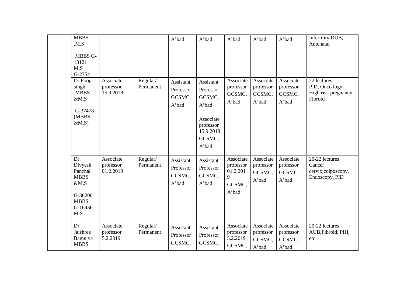| <b>MBBS</b><br>,M.S<br>MBBS G-<br>13121<br>M.S<br>G-2754                                     |                                     |                       | A'bad                                     | A'bad                                                                                               | A'bad                                                      | A'bad                                     | A'bad                                     | Infertility, DUB,<br>Antenatal                                    |
|----------------------------------------------------------------------------------------------|-------------------------------------|-----------------------|-------------------------------------------|-----------------------------------------------------------------------------------------------------|------------------------------------------------------------|-------------------------------------------|-------------------------------------------|-------------------------------------------------------------------|
| Dr.Pooja<br>singh<br><b>MBBS</b><br>&M.S<br>G-37478<br>(MBBS<br>$&M.S$ )                     | Associate<br>professor<br>15.9.2018 | Regular/<br>Permanent | Assistant<br>Professor<br>GCSMC,<br>A'bad | Assistant<br>Professor<br>GCSMC,<br>A'bad<br>Associate<br>professor<br>15.9.2018<br>GCSMC,<br>A'bad | Associate<br>professor<br>GCSMC,<br>A'bad                  | Associate<br>professor<br>GCSMC,<br>A'bad | Associate<br>professor<br>GCSMC,<br>A'bad | 22 lectures<br>PID, Onco logy,<br>High risk pregnancy,<br>Fibroid |
| Dr.<br>Divyesh<br>Panchal<br><b>MBBS</b><br>&M.S<br>G-36200<br><b>MBBS</b><br>G-16436<br>M.S | Associate<br>professor<br>01.2.2019 | Regular/<br>Permanent | Assistant<br>Professor<br>GCSMC,<br>A'bad | Assistant<br>Professor<br>GCSMC,<br>A'bad                                                           | Associate<br>professor<br>01.2.201<br>9<br>GCSMC,<br>A'bad | Associate<br>professor<br>GCSMC,<br>A'bad | Associate<br>professor<br>GCSMC,<br>A'bad | 20-22 lectures<br>Cancer<br>cervix, colposcopy,<br>Endoscopy, PID |
| Dr<br>Jaishree<br>Bamniya<br><b>MBBS</b>                                                     | Associate<br>professor<br>5.2.2019  | Regular/<br>Permanent | Assistant<br>Professor<br>GCSMC,          | Assistant<br>Professor<br>GCSMC,                                                                    | Associate<br>professor<br>5.2.2019<br>GCSMC,               | Associate<br>professor<br>GCSMC,<br>A'bad | Associate<br>professor<br>GCSMC,<br>A'bad | 20-22 lectures<br>AUB, Fibroid, PIH,<br>etc                       |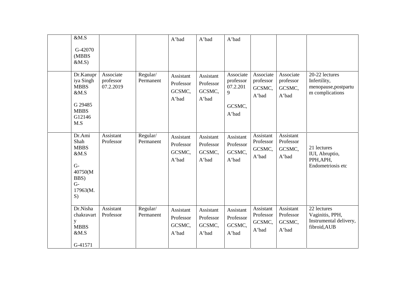| $\&\mathbf{M}.\mathbf{S}$                                                                  |                                     |                       | A'bad                                     | A'bad                                     | A'bad                                                      |                                           |                                           |                                                                           |
|--------------------------------------------------------------------------------------------|-------------------------------------|-----------------------|-------------------------------------------|-------------------------------------------|------------------------------------------------------------|-------------------------------------------|-------------------------------------------|---------------------------------------------------------------------------|
| G-42070<br>(MBBS<br>$&M.S$ )                                                               |                                     |                       |                                           |                                           |                                                            |                                           |                                           |                                                                           |
| Dr.Kanupr<br>iya Singh<br><b>MBBS</b><br>&M.S<br>G 29485<br><b>MBBS</b><br>G12146<br>M.S   | Associate<br>professor<br>07.2.2019 | Regular/<br>Permanent | Assistant<br>Professor<br>GCSMC,<br>A'bad | Assistant<br>Professor<br>GCSMC,<br>A'bad | Associate<br>professor<br>07.2.201<br>9<br>GCSMC,<br>A'bad | Associate<br>professor<br>GCSMC,<br>A'bad | Associate<br>professor<br>GCSMC,<br>A'bad | 20-22 lectures<br>Infertility,<br>menopause, postpartu<br>m complications |
| Dr.Ami<br>Shah<br><b>MBBS</b><br>&M.S<br>$G-$<br>40750(M<br>BBS)<br>$G-$<br>17963(M.<br>S) | Assistant<br>Professor              | Regular/<br>Permanent | Assistant<br>Professor<br>GCSMC,<br>A'bad | Assistant<br>Professor<br>GCSMC,<br>A'bad | Assistant<br>Professor<br>GCSMC,<br>A'bad                  | Assistant<br>Professor<br>GCSMC,<br>A'bad | Assistant<br>Professor<br>GCSMC,<br>A'bad | 21 lectures<br>IUI, Abruptio,<br>PPH, APH,<br>Endometriosis etc           |
| Dr.Nisha<br>chakravart<br>y<br><b>MBBS</b><br>&M.S<br>G-41571                              | Assistant<br>Professor              | Regular/<br>Permanent | Assistant<br>Professor<br>GCSMC,<br>A'bad | Assistant<br>Professor<br>GCSMC,<br>A'bad | Assistant<br>Professor<br>GCSMC,<br>A'bad                  | Assistant<br>Professor<br>GCSMC,<br>A'bad | Assistant<br>Professor<br>GCSMC,<br>A'bad | 22 lectures<br>Vaginitis, PPH,<br>Instrumental delivery,<br>fibroid, AUB  |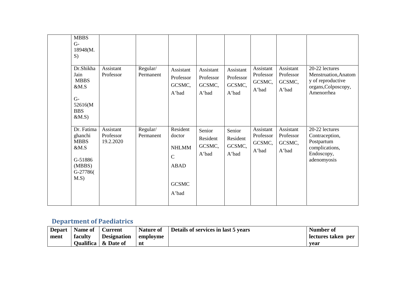| <b>MBBS</b><br>$G-$<br>18948(M.<br>S)<br>Dr.Shikha<br>Jain<br><b>MBBS</b><br>&M.S<br>$G-$<br>52616(M<br><b>BBS</b> | Assistant<br>Professor              | Regular/<br>Permanent | Assistant<br>Professor<br>GCSMC,<br>A'bad                                                 | Assistant<br>Professor<br>GCSMC,<br>A'bad | Assistant<br>Professor<br>GCSMC,<br>A'bad | Assistant<br>Professor<br>GCSMC,<br>A'bad | Assistant<br>Professor<br>GCSMC,<br>A'bad | 20-22 lectures<br>Menstruation, Anatom<br>y of reproductive<br>organs, Colposcopy,<br>Amenorrhea |
|--------------------------------------------------------------------------------------------------------------------|-------------------------------------|-----------------------|-------------------------------------------------------------------------------------------|-------------------------------------------|-------------------------------------------|-------------------------------------------|-------------------------------------------|--------------------------------------------------------------------------------------------------|
| $&M.S$ )<br>Dr. Fatima<br>ghanchi<br><b>MBBS</b><br>&M.S<br>G-51886<br>(MBBS)<br>G-27786(<br>$M.S$ )               | Assistant<br>Professor<br>19.2.2020 | Regular/<br>Permanent | Resident<br>doctor<br><b>NHLMM</b><br>$\mathbf C$<br><b>ABAD</b><br><b>GCSMC</b><br>A'bad | Senior<br>Resident<br>GCSMC,<br>A'bad     | Senior<br>Resident<br>GCSMC,<br>A'bad     | Assistant<br>Professor<br>GCSMC,<br>A'bad | Assistant<br>Professor<br>GCSMC,<br>A'bad | 20-22 lectures<br>Contraception,<br>Postpartum<br>complications,<br>Endoscopy,<br>adenomyosis    |

#### **Department of Paediatrics**

| <b>Depart</b> | Name of | <b>Current</b>                | <b>Nature of</b> | Details of services in last 5 years | Number of          |
|---------------|---------|-------------------------------|------------------|-------------------------------------|--------------------|
| ment          | faculty | <b>Designation</b>            | employme         |                                     | lectures taken per |
|               |         | <b>Oualifica</b> $\&$ Date of | nt               |                                     | vear               |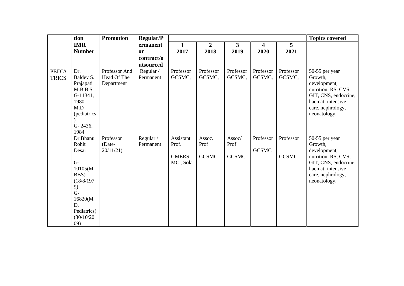|                              | tion                                                                                                                                      | <b>Promotion</b>                           | <b>Regular/P</b>                     |                                                |                                |                                |                           |                           | <b>Topics covered</b>                                                                                                                              |
|------------------------------|-------------------------------------------------------------------------------------------------------------------------------------------|--------------------------------------------|--------------------------------------|------------------------------------------------|--------------------------------|--------------------------------|---------------------------|---------------------------|----------------------------------------------------------------------------------------------------------------------------------------------------|
|                              | <b>IMR</b>                                                                                                                                |                                            | ermanent                             | $\mathbf{1}$                                   | $\overline{2}$                 | $\mathbf{3}$                   | $\overline{\mathbf{4}}$   | $\overline{5}$            |                                                                                                                                                    |
|                              | <b>Number</b>                                                                                                                             |                                            | <b>or</b><br>contract/o<br>utsourced | 2017                                           | 2018                           | 2019                           | 2020                      | 2021                      |                                                                                                                                                    |
| <b>PEDIA</b><br><b>TRICS</b> | Dr.<br>Baldev S.<br>Prajapati<br>M.B.B.S<br>G-11341,<br>1980<br>M.D<br>(pediatrics<br>G-2436,<br>1984                                     | Professor And<br>Head Of The<br>Department | Regular /<br>Permanent               | Professor<br>GCSMC,                            | Professor<br>GCSMC,            | Professor<br>GCSMC,            | Professor<br>GCSMC,       | Professor<br>GCSMC,       | 50-55 per year<br>Growth,<br>development,<br>nutrition, RS, CVS,<br>GIT, CNS, endocrine,<br>haemat, intensive<br>care, nephrology,<br>neonatology. |
|                              | Dr.Bhanu<br>Rohit<br>Desai<br>$G -$<br>10105(M)<br>BBS)<br>(18/8/197)<br>9)<br>$G-$<br>16820(M<br>D,<br>Pediatrics)<br>(30/10/20)<br>(09) | Professor<br>(Date-<br>20/11/21            | Regular /<br>Permanent               | Assistant<br>Prof.<br><b>GMERS</b><br>MC, Sola | Assoc.<br>Prof<br><b>GCSMC</b> | Assoc/<br>Prof<br><b>GCSMC</b> | Professor<br><b>GCSMC</b> | Professor<br><b>GCSMC</b> | 50-55 per year<br>Growth,<br>development,<br>nutrition, RS, CVS,<br>GIT, CNS, endocrine,<br>haemat, intensive<br>care, nephrology,<br>neonatology. |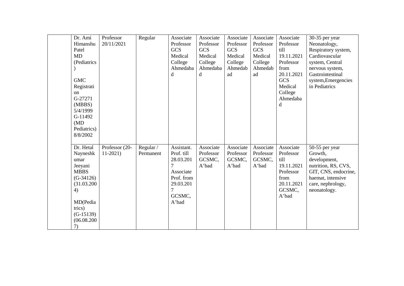| Dr. Ami<br>Himanshu<br>Patel<br>MD<br>(Pediatrics<br><b>GMC</b><br>Registrati<br>on<br>G-27271<br>(MBBS)<br>5/4/1999<br>G-11492 | Professor<br>20/11/2021 | Regular   | Associate<br>Professor<br><b>GCS</b><br>Medical<br>College<br>Ahmedaba<br>$\mathbf d$            | Associate<br>Professor<br><b>GCS</b><br>Medical<br>College<br>Ahmedaba<br>d | Associate<br>Professor<br><b>GCS</b><br>Medical<br>College<br>Ahmedab<br>ad | Associate<br>Professor<br><b>GCS</b><br>Medical<br>College<br>Ahmedab<br>ad | Associate<br>Professor<br>till<br>19.11.2021<br>Professor<br>from<br>20.11.2021<br><b>GCS</b><br>Medical<br>College<br>Ahmedaba<br>d | 30-35 per year<br>Neonatology,<br>Respiratory system,<br>Cardiovascular<br>system, Central<br>nervous system,<br>Gastrointestinal<br>system, Emergencies<br>in Pediatrics |
|---------------------------------------------------------------------------------------------------------------------------------|-------------------------|-----------|--------------------------------------------------------------------------------------------------|-----------------------------------------------------------------------------|-----------------------------------------------------------------------------|-----------------------------------------------------------------------------|--------------------------------------------------------------------------------------------------------------------------------------|---------------------------------------------------------------------------------------------------------------------------------------------------------------------------|
| (MD)<br>Pediatrics)<br>8/8/2002<br>Dr. Hetal                                                                                    | Professor (20-          | Regular / | Assistant.                                                                                       | Associate                                                                   | Associate                                                                   | Associate                                                                   | Associate                                                                                                                            | $50-55$ per year                                                                                                                                                          |
| Nayneshk<br>umar<br>Jeeyani<br><b>MBBS</b><br>$(G-34126)$<br>(31.03.200)<br>4)                                                  | $11-2021$               | Permanent | Prof. till<br>28.03.201<br>7<br>Associate<br>Prof. from<br>29.03.201<br>$\overline{7}$<br>GCSMC, | Professor<br>GCSMC,<br>A'bad                                                | Professor<br>GCSMC,<br>A'bad                                                | Professor<br>GCSMC,<br>A'bad                                                | Professor<br>till<br>19.11.2021<br>Professor<br>from<br>20.11.2021<br>GCSMC,<br>A'bad                                                | Growth,<br>development,<br>nutrition, RS, CVS,<br>GIT, CNS, endocrine,<br>haemat, intensive<br>care, nephrology,<br>neonatology.                                          |
| MD(Pedia<br>trics)<br>$(G-15139)$<br>(06.08.200)<br>7)                                                                          |                         |           | A'bad                                                                                            |                                                                             |                                                                             |                                                                             |                                                                                                                                      |                                                                                                                                                                           |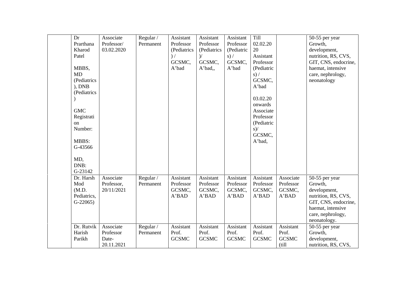| Dr<br>Prarthana<br>Kharod                                                                    | Associate<br>Professor/<br>03.02.2020         | Regular /<br>Permanent | Assistant<br>Professor<br>(Pediatrics     | Assistant<br>Professor<br>(Pediatrics     | Assistant<br>Professor<br>(Pediatric      | Till<br>02.02.20<br>20                                                                               |                                              | 50-55 per year<br>Growth,<br>development,                                                                                                          |
|----------------------------------------------------------------------------------------------|-----------------------------------------------|------------------------|-------------------------------------------|-------------------------------------------|-------------------------------------------|------------------------------------------------------------------------------------------------------|----------------------------------------------|----------------------------------------------------------------------------------------------------------------------------------------------------|
| Patel                                                                                        |                                               |                        | ) /<br>GCSMC,                             | $\mathcal{V}$<br>GCSMC,                   | s) /<br>GCSMC,                            | Assistant<br>Professor                                                                               |                                              | nutrition, RS, CVS,<br>GIT, CNS, endocrine,                                                                                                        |
| MBBS,<br><b>MD</b><br>(Pediatrics<br>), DNB<br>(Pediatrics<br><b>GMC</b><br>Registrati<br>on |                                               |                        | A'bad                                     | A'bad,,                                   | A'bad                                     | (Pediatric<br>s) /<br>GCSMC,<br>A'bad<br>03.02.20<br>onwards<br>Associate<br>Professor<br>(Pediatric |                                              | haemat, intensive<br>care, nephrology,<br>neonatology                                                                                              |
| Number:<br><b>MBBS:</b><br>G-43566                                                           |                                               |                        |                                           |                                           |                                           | $s$ )/<br>GCSMC,<br>A'bad,                                                                           |                                              |                                                                                                                                                    |
| MD,<br>DNB:<br>G-23142                                                                       |                                               |                        |                                           |                                           |                                           |                                                                                                      |                                              |                                                                                                                                                    |
| Dr. Harsh<br>Mod<br>(M.D.<br>Pediatrics,<br>$G-22065$                                        | Associate<br>Professor,<br>20/11/2021         | Regular /<br>Permanent | Assistant<br>Professor<br>GCSMC,<br>A'BAD | Assistant<br>Professor<br>GCSMC,<br>A'BAD | Assistant<br>Professor<br>GCSMC,<br>A'BAD | Assistant<br>Professor<br>GCSMC,<br>A'BAD                                                            | Associate<br>Professor<br>GCSMC,<br>A'BAD    | 50-55 per year<br>Growth,<br>development,<br>nutrition, RS, CVS,<br>GIT, CNS, endocrine,<br>haemat, intensive<br>care, nephrology,<br>neonatology. |
| Dr. Rutvik<br>Harish<br>Parikh                                                               | Associate<br>Professor<br>Date-<br>20.11.2021 | Regular /<br>Permanent | Assistant<br>Prof.<br><b>GCSMC</b>        | Assistant<br>Prof.<br><b>GCSMC</b>        | Assistant<br>Prof.<br><b>GCSMC</b>        | Assistant<br>Prof.<br><b>GCSMC</b>                                                                   | Assistant<br>Prof.<br><b>GCSMC</b><br>(till) | 50-55 per year<br>Growth,<br>development,<br>nutrition, RS, CVS,                                                                                   |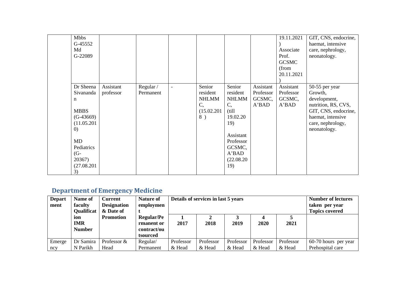| <b>Mbbs</b><br>G-45552<br>Md<br>G-22089 |                        |                        |                          |                    |                        |                        | 19.11.2021<br>Associate<br>Prof.<br><b>GCSMC</b><br>(from<br>20.11.2021 | GIT, CNS, endocrine,<br>haemat, intensive<br>care, nephrology,<br>neonatology. |
|-----------------------------------------|------------------------|------------------------|--------------------------|--------------------|------------------------|------------------------|-------------------------------------------------------------------------|--------------------------------------------------------------------------------|
| Dr Sheena<br>Sivananda                  | Assistant<br>professor | Regular /<br>Permanent | $\overline{\phantom{a}}$ | Senior<br>resident | Senior<br>resident     | Assistant<br>Professor | Assistant<br>Professor                                                  | 50-55 per year<br>Growth,                                                      |
| n                                       |                        |                        |                          | <b>NHLMM</b>       | <b>NHLMM</b>           | GCSMC,                 | GCSMC,                                                                  | development,                                                                   |
| <b>MBBS</b>                             |                        |                        |                          | C,<br>(15.02.201   | C,<br>(till)           | A'BAD                  | A'BAD                                                                   | nutrition, RS, CVS,<br>GIT, CNS, endocrine,                                    |
| $(G-43669)$                             |                        |                        |                          | 8)                 | 19.02.20               |                        |                                                                         | haemat, intensive                                                              |
| (11.05.201                              |                        |                        |                          |                    | 19)                    |                        |                                                                         | care, nephrology,                                                              |
| $\left( 0\right)$                       |                        |                        |                          |                    |                        |                        |                                                                         | neonatology.                                                                   |
| MD                                      |                        |                        |                          |                    | Assistant<br>Professor |                        |                                                                         |                                                                                |
| Pediatrics                              |                        |                        |                          |                    | GCSMC,                 |                        |                                                                         |                                                                                |
| $(G-$                                   |                        |                        |                          |                    | A'BAD                  |                        |                                                                         |                                                                                |
| 20367)                                  |                        |                        |                          |                    | (22.08.20)             |                        |                                                                         |                                                                                |
| (27.08.201)<br>3)                       |                        |                        |                          |                    | 19)                    |                        |                                                                         |                                                                                |

## **Department of Emergency Medicine**

| <b>Depart</b><br>ment | Name of<br>faculty<br><b>Qualificat</b>        | <b>Current</b><br><b>Designation</b><br>& Date of | <b>Nature of</b><br>employmen                              |                                                | Details of services in last 5 years | <b>Number of lectures</b><br>taken per year<br><b>Topics covered</b> |           |           |                      |
|-----------------------|------------------------------------------------|---------------------------------------------------|------------------------------------------------------------|------------------------------------------------|-------------------------------------|----------------------------------------------------------------------|-----------|-----------|----------------------|
|                       | 10 <sub>n</sub><br><b>IMR</b><br><b>Number</b> | <b>Promotion</b>                                  | <b>Regular/Pe</b><br>rmanent or<br>contract/ou<br>tsourced | ↑<br>4<br>2017<br>2018<br>2021<br>2019<br>2020 |                                     |                                                                      |           |           |                      |
| Emerge                | Dr Samira                                      | Professor &                                       | Regular/                                                   | Professor                                      | Professor                           | Professor                                                            | Professor | Professor | 60-70 hours per year |
| ncv                   | N Parikh                                       | Head                                              | Permanent                                                  | & Head                                         | & Head                              | & Head                                                               | & Head    | & Head    | Prehospital care     |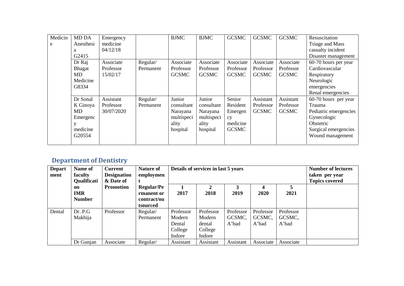| Medicin | <b>MD DA</b>  | Emergency  |           | <b>BJMC</b>  | <b>BJMC</b>  | <b>GCSMC</b> | <b>GCSMC</b> | <b>GCSMC</b> | Resuscitation         |
|---------|---------------|------------|-----------|--------------|--------------|--------------|--------------|--------------|-----------------------|
| e       | Anesthesi     | medicine   |           |              |              |              |              |              | Triage and Mass       |
|         | a             | 04/12/18   |           |              |              |              |              |              | casualty incident     |
|         | G2415         |            |           |              |              |              |              |              | Disaster management   |
|         | Dr Raj        | Associate  | Regular/  | Associate    | Associate    | Associate    | Associate    | Associate    | 60-70 hours per year  |
|         | <b>Bhagat</b> | Professor  | Permanent | Professor    | Professor    | Professor    | Professor    | Professor    | Cardiovascular        |
|         | MD            | 15/02/17   |           | <b>GCSMC</b> | <b>GCSMC</b> | <b>GCSMC</b> | <b>GCSMC</b> | <b>GCSMC</b> | Respiratory           |
|         | Medicine      |            |           |              |              |              |              |              | Neurologic            |
|         | G8334         |            |           |              |              |              |              |              | emergencies           |
|         |               |            |           |              |              |              |              |              | Renal emergencies     |
|         | Dr Sonal      | Assistant  | Regular/  | Junior       | Junior       | Senior       | Assistant    | Assistant    | 60-70 hours per year  |
|         | K Ginoya      | Professor  | Permanent | consultant   | consultant   | Resident     | Professor    | Professor    | Trauma                |
|         | MD            | 30/07/2020 |           | Narayana     | Narayana     | Emergen      | <b>GCSMC</b> | <b>GCSMC</b> | Pediatric emergencies |
|         | Emergenc      |            |           | multispeci   | multispeci   | cy           |              |              | Gynecologic           |
|         |               |            |           | ality        | ality        | medicine     |              |              | Obstetric             |
|         | medicine      |            |           | hospital     | hospital     | <b>GCSMC</b> |              |              | Surgical emergencies  |
|         | G20554        |            |           |              |              |              |              |              | Wound management      |
|         |               |            |           |              |              |              |              |              |                       |

## **Department of Dentistry**

| <b>Depart</b><br>ment | Name of<br>faculty<br><b>Qualificati</b> | <b>Current</b><br><b>Designation</b><br>& Date of | <b>Nature of</b><br>employmen                              |                                                    | Details of services in last 5 years                | <b>Number of lectures</b><br>taken per year<br><b>Topics covered</b> |                              |                              |  |
|-----------------------|------------------------------------------|---------------------------------------------------|------------------------------------------------------------|----------------------------------------------------|----------------------------------------------------|----------------------------------------------------------------------|------------------------------|------------------------------|--|
|                       | on<br><b>IMR</b><br><b>Number</b>        | <b>Promotion</b>                                  | <b>Regular/Pe</b><br>rmanent or<br>contract/ou<br>tsourced | 2017                                               | 2<br>2018                                          | 3<br>2019                                                            | 4<br>2020                    | 2021                         |  |
| Dental                | Dr. P.G<br>Makhija                       | Professor                                         | Regular/<br>Permanent                                      | Professor<br>Modern<br>Dental<br>College<br>Indore | Professor<br>Modern<br>dental<br>College<br>Indore | Professor<br>GCSMC,<br>A'bad                                         | Professor<br>GCSMC,<br>A'bad | Professor<br>GCSMC,<br>A'bad |  |
|                       | Dr Gunjan                                | Associate                                         | Regular/                                                   | Assistant                                          | Assistant                                          | Assistant                                                            | Associate                    | Associate                    |  |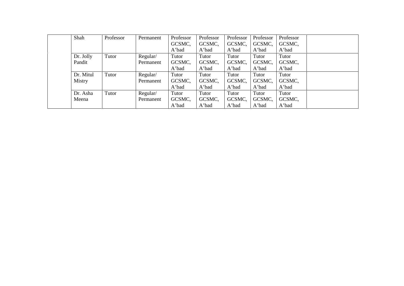| Shah      | Professor | Permanent | Professor | Professor | Professor | Professor | Professor |  |
|-----------|-----------|-----------|-----------|-----------|-----------|-----------|-----------|--|
|           |           |           | GCSMC,    | GCSMC,    | GCSMC,    | GCSMC,    | GCSMC,    |  |
|           |           |           | A'bad     | A'bad     | A'bad     | A'bad     | A'bad     |  |
| Dr. Jolly | Tutor     | Regular/  | Tutor     | Tutor     | Tutor     | Tutor     | Tutor     |  |
| Pandit    |           | Permanent | GCSMC,    | GCSMC,    | GCSMC,    | GCSMC,    | GCSMC,    |  |
|           |           |           | A'bad     | A'bad     | A'bad     | A'bad     | A'bad     |  |
| Dr. Mitul | Tutor     | Regular/  | Tutor     | Tutor     | Tutor     | Tutor     | Tutor     |  |
| Mistry    |           | Permanent | GCSMC,    | GCSMC,    | GCSMC,    | GCSMC,    | GCSMC,    |  |
|           |           |           | A'bad     | A'bad     | A'bad     | A'bad     | A'bad     |  |
| Dr. Asha  | Tutor     | Regular/  | Tutor     | Tutor     | Tutor     | Tutor     | Tutor     |  |
| Meena     |           | Permanent | GCSMC,    | GCSMC,    | GCSMC,    | GCSMC,    | GCSMC,    |  |
|           |           |           | A'bad     | A'bad     | A'bad     | A'bad     | A'bad     |  |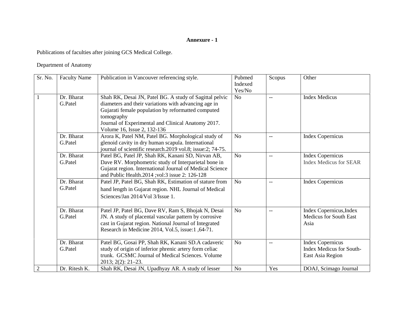#### **Annexure - 1**

Publications of faculties after joining GCS Medical College.

Department of Anatomy

| Sr. No.        | <b>Faculty Name</b>   | Publication in Vancouver referencing style.                                                                                                                                                                                                                              | Pubmed<br>Indexed<br>Yes/No | Scopus | Other                                                                          |
|----------------|-----------------------|--------------------------------------------------------------------------------------------------------------------------------------------------------------------------------------------------------------------------------------------------------------------------|-----------------------------|--------|--------------------------------------------------------------------------------|
| $\mathbf{1}$   | Dr. Bharat<br>G.Patel | Shah RK, Desai JN, Patel BG. A study of Sagittal pelvic<br>diameters and their variations with advancing age in<br>Gujarati female population by reformatted computed<br>tomography<br>Journal of Experimental and Clinical Anatomy 2017.<br>Volume 16, Issue 2, 132-136 | N <sub>o</sub>              | $-$    | <b>Index Medicus</b>                                                           |
|                | Dr. Bharat<br>G.Patel | Arora K, Patel NM, Patel BG. Morphological study of<br>glenoid cavity in dry human scapula. International<br>journal of scientific research.2019 vol.8; issue:2; 74-75.                                                                                                  | N <sub>o</sub>              | $-$    | <b>Index Copernicus</b>                                                        |
|                | Dr. Bharat<br>G.Patel | Patel BG, Patel JP, Shah RK, Kanani SD, Nirvan AB,<br>Dave RV. Morphometric study of Interparietal bone in<br>Gujarat region. International Journal of Medical Science<br>and Public Health.2014 ;vol:3 issue 2: 126-128                                                 | No                          | $-$    | <b>Index Copernicus</b><br><b>Index Medicus for SEAR</b>                       |
|                | Dr. Bharat<br>G.Patel | Patel JP, Patel BG, Shah RK, Estimation of stature from<br>hand length in Gujarat region. NHL Journal of Medical<br>Sciences/Jan 2014/Vol 3/Issue 1.                                                                                                                     | N <sub>o</sub>              | $-$    | <b>Index Copernicus</b>                                                        |
|                | Dr. Bharat<br>G.Patel | Patel JP, Patel BG, Dave RV, Ram S, Bhojak N, Desai<br>JN. A study of placental vascular pattern by corrosive<br>cast in Gujarat region. National Journal of Integrated<br>Research in Medicine 2014, Vol.5, issue:1, 64-71.                                             | No                          | $-$    | Index Copernicus, Index<br><b>Medicus for South East</b><br>Asia               |
|                | Dr. Bharat<br>G.Patel | Patel BG, Gosai PP, Shah RK, Kanani SD.A cadaveric<br>study of origin of inferior phrenic artery form celiac<br>trunk. GCSMC Journal of Medical Sciences. Volume<br>$2013; 2(2): 21-23.$                                                                                 | No                          | $-$    | <b>Index Copernicus</b><br><b>Index Medicus for South-</b><br>East Asia Region |
| $\overline{2}$ | Dr. Ritesh K.         | Shah RK, Desai JN, Upadhyay AR. A study of lesser                                                                                                                                                                                                                        | N <sub>o</sub>              | Yes    | DOAJ, Scimago Journal                                                          |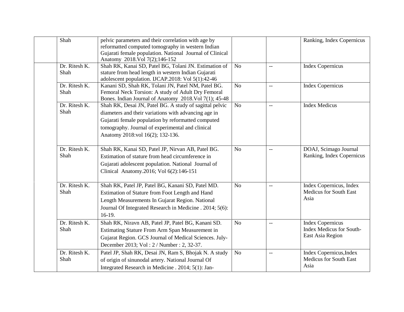| Shah                  | pelvic parameters and their correlation with age by<br>reformatted computed tomography in western Indian                                                                                                                                                      |                |                | Ranking, Index Copernicus                                                      |
|-----------------------|---------------------------------------------------------------------------------------------------------------------------------------------------------------------------------------------------------------------------------------------------------------|----------------|----------------|--------------------------------------------------------------------------------|
|                       | Gujarati female population. National Journal of Clinical<br>Anatomy 2018. Vol 7(2); 146-152                                                                                                                                                                   |                |                |                                                                                |
| Dr. Ritesh K.<br>Shah | Shah RK, Kanai SD, Patel BG, Tolani JN. Estimation of<br>stature from head length in western Indian Gujarati<br>adolescent population. IJCAP.2018: Vol 5(1):42-46                                                                                             | No             | $\overline{a}$ | <b>Index Copernicus</b>                                                        |
| Dr. Ritesh K.<br>Shah | Kanani SD, Shah RK, Tolani JN, Patel NM, Patel BG.<br>Femoral Neck Torsion: A study of Adult Dry Femoral<br>Bones. Indian Journal of Anatomy 2018. Vol 7(1); 45-48                                                                                            | N <sub>o</sub> | $-$            | <b>Index Copernicus</b>                                                        |
| Dr. Ritesh K.<br>Shah | Shah RK, Desai JN, Patel BG. A study of sagittal pelvic<br>diameters and their variations with advancing age in<br>Gujarati female population by reformatted computed<br>tomography. Journal of experimental and clinical<br>Anatomy 2018:vol 16(2); 132-136. | N <sub>o</sub> | $-$            | <b>Index Medicus</b>                                                           |
| Dr. Ritesh K.<br>Shah | Shah RK, Kanai SD, Patel JP, Nirvan AB, Patel BG.<br>Estimation of stature from head circumference in<br>Gujarati adolescent population. National Journal of<br>Clinical Anatomy.2016; Vol 6(2):146-151                                                       | N <sub>o</sub> | $\overline{a}$ | DOAJ, Scimago Journal<br>Ranking, Index Copernicus                             |
| Dr. Ritesh K.<br>Shah | Shah RK, Patel JP, Patel BG, Kanani SD, Patel MD.<br>Estimation of Stature from Foot Length and Hand<br>Length Measurements In Gujarat Region. National<br>Journal Of Integrated Research in Medicine . 2014; 5(6):<br>$16-19.$                               | N <sub>o</sub> | $-$            | Index Copernicus, Index<br><b>Medicus for South East</b><br>Asia               |
| Dr. Ritesh K.<br>Shah | Shah RK, Niravn AB, Patel JP, Patel BG, Kanani SD.<br>Estimating Stature From Arm Span Measurement in<br>Gujarat Region. GCS Journal of Medical Sciences. July-<br>December 2013; Vol : 2 / Number : 2, 32-37.                                                | <b>No</b>      | $-$            | <b>Index Copernicus</b><br><b>Index Medicus for South-</b><br>East Asia Region |
| Dr. Ritesh K.<br>Shah | Patel JP, Shah RK, Desai JN, Ram S, Bhojak N. A study<br>of origin of sinunodal artery. National Journal Of<br>Integrated Research in Medicine . 2014; 5(1): Jan-                                                                                             | N <sub>o</sub> |                | Index Copernicus, Index<br><b>Medicus for South East</b><br>Asia               |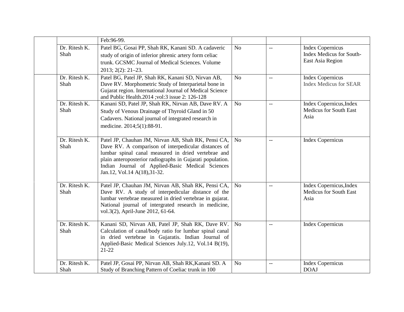|                       | Feb: 96-99.                                                                                                                                                                                                                                                                                                         |                |                          |                                                                                |
|-----------------------|---------------------------------------------------------------------------------------------------------------------------------------------------------------------------------------------------------------------------------------------------------------------------------------------------------------------|----------------|--------------------------|--------------------------------------------------------------------------------|
| Dr. Ritesh K.<br>Shah | Patel BG, Gosai PP, Shah RK, Kanani SD. A cadaveric<br>study of origin of inferior phrenic artery form celiac<br>trunk. GCSMC Journal of Medical Sciences. Volume<br>$2013; 2(2): 21-23.$                                                                                                                           | No             | $-$                      | <b>Index Copernicus</b><br><b>Index Medicus for South-</b><br>East Asia Region |
| Dr. Ritesh K.<br>Shah | Patel BG, Patel JP, Shah RK, Kanani SD, Nirvan AB,<br>Dave RV. Morphometric Study of Interparietal bone in<br>Gujarat region. International Journal of Medical Science<br>and Public Health.2014 ;vol:3 issue 2: 126-128                                                                                            | N <sub>o</sub> | $-$                      | <b>Index Copernicus</b><br><b>Index Medicus for SEAR</b>                       |
| Dr. Ritesh K.<br>Shah | Kanani SD, Patel JP, Shah RK, Nirvan AB, Dave RV. A<br>Study of Venous Drainage of Thyroid Gland in 50<br>Cadavers. National journal of integrated research in<br>medicine. 2014;5(1):88-91.                                                                                                                        | N <sub>o</sub> | $\overline{\phantom{m}}$ | Index Copernicus, Index<br><b>Medicus for South East</b><br>Asia               |
| Dr. Ritesh K.<br>Shah | Patel JP, Chauhan JM, Nirvan AB, Shah RK, Pensi CA,<br>Dave RV. A comparison of interpedicular distances of<br>lumbar spinal canal measured in dried vertebrae and<br>plain anteroposterior radiographs in Gujarati population.<br>Indian Journal of Applied-Basic Medical Sciences<br>Jan.12, Vol.14 A(18), 31-32. | No             | $-$                      | <b>Index Copernicus</b>                                                        |
| Dr. Ritesh K.<br>Shah | Patel JP, Chauhan JM, Nirvan AB, Shah RK, Pensi CA,<br>Dave RV. A study of interpedicular distance of the<br>lumbar vertebrae measured in dried vertebrae in gujarat.<br>National journal of intergrated research in medicine,<br>vol.3(2), April-June 2012, 61-64.                                                 | N <sub>o</sub> | $-$                      | Index Copernicus, Index<br><b>Medicus for South East</b><br>Asia               |
| Dr. Ritesh K.<br>Shah | Kanani SD, Nirvan AB, Patel JP, Shah RK, Dave RV.<br>Calculation of canal/body ratio for lumbar spinal canal<br>in dried vertebrae in Gujaratis. Indian Journal of<br>Applied-Basic Medical Sciences July.12, Vol.14 B(19),<br>$21-22$                                                                              | N <sub>o</sub> | $-$                      | <b>Index Copernicus</b>                                                        |
| Dr. Ritesh K.<br>Shah | Patel JP, Gosai PP, Nirvan AB, Shah RK, Kanani SD. A<br>Study of Branching Pattern of Coeliac trunk in 100                                                                                                                                                                                                          | N <sub>o</sub> | $-$                      | <b>Index Copernicus</b><br><b>DOAJ</b>                                         |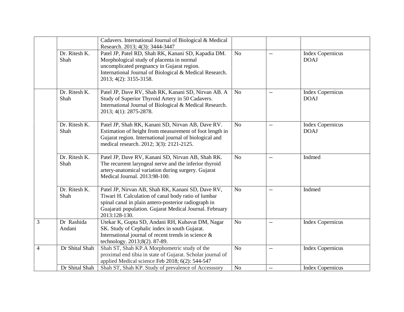|                |                                     | Cadavers. International Journal of Biological & Medical<br>Research. 2013; 4(3): 3444-3447                                                                                                                                                   |                |                          |                                        |
|----------------|-------------------------------------|----------------------------------------------------------------------------------------------------------------------------------------------------------------------------------------------------------------------------------------------|----------------|--------------------------|----------------------------------------|
|                | Dr. Ritesh K.<br>Shah               | Patel JP, Patel RD, Shah RK, Kanani SD, Kapadia DM.<br>Morphological study of placenta in normal<br>uncomplicated pregnancy in Gujarat region.<br>International Journal of Biological & Medical Research.<br>2013; 4(2): 3155-3158.          | N <sub>o</sub> | $\overline{\phantom{a}}$ | <b>Index Copernicus</b><br><b>DOAJ</b> |
|                | Dr. Ritesh $\overline{K}$ .<br>Shah | Patel JP, Dave RV, Shah RK, Kanani SD, Nirvan AB. A<br>Study of Superior Thyroid Artery in 50 Cadavers.<br>International Journal of Biological & Medical Research.<br>2013; 4(1): 2875-2878.                                                 | No             | $\overline{\phantom{a}}$ | <b>Index Copernicus</b><br><b>DOAJ</b> |
|                | Dr. Ritesh K.<br>Shah               | Patel JP, Shah RK, Kanani SD, Nirvan AB, Dave RV.<br>Estimation of height from measurement of foot length in<br>Gujarat region. International journal of biological and<br>medical research. 2012; 3(3): 2121-2125.                          | N <sub>o</sub> | $\overline{\phantom{m}}$ | <b>Index Copernicus</b><br><b>DOAJ</b> |
|                | Dr. Ritesh K.<br>Shah               | Patel JP, Dave RV, Kanani SD, Nirvan AB, Shah RK.<br>The recurrent laryngeal nerve and the inferior thyroid<br>artery-anatomical variation during surgery. Gujarat<br>Medical Journal. 2013:98-100.                                          | No             | $\sim$                   | Indmed                                 |
|                | Dr. Ritesh K.<br>Shah               | Patel JP, Nirvan AB, Shah RK, Kanani SD, Dave RV,<br>Tiwari H. Calculation of canal body ratio of lumbar<br>spinal canal in plain antero-posterior radiograph in<br>Guajarati population. Gujarat Medical Journal. February<br>2013:128-130. | N <sub>o</sub> | $-$                      | Indmed                                 |
| 3              | Dr Rashida<br>Andani                | Utekar K, Gupta SD, Andani RH, Kubavat DM, Nagar<br>SK. Study of Cephalic index in south Gujarat.<br>International journal of recent trends in science $\&$<br>technology. 2013;8(2). 87-89.                                                 | N <sub>o</sub> | $\overline{\phantom{a}}$ | <b>Index Copernicus</b>                |
| $\overline{4}$ | Dr Shital Shah                      | Shah ST, Shah KP.A Morphometric study of the<br>proximal end tibia in state of Gujarat. Scholar journal of<br>applied Medical science Feb 2018; 6(2): 544-547                                                                                | N <sub>o</sub> | $\overline{\phantom{a}}$ | <b>Index Copernicus</b>                |
|                | Dr Shital Shah                      | Shah ST, Shah KP. Study of prevalence of Accesssory                                                                                                                                                                                          | N <sub>o</sub> | $\overline{\phantom{a}}$ | <b>Index Copernicus</b>                |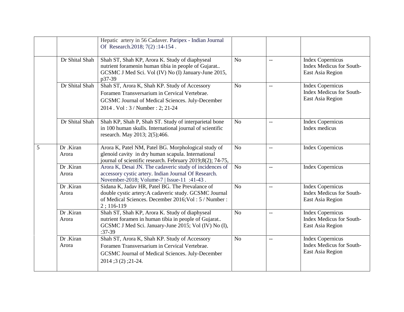|   |                    | Hepatic artery in 56 Cadaver. Paripex - Indian Journal<br>Of Research.2018; 7(2):14-154.                                                                                              |                |                           |                                                                                |
|---|--------------------|---------------------------------------------------------------------------------------------------------------------------------------------------------------------------------------|----------------|---------------------------|--------------------------------------------------------------------------------|
|   | Dr Shital Shah     | Shah ST, Shah KP, Arora K. Study of diaphyseal<br>nutrient foramenin human tibia in people of Gujarat<br>GCSMC J Med Sci. Vol (IV) No (I) January-June 2015,<br>p37-39                | N <sub>o</sub> | $\mathbb{L}^{\mathbb{L}}$ | <b>Index Copernicus</b><br><b>Index Medicus for South-</b><br>East Asia Region |
|   | Dr Shital Shah     | Shah ST, Arora K, Shah KP. Study of Accessory<br>Foramen Transversarium in Cervical Vertebrae.<br>GCSMC Journal of Medical Sciences. July-December<br>2014. Vol: 3 / Number: 2; 21-24 | N <sub>o</sub> | $-$                       | <b>Index Copernicus</b><br><b>Index Medicus for South-</b><br>East Asia Region |
|   | Dr Shital Shah     | Shah KP, Shah P, Shah ST. Study of interparietal bone<br>in 100 human skulls. International journal of scientific<br>research. May 2013; 2(5); 466.                                   | N <sub>o</sub> | $-\, -$                   | <b>Index Copernicus</b><br>Index medicus                                       |
| 5 | Dr .Kiran<br>Arora | Arora K, Patel NM, Patel BG. Morphological study of<br>glenoid cavity in dry human scapula. International<br>journal of scientific research. February 2019;8(2); 74-75,               | N <sub>o</sub> | $\overline{\phantom{m}}$  | <b>Index Copernicus</b>                                                        |
|   | Dr .Kiran<br>Arora | Arora K, Desai JN. The cadaveric study of incidences of<br>accessory cystic artery. Indian Journal Of Research.<br>November-2018; Volume-7   Issue-11 :41-43.                         | N <sub>o</sub> | $\overline{\phantom{a}}$  | <b>Index Copernicus</b>                                                        |
|   | Dr .Kiran<br>Arora | Sidana K, Jadav HR, Patel BG. The Prevalance of<br>double cystic artery: A cadaveric study. GCSMC Journal<br>of Medical Sciences. December 2016; Vol : 5 / Number :<br>$2;116-119$    | No             | $-$                       | <b>Index Copernicus</b><br><b>Index Medicus for South-</b><br>East Asia Region |
|   | Dr .Kiran<br>Arora | Shah ST, Shah KP, Arora K. Study of diaphyseal<br>nutrient foramen in human tibia in people of Gujarat<br>GCSMC J Med Sci. January-June 2015; Vol (IV) No (I),<br>$:37-39$            | N <sub>o</sub> | $-$                       | <b>Index Copernicus</b><br><b>Index Medicus for South-</b><br>East Asia Region |
|   | Dr .Kiran<br>Arora | Shah ST, Arora K, Shah KP. Study of Accessory<br>Foramen Transversarium in Cervical Vertebrae.<br>GCSMC Journal of Medical Sciences. July-December<br>$2014$ ; $3(2)$ ; $21-24$ .     | N <sub>o</sub> | $\overline{\phantom{a}}$  | <b>Index Copernicus</b><br><b>Index Medicus for South-</b><br>East Asia Region |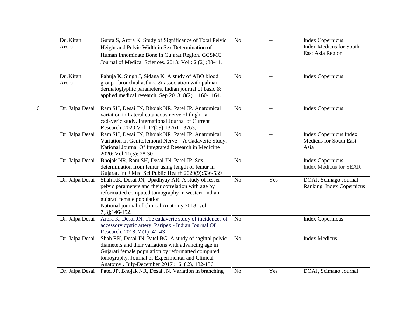|   | Dr .Kiran<br>Arora | Gupta S, Arora K. Study of Significance of Total Pelvic<br>Height and Pelvic Width in Sex Determination of<br>Human Innominate Bone in Gujarat Region. GCSMC<br>Journal of Medical Sciences. 2013; Vol : 2 (2) ;38-41.                                                      | N <sub>o</sub> | $-$            | <b>Index Copernicus</b><br><b>Index Medicus for South-</b><br>East Asia Region |
|---|--------------------|-----------------------------------------------------------------------------------------------------------------------------------------------------------------------------------------------------------------------------------------------------------------------------|----------------|----------------|--------------------------------------------------------------------------------|
|   | Dr .Kiran<br>Arora | Pahuja K, Singh J, Sidana K. A study of ABO blood<br>group I bronchial asthma & association with palmar<br>dermatoglyphic parameters. Indian journal of basic &<br>applied medical research. Sep 2013: 8(2). 1160-1164.                                                     | No             | $-$            | <b>Index Copernicus</b>                                                        |
| 6 | Dr. Jalpa Desai    | Ram SH, Desai JN, Bhojak NR, Patel JP. Anatomical<br>variation in Lateral cutaneous nerve of thigh - a<br>cadaveric study. International Journal of Current<br>Research .2020 Vol- 12(09);13761-13763,.                                                                     | N <sub>o</sub> | $-$            | <b>Index Copernicus</b>                                                        |
|   | Dr. Jalpa Desai    | Ram SH, Desai JN, Bhojak NR, Patel JP. Anatomical<br>Variation In Genitofemoral Nerve-A Cadaveric Study.<br>National Journal Of Integrated Research in Medicine<br>2020; Vol.11(5): 28-30                                                                                   | N <sub>o</sub> | $\overline{a}$ | Index Copernicus, Index<br><b>Medicus for South East</b><br>Asia               |
|   | Dr. Jalpa Desai    | Bhojak NR, Ram SH, Desai JN, Patel JP. Sex<br>determination from femur using length of femur in<br>Gujarat. Int J Med Sci Public Health, 2020(9): 536-539.                                                                                                                  | N <sub>o</sub> | $-$            | <b>Index Copernicus</b><br><b>Index Medicus for SEAR</b>                       |
|   | Dr. Jalpa Desai    | Shah RK, Desai JN, Upadhyay AR. A study of lesser<br>pelvic parameters and their correlation with age by<br>reformatted computed tomography in western Indian<br>gujarati female population<br>National journal of clinical Anatomy.2018; vol-<br>7[3];146-152.             | N <sub>o</sub> | Yes            | DOAJ, Scimago Journal<br>Ranking, Index Copernicus                             |
|   | Dr. Jalpa Desai    | Arora K, Desai JN. The cadaveric study of incidences of<br>accessory cystic artery. Paripex - Indian Journal Of<br>Research. 2018; 7 (1); 41-43                                                                                                                             | N <sub>o</sub> | $\overline{a}$ | <b>Index Copernicus</b>                                                        |
|   | Dr. Jalpa Desai    | Shah RK, Desai JN, Patel BG. A study of sagittal pelvic<br>diameters and their variations with advancing age in<br>Gujarati female population by reformatted computed<br>tomography. Journal of Experimental and Clinical<br>Anatomy . July-December 2017;16, (2), 132-136. | No             | $-$            | <b>Index Medicus</b>                                                           |
|   | Dr. Jalpa Desai    | Patel JP, Bhojak NR, Desai JN. Variation in branching                                                                                                                                                                                                                       | No             | Yes            | DOAJ, Scimago Journal                                                          |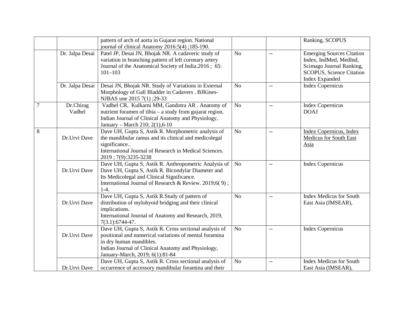|   |                     | pattern of arch of aorta in Gujarat region. National<br>journal of clinical Anatomy 2016:5(4);185-190.                                                                                                                               |                |                          | Ranking, SCOPUS                                                                                                                             |
|---|---------------------|--------------------------------------------------------------------------------------------------------------------------------------------------------------------------------------------------------------------------------------|----------------|--------------------------|---------------------------------------------------------------------------------------------------------------------------------------------|
|   | Dr. Jalpa Desai     | Patel JP, Desai JN, Bhojak NR. A cadaveric study of<br>variation in branching pattern of left coronary artery<br>Journal of the Anatomical Society of India.2016; 65:<br>$101 - 103$                                                 | N <sub>o</sub> | $\overline{a}$           | <b>Emerging Sources Citation</b><br>Index, IndMed, MedInd,<br>Scimago Journal Ranking,<br>SCOPUS, Science Citation<br><b>Index Expanded</b> |
|   | Dr. Jalpa Desai     | Desai JN, Bhojak NR. Study of Variations in External<br>Morphology of Gall Bladder in Cadavers . BJKines-<br>NJBAS une 2015 7(1) ; 29-33                                                                                             | N <sub>o</sub> | $-$                      | <b>Index Copernicus</b>                                                                                                                     |
| 7 | Dr.Chirag<br>Vadhel | Vadhel CR, Kulkarni MM, Gandotra AR . Anatomy of<br>nutrient foramen of tibia – a study from gujarat region.<br>Indian Journal of Clinical Anatomy and Physiology,<br>January - March 210; 2(1),6-10                                 | N <sub>o</sub> | $\overline{\phantom{a}}$ | <b>Index Copernicus</b><br><b>DOAJ</b>                                                                                                      |
| 8 | Dr.Urvi Dave        | Dave UH, Gupta S, Astik R. Morphometric analysis of<br>the mandibular ramus and its clinical and medicolegal<br>significance<br>International Journal of Research in Medical Sciences.<br>2019; 7(9): 3235-3238                      | N <sub>o</sub> | $\overline{\phantom{m}}$ | <b>Index Copernicus</b> , Index<br>Medicus for South East<br>Asia                                                                           |
|   | Dr.Urvi Dave        | Dave UH, Gupta S, Astik R. Anthropometric Analysis of<br>Dave UH, Gupta S, Astik R. Bicondylar Diameter and<br>Its Medicolegal and Clinical Significance.<br>International Journal of Research & Review. 2019;6(9);<br>$1-4.$        | N <sub>o</sub> | $-$                      | <b>Index Copernicus</b>                                                                                                                     |
|   | Dr.Urvi Dave        | Dave UH, Gupta S, Astik R.Study of pattern of<br>distribution of mylohyoid bridging and their clinical<br>implications.<br>International Journal of Anatomy and Research, 2019,<br>$7(3.1): 6744-47.$                                | N <sub>o</sub> | $-$                      | <b>Index Medicus for South</b><br>East Asia (IMSEAR),                                                                                       |
|   | Dr.Urvi Dave        | Dave UH, Gupta S, Astik R. Cross sectional analysis of<br>positional and numerical variations of mental foramina<br>in dry human mandibles.<br>Indian Journal of Clinical Anatomy and Physiology,<br>January-March, 2019; 6(1):81-84 | N <sub>o</sub> | $\overline{\phantom{m}}$ | <b>Index Copernicus</b>                                                                                                                     |
|   | Dr.Urvi Dave        | Dave UH, Gupta S, Astik R. Cross sectional analysis of<br>occurrence of accessory mandibular foramina and their                                                                                                                      | N <sub>o</sub> | $-$                      | <b>Index Medicus for South</b><br>East Asia (IMSEAR),                                                                                       |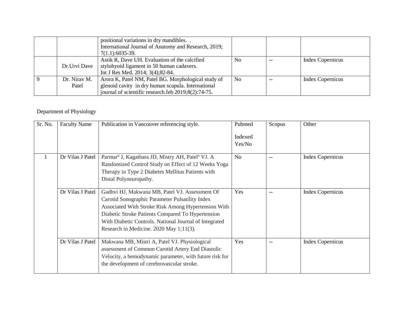|                       | positional variations in dry mandibles<br>International Journal of Anatomy and Research, 2019;<br>$7(1.1):6035-39.$                                              |                |                         |
|-----------------------|------------------------------------------------------------------------------------------------------------------------------------------------------------------|----------------|-------------------------|
| Dr.Urvi Dave          | Astik R, Dave UH. Evaluation of the calcified<br>stylohyoid ligament in 50 human cadavers.<br>Int J Res Med. 2014; 3(4); 82-84.                                  | No             | <b>Index Copernicus</b> |
| Dr. Nirav M.<br>Patel | Arora K, Patel NM, Patel BG. Morphological study of<br>glenoid cavity in dry human scapula. International<br>journal of scientific research.feb 2019;8(2):74-75. | N <sub>0</sub> | <b>Index Copernicus</b> |

#### Department of Physiology

| Sr. No. | <b>Faculty Name</b> | Publication in Vancouver referencing style.                                                                                                                                                                                                                                                                          | Pubmed<br>Indexed<br>Yes/No | Scopus                   | Other                   |
|---------|---------------------|----------------------------------------------------------------------------------------------------------------------------------------------------------------------------------------------------------------------------------------------------------------------------------------------------------------------|-----------------------------|--------------------------|-------------------------|
| 1       | Dr Vilas J Patel    | Parmarº J, Kagathara JD, Mistry AH, Patel° VJ. A<br>Randomized Control Study on Effect of 12 Weeks Yoga<br>Therapy in Type 2 Diabetes Mellitus Patients with<br>Distal Polyneuropathy.                                                                                                                               | N <sub>o</sub>              | $\overline{\phantom{a}}$ | <b>Index Copernicus</b> |
|         | Dr Vilas J Patel    | Gadhvi HJ, Makwana MB, Patel VJ. Assessment Of<br>Carotid Sonographic Parameter Pulsatility Index<br>Associated With Stroke Risk Among Hypertension With<br>Diabetic Stroke Patients Compared To Hypertension<br>With Diabetic Controls. National Journal of Integrated<br>Research in Medicine. $2020$ May 1;11(3). | Yes                         | $\overline{\phantom{a}}$ | <b>Index Copernicus</b> |
|         | Dr Vilas J Patel    | Makwana MB, Mistri A, Patel VJ. Physiological<br>assessment of Common Carotid Artery End Diastolic<br>Velocity, a hemodynamic parameter, with future risk for<br>the development of cerebrovascular stroke.                                                                                                          | Yes                         |                          | <b>Index Copernicus</b> |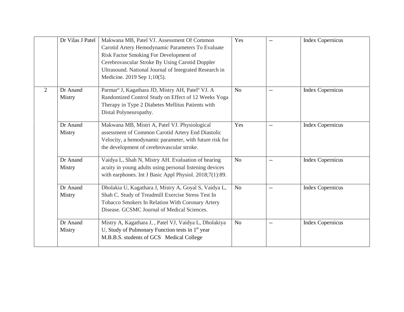|   | Dr Vilas J Patel   | Makwana MB, Patel VJ. Assessment Of Common<br>Carotid Artery Hemodynamic Parameters To Evaluate<br>Risk Factor Smoking For Development of<br>Cerebrovascular Stroke By Using Carotid Doppler<br>Ultrasound. National Journal of Integrated Research in<br>Medicine. 2019 Sep 1;10(5). | Yes            | $-$           | <b>Index Copernicus</b> |
|---|--------------------|---------------------------------------------------------------------------------------------------------------------------------------------------------------------------------------------------------------------------------------------------------------------------------------|----------------|---------------|-------------------------|
| 2 | Dr Anand<br>Mistry | Parmar <sup>o</sup> J, Kagathara JD, Mistry AH, Patel <sup>o</sup> VJ. A<br>Randomized Control Study on Effect of 12 Weeks Yoga<br>Therapy in Type 2 Diabetes Mellitus Patients with<br>Distal Polyneuropathy.                                                                        | No             | $\sim$ $\sim$ | <b>Index Copernicus</b> |
|   | Dr Anand<br>Mistry | Makwana MB, Mistri A, Patel VJ. Physiological<br>assessment of Common Carotid Artery End Diastolic<br>Velocity, a hemodynamic parameter, with future risk for<br>the development of cerebrovascular stroke.                                                                           | Yes            | $-$           | <b>Index Copernicus</b> |
|   | Dr Anand<br>Mistry | Vaidya L, Shah N, Mistry AH. Evaluation of hearing<br>acuity in young adults using personal listening devices<br>with earphones. Int J Basic Appl Physiol. 2018;7(1):89.                                                                                                              | N <sub>o</sub> | $-$           | <b>Index Copernicus</b> |
|   | Dr Anand<br>Mistry | Dholakia U, Kagathara J, Mistry A, Goyal S, Vaidya L,<br>Shah C. Study of Treadmill Exercise Stress Test In<br>Tobacco Smokers In Relation With Coronary Artery<br>Disease. GCSMC Journal of Medical Sciences.                                                                        | N <sub>o</sub> | $-$           | <b>Index Copernicus</b> |
|   | Dr Anand<br>Mistry | Mistry A, Kagathara J, , Patel VJ, Vaidya L, Dholakiya<br>U, Study of Pulmonary Function tests in $1st$ year<br>M.B.B.S. students of GCS Medical College                                                                                                                              | N <sub>o</sub> | $-$           | <b>Index Copernicus</b> |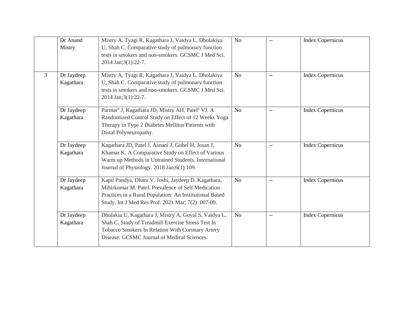|   | Dr Anand<br>Mistry      | Mistry A, Tyagi R, Kagathara J, Vaidya L, Dholakiya<br>U, Shah C. Comparative study of pulmonary function<br>tests in smokers and non-smokers. GCSMC J Med Sci.<br>2014 Jan; 3(1): 22-7.                                   | N <sub>o</sub> |                          | <b>Index Copernicus</b> |
|---|-------------------------|----------------------------------------------------------------------------------------------------------------------------------------------------------------------------------------------------------------------------|----------------|--------------------------|-------------------------|
| 3 | Dr Jaydeep<br>Kagathara | Mistry A, Tyagi R, Kagathara J, Vaidya L, Dholakiya<br>U, Shah C. Comparative study of pulmonary function<br>tests in smokers and non-smokers. GCSMC J Med Sci.<br>2014 Jan; 3(1): 22-7.                                   | N <sub>o</sub> |                          | <b>Index Copernicus</b> |
|   | Dr Jaydeep<br>Kagathara | Parmarº J, Kagathara JD, Mistry AH, Patel <sup>o</sup> VJ. A<br>Randomized Control Study on Effect of 12 Weeks Yoga<br>Therapy in Type 2 Diabetes Mellitus Patients with<br>Distal Polyneuropathy.                         | No             | $\overline{\phantom{a}}$ | <b>Index Copernicus</b> |
|   | Dr Jaydeep<br>Kagathara | Kagathara JD, Patel J, Asnani J, Gohel H, Josan J,<br>Khamar K. A Comparative Study on Effect of Various<br>Warm up Methods in Untrained Students. International<br>Journal of Physiology. 2018 Jan; 6(1):109.             | N <sub>o</sub> |                          | <b>Index Copernicus</b> |
|   | Dr Jaydeep<br>Kagathara | Kapil Pandya, Dhara V. Joshi, Jaydeep D. Kagathara,<br>Mihirkumar M. Patel. Prevalence of Self Medication<br>Practices in a Rural Population: An Institutional Based<br>Study. Int J Med Res Prof. 2021 Mar; 7(2): 007-09. | N <sub>o</sub> | $-\,-$                   | <b>Index Copernicus</b> |
|   | Dr Jaydeep<br>Kagathara | Dholakia U, Kagathara J, Mistry A, Goyal S, Vaidya L,<br>Shah C. Study of Treadmill Exercise Stress Test In<br>Tobacco Smokers In Relation With Coronary Artery<br>Disease. GCSMC Journal of Medical Sciences.             | N <sub>o</sub> | $-$                      | <b>Index Copernicus</b> |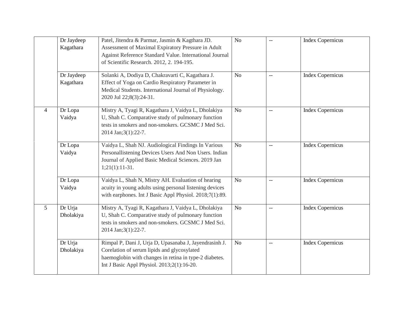|                | Dr Jaydeep<br>Kagathara | Patel, Jitendra & Parmar, Jasmin & Kagthara JD.<br>Assessment of Maximal Expiratory Pressure in Adult<br>Against Reference Standard Value. International Journal<br>of Scientific Research. 2012, 2. 194-195. | N <sub>o</sub> | $-$                      | <b>Index Copernicus</b> |
|----------------|-------------------------|---------------------------------------------------------------------------------------------------------------------------------------------------------------------------------------------------------------|----------------|--------------------------|-------------------------|
|                | Dr Jaydeep<br>Kagathara | Solanki A, Dodiya D, Chakravarti C, Kagathara J.<br>Effect of Yoga on Cardio Respiratory Parameter in<br>Medical Students. International Journal of Physiology.<br>2020 Jul 22;8(3):24-31.                    | N <sub>o</sub> | $\overline{a}$           | <b>Index Copernicus</b> |
| $\overline{4}$ | Dr Lopa<br>Vaidya       | Mistry A, Tyagi R, Kagathara J, Vaidya L, Dholakiya<br>U, Shah C. Comparative study of pulmonary function<br>tests in smokers and non-smokers. GCSMC J Med Sci.<br>2014 Jan; 3(1): 22-7.                      | N <sub>o</sub> | $\overline{\phantom{a}}$ | <b>Index Copernicus</b> |
|                | Dr Lopa<br>Vaidya       | Vaidya L, Shah NJ. Audiological Findings In Various<br>Personallistening Devices Users And Non Users. Indian<br>Journal of Applied Basic Medical Sciences. 2019 Jan<br>$1;21(1):11-31.$                       | N <sub>o</sub> | $\overline{a}$           | <b>Index Copernicus</b> |
|                | Dr Lopa<br>Vaidya       | Vaidya L, Shah N, Mistry AH. Evaluation of hearing<br>acuity in young adults using personal listening devices<br>with earphones. Int J Basic Appl Physiol. 2018;7(1):89.                                      | N <sub>o</sub> | $\overline{\phantom{a}}$ | <b>Index Copernicus</b> |
| 5              | Dr Urja<br>Dholakiya    | Mistry A, Tyagi R, Kagathara J, Vaidya L, Dholakiya<br>U, Shah C. Comparative study of pulmonary function<br>tests in smokers and non-smokers. GCSMC J Med Sci.<br>2014 Jan; 3(1): 22-7.                      | No             | $-$                      | <b>Index Copernicus</b> |
|                | Dr Urja<br>Dholakiya    | Rimpal P, Dani J, Urja D, Upasanaba J, Jayendrasinh J.<br>Corelation of serum lipids and glycosylated<br>haemoglobin with changes in retina in type-2 diabetes.<br>Int J Basic Appl Physiol. 2013;2(1):16-20. | No             | $-$                      | <b>Index Copernicus</b> |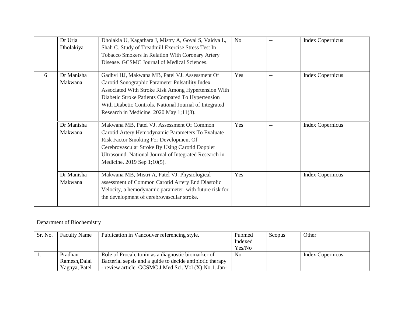|   | Dr Urja<br>Dholakiya  | Dholakia U, Kagathara J, Mistry A, Goyal S, Vaidya L,<br>Shah C. Study of Treadmill Exercise Stress Test In<br>Tobacco Smokers In Relation With Coronary Artery<br>Disease. GCSMC Journal of Medical Sciences.                                                                                                     | N <sub>o</sub> |     | <b>Index Copernicus</b> |
|---|-----------------------|--------------------------------------------------------------------------------------------------------------------------------------------------------------------------------------------------------------------------------------------------------------------------------------------------------------------|----------------|-----|-------------------------|
| 6 | Dr Manisha<br>Makwana | Gadhvi HJ, Makwana MB, Patel VJ. Assessment Of<br>Carotid Sonographic Parameter Pulsatility Index<br>Associated With Stroke Risk Among Hypertension With<br>Diabetic Stroke Patients Compared To Hypertension<br>With Diabetic Controls. National Journal of Integrated<br>Research in Medicine. 2020 May 1;11(3). | Yes            | $-$ | <b>Index Copernicus</b> |
|   | Dr Manisha<br>Makwana | Makwana MB, Patel VJ. Assessment Of Common<br>Carotid Artery Hemodynamic Parameters To Evaluate<br>Risk Factor Smoking For Development Of<br>Cerebrovascular Stroke By Using Carotid Doppler<br>Ultrasound. National Journal of Integrated Research in<br>Medicine. 2019 Sep 1;10(5).                              | Yes            | $-$ | <b>Index Copernicus</b> |
|   | Dr Manisha<br>Makwana | Makwana MB, Mistri A, Patel VJ. Physiological<br>assessment of Common Carotid Artery End Diastolic<br>Velocity, a hemodynamic parameter, with future risk for<br>the development of cerebrovascular stroke.                                                                                                        | Yes            |     | <b>Index Copernicus</b> |

#### Department of Biochemistry

| Sr. No. | <b>Faculty Name</b> | Publication in Vancouver referencing style.               | Pubmed         | Scopus | Other            |
|---------|---------------------|-----------------------------------------------------------|----------------|--------|------------------|
|         |                     |                                                           | Indexed        |        |                  |
|         |                     |                                                           | Yes/No         |        |                  |
|         | Pradhan             | Role of Procalciton in as a diagnostic biomarker of       | N <sub>0</sub> | $- -$  | Index Copernicus |
|         | Ramesh, Dalal       | Bacterial sepsis and a guide to decide antibiotic therapy |                |        |                  |
|         | Yagnya, Patel       | - review article. GCSMC J Med Sci. Vol (X) No.1. Jan-     |                |        |                  |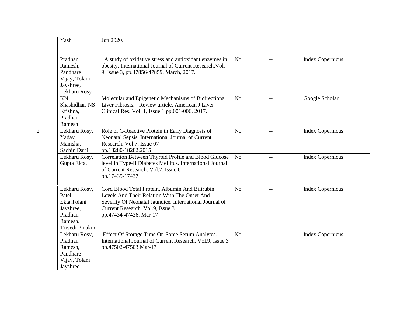|                | Yash                                                                                         | Jun 2020.                                                                                                                                                                                                                |                |                |                         |
|----------------|----------------------------------------------------------------------------------------------|--------------------------------------------------------------------------------------------------------------------------------------------------------------------------------------------------------------------------|----------------|----------------|-------------------------|
|                | Pradhan<br>Ramesh,<br>Pandhare<br>Vijay, Tolani<br>Jayshree,<br>Lekharu Rosy                 | . A study of oxidative stress and antioxidant enzymes in<br>obesity. International Journal of Current Research. Vol.<br>9, Issue 3, pp.47856-47859, March, 2017.                                                         | N <sub>o</sub> | $-$            | <b>Index Copernicus</b> |
|                | KN<br>Shashidhar, NS<br>Krishna,<br>Pradhan<br>Ramesh                                        | Molecular and Epigenetic Mechanisms of Bidirectional<br>Liver Fibrosis. - Review article. American J Liver<br>Clinical Res. Vol. 1, Issue 1 pp.001-006. 2017.                                                            | N <sub>o</sub> | $-$            | Google Scholar          |
| $\overline{2}$ | Lekharu Rosy,<br>Yadav<br>Manisha,<br>Sachin Darji.                                          | Role of C-Reactive Protein in Early Diagnosis of<br>Neonatal Sepsis. International Journal of Current<br>Research. Vol.7, Issue 07<br>pp.18280-18282.2015                                                                | N <sub>o</sub> | $\overline{a}$ | <b>Index Copernicus</b> |
|                | Lekharu Rosy,<br>Gupta Ekta.                                                                 | Correlation Between Thyroid Profile and Blood Glucose<br>level in Type-II Diabetes Mellitus. International Journal<br>of Current Research. Vol.7, Issue 6<br>pp.17435-17437                                              | N <sub>o</sub> | $\overline{a}$ | <b>Index Copernicus</b> |
|                | Lekharu Rosy,<br>Patel<br>Ekta, Tolani<br>Jayshree,<br>Pradhan<br>Ramesh,<br>Trivedi Pinakin | Cord Blood Total Protein, Albumin And Bilirubin<br>Levels And Their Relation With The Onset And<br>Severity Of Neonatal Jaundice. International Journal of<br>Current Research. Vol.9, Issue 3<br>pp.47434-47436. Mar-17 | N <sub>o</sub> | $-$            | <b>Index Copernicus</b> |
|                | Lekharu Rosy,<br>Pradhan<br>Ramesh,<br>Pandhare<br>Vijay, Tolani<br>Jayshree                 | Effect Of Storage Time On Some Serum Analytes.<br>International Journal of Current Research. Vol.9, Issue 3<br>pp.47502-47503 Mar-17                                                                                     | N <sub>o</sub> | $-$            | <b>Index Copernicus</b> |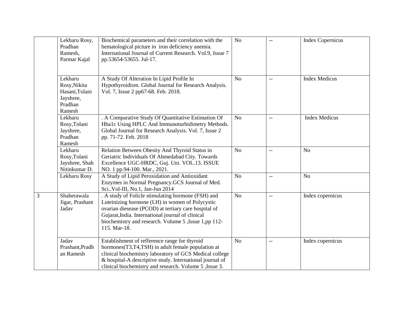|   | Lekharu Rosy,<br>Pradhan<br>Ramesh,<br>Parmar Kajal                         | Biochemical parameters and their correlation with the<br>hematological picture in iron deficiency anemia.<br>International Journal of Current Research. Vol.9, Issue 7<br>pp.53654-53655. Jul-17.                                                                                          | N <sub>o</sub> | $-$ | <b>Index Copernicus</b> |
|---|-----------------------------------------------------------------------------|--------------------------------------------------------------------------------------------------------------------------------------------------------------------------------------------------------------------------------------------------------------------------------------------|----------------|-----|-------------------------|
|   | Lekharu<br>Rosy, Nikita<br>Hasani, Tolani<br>Jayshree,<br>Pradhan<br>Ramesh | A Study Of Alteration In Lipid Profile In<br>Hypothyroidism. Global Journal for Research Analysis.<br>Vol. 7, Issue 2 pp67-68. Feb. 2018.                                                                                                                                                  | N <sub>o</sub> | $-$ | <b>Index Medicus</b>    |
|   | Lekharu<br>Rosy, Tolani<br>Jayshree,<br>Pradhan<br>Ramesh                   | . A Comparative Study Of Quantitative Estimation Of<br>Hba1c Using HPLC And Immunoturbidimetry Methods.<br>Global Journal for Research Analysis. Vol. 7, Issue 2<br>pp. 71-72. Feb. 2018                                                                                                   | N <sub>o</sub> | $-$ | <b>Index Medicus</b>    |
|   | Lekharu<br>Rosy, Tolani<br>Jayshree, Shah<br>Nitinkumar D.                  | Relation Between Obesity And Thyroid Status in<br>Geriatric Individuals Of Ahmedabad City. Towards<br>Excellence UGC-HRDC, Guj. Uni. VOL.13. ISSUE<br>NO. 1 pp.94-100. Mar., 2021.                                                                                                         | No             | $-$ | N <sub>o</sub>          |
|   | Lekharu Rosy                                                                | A Study of Lipid Peroxidation and Antioxidant<br>Enzymes in Normal Pregnancy.GCS Journal of Med.<br>Sci. Vol-III, No.1, Jan-Jun 2014                                                                                                                                                       | N <sub>o</sub> | $-$ | N <sub>o</sub>          |
| 3 | Shaherawala<br>Jigar, Prashant<br>Jadav                                     | . A study of Folicle stimulating hormone (FSH) and<br>Luteinizing hormone (LH) in women of Polycystic<br>ovarian diesease (PCOD) at tertiary care hospital of<br>Gujarat, India. International journal of clinical<br>biochemistry and research. Volume 5, Issue 1,pp 112-<br>115. Mar-18. | N <sub>o</sub> | $-$ | Index copernicus        |
|   | Jadav<br>Prashant, Pradh<br>an Ramesh                                       | Establishment of refference range for thyroid<br>hormones(T3,T4,TSH) in adult female population at<br>clinical biochemistry laboratory of GCS Medical college<br>& hospital-A descriptive study. International journal of<br>clinical biochemistry and research. Volume 5, Issue 3.        | N <sub>o</sub> | $-$ | Index copernicus        |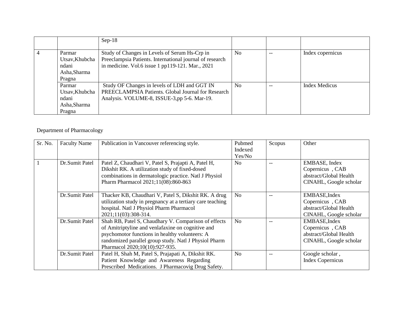|                                                             | $Sep-18$                                                                                                                                                      |                |     |                      |
|-------------------------------------------------------------|---------------------------------------------------------------------------------------------------------------------------------------------------------------|----------------|-----|----------------------|
| Parmar<br>Utsav, Khubcha<br>ndani<br>Asha, Sharma<br>Pragna | Study of Changes in Levels of Serum Hs-Crp in<br>Preeclampsia Patients. International journal of research<br>in medicine. Vol.6 issue 1 pp119-121. Mar., 2021 | N <sub>o</sub> | $-$ | Index copernicus     |
| Parmar<br>Utsav, Khubcha<br>ndani<br>Asha, Sharma<br>Pragna | Study OF Changes in levels of LDH and GGT IN<br>PREECLAMPSIA Patients. Global Journal for Research<br>Analysis. VOLUME-8, ISSUE-3,pp 5-6. Mar-19.             | N <sub>0</sub> |     | <b>Index Medicus</b> |

#### Department of Pharmacology

| Sr. No. | <b>Faculty Name</b> | Publication in Vancouver referencing style.                                                                                                                                                                                                            | Pubmed<br>Indexed<br>Yes/No | Scopus | Other                                                                                |
|---------|---------------------|--------------------------------------------------------------------------------------------------------------------------------------------------------------------------------------------------------------------------------------------------------|-----------------------------|--------|--------------------------------------------------------------------------------------|
|         | Dr.Sumit Patel      | Patel Z, Chaudhari V, Patel S, Prajapti A, Patel H,<br>Dikshit RK. A utilization study of fixed-dosed<br>combinations in dermatologic practice. Natl J Physiol<br>Pharm Pharmacol 2021;11(08):860-863                                                  | N <sub>0</sub>              |        | EMBASE, Index<br>Copernicus, CAB<br>abstract/Global Health<br>CINAHL, Google scholar |
|         | Dr.Sumit Patel      | Thacker KB, Chaudhari V, Patel S, Dikshit RK. A drug<br>utilization study in pregnancy at a tertiary care teaching<br>hospital. Natl J Physiol Pharm Pharmacol<br>2021;11(03):308-314.                                                                 | N <sub>o</sub>              |        | EMBASE, Index<br>Copernicus, CAB<br>abstract/Global Health<br>CINAHL, Google scholar |
|         | Dr.Sumit Patel      | Shah RB, Patel S, Chaudhary V. Comparison of effects<br>of Amitriptyline and venlafaxine on cognitive and<br>psychomotor functions in healthy volunteers: A<br>randomized parallel group study. Natl J Physiol Pharm<br>Pharmacol 2020;10(10):927-935. | N <sub>o</sub>              |        | EMBASE, Index<br>Copernicus, CAB<br>abstract/Global Health<br>CINAHL, Google scholar |
|         | Dr.Sumit Patel      | Patel H, Shah M, Patel S, Prajapati A, Dikshit RK.<br>Patient Knowledge and Awareness Regarding<br>Prescribed Medications. J Pharmacovig Drug Safety.                                                                                                  | N <sub>o</sub>              | $-$    | Google scholar,<br><b>Index Copernicus</b>                                           |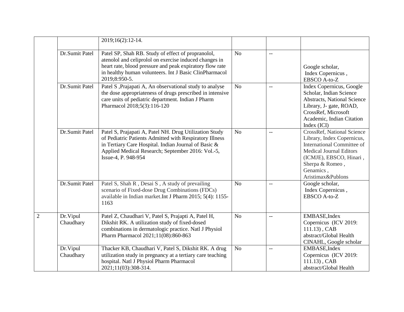|                       | 2019;16(2):12-14.                                                                                                                                                                                                                                     |                |                                               |                                                                                                                                                                                                                 |
|-----------------------|-------------------------------------------------------------------------------------------------------------------------------------------------------------------------------------------------------------------------------------------------------|----------------|-----------------------------------------------|-----------------------------------------------------------------------------------------------------------------------------------------------------------------------------------------------------------------|
| Dr.Sumit Patel        | Patel SP, Shah RB. Study of effect of propranolol,<br>atenolol and celiprolol on exercise induced changes in<br>heart rate, blood pressure and peak expiratory flow rate<br>in healthy human volunteers. Int J Basic ClinPharmacol<br>2019;8:950-5.   | N <sub>o</sub> | $\overline{a}$                                | Google scholar,<br>Index Copernicus,<br>EBSCO A-to-Z                                                                                                                                                            |
| Dr.Sumit Patel        | Patel S , Prajapati A, An observational study to analyse<br>the dose appropriateness of drugs prescribed in intensive<br>care units of pediatric department. Indian J Pharm<br>Pharmacol 2018;5(3):116-120                                            | N <sub>o</sub> | $-$                                           | Index Copernicus, Google<br>Scholar, Indian Science<br>Abstracts, National Science<br>Library, J- gate, ROAD,<br>CrossRef, Microsoft<br>Academic, Indian Citation<br>Index (ICI)                                |
| Dr.Sumit Patel        | Patel S, Prajapati A, Patel NH. Drug Utilization Study<br>of Pediatric Patients Admitted with Respiratory Illness<br>in Tertiary Care Hospital. Indian Journal of Basic &<br>Applied Medical Research; September 2016: Vol.-5,<br>Issue-4, P. 948-954 | N <sub>o</sub> | $\mathord{\hspace{1pt}\text{--}\hspace{1pt}}$ | <b>CrossRef, National Science</b><br>Library, Index Copernicus,<br>International Committee of<br><b>Medical Journal Editors</b><br>(ICMJE), EBSCO, Hinari,<br>Sherpa & Romeo,<br>Genamics,<br>Aristimax&Publons |
| Dr.Sumit Patel        | Patel S, Shah R, Desai S, A study of prevailing<br>scenario of Fixed-dose Drug Combinations (FDCs)<br>available in Indian market. Int J Pharm 2015; 5(4): 1155-<br>1163                                                                               | No             | $-$                                           | Google scholar,<br>Index Copernicus,<br>EBSCO A-to-Z                                                                                                                                                            |
| Dr.Vipul<br>Chaudhary | Patel Z, Chaudhari V, Patel S, Prajapti A, Patel H,<br>Dikshit RK. A utilization study of fixed-dosed<br>combinations in dermatologic practice. Natl J Physiol<br>Pharm Pharmacol 2021;11(08):860-863                                                 | N <sub>o</sub> | $\overline{\phantom{m}}$                      | EMBASE, Index<br>Copernicus (ICV 2019:<br>$111.13$ , CAB<br>abstract/Global Health<br>CINAHL, Google scholar                                                                                                    |
| Dr.Vipul<br>Chaudhary | Thacker KB, Chaudhari V, Patel S, Dikshit RK. A drug<br>utilization study in pregnancy at a tertiary care teaching<br>hospital. Natl J Physiol Pharm Pharmacol<br>2021;11(03):308-314.                                                                | N <sub>o</sub> | $\mathord{\hspace{1pt}\text{--}\hspace{1pt}}$ | EMBASE, Index<br>Copernicus (ICV 2019:<br>$111.13$ , CAB<br>abstract/Global Health                                                                                                                              |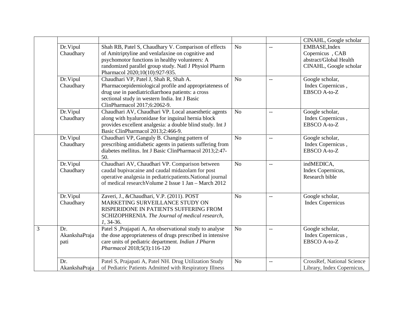|                                   |                                                                                                                                                                                                                                                        |                |                | CINAHL, Google scholar                                                               |
|-----------------------------------|--------------------------------------------------------------------------------------------------------------------------------------------------------------------------------------------------------------------------------------------------------|----------------|----------------|--------------------------------------------------------------------------------------|
| Dr.Vipul<br>Chaudhary             | Shah RB, Patel S, Chaudhary V. Comparison of effects<br>of Amitriptyline and venlafaxine on cognitive and<br>psychomotor functions in healthy volunteers: A<br>randomized parallel group study. Natl J Physiol Pharm<br>Pharmacol 2020;10(10):927-935. | N <sub>o</sub> | $-$            | EMBASE, Index<br>Copernicus, CAB<br>abstract/Global Health<br>CINAHL, Google scholar |
| Dr.Vipul<br>Chaudhary             | Chaudhari VP, Patel J, Shah R, Shah A.<br>Pharmacoepidemiological profile and appropriateness of<br>drug use in paediatricdiarrhoea patients: a cross<br>sectional study in western India. Int J Basic<br>ClinPharmacol 2017;6:2062-9.                 | No             | $\overline{a}$ | Google scholar,<br>Index Copernicus,<br>EBSCO A-to-Z                                 |
| Dr.Vipul<br>Chaudhary             | Chaudhari AV, Chaudhari VP. Local anaesthetic agents<br>along with hyaluronidase for inguinal hernia block<br>provides excellent analgesia: a double blind study. Int J<br>Basic ClinPharmacol 2013;2:466-9.                                           | N <sub>o</sub> | $-$            | Google scholar,<br>Index Copernicus,<br>EBSCO A-to-Z                                 |
| Dr.Vipul<br>Chaudhary             | Chaudhari VP, Ganguly B. Changing pattern of<br>prescribing antidiabetic agents in patients suffering from<br>diabetes mellitus. Int J Basic ClinPharmacol 2013;2:47-<br>50.                                                                           | N <sub>o</sub> | $\overline{a}$ | Google scholar,<br>Index Copernicus,<br>EBSCO A-to-Z                                 |
| Dr. Vipul<br>Chaudhary            | Chaudhari AV, Chaudhari VP. Comparison between<br>caudal bupivacaine and caudal midazolam for post<br>operative analgesia in pediatricpatients. National journal<br>of medical research Volume 2 Issue 1 Jan - March 2012                              | N <sub>o</sub> | $\overline{a}$ | indMEDICA,<br>Index Copernicus,<br>Research bible                                    |
| Dr.Vipul<br>Chaudhary             | Zaveri, J., &Chaudhari, V.P. (2011). POST<br>MARKETING SURVEILLANCE STUDY ON<br>RISPERIDONE IN PATIENTS SUFFERING FROM<br>SCHIZOPHRENIA. The Journal of medical research,<br>1, 34-36.                                                                 | No             | $-$            | Google scholar,<br><b>Index Copernicus</b>                                           |
| 3<br>Dr.<br>AkankshaPraja<br>pati | Patel S , Prajapati A, An observational study to analyse<br>the dose appropriateness of drugs prescribed in intensive<br>care units of pediatric department. Indian J Pharm<br>Pharmacol 2018;5(3):116-120                                             | No             | $\overline{a}$ | Google scholar,<br>Index Copernicus,<br>EBSCO A-to-Z                                 |
| Dr.<br>AkankshaPraja              | Patel S, Prajapati A, Patel NH. Drug Utilization Study<br>of Pediatric Patients Admitted with Respiratory Illness                                                                                                                                      | N <sub>o</sub> | $\overline{a}$ | <b>CrossRef, National Science</b><br>Library, Index Copernicus,                      |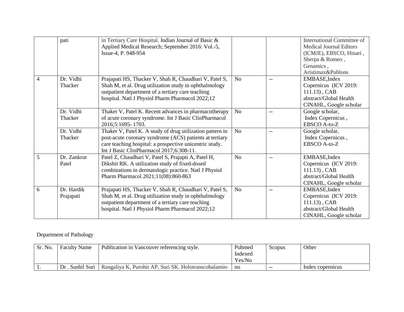|   | pati                    | in Tertiary Care Hospital. Indian Journal of Basic &<br>Applied Medical Research; September 2016: Vol.-5,<br>Issue-4, P. 948-954                                                                                            |                |                          | International Committee of<br><b>Medical Journal Editors</b><br>(ICMJE), EBSCO, Hinari,<br>Sherpa & Romeo,<br>Genamics,<br>Aristimax&Publons |
|---|-------------------------|-----------------------------------------------------------------------------------------------------------------------------------------------------------------------------------------------------------------------------|----------------|--------------------------|----------------------------------------------------------------------------------------------------------------------------------------------|
| 4 | Dr. Vidhi<br>Thacker    | Prajapati HS, Thacker V, Shah R, Chaudhari V, Patel S,<br>Shah M, et al. Drug utilization study in ophthalmology<br>outpatient department of a tertiary care teaching<br>hospital. Natl J Physiol Pharm Pharmacol 2022;12   | N <sub>0</sub> | $-$                      | EMBASE, Index<br>Copernicus (ICV 2019:<br>$111.13$ , CAB<br>abstract/Global Health<br>CINAHL, Google scholar                                 |
|   | Dr. Vidhi<br>Thacker    | Thaker V, Patel K. Recent advances in pharmacotherapy<br>of acute coronary syndrome. Int J Basic ClinPharmacol<br>2016;5:1695-1703.                                                                                         | N <sub>o</sub> | $-$                      | Google scholar,<br>Index Copernicus,<br>EBSCO A-to-Z                                                                                         |
|   | Dr. Vidhi<br>Thacker    | Thaker V, Patel K. A study of drug utilization pattern in<br>post-acute coronary syndrome (ACS) patients at tertiary<br>care teaching hospital: a prospective unicentric study.<br>Int J Basic ClinPharmacol 2017;6:308-11. | N <sub>o</sub> | $-$                      | Google scholar,<br>Index Copernicus,<br>EBSCO A-to-Z                                                                                         |
| 5 | Dr. Zankrut<br>Patel    | Patel Z, Chaudhari V, Patel S, Prajapti A, Patel H,<br>Dikshit RK. A utilization study of fixed-dosed<br>combinations in dermatologic practice. Natl J Physiol<br>Pharm Pharmacol 2021;11(08):860-863                       | N <sub>o</sub> | $-$                      | EMBASE, Index<br>Copernicus (ICV 2019:<br>$111.13$ , CAB<br>abstract/Global Health<br>CINAHL, Google scholar                                 |
| 6 | Dr. Hardik<br>Prajapati | Prajapati HS, Thacker V, Shah R, Chaudhari V, Patel S,<br>Shah M, et al. Drug utilization study in ophthalmology<br>outpatient department of a tertiary care teaching<br>hospital. Natl J Physiol Pharm Pharmacol 2022;12   | N <sub>o</sub> | $\overline{\phantom{m}}$ | EMBASE, Index<br>Copernicus (ICV 2019:<br>$111.13$ , CAB<br>abstract/Global Health<br>CINAHL, Google scholar                                 |

#### Department of Pathology

| Sr. No. | <b>Faculty Name</b> | Publication in Vancouver referencing style.           | Pubmed<br>Indexed<br>Yes/No | Scopus | Other            |
|---------|---------------------|-------------------------------------------------------|-----------------------------|--------|------------------|
|         | Dr. Sushil Suri     | Rangaliya K, Purohit AP, Suri SK. Holotranscobalamin- | no                          | $- -$  | Index copernicus |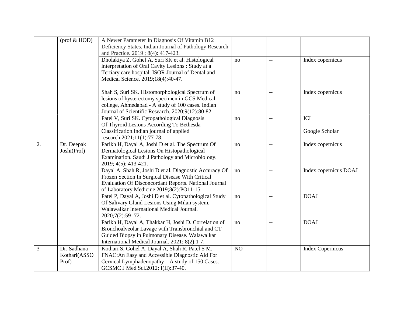|    | $(prof & HOD)$                       | A Newer Parameter In Diagnosis Of Vitamin B12<br>Deficiency States. Indian Journal of Pathology Research<br>and Practice. 2019; 8(4): 417-423.                                                                  |                |               |                         |
|----|--------------------------------------|-----------------------------------------------------------------------------------------------------------------------------------------------------------------------------------------------------------------|----------------|---------------|-------------------------|
|    |                                      | Dholakiya Z, Gohel A, Suri SK et al. Histological<br>interpretation of Oral Cavity Lesions : Study at a<br>Tertiary care hospital. ISOR Journal of Dental and<br>Medical Science. 2019;18(4):40-47.             | no             | $-$           | Index copernicus        |
|    |                                      | Shah S, Suri SK. Histomorphological Spectrum of<br>lesions of hysterectomy specimen in GCS Medical<br>college, Ahmedabad - A study of 100 cases. Indian<br>Journal of Scientific Research. 2020;9(12):80-82.    | no             | $-$           | Index copernicus        |
|    |                                      | Patel V, Suri SK. Cytopathological Diagnosis<br>Of Thyroid Lesions According To Bethesda<br>Classification.Indian journal of applied<br>research.2021;11(1):77-78.                                              | no             | $-$           | ICI<br>Google Scholar   |
| 2. | Dr. Deepak<br>Joshi(Prof)            | Parikh H, Dayal A, Joshi D et al. The Spectrum Of<br>Dermatological Lesions On Histopathological<br>Examination. Saudi J Pathology and Microbiology.<br>2019; 4(5): 413-421.                                    | no             | $\sim$ $\sim$ | Index copernicus        |
|    |                                      | Dayal A, Shah R, Joshi D et al. Diagnostic Accuracy Of<br>Frozen Section In Surgical Disease With Critical<br>Evaluation Of Disconcordant Reports. National Journal<br>of Laboratory Medicine.2019;8(2):PO11-15 | no             | $-$           | Index copernicus DOAJ   |
|    |                                      | Patel P, Dayal A, Joshi D et al. Cytopathological Study<br>Of Salivary Gland Lesions Using Milan system.<br>Walawalkar International Medical Journal.<br>2020;7(2):59-72.                                       | no             | $-$           | <b>DOAJ</b>             |
|    |                                      | Parikh H, Dayal A, Thakkar H, Joshi D. Correlation of<br>Bronchoalveolar Lavage with Transbronchial and CT<br>Guided Biopsy in Pulmonary Disease. Walawalkar<br>International Medical Journal. 2021; 8(2):1-7.  | no             | $-$           | <b>DOAJ</b>             |
| 3  | Dr. Sadhana<br>Kothari(ASSO<br>Prof) | Kothari S, Gohel A, Dayal A, Shah R, Patel S M.<br>FNAC: An Easy and Accessible Diagnostic Aid For<br>Cervical Lymphadenopathy - A study of 150 Cases.<br>GCSMC J Med Sci.2012; I(II):37-40.                    | N <sub>O</sub> | $-$           | <b>Index Copernicus</b> |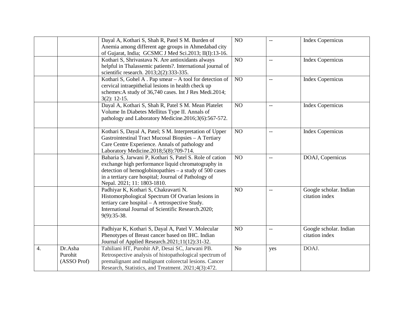|                  |                                   | Dayal A, Kothari S, Shah R, Patel S M. Burden of<br>Anemia among different age groups in Ahmedabad city<br>of Gujarat, India; GCSMC J Med Sci.2013; II(I):13-16.                                                                                                | NO             | $-$            | <b>Index Copernicus</b>                  |
|------------------|-----------------------------------|-----------------------------------------------------------------------------------------------------------------------------------------------------------------------------------------------------------------------------------------------------------------|----------------|----------------|------------------------------------------|
|                  |                                   | Kothari S, Shrivastava N. Are antioxidants always<br>helpful in Thalassemic patients?. International journal of<br>scientific research. 2013;2(2):333-335.                                                                                                      | NO             | $\overline{a}$ | <b>Index Copernicus</b>                  |
|                  |                                   | Kothari S, Gohel A. Pap smear - A tool for detection of<br>cervical intraepithelial lesions in health check up<br>schemes: A study of 36,740 cases. Int J Res Medi.2014;<br>$3(2): 12-15.$                                                                      | NO             | $-$            | <b>Index Copernicus</b>                  |
|                  |                                   | Dayal A, Kothari S, Shah R, Patel S M. Mean Platelet<br>Volume In Diabetes Mellitus Type II. Annals of<br>pathology and Laboratory Medicine.2016;3(6):567-572.                                                                                                  | NO             | $-$            | <b>Index Copernicus</b>                  |
|                  |                                   | Kothari S, Dayal A, Patel; S M. Interpretation of Upper<br>Gastrointestinal Tract Mucosal Biopsies - A Tertiary<br>Care Centre Experience. Annals of pathology and<br>Laboratory Medicine.2018;5(8):709-714.                                                    | NO             | $-$            | <b>Index Copernicus</b>                  |
|                  |                                   | Babaria S, Jarwani P, Kothari S, Patel S. Role of cation<br>exchange high performance liquid chromatography in<br>detection of hemoglobinopathies – a study of 500 cases<br>in a tertiary care hospital; Journal of Pathology of<br>Nepal. 2021; 11: 1803-1810. | NO             | $\overline{a}$ | DOAJ, Copernicus                         |
|                  |                                   | Padhiyar K, Kothari S, Chakravarti N.<br>Histomorphological Spectrum Of Ovarian lesions in<br>tertiary care hospital - A retrospective Study.<br>International Journal of Scientific Research.2020;<br>9(9):35-38.                                              | NO             | $-$            | Google scholar. Indian<br>citation index |
|                  |                                   | Padhiyar K, Kothari S, Dayal A, Patel V. Molecular<br>Phenotypes of Breast cancer based on IHC. Indian<br>Journal of Applied Research.2021;11(12):31-32.                                                                                                        | N <sub>O</sub> | $-$            | Google scholar. Indian<br>citation index |
| $\overline{4}$ . | Dr.Asha<br>Purohit<br>(ASSO Prof) | Tahiliani HT, Purohit AP, Desai SC, Jarwani PB.<br>Retrospective analysis of histopathological spectrum of<br>premalignant and malignant colorectal lesions. Cancer<br>Research, Statistics, and Treatment. 2021;4(3):472.                                      | N <sub>o</sub> | yes            | DOAJ.                                    |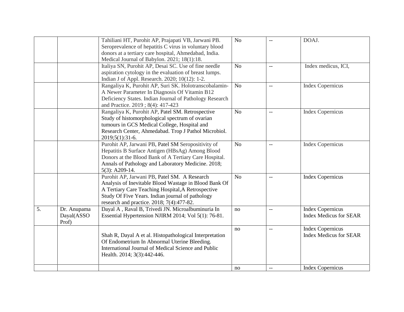|    |                                    | Tahiliani HT, Purohit AP, Prajapati VB, Jarwani PB.<br>Seroprevalence of hepatitis C virus in voluntary blood<br>donors at a tertiary care hospital, Ahmedabad, India.<br>Medical Journal of Babylon. 2021; 18(1):18.                                        | N <sub>o</sub> | $-$                                                 | DOAJ.                                                    |
|----|------------------------------------|--------------------------------------------------------------------------------------------------------------------------------------------------------------------------------------------------------------------------------------------------------------|----------------|-----------------------------------------------------|----------------------------------------------------------|
|    |                                    | Italiya SN, Purohit AP, Desai SC. Use of fine needle<br>aspiration cytology in the evaluation of breast lumps.<br>Indian J of Appl. Research. 2020; 10(12): 1-2.                                                                                             | N <sub>o</sub> | $\overline{\phantom{a}}$                            | Index medicus, ICI,                                      |
|    |                                    | Rangaliya K, Purohit AP, Suri SK. Holotranscobalamin-<br>A Newer Parameter In Diagnosis Of Vitamin B12<br>Deficiency States. Indian Journal of Pathology Research<br>and Practice. 2019; 8(4): 417-423                                                       | N <sub>o</sub> | $-$                                                 | <b>Index Copernicus</b>                                  |
|    |                                    | Rangaliya K, Purohit AP, Patel SM. Retrospective<br>Study of histomorphological spectrum of ovarian<br>tumours in GCS Medical College, Hospital and<br>Research Center, Ahmedabad. Trop J Pathol Microbiol.<br>2019;5(1):31-6.                               | No             | $-$                                                 | <b>Index Copernicus</b>                                  |
|    |                                    | Purohit AP, Jarwani PB, Patel SM Seropositivity of<br>Hepatitis B Surface Antigen (HBsAg) Among Blood<br>Donors at the Blood Bank of A Tertiary Care Hospital.<br>Annals of Pathology and Laboratory Medicine. 2018;<br>$5(3)$ : A209-14.                    | N <sub>o</sub> | $\hspace{0.05cm} -\hspace{0.05cm} -\hspace{0.05cm}$ | <b>Index Copernicus</b>                                  |
|    |                                    | Purohit AP, Jarwani PB, Patel SM. A Research<br>Analysis of Inevitable Blood Wastage in Blood Bank Of<br>A Tertiary Care Teaching Hospital, A Retrospective<br>Study Of Five Years. Indian journal of pathology<br>research and practice. 2018; 7(4):477-82. | N <sub>o</sub> | $-$                                                 | <b>Index Copernicus</b>                                  |
| 5. | Dr. Anupama<br>Dayal(ASSO<br>Prof) | Dayal A, Raval B, Trivedi JN. Microalbuminuria In<br>Essential Hypertension NJIRM 2014; Vol 5(1): 76-81.                                                                                                                                                     | no             | $-$                                                 | <b>Index Copernicus</b><br><b>Index Medicus for SEAR</b> |
|    |                                    | Shah R, Dayal A et al. Histopathological Interpretation<br>Of Endometrium In Abnormal Uterine Bleeding.<br>International Journal of Medical Science and Public<br>Health. 2014; 3(3):442-446.                                                                | no             | $\overline{\phantom{a}}$                            | <b>Index Copernicus</b><br><b>Index Medicus for SEAR</b> |
|    |                                    |                                                                                                                                                                                                                                                              | no             | $\overline{\phantom{m}}$                            | <b>Index Copernicus</b>                                  |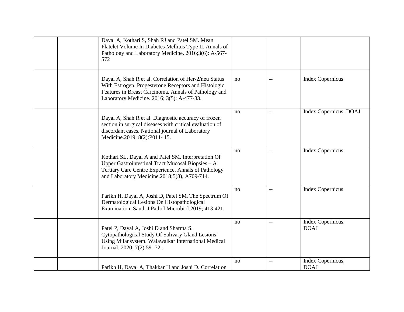| Dayal A, Kothari S, Shah RJ and Patel SM. Mean<br>Platelet Volume In Diabetes Mellitus Type II. Annals of<br>Pathology and Laboratory Medicine. 2016;3(6): A-567-<br>572                                              |    |                          |                                  |
|-----------------------------------------------------------------------------------------------------------------------------------------------------------------------------------------------------------------------|----|--------------------------|----------------------------------|
| Dayal A, Shah R et al. Correlation of Her-2/neu Status<br>With Estrogen, Progesterone Receptors and Histologic<br>Features in Breast Carcinoma. Annals of Pathology and<br>Laboratory Medicine. 2016; 3(5): A-477-83. | no |                          | <b>Index Copernicus</b>          |
| Dayal A, Shah R et al. Diagnostic accuracy of frozen<br>section in surgical diseases with critical evaluation of<br>discordant cases. National journal of Laboratory<br>Medicine.2019; 8(2):P011-15.                  | no | $\overline{\phantom{m}}$ | Index Copernicus, DOAJ           |
| Kothari SL, Dayal A and Patel SM. Interpretation Of<br>Upper Gastrointestinal Tract Mucosal Biopsies $-A$<br>Tertiary Care Centre Experience. Annals of Pathology<br>and Laboratory Medicine.2018;5(8), A709-714.     | no | $- -$                    | <b>Index Copernicus</b>          |
| Parikh H, Dayal A, Joshi D, Patel SM. The Spectrum Of<br>Dermatological Lesions On Histopathological<br>Examination. Saudi J Pathol Microbiol.2019; 413-421.                                                          | no | $\overline{\phantom{a}}$ | <b>Index Copernicus</b>          |
| Patel P, Dayal A, Joshi D and Sharma S.<br>Cytopathological Study Of Salivary Gland Lesions<br>Using Milansystem. Walawalkar International Medical<br>Journal. 2020; 7(2):59-72.                                      | no | $-\,-$                   | Index Copernicus,<br><b>DOAJ</b> |
| Parikh H, Dayal A, Thakkar H and Joshi D. Correlation                                                                                                                                                                 | no |                          | Index Copernicus,<br><b>DOAJ</b> |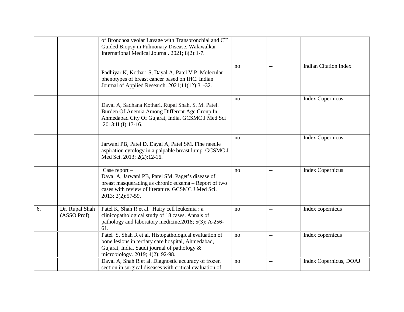|    |                               | of Bronchoalveolar Lavage with Transbronchial and CT<br>Guided Biopsy in Pulmonary Disease. Walawalkar<br>International Medical Journal. 2021; 8(2):1-7.                                              |    |                          |                              |
|----|-------------------------------|-------------------------------------------------------------------------------------------------------------------------------------------------------------------------------------------------------|----|--------------------------|------------------------------|
|    |                               | Padhiyar K, Kothari S, Dayal A, Patel V P. Molecular<br>phenotypes of breast cancer based on IHC. Indian<br>Journal of Applied Research. 2021;11(12):31-32.                                           | no | <u></u>                  | <b>Indian Citation Index</b> |
|    |                               | Dayal A, Sadhana Kothari, Rupal Shah, S. M. Patel.<br>Burden Of Anemia Among Different Age Group In<br>Ahmedabad City Of Gujarat, India. GCSMC J Med Sci<br>.2013;II (I):13-16.                       | no | $-$                      | <b>Index Copernicus</b>      |
|    |                               | Jarwani PB, Patel D, Dayal A, Patel SM. Fine needle<br>aspiration cytology in a palpable breast lump. GCSMC J<br>Med Sci. 2013; 2(2):12-16.                                                           | no | $\overline{\phantom{m}}$ | <b>Index Copernicus</b>      |
|    |                               | Case report -<br>Dayal A, Jarwani PB, Patel SM. Paget's disease of<br>breast masquerading as chronic eczema – Report of two<br>cases with review of literature. GCSMC J Med Sci.<br>2013; 2(2):57-59. | no | $-$                      | <b>Index Copernicus</b>      |
| 6. | Dr. Rupal Shah<br>(ASSO Prof) | Patel K, Shah R et al. Hairy cell leukemia : a<br>clinicopathological study of 18 cases. Annals of<br>pathology and laboratory medicine.2018; 5(3): A-256-<br>61.                                     | no | $-$                      | Index copernicus             |
|    |                               | Patel S, Shah R et al. Histopathological evaluation of<br>bone lesions in tertiary care hospital, Ahmedabad,<br>Gujarat, India. Saudi journal of pathology &<br>microbiology. 2019; 4(2): 92-98.      | no | $-$                      | Index copernicus             |
|    |                               | Dayal A, Shah R et al. Diagnostic accuracy of frozen<br>section in surgical diseases with critical evaluation of                                                                                      | no | $-$                      | Index Copernicus, DOAJ       |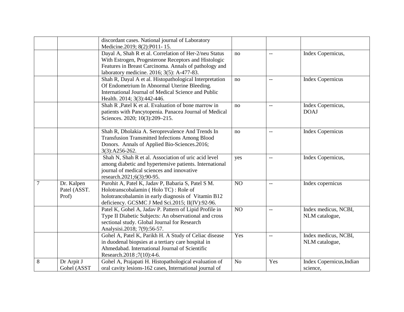|   |                                     | discordant cases. National journal of Laboratory                                                                                                                                                                                                      |                |                          |                                        |
|---|-------------------------------------|-------------------------------------------------------------------------------------------------------------------------------------------------------------------------------------------------------------------------------------------------------|----------------|--------------------------|----------------------------------------|
|   |                                     | Medicine.2019; 8(2):P011-15.<br>Dayal A, Shah R et al. Correlation of Her-2/neu Status<br>With Estrogen, Progesterone Receptors and Histologic<br>Features in Breast Carcinoma. Annals of pathology and<br>laboratory medicine. 2016; 3(5): A-477-83. | no             | $\overline{\phantom{a}}$ | Index Copernicus,                      |
|   |                                     | Shah R, Dayal A et al. Histopathological Interpretation<br>Of Endometrium In Abnormal Uterine Bleeding.<br>International Journal of Medical Science and Public<br>Health. 2014; 3(3):442-446.                                                         | no             | $-$                      | <b>Index Copernicus</b>                |
|   |                                     | Shah R , Patel K et al. Evaluation of bone marrow in<br>patients with Pancytopenia. Panacea Journal of Medical<br>Sciences. 2020; 10(3):209-215.                                                                                                      | no             | $-$                      | Index Copernicus,<br><b>DOAJ</b>       |
|   |                                     | Shah R, Dholakia A. Seroprevalence And Trends In<br><b>Transfusion Transmitted Infections Among Blood</b><br>Donors. Annals of Applied Bio-Sciences.2016;<br>3(3):A256-262.                                                                           | no             | $\overline{\phantom{m}}$ | <b>Index Copernicus</b>                |
|   |                                     | Shah N, Shah R et al. Association of uric acid level<br>among diabetic and hypertensive patients. International<br>journal of medical sciences and innovative<br>research.2021;6(3):90-95.                                                            | yes            | $\overline{\phantom{a}}$ | Index Copernicus,                      |
| 7 | Dr. Kalpen<br>Patel (ASST.<br>Prof) | Purohit A, Patel K, Jadav P, Babaria S, Patel S M.<br>Holotranscobalamin (Holo TC): Role of<br>holotrancobalamin in early diagnosis of Vitamin B12<br>deficiency. GCSMC J Med Sci.2015; II(IV):92-96.                                                 | NO             | $-$                      | Index copernicus                       |
|   |                                     | Patel K, Gohel A, Jadav P. Pattern of Lipid Profile in<br>Type II Diabetic Subjects: An observational and cross<br>sectional study. Global Journal for Research<br>Analysisi.2018; 7(9):56-57.                                                        | NO             | $-$                      | Index medicus, NCBI,<br>NLM catalogue, |
|   |                                     | Gohel A, Patel K, Parikh H. A Study of Celiac disease<br>in duodenal biopsies at a tertiary care hospital in<br>Ahmedabad. International Journal of Scientific<br>Research.2018;7(10):4-6.                                                            | Yes            | $\overline{\phantom{m}}$ | Index medicus, NCBI,<br>NLM catalogue, |
| 8 | Dr Arpit J<br>Gohel (ASST           | Gohel A, Prajapati H. Histopathological evaluation of<br>oral cavity lesions-162 cases, International journal of                                                                                                                                      | N <sub>o</sub> | Yes                      | Index Copernicus, Indian<br>science,   |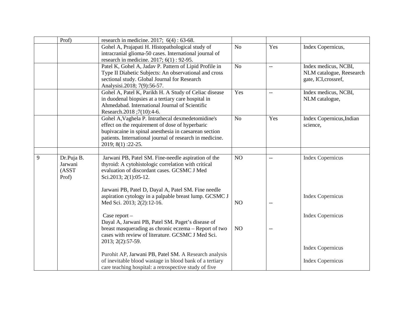|   | Prof)                                    | research in medicine. 2017; $6(4) : 63-68$ .                                                                                                                                                                                                   |                |                          |                                                                          |
|---|------------------------------------------|------------------------------------------------------------------------------------------------------------------------------------------------------------------------------------------------------------------------------------------------|----------------|--------------------------|--------------------------------------------------------------------------|
|   |                                          | Gohel A, Prajapati H. Histopathological study of<br>intracranial glioma-50 cases. International journal of<br>research in medicine. 2017; 6(1): 92-95.                                                                                         | N <sub>o</sub> | Yes                      | Index Copernicus,                                                        |
|   |                                          | Patel K, Gohel A, Jadav P. Pattern of Lipid Profile in<br>Type II Diabetic Subjects: An observational and cross<br>sectional study. Global Journal for Research<br>Analysisi.2018; 7(9):56-57.                                                 | N <sub>o</sub> | $\overline{\phantom{a}}$ | Index medicus, NCBI,<br>NLM catalogue, Reesearch<br>gate, ICI, crossref, |
|   |                                          | Gohel A, Patel K, Parikh H. A Study of Celiac disease<br>in duodenal biopsies at a tertiary care hospital in<br>Ahmedabad. International Journal of Scientific<br>Research.2018;7(10):4-6.                                                     | Yes            | $-$                      | Index medicus, NCBI,<br>NLM catalogue,                                   |
|   |                                          | Gohel A, Vaghela P. Intrathecal dexmedetomidine's<br>effect on the requirement of dose of hyperbaric<br>bupivacaine in spinal anesthesia in caesarean section<br>patients. International journal of research in medicine.<br>2019; 8(1):22-25. | N <sub>o</sub> | Yes                      | Index Copernicus, Indian<br>science,                                     |
| 9 | Dr.Puja B.<br>Jarwani<br>(ASST)<br>Prof) | Jarwani PB, Patel SM. Fine-needle aspiration of the<br>thyroid: A cytohistologic correlation with critical<br>evaluation of discordant cases. GCSMC J Med<br>Sci.2013; 2(1):05-12.                                                             | N <sub>O</sub> | $-$                      | <b>Index Copernicus</b>                                                  |
|   |                                          | Jarwani PB, Patel D, Dayal A, Patel SM. Fine needle<br>aspiration cytology in a palpable breast lump. GCSMC J<br>Med Sci. 2013; 2(2):12-16.                                                                                                    | N <sub>O</sub> | $-$                      | <b>Index Copernicus</b>                                                  |
|   |                                          | Case report $-$<br>Dayal A, Jarwani PB, Patel SM. Paget's disease of<br>breast masquerading as chronic eczema – Report of two                                                                                                                  | NO             | $\overline{\phantom{m}}$ | <b>Index Copernicus</b>                                                  |
|   |                                          | cases with review of literature. GCSMC J Med Sci.<br>2013; 2(2):57-59.<br>Purohit AP, Jarwani PB, Patel SM. A Research analysis                                                                                                                |                |                          | <b>Index Copernicus</b>                                                  |
|   |                                          | of inevitable blood wastage in blood bank of a tertiary<br>care teaching hospital: a retrospective study of five                                                                                                                               |                |                          | <b>Index Copernicus</b>                                                  |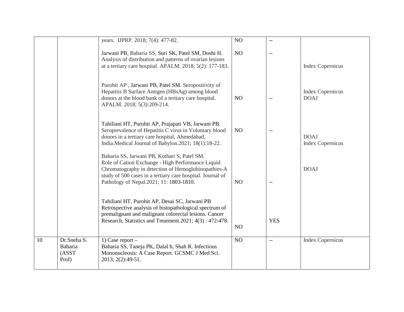|    |             | years. IJPRP. 2018; 7(4): 477-82.                                                                         | NO             | $\overline{a}$           |                         |
|----|-------------|-----------------------------------------------------------------------------------------------------------|----------------|--------------------------|-------------------------|
|    |             |                                                                                                           |                |                          |                         |
|    |             | Jarwani PB, Babaria SS, Suri SK, Patel SM, Doshi H.                                                       | NO             | $-$                      |                         |
|    |             | Analysis of distribution and patterns of ovarian lesions                                                  |                |                          |                         |
|    |             | at a tertiary care hospital. APALM. 2018; 5(2): 177-183.                                                  |                |                          | <b>Index Copernicus</b> |
|    |             |                                                                                                           |                |                          |                         |
|    |             |                                                                                                           |                |                          |                         |
|    |             | Purohit AP, Jarwani PB, Patel SM. Seropositivity of                                                       |                |                          |                         |
|    |             | Hepatitis B Surface Antigen (HBsAg) among blood                                                           |                |                          | <b>Index Copernicus</b> |
|    |             | donors at the blood bank of a tertiary care hospital.<br>APALM. 2018; 5(3):209-214.                       | NO             | $\overline{\phantom{a}}$ | <b>DOAJ</b>             |
|    |             |                                                                                                           |                |                          |                         |
|    |             |                                                                                                           |                |                          |                         |
|    |             | Tahiliani HT, Purohit AP, Prajapati VB, Jarwani PB.                                                       |                |                          |                         |
|    |             | Seroprevalence of Hepatitis C virus in Voluntary blood                                                    | N <sub>O</sub> | $-$                      |                         |
|    |             | donors in a tertiary care hospital, Ahmedabad,                                                            |                |                          | <b>DOAJ</b>             |
|    |             | India.Medical Journal of Babylon.2021; 18(1):18-22.                                                       |                |                          | <b>Index Copernicus</b> |
|    |             | Babaria SS, Jarwani PB, Kothari S, Patel SM.                                                              |                |                          |                         |
|    |             | Role of Cation Exchange - High Performance Liquid                                                         |                |                          |                         |
|    |             | Chromatography in detection of Hemoglobinopathies-A                                                       |                |                          | <b>DOAJ</b>             |
|    |             | study of 500 cases in a tertiary care hospital. Journal of                                                |                |                          |                         |
|    |             | Pathology of Nepal. 2021; 11: 1803-1810.                                                                  | NO             | $-$                      |                         |
|    |             |                                                                                                           |                |                          |                         |
|    |             |                                                                                                           |                |                          |                         |
|    |             | Tahiliani HT, Purohit AP, Desai SC, Jarwani PB<br>Retrospective analysis of histopathological spectrum of |                |                          |                         |
|    |             | premalignant and malignant colorectal lesions. Cancer                                                     |                |                          |                         |
|    |             | Research, Statistics and Treatment. 2021; 4(3): 472-478.                                                  |                | <b>YES</b>               |                         |
|    |             |                                                                                                           | N <sub>O</sub> |                          |                         |
|    |             |                                                                                                           |                |                          |                         |
| 10 | Dr.Sneha S. | 1) Case report $-$                                                                                        | NO             | $\overline{\phantom{m}}$ | <b>Index Copernicus</b> |
|    | Babaria     | Babaria SS, Taneja PK, Dalal b, Shah R. Infectious                                                        |                |                          |                         |
|    | (ASST       | Mononucleosis: A Case Report. GCSMC J Med Sci.                                                            |                |                          |                         |
|    | Prof)       | 2013; 2(2):49-51.                                                                                         |                |                          |                         |
|    |             |                                                                                                           |                |                          |                         |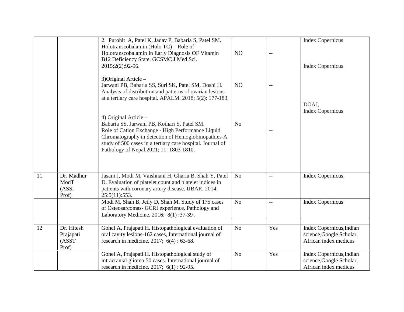|    |                                           | 2. Purohit A, Patel K, Jadav P, Babaria S, Patel SM.<br>Holotranscobalamin (Holo TC) – Role of<br>Holotranscobalamin In Early Diagnosis OF Vitamin<br>B12 Deficiency State. GCSMC J Med Sci.<br>2015;2(2):92-96.                                                                             | N <sub>O</sub> | $\overline{\phantom{m}}$ | <b>Index Copernicus</b><br><b>Index Copernicus</b>                            |
|----|-------------------------------------------|----------------------------------------------------------------------------------------------------------------------------------------------------------------------------------------------------------------------------------------------------------------------------------------------|----------------|--------------------------|-------------------------------------------------------------------------------|
|    |                                           | 3) Original Article -<br>Jarwani PB, Babaria SS, Suri SK, Patel SM, Doshi H.<br>Analysis of distribution and patterns of ovarian lesions<br>at a tertiary care hospital. APALM. $2018$ ; $5(2)$ : 177-183.                                                                                   | NO             | $-$                      | DOAJ,                                                                         |
|    |                                           | 4) Original Article $-$<br>Babaria SS, Jarwani PB, Kothari S, Patel SM.<br>Role of Cation Exchange - High Performance Liquid<br>Chromatography in detection of Hemoglobinopathies-A<br>study of 500 cases in a tertiary care hospital. Journal of<br>Pathology of Nepal.2021; 11: 1803-1810. | N <sub>o</sub> |                          | <b>Index Copernicus</b>                                                       |
| 11 | Dr. Madhur<br>ModT<br>(ASSi<br>Prof)      | Jasani J, Modi M, Vaishnani H, Gharia B, Shah Y, Patel<br>D. Evaluation of platelet count and platelet indices in<br>patients with coronary artery disease. IJBAR. 2014;<br>25:5(11):553.                                                                                                    | N <sub>o</sub> | <u></u>                  | Index Copernicus.                                                             |
|    |                                           | Modi M, Shah B, Jetly D, Shah M. Study of 175 cases<br>of Osteosarcomas- GCRI experience. Pathology and<br>Laboratory Medicine. 2016; 8(1):37-39.                                                                                                                                            | N <sub>o</sub> | $\overline{a}$           | <b>Index Copernicus</b>                                                       |
| 12 | Dr. Hitesh<br>Prajapati<br>(ASST<br>Prof) | Gohel A, Prajapati H. Histopathological evaluation of<br>oral cavity lesions-162 cases, International journal of<br>research in medicine. 2017; $6(4) : 63-68$ .                                                                                                                             | N <sub>o</sub> | Yes                      | Index Copernicus, Indian<br>science, Google Scholar,<br>African index medicus |
|    |                                           | Gohel A, Prajapati H. Histopathological study of<br>intracranial glioma-50 cases. International journal of<br>research in medicine. 2017; $6(1)$ : 92-95.                                                                                                                                    | N <sub>o</sub> | Yes                      | Index Copernicus, Indian<br>science, Google Scholar,<br>African index medicus |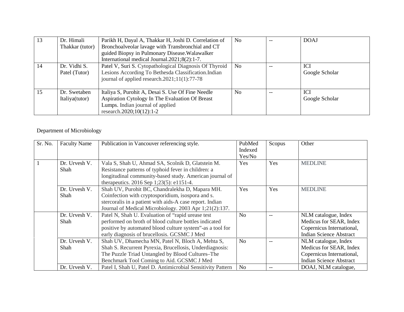| 13 | Dr. Himali      | Parikh H, Dayal A, Thakkar H, Joshi D. Correlation of  | N <sub>o</sub> |       | <b>DOAJ</b>    |
|----|-----------------|--------------------------------------------------------|----------------|-------|----------------|
|    | Thakkar (tutor) | Bronchoalveolar lavage with Transbronchial and CT      |                |       |                |
|    |                 | guided Biopsy in Pulmonary Disease. Walawalker         |                |       |                |
|    |                 | International medical Journal.2021;8(2):1-7.           |                |       |                |
| 14 | Dr. Vidhi S.    | Patel V, Suri S. Cytopathological Diagnosis Of Thyroid | N <sub>o</sub> |       | <b>ICI</b>     |
|    | Patel (Tutor)   | Lesions According To Bethesda Classification.Indian    |                |       | Google Scholar |
|    |                 | journal of applied research. $2021;11(1):77-78$        |                |       |                |
|    |                 |                                                        |                |       |                |
| 15 | Dr. Swetaben    | Italiya S, Purohit A, Desai S. Use Of Fine Needle      | N <sub>0</sub> | $- -$ | <b>ICI</b>     |
|    | Italiya(tutor)  | Aspiration Cytology In The Evaluation Of Breast        |                |       | Google Scholar |
|    |                 | Lumps. Indian journal of applied                       |                |       |                |
|    |                 | research.2020;10(12):1-2                               |                |       |                |

## Department of Microbiology

| Sr. No. | <b>Faculty Name</b>   | Publication in Vancouver referencing style.                                                                                                                                                                                | PubMed<br>Indexed<br>Yes/No | Scopus | Other                                                                                                          |
|---------|-----------------------|----------------------------------------------------------------------------------------------------------------------------------------------------------------------------------------------------------------------------|-----------------------------|--------|----------------------------------------------------------------------------------------------------------------|
|         | Dr. Urvesh V.<br>Shah | Vala S, Shah U, Ahmad SA, Scolnik D, Glatstein M.<br>Resistance patterns of typhoid fever in children: a<br>longitudinal community-based study. American journal of<br>therapeutics. 2016 Sep 1;23(5): e1151-4.            | <b>Yes</b>                  | Yes    | <b>MEDLINE</b>                                                                                                 |
|         | Dr. Urvesh V.<br>Shah | Shah UV, Purohit BC, Chandralekha D, Mapara MH.<br>Coinfection with cryptosporidium, isospora and s.<br>stercoralis in a patient with aids-A case report. Indian<br>Journal of Medical Microbiology. 2003 Apr 1;21(2):137. | Yes                         | Yes    | <b>MEDLINE</b>                                                                                                 |
|         | Dr. Urvesh V.<br>Shah | Patel N, Shah U. Evaluation of "rapid urease test<br>performed on broth of blood culture bottles indicated<br>positive by automated blood culture system"-as a tool for<br>early diagnosis of brucellosis. GCSMC J Med     | N <sub>o</sub>              | $-$    | NLM catalogue, Index<br>Medicus for SEAR, Index<br>Copernicus International,<br><b>Indian Science Abstract</b> |
|         | Dr. Urvesh V.<br>Shah | Shah UV, Dhamecha MN, Patel N, Bloch A, Mehta S,<br>Shah S. Recurrent Pyrexia, Brucellosis, Underdiagnosis:<br>The Puzzle Triad Untangled by Blood Cultures–The<br>Benchmark Tool Coming to Aid. GCSMC J Med               | N <sub>o</sub>              |        | NLM catalogue, Index<br>Medicus for SEAR, Index<br>Copernicus International,<br><b>Indian Science Abstract</b> |
|         | Dr. Urvesh V.         | Patel I, Shah U, Patel D. Antimicrobial Sensitivity Pattern                                                                                                                                                                | N <sub>o</sub>              |        | DOAJ, NLM catalogue,                                                                                           |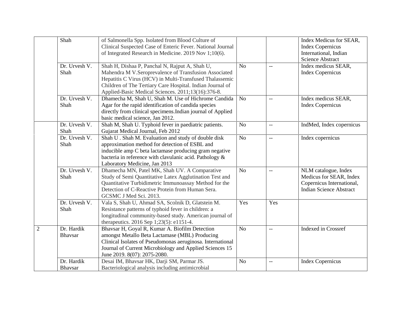|                | Shah                         | of Salmonella Spp. Isolated from Blood Culture of<br>Clinical Suspected Case of Enteric Fever. National Journal<br>of Integrated Research in Medicine. 2019 Nov 1;10(6).                                                                                                              |                |                | Index Medicus for SEAR,<br><b>Index Copernicus</b><br>International, Indian<br><b>Science Abstract</b>         |
|----------------|------------------------------|---------------------------------------------------------------------------------------------------------------------------------------------------------------------------------------------------------------------------------------------------------------------------------------|----------------|----------------|----------------------------------------------------------------------------------------------------------------|
|                | Dr. Urvesh V.<br>Shah        | Shah H, Dishaa P, Panchal N, Rajput A, Shah U,<br>Mahendra M V.Seroprevalence of Transfusion Associated<br>Hepatitis C Virus (HCV) in Multi-Transfused Thalassemic<br>Children of The Tertiary Care Hospital. Indian Journal of<br>Applied-Basic Medical Sciences. 2011;13(16):376-8. | N <sub>o</sub> | $\overline{a}$ | Index medicus SEAR,<br><b>Index Copernicus</b>                                                                 |
|                | Dr. Urvesh V.<br>Shah        | Dhamecha M, Shah U, Shah M. Use of Hichrome Candida<br>Agar for the rapid identification of candida species<br>directly from clinical specimens. Indian journal of Applied<br>basic medical science, Jan 2012.                                                                        | No             | $-$            | Index medicus SEAR,<br><b>Index Copernicus</b>                                                                 |
|                | Dr. Urvesh V.<br>Shah        | Shah M, Shah U. Typhoid fever in paediatric patients.<br>Gujarat Medical Journal, Feb 2012                                                                                                                                                                                            | N <sub>o</sub> | $-$            | IndMed, Index copernicus                                                                                       |
|                | Dr. Urvesh V.<br>Shah        | Shah U. Shah M. Evaluation and study of double disk<br>approximation method for detection of ESBL and<br>inducible amp C beta lactamase producing gram negative<br>bacteria in reference with clavulanic acid. Pathology &<br>Laboratory Medicine, Jan 2013                           | N <sub>o</sub> | $\overline{a}$ | Index copernicus                                                                                               |
|                | Dr. Urvesh V.<br>Shah        | Dhamecha MN, Patel MK, Shah UV. A Comparative<br>Study of Semi Quantitative Latex Agglutination Test and<br>Quantitative Turbidimetric Immunoassay Method for the<br>Detection of C-Reactive Protein from Human Sera.<br>GCSMC J Med Sci. 2013.                                       | N <sub>o</sub> | $-$            | NLM catalogue, Index<br>Medicus for SEAR, Index<br>Copernicus International,<br><b>Indian Science Abstract</b> |
|                | Dr. Urvesh V.<br>Shah        | Vala S, Shah U, Ahmad SA, Scolnik D, Glatstein M.<br>Resistance patterns of typhoid fever in children: a<br>longitudinal community-based study. American journal of<br>therapeutics. 2016 Sep 1;23(5): e1151-4.                                                                       | Yes            | Yes            |                                                                                                                |
| $\overline{2}$ | Dr. Hardik<br>Bhavsar        | Bhavsar H, Goyal R, Kumar A. Biofilm Detection<br>amongst Metallo Beta Lactamase (MBL) Producing<br>Clinical Isolates of Pseudomonas aeruginosa. International<br>Journal of Current Microbiology and Applied Sciences 15<br>June 2019. 8(07): 2075-2080.                             | N <sub>o</sub> | $-$            | Indexed in Crossref                                                                                            |
|                | Dr. Hardik<br><b>Bhavsar</b> | Desai IM, Bhavsar HK, Darji SM, Parmar JS.<br>Bacteriological analysis including antimicrobial                                                                                                                                                                                        | N <sub>o</sub> | $\overline{a}$ | <b>Index Copernicus</b>                                                                                        |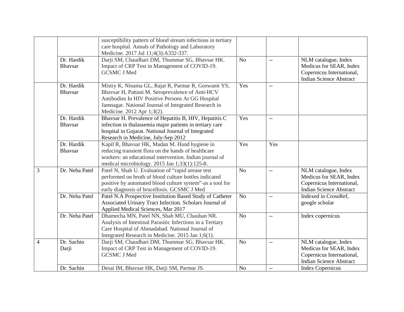|   |                              | susceptibility pattern of blood stream infections in tertiary<br>care hospital. Annals of Pathology and Laboratory<br>Medicine. 2017 Jul 11;4(3):A332-337.                                                                                         |                |                          |                                                                                                                |
|---|------------------------------|----------------------------------------------------------------------------------------------------------------------------------------------------------------------------------------------------------------------------------------------------|----------------|--------------------------|----------------------------------------------------------------------------------------------------------------|
|   | Dr. Hardik<br><b>Bhavsar</b> | Darji SM, Chaudhari DM, Thummar SG, Bhavsar HK.<br>Impact of CRP Test in Management of COVID-19.<br><b>GCSMC J Med</b>                                                                                                                             | N <sub>o</sub> | $\overline{\phantom{a}}$ | NLM catalogue, Index<br>Medicus for SEAR, Index<br>Copernicus International,<br><b>Indian Science Abstract</b> |
|   | Dr. Hardik<br><b>Bhavsar</b> | Mistry K, Ninama GL, Rajat R, Parmar R, Goswami YS,<br>Bhavsar H, Pattani M. Seroprevalence of Anti-HCV<br>Antibodies In HIV Positive Persons At GG Hospital<br>Jamnagar. National Journal of Integrated Research in<br>Medicine. 2012 Apr 1;3(2). | Yes            | $-$                      |                                                                                                                |
|   | Dr. Hardik<br><b>Bhavsar</b> | Bhavsar H. Prevalence of Hepatitis B, HIV, Hepatitis C<br>infection in thalassemia major patients in tertiary care<br>hospital in Gujarat. National Journal of Integrated<br>Research in Medicine, July-Sep 2012                                   | Yes            | $-$                      |                                                                                                                |
|   | Dr. Hardik<br><b>Bhavsar</b> | Kapil R, Bhavsar HK, Madan M. Hand hygiene in<br>reducing transient flora on the hands of healthcare<br>workers: an educational intervention. Indian journal of<br>medical microbiology. 2015 Jan 1;33(1):125-8.                                   | Yes            | Yes                      |                                                                                                                |
| 3 | Dr. Neha Patel               | Patel N, Shah U. Evaluation of "rapid urease test<br>performed on broth of blood culture bottles indicated<br>positive by automated blood culture system"-as a tool for<br>early diagnosis of brucellosis. GCSMC J Med                             | N <sub>o</sub> | $\overline{\phantom{a}}$ | NLM catalogue, Index<br>Medicus for SEAR, Index<br>Copernicus International,<br><b>Indian Science Abstract</b> |
|   | Dr. Neha Patel               | Patel N.A Prospective Institution Based Study of Catheter<br>Associated Urinary Tract Infection. Scholars Journal of<br>Applied Medical Sciences, Mar 2017                                                                                         | N <sub>o</sub> | $-$                      | Indexed in CrossRef,<br>google scholar                                                                         |
|   | Dr. Neha Patel               | Dhamecha MN, Patel NN, Shah MU, Chauhan NR.<br>Analysis of Intestinal Parasitic Infections in a Tertiary<br>Care Hospital of Ahmadabad. National Journal of<br>Integrated Research in Medicine. 2015 Jan 1;6(1).                                   | N <sub>o</sub> | $-$                      | Index copernicus                                                                                               |
| 4 | Dr. Sachin<br>Darji          | Darji SM, Chaudhari DM, Thummar SG, Bhavsar HK.<br>Impact of CRP Test in Management of COVID-19.<br><b>GCSMC J Med</b>                                                                                                                             | N <sub>o</sub> | $-$                      | NLM catalogue, Index<br>Medicus for SEAR, Index<br>Copernicus International,<br><b>Indian Science Abstract</b> |
|   | Dr. Sachin                   | Desai IM, Bhavsar HK, Darji SM, Parmar JS.                                                                                                                                                                                                         | N <sub>o</sub> | $-$                      | <b>Index Copernicus</b>                                                                                        |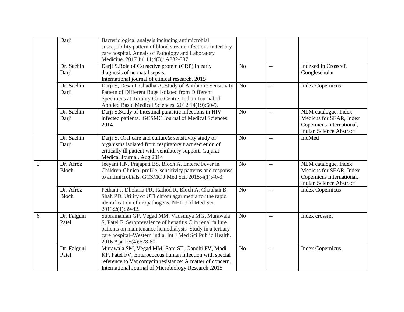|   | Darji                | Bacteriological analysis including antimicrobial<br>susceptibility pattern of blood stream infections in tertiary<br>care hospital. Annals of Pathology and Laboratory<br>Medicine. 2017 Jul 11;4(3): A332-337.                                                   |                |                |                                                                                                                |
|---|----------------------|-------------------------------------------------------------------------------------------------------------------------------------------------------------------------------------------------------------------------------------------------------------------|----------------|----------------|----------------------------------------------------------------------------------------------------------------|
|   | Dr. Sachin<br>Darji  | Darji S.Role of C-reactive protein (CRP) in early<br>diagnosis of neonatal sepsis.<br>International journal of clinical research, 2015                                                                                                                            | N <sub>o</sub> | <u></u>        | Indexed in Crossref,<br>Googlescholar                                                                          |
|   | Dr. Sachin<br>Darji  | Darji S, Desai I, Chadha A. Study of Antibiotic Sensitivity<br>Pattern of Different Bugs Isolated from Different<br>Specimens at Tertiary Care Centre. Indian Journal of<br>Applied Basic Medical Sciences. 2012;14(19):60-5.                                     | N <sub>o</sub> | $-$            | <b>Index Copernicus</b>                                                                                        |
|   | Dr. Sachin<br>Darji  | Darji S.Study of Intestinal parasitic infections in HIV<br>infected patients. GCSMC Journal of Medical Sciences<br>2014                                                                                                                                           | N <sub>o</sub> | $-$            | NLM catalogue, Index<br>Medicus for SEAR, Index<br>Copernicus International,<br><b>Indian Science Abstract</b> |
|   | Dr. Sachin<br>Darji  | Darji S. Oral care and culture & sensitivity study of<br>organisms isolated from respiratory tract secretion of<br>critically ill patient with ventilatory support. Gujarat<br>Medical Journal, Aug 2014                                                          | N <sub>o</sub> | $-$            | IndMed                                                                                                         |
| 5 | Dr. Afroz<br>Bloch   | Jeeyani HN, Prajapati BS, Bloch A. Enteric Fever in<br>Children-Clinical profile, sensitivity patterns and response<br>to antimicrobials. GCSMC J Med Sci. 2015;4(1):40-3.                                                                                        | No             | $-$            | NLM catalogue, Index<br>Medicus for SEAR, Index<br>Copernicus International,<br><b>Indian Science Abstract</b> |
|   | Dr. Afroz<br>Bloch   | Pethani J, Dholaria PR, Rathod R, Bloch A, Chauhan B,<br>Shah PD. Utility of UTI chrom agar media for the rapid<br>identification of uropathogens. NHL J of Med Sci.<br>2013;2(1):39-42.                                                                          | N <sub>o</sub> | $-$            | <b>Index Copernicus</b>                                                                                        |
| 6 | Dr. Falguni<br>Patel | Subramanian GP, Vegad MM, Vadsmiya MG, Murawala<br>S, Patel F. Seroprevalence of hepatitis C in renal failure<br>patients on maintenance hemodialysis-Study in a tertiary<br>care hospital-Western India. Int J Med Sci Public Health.<br>2016 Apr 1;5(4):678-80. | No             | $-$            | Index crossref                                                                                                 |
|   | Dr. Falguni<br>Patel | Murawala SM, Vegad MM, Soni ST, Gandhi PV, Modi<br>KP, Patel FV. Enterococcus human infection with special<br>reference to Vancomycin resistance: A matter of concern.<br>International Journal of Microbiology Research .2015                                    | N <sub>o</sub> | $\overline{a}$ | <b>Index Copernicus</b>                                                                                        |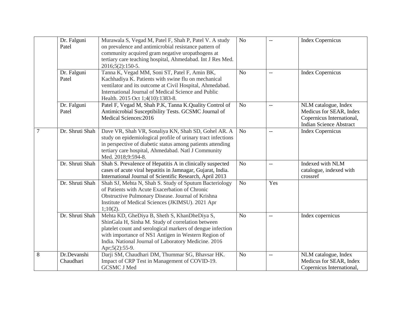|   | Dr. Falguni<br>Patel     | Murawala S, Vegad M, Patel F, Shah P, Patel V. A study<br>on prevalence and antimicrobial resistance pattern of<br>community acquired gram negative uropathogens at<br>tertiary care teaching hospital, Ahmedabad. Int J Res Med.<br>$2016; 5(2): 150-5.$                                        | N <sub>o</sub> |                          | <b>Index Copernicus</b>                                                                                        |
|---|--------------------------|--------------------------------------------------------------------------------------------------------------------------------------------------------------------------------------------------------------------------------------------------------------------------------------------------|----------------|--------------------------|----------------------------------------------------------------------------------------------------------------|
|   | Dr. Falguni<br>Patel     | Tanna K, Vegad MM, Soni ST, Patel F, Amin BK,<br>Kachhadiya K. Patients with swine flu on mechanical<br>ventilator and its outcome at Civil Hospital, Ahmedabad.<br>International Journal of Medical Science and Public<br>Health. 2015 Oct 1;4(10):1383-8.                                      | N <sub>o</sub> | $\overline{\phantom{a}}$ | <b>Index Copernicus</b>                                                                                        |
|   | Dr. Falguni<br>Patel     | Patel F, Vegad M, Shah P.K, Tanna K.Quality Control of<br>Antimicrobial Susceptibility Tests. GCSMC Journal of<br>Medical Sciences: 2016                                                                                                                                                         | N <sub>o</sub> | $-$                      | NLM catalogue, Index<br>Medicus for SEAR, Index<br>Copernicus International,<br><b>Indian Science Abstract</b> |
| 7 | Dr. Shruti Shah          | Dave VR, Shah VR, Sonaliya KN, Shah SD, Gohel AR. A<br>study on epidemiological profile of urinary tract infections<br>in perspective of diabetic status among patients attending<br>tertiary care hospital, Ahmedabad. Natl J Community<br>Med. 2018;9:594-8.                                   | N <sub>o</sub> | $\overline{\phantom{m}}$ | <b>Index Copernicus</b>                                                                                        |
|   | Dr. Shruti Shah          | Shah S. Prevalence of Hepatitis A in clinically suspected<br>cases of acute viral hepatitis in Jamnagar, Gujarat, India.<br>International Journal of Scientific Research, April 2013                                                                                                             | N <sub>o</sub> | $-$                      | Indexed with NLM<br>catalogue, indexed with<br>crossref                                                        |
|   | Dr. Shruti Shah          | Shah SJ, Mehta N, Shah S. Study of Sputum Bacteriology<br>of Patients with Acute Exacerbation of Chronic<br>Obstructive Pulmonary Disease. Journal of Krishna<br>Institute of Medical Sciences (JKIMSU). 2021 Apr<br>1;10(2).                                                                    | N <sub>o</sub> | Yes                      |                                                                                                                |
|   | Dr. Shruti Shah          | Mehta KD, GheDiya B, Sheth S, KhanDheDiya S,<br>ShinGala H, Sinha M. Study of correlation between<br>platelet count and serological markers of dengue infection<br>with importance of NS1 Antigen in Western Region of<br>India. National Journal of Laboratory Medicine. 2016<br>Apr;5(2):55-9. | N <sub>o</sub> | $\overline{a}$           | Index copernicus                                                                                               |
| 8 | Dr.Devanshi<br>Chaudhari | Darji SM, Chaudhari DM, Thummar SG, Bhavsar HK.<br>Impact of CRP Test in Management of COVID-19.<br><b>GCSMC J Med</b>                                                                                                                                                                           | N <sub>o</sub> | $-\, -$                  | NLM catalogue, Index<br>Medicus for SEAR, Index<br>Copernicus International,                                   |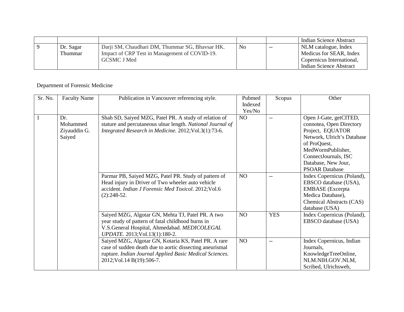|           |                                                 |    |       | Indian Science Abstract   |
|-----------|-------------------------------------------------|----|-------|---------------------------|
| Dr. Sagar | Darji SM, Chaudhari DM, Thummar SG, Bhavsar HK. | No | $- -$ | NLM catalogue, Index      |
| Thummar   | Impact of CRP Test in Management of COVID-19.   |    |       | Medicus for SEAR, Index   |
|           | <b>GCSMC J Med</b>                              |    |       | Copernicus International, |
|           |                                                 |    |       | Indian Science Abstract   |

## Department of Forensic Medicine

| Sr. No. | <b>Faculty Name</b>                       | Publication in Vancouver referencing style.                                                                                                                                                                | Pubmed<br>Indexed<br>Yes/No | Scopus                   | Other                                                                                                                                                                                                             |
|---------|-------------------------------------------|------------------------------------------------------------------------------------------------------------------------------------------------------------------------------------------------------------|-----------------------------|--------------------------|-------------------------------------------------------------------------------------------------------------------------------------------------------------------------------------------------------------------|
|         | Dr.<br>Mohammed<br>Ziyauddin G.<br>Saiyed | Shah SD, Saiyed MZG, Patel PR. A study of relation of<br>stature and percutaneous ulnar length. National Journal of<br>Integrated Research in Medicine. 2012; Vol.3(1):73-6.                               | NO                          | $-$                      | Open J-Gate, getCITED,<br>connotea, Open Directory<br>Project, EQUATOR<br>Network, Ulrich's Database<br>of ProQuest,<br>MedWormPublisher,<br>ConnectJournals, ISC<br>Database, New Jour,<br><b>PSOAR Database</b> |
|         |                                           | Parmar PB, Saiyed MZG, Patel PR. Study of pattern of<br>Head injury in Driver of Two wheeler auto vehicle<br>accident. Indian J Forensic Med Toxicol. 2012; Vol.6<br>$(2):248-52.$                         | NO                          | $\overline{\phantom{a}}$ | Index Copernicus (Poland),<br>EBSCO database (USA),<br><b>EMBASE</b> (Excerpta<br>Medica Database),<br>Chemical Abstracts (CAS)<br>database (USA)                                                                 |
|         |                                           | Saiyed MZG, Algotar GN, Mehta TJ, Patel PR. A two<br>year study of pattern of fatal childhood burns in<br>V.S.General Hospital, Ahmedabad. MEDICOLEGAL<br>UPDATE. 2013; Vol.13(1):180-2.                   | NO                          | <b>YES</b>               | Index Copernicus (Poland),<br>EBSCO database (USA)                                                                                                                                                                |
|         |                                           | Saiyed MZG, Algotar GN, Kotaria KS, Patel PR. A rare<br>case of sudden death due to aortic dissecting aneurismal<br>rupture. Indian Journal Applied Basic Medical Sciences.<br>2012; Vol. 14 B(19): 506-7. | NO                          | $--$                     | Index Copernicus, Indian<br>Journals,<br>KnowledgeTreeOnline,<br>NLM.NIH.GOV.NLM,<br>Scribed, Ulrichsweb,                                                                                                         |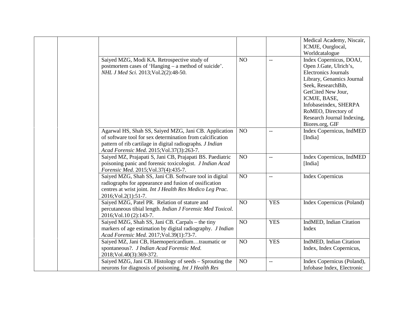|                                                                                                                                                                                                                                      |    |                | Medical Academy, Niscair,<br>ICMJE, Ourglocal,<br>Worldcatalogue                                                                                                                                                                                                           |
|--------------------------------------------------------------------------------------------------------------------------------------------------------------------------------------------------------------------------------------|----|----------------|----------------------------------------------------------------------------------------------------------------------------------------------------------------------------------------------------------------------------------------------------------------------------|
| Saiyed MZG, Modi KA. Retrospective study of<br>postmortem cases of 'Hanging – a method of suicide'.<br>NHL J Med Sci. 2013; Vol.2(2): 48-50.                                                                                         | NO | $\overline{a}$ | Index Copernicus, DOAJ,<br>Open J.Gate, Ulrich's,<br><b>Electronics Journals</b><br>Library, Genamics Journal<br>Seek, ResearchBib,<br>GetCited New Jour,<br>ICMJE, BASE,<br>Infobaseindex, SHERPA<br>RoMEO, Directory of<br>Research Journal Indexing,<br>Biores.org, GIF |
| Agarwal HS, Shah SS, Saiyed MZG, Jani CB. Application<br>of software tool for sex determination from calcification<br>pattern of rib cartilage in digital radiographs. <i>J Indian</i><br>Acad Forensic Med. 2015; Vol.37(3): 263-7. | NO | $-$            | Index Copernicus, IndMED<br>[India]                                                                                                                                                                                                                                        |
| Saiyed MZ, Prajapati S, Jani CB, Prajapati BS. Paediatric<br>poisoning panic and forensic toxicologist. <i>J Indian Acad</i><br>Forensic Med. 2015; Vol.37(4): 435-7.                                                                | NO | $-$            | Index Copernicus, IndMED<br>[India]                                                                                                                                                                                                                                        |
| Saiyed MZG, Shah SS, Jani CB. Software tool in digital<br>radiographs for appearance and fusion of ossification<br>centres at wrist joint. Int J Health Res Medico Leg Prac.<br>2016; Vol.2(1): 51-7.                                | NO | $\overline{a}$ | <b>Index Copernicus</b>                                                                                                                                                                                                                                                    |
| Saiyed MZG, Patel PR. Relation of stature and<br>percutaneous tibial length. Indian J Forensic Med Toxicol.<br>2016; Vol. 10 (2): 143-7.                                                                                             | NO | <b>YES</b>     | Index Copernicus (Poland)                                                                                                                                                                                                                                                  |
| Saiyed MZG, Shah SS, Jani CB. Carpals - the tiny<br>markers of age estimation by digital radiography. <i>J Indian</i><br>Acad Forensic Med. 2017; Vol.39(1):73-7.                                                                    | NO | <b>YES</b>     | IndMED, Indian Citation<br>Index                                                                                                                                                                                                                                           |
| Saiyed MZ, Jani CB, Haemopericardiumtraumatic or<br>spontaneous?. J Indian Acad Forensic Med.<br>2018; Vol.40(3): 369-372.                                                                                                           | NO | <b>YES</b>     | IndMED, Indian Citation<br>Index, Index Copernicus,                                                                                                                                                                                                                        |
| Saiyed MZG, Jani CB. Histology of seeds - Sprouting the<br>neurons for diagnosis of poisoning. Int J Health Res                                                                                                                      | NO | $-$            | Index Copernicus (Poland),<br>Infobase Index, Electronic                                                                                                                                                                                                                   |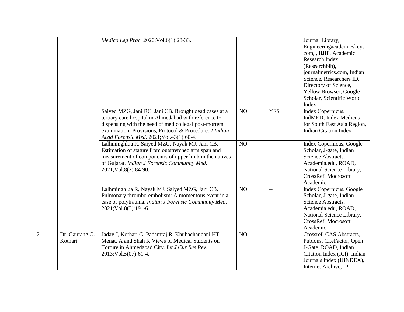|                |                           | Medico Leg Prac. 2020; Vol.6(1):28-33.                                                                                                                                                                                                                                        |    |                          | Journal Library,<br>Engineeringacademicskeys.<br>com, , IIJIF, Academic<br>Research Index<br>(Researchbib),<br>journalmetrics.com, Indian<br>Science, Researchers ID,<br>Directory of Science,<br>Yellow Browser, Google<br>Scholar, Scientific World<br>Index |
|----------------|---------------------------|-------------------------------------------------------------------------------------------------------------------------------------------------------------------------------------------------------------------------------------------------------------------------------|----|--------------------------|----------------------------------------------------------------------------------------------------------------------------------------------------------------------------------------------------------------------------------------------------------------|
|                |                           | Saiyed MZG, Jani RC, Jani CB. Brought dead cases at a<br>tertiary care hospital in Ahmedabad with reference to<br>dispensing with the need of medico legal post-mortem<br>examination: Provisions, Protocol & Procedure. J Indian<br>Acad Forensic Med. 2021; Vol.43(1):60-4. | NO | <b>YES</b>               | Index Copernicus,<br>IndMED, Index Medicus<br>for South East Asia Region,<br><b>Indian Citation Index</b>                                                                                                                                                      |
|                |                           | Lalhminghlua R, Saiyed MZG, Nayak MJ, Jani CB.<br>Estimation of stature from outstretched arm span and<br>measurement of component/s of upper limb in the natives<br>of Gujarat. Indian J Forensic Community Med.<br>2021; Vol.8(2): 84-90.                                   | NO | $\overline{\phantom{a}}$ | Index Copernicus, Google<br>Scholar, J-gate, Indian<br>Science Abstracts,<br>Academia.edu, ROAD,<br>National Science Library,<br>CrossRef, Mocrosoft<br>Academic                                                                                               |
|                |                           | Lalhminghlua R, Nayak MJ, Saiyed MZG, Jani CB.<br>Pulmonary thrombo-embolism: A momentous event in a<br>case of polytrauma. Indian J Forensic Community Med.<br>2021; Vol.8(3): 191-6.                                                                                        | NO | $-$                      | Index Copernicus, Google<br>Scholar, J-gate, Indian<br>Science Abstracts,<br>Academia.edu, ROAD,<br>National Science Library,<br>CrossRef, Mocrosoft<br>Academic                                                                                               |
| $\overline{2}$ | Dr. Gaurang G.<br>Kothari | Jadav J, Kothari G, Padamraj R, Khubachandani HT,<br>Menat, A and Shah K. Views of Medical Students on<br>Torture in Ahmedabad City. Int J Cur Res Rev.<br>2013; Vol.5(07): 61-4.                                                                                             | NO | $\overline{\phantom{m}}$ | Crossref, CAS Abstracts,<br>Publons, CiteFactor, Open<br>J-Gate, ROAD, Indian<br>Citation Index (ICI), Indian<br>Journals Index (IJINDEX),<br>Internet Archive, IP                                                                                             |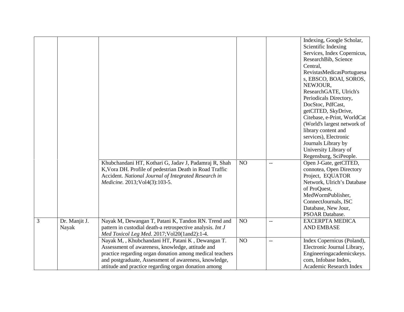|   |               | Khubchandani HT, Kothari G, Jadav J, Padamraj R, Shah<br>K, Vora DH. Profile of pedestrian Death in Road Traffic                                                                                                                                                                  | N <sub>O</sub> | $\overline{\phantom{m}}$ | Indexing, Google Scholar,<br>Scientific Indexing<br>Services, Index Copernicus,<br>ResearchBib, Science<br>Central,<br>RevistasMedicasPortuguesa<br>s, EBSCO, BOAI, SOROS,<br>NEWJOUR,<br>ResearchGATE, Ulrich's<br>Periodicals Directory,<br>DocStoc, PdfCast,<br>getCITED, SkyDrive,<br>Citebase, e-Print, WorldCat<br>(World's largest network of<br>library content and<br>services), Electronic<br>Journals Library by<br>University Library of<br>Regensburg, SciPeople.<br>Open J-Gate, getCITED,<br>connotea, Open Directory |
|---|---------------|-----------------------------------------------------------------------------------------------------------------------------------------------------------------------------------------------------------------------------------------------------------------------------------|----------------|--------------------------|--------------------------------------------------------------------------------------------------------------------------------------------------------------------------------------------------------------------------------------------------------------------------------------------------------------------------------------------------------------------------------------------------------------------------------------------------------------------------------------------------------------------------------------|
|   |               | Accident. National Journal of Integrated Research in<br>Medicine. 2013; Vol4(3): 103-5.                                                                                                                                                                                           |                |                          | Project, EQUATOR<br>Network, Ulrich's Database<br>of ProQuest,<br>MedWormPublisher,<br>ConnectJournals, ISC<br>Database, New Jour,<br><b>PSOAR Database.</b>                                                                                                                                                                                                                                                                                                                                                                         |
| 3 | Dr. Manjit J. | Nayak M, Dewangan T, Patani K, Tandon RN. Trend and                                                                                                                                                                                                                               | NO             | $-$                      | <b>EXCERPTA MEDICA</b>                                                                                                                                                                                                                                                                                                                                                                                                                                                                                                               |
|   | Nayak         | pattern in custodial death-a retrospective analysis. Int J<br>Med Toxicol Leg Med. 2017; Vol20(1and2):1-4.                                                                                                                                                                        |                |                          | <b>AND EMBASE</b>                                                                                                                                                                                                                                                                                                                                                                                                                                                                                                                    |
|   |               | Nayak M,, Khubchandani HT, Patani K, Dewangan T.<br>Assessment of awareness, knowledge, attitude and<br>practice regarding organ donation among medical teachers<br>and postgraduate, Assessment of awareness, knowledge,<br>attitude and practice regarding organ donation among | NO             | $\overline{\phantom{m}}$ | Index Copernicus (Poland),<br>Electronic Journal Library,<br>Engineeringacademicskeys.<br>com, Infobase Index,<br>Academic Research Index                                                                                                                                                                                                                                                                                                                                                                                            |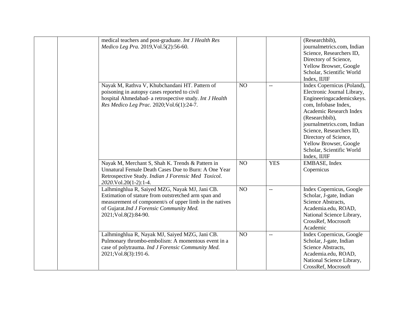| medical teachers and post-graduate. Int J Health Res<br>Medico Leg Pra. 2019, Vol.5(2): 56-60.                                                                                                                                        |                 |            | (Researchbib),<br>journalmetrics.com, Indian<br>Science, Researchers ID,<br>Directory of Science,<br>Yellow Browser, Google<br>Scholar, Scientific World<br>Index, IIJIF                                                                                                                                              |
|---------------------------------------------------------------------------------------------------------------------------------------------------------------------------------------------------------------------------------------|-----------------|------------|-----------------------------------------------------------------------------------------------------------------------------------------------------------------------------------------------------------------------------------------------------------------------------------------------------------------------|
| Nayak M, Rathva V, Khubchandani HT. Pattern of<br>poisoning in autopsy cases reported to civil<br>hospital Ahmedabad- a retrospective study. Int J Health<br>Res Medico Leg Prac. 2020; Vol.6(1):24-7.                                | NO              | $-$        | Index Copernicus (Poland),<br>Electronic Journal Library,<br>Engineeringacademicskeys.<br>com, Infobase Index,<br>Academic Research Index<br>(Researchbib),<br>journalmetrics.com, Indian<br>Science, Researchers ID,<br>Directory of Science,<br>Yellow Browser, Google<br>Scholar, Scientific World<br>Index, IIJIF |
| Nayak M, Merchant S, Shah K. Trends & Pattern in<br>Unnatural Female Death Cases Due to Burn: A One Year<br>Retrospective Study. Indian J Forensic Med Toxicol.<br>2020.Vol.20(1-2):1-4.                                              | NO <sub>1</sub> | <b>YES</b> | EMBASE, Index<br>Copernicus                                                                                                                                                                                                                                                                                           |
| Lalhminghlua R, Saiyed MZG, Nayak MJ, Jani CB.<br>Estimation of stature from outstretched arm span and<br>measurement of component/s of upper limb in the natives<br>of Gujarat.Ind J Forensic Community Med.<br>2021;Vol.8(2):84-90. | NO              | $-$        | Index Copernicus, Google<br>Scholar, J-gate, Indian<br>Science Abstracts,<br>Academia.edu, ROAD,<br>National Science Library,<br>CrossRef, Mocrosoft<br>Academic                                                                                                                                                      |
| Lalhminghlua R, Nayak MJ, Saiyed MZG, Jani CB.<br>Pulmonary thrombo-embolism: A momentous event in a<br>case of polytrauma. Ind J Forensic Community Med.<br>2021; Vol.8(3): 191-6.                                                   | NO              | $-\, -$    | Index Copernicus, Google<br>Scholar, J-gate, Indian<br>Science Abstracts,<br>Academia.edu, ROAD,<br>National Science Library,<br>CrossRef, Mocrosoft                                                                                                                                                                  |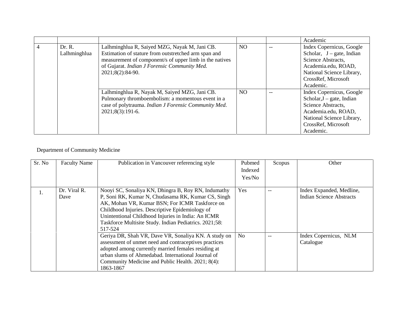|  |              |                                                         |                | Academic                     |
|--|--------------|---------------------------------------------------------|----------------|------------------------------|
|  | Dr. R.       | Lalhminghlua R, Saiyed MZG, Nayak M, Jani CB.           | N <sub>O</sub> | Index Copernicus, Google     |
|  | Lalhminghlua | Estimation of stature from outstretched arm span and    |                | Scholar, $J - gate$ , Indian |
|  |              | measurement of component/s of upper limb in the natives |                | Science Abstracts,           |
|  |              | of Gujarat. Indian J Forensic Community Med.            |                | Academia.edu, ROAD,          |
|  |              | 2021;8(2):84-90.                                        |                | National Science Library,    |
|  |              |                                                         |                | CrossRef, Microsoft          |
|  |              |                                                         |                | Academic.                    |
|  |              | Lalhminghlua R, Nayak M, Saiyed MZG, Jani CB.           | NO.            | Index Copernicus, Google     |
|  |              | Pulmonary thromboembolism: a momentous event in a       |                | Scholar, $J - gate$ , Indian |
|  |              | case of polytrauma. Indian J Forensic Community Med.    |                | Science Abstracts,           |
|  |              | $2021;8(3):191-6.$                                      |                | Academia.edu, ROAD,          |
|  |              |                                                         |                | National Science Library,    |
|  |              |                                                         |                | CrossRef, Microsoft          |
|  |              |                                                         |                | Academic.                    |

## Department of Community Medicine

| Sr. No | <b>Faculty Name</b>  | Publication in Vancouver referencing style                                                                                                                                                                                                                                                                                     | Pubmed         | Scopus | Other                                                       |
|--------|----------------------|--------------------------------------------------------------------------------------------------------------------------------------------------------------------------------------------------------------------------------------------------------------------------------------------------------------------------------|----------------|--------|-------------------------------------------------------------|
|        |                      |                                                                                                                                                                                                                                                                                                                                | Indexed        |        |                                                             |
|        |                      |                                                                                                                                                                                                                                                                                                                                | Yes/No         |        |                                                             |
| 1.     | Dr. Viral R.<br>Dave | Nooyi SC, Sonaliya KN, Dhingra B, Roy RN, Indumathy<br>P, Soni RK, Kumar N, Chudasama RK, Kumar CS, Singh<br>AK, Mohan VR, Kumar BSN; For ICMR Taskforce on<br>Childhood Injuries. Descriptive Epidemiology of<br>Unintentional Childhood Injuries in India: An ICMR<br>Taskforce Multisite Study. Indian Pediatrics. 2021;58: | <b>Yes</b>     | --     | Index Expanded, Medline,<br><b>Indian Science Abstracts</b> |
|        |                      | 517-524<br>Geriya DR, Shah VR, Dave VR, Sonaliya KN. A study on<br>assessment of unmet need and contraceptives practices<br>adopted among currently married females residing at<br>urban slums of Ahmedabad. International Journal of<br>Community Medicine and Public Health. 2021; 8(4):<br>1863-1867                        | N <sub>o</sub> | --     | Index Copernicus, NLM<br>Catalogue                          |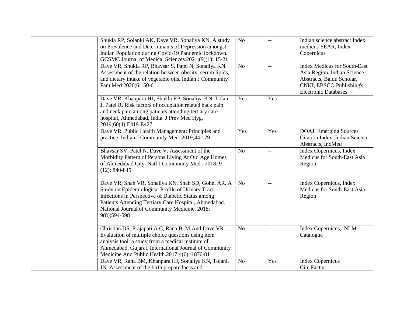| Shukla RP, Solanki AK, Dave VR, Sonaliya KN. A study<br>on Prevalence and Determinants of Depression amongst<br>Indian Population during Covid-19 Pandemic lockdown.<br>GCSMC Journal of Medical Sciences.2021;(9)(1): 15-21                                                             | N <sub>o</sub> |                          | Indian science abstract Index<br>medicus-SEAR, Index<br>Copernicus                                                                                         |
|------------------------------------------------------------------------------------------------------------------------------------------------------------------------------------------------------------------------------------------------------------------------------------------|----------------|--------------------------|------------------------------------------------------------------------------------------------------------------------------------------------------------|
| Dave VR, Shukla RP, Bhavsar S, Patel N, Sonaliya KN.<br>Assessment of the relation between obesity, serum lipids,<br>and dietary intake of vegetable oils. Indian J Community<br>Fam Med 2020;6:150-6                                                                                    | N <sub>o</sub> | $\overline{\phantom{a}}$ | <b>Index Medicus for South-East</b><br>Asia Region, Indian Science<br>Abstracts, Baidu Scholar,<br>CNKI, EBSCO Publishing's<br><b>Electronic Databases</b> |
| Dave VR, Khanpara HJ, Shukla RP, Sonaliya KN, Tolani<br>J, Patel R. Risk factors of occupation related back pain<br>and neck pain among patients attending tertiary care<br>hospital, Ahmedabad, India. J Prev Med Hyg.<br>2019;60(4):E419-E427                                          | Yes            | Yes                      |                                                                                                                                                            |
| Dave VR. Public Health Management: Principles and<br>practice. Indian J Community Med. 2019;44:179                                                                                                                                                                                       | Yes            | Yes                      | DOAJ, Emerging Sources<br>Citation Index, Indian Science<br>Abstracts, IndMed                                                                              |
| Bhavsar SV, Patel N, Dave V. Assessment of the<br>Morbidity Pattern of Persons Living At Old Age Homes<br>of Ahmedabad City. Natl J Community Med. 2018; 9<br>$(12): 840-845$                                                                                                            | N <sub>o</sub> | $\overline{\phantom{a}}$ | Index Copernicus, Index<br>Medicus for South-East Asia<br>Region                                                                                           |
| Dave VR, Shah VR, Sonaliya KN, Shah SD, Gohel AR. A<br>Study on Epidemiological Profile of Urinary Tract<br>Infections in Perspective of Diabetic Status among<br>Patients Attending Tertiary Care Hospital, Ahmedabad.<br>National Journal of Community Medicine. 2018;<br>9(8);594-598 | N <sub>o</sub> | $-$                      | Index Copernicus, Index<br>Medicus for South-East Asia<br>Region                                                                                           |
| Christian DS, Prajapati A C, Rana B M And Dave VR.<br>Evaluation of multiple choice questions using item<br>analysis tool: a study from a medical institute of<br>Ahmedabad, Gujarat. International Journal of Community<br>Medicine And Public Health.2017;4(6): 1876-81                | N <sub>o</sub> | $-$                      | Index Copernicus, NLM<br>Catalogue                                                                                                                         |
| Dave VR, Rana BM, Khanpara HJ, Sonaliya KN, Tolani,<br>JN. Assessment of the birth preparedness and                                                                                                                                                                                      | N <sub>o</sub> | Yes                      | <b>Index Copernicus</b><br><b>Cite Factor</b>                                                                                                              |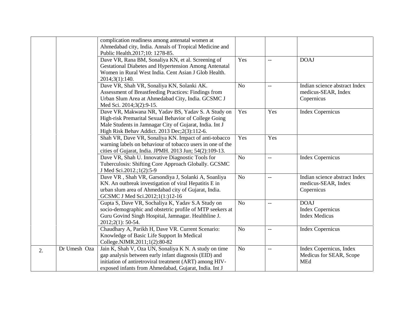|    |              | complication readiness among antenatal women at<br>Ahmedabad city, India. Annals of Tropical Medicine and                                                                                                                          |                |                |                                                                    |
|----|--------------|------------------------------------------------------------------------------------------------------------------------------------------------------------------------------------------------------------------------------------|----------------|----------------|--------------------------------------------------------------------|
|    |              | Public Health.2017;10: 1278-85.<br>Dave VR, Rana BM, Sonaliya KN, et al. Screening of<br>Gestational Diabetes and Hypertension Among Antenatal<br>Women in Rural West India. Cent Asian J Glob Health.<br>2014;3(1):140.           | Yes            | $-$            | <b>DOAJ</b>                                                        |
|    |              | Dave VR, Shah VR, Sonaliya KN, Solanki AK.<br>Assessment of Breastfeeding Practices: Findings from<br>Urban Slum Area at Ahmedabad City, India. GCSMC J<br>Med Sci. 2014;3(2):9-15.                                                | N <sub>o</sub> | $-$            | Indian science abstract Index<br>medicus-SEAR, Index<br>Copernicus |
|    |              | Dave VR, Makwana NR, Yadav BS, Yadav S. A Study on<br>High-risk Premarital Sexual Behavior of College Going<br>Male Students in Jamnagar City of Gujarat, India. Int J<br>High Risk Behav Addict. 2013 Dec; 2(3):112-6.            | Yes            | Yes            | <b>Index Copernicus</b>                                            |
|    |              | Shah VR, Dave VR, Sonaliya KN. Impact of anti-tobacco<br>warning labels on behaviour of tobacco users in one of the<br>cities of Gujarat, India. JPMH. 2013 Jun; 54(2):109-13.                                                     | Yes            | Yes            |                                                                    |
|    |              | Dave VR, Shah U. Innovative Diagnostic Tools for<br>Tuberculosis: Shifting Core Approach Globally. GCSMC<br>J Med Sci.2012.;1(2):5-9                                                                                               | N <sub>o</sub> | $\overline{a}$ | <b>Index Copernicus</b>                                            |
|    |              | Dave VR, Shah VR, Garsondiya J, Solanki A, Soanliya<br>KN. An outbreak investigation of viral Hepatitis E in<br>urban slum area of Ahmedabad city of Gujarat, India.<br>GCSMC J Med Sci.2012;1(1:)12-16                            | N <sub>o</sub> | --             | Indian science abstract Index<br>medicus-SEAR, Index<br>Copernicus |
|    |              | Gupta S, Dave VR, Sochaliya K, Yadav S.A Study on<br>socio-demographic and obstetric profile of MTP seekers at<br>Guru Govind Singh Hospital, Jamnagar. Healthline J.<br>2012;2(1): 50-54.                                         | N <sub>o</sub> |                | <b>DOAJ</b><br><b>Index Copernicus</b><br><b>Index Medicus</b>     |
|    |              | Chaudhary A, Parikh H, Dave VR. Current Scenario:<br>Knowledge of Basic Life Support In Medical<br>College.NJMR.2011;1(2):80-82                                                                                                    | N <sub>o</sub> | $ -$           | <b>Index Copernicus</b>                                            |
| 2. | Dr Umesh Oza | Jain K, Shah V, Oza UN, Sonaliya K N. A study on time<br>gap analysis between early infant diagnosis (EID) and<br>initiation of antiretroviral treatment (ART) among HIV-<br>exposed infants from Ahmedabad, Gujarat, India. Int J | N <sub>o</sub> | $-$            | Index Copernicus, Index<br>Medicus for SEAR, Scope<br><b>MEd</b>   |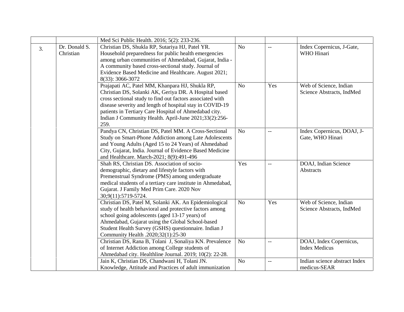|    |                            | Med Sci Public Health. 2016; 5(2): 233-236.                                                                                                                                                                                                                                                                                                                 |                |                          |                                                     |
|----|----------------------------|-------------------------------------------------------------------------------------------------------------------------------------------------------------------------------------------------------------------------------------------------------------------------------------------------------------------------------------------------------------|----------------|--------------------------|-----------------------------------------------------|
| 3. | Dr. Donald S.<br>Christian | Christian DS, Shukla RP, Sutariya HJ, Patel YR.<br>Household preparedness for public health emergencies<br>among urban communities of Ahmedabad, Gujarat, India -<br>A community based cross-sectional study. Journal of<br>Evidence Based Medicine and Healthcare. August 2021;<br>8(33): 3066-3072                                                        | N <sub>o</sub> | $-$                      | Index Copernicus, J-Gate,<br>WHO Hinari             |
|    |                            | Prajapati AC, Patel MM, Khanpara HJ, Shukla RP,<br>Christian DS, Solanki AK, Geriya DR. A Hospital based<br>cross sectional study to find out factors associated with<br>disease severity and length of hospital stay in COVID-19<br>patients in Tertiary Care Hospital of Ahmedabad city.<br>Indian J Community Health. April-June 2021;33(2):256-<br>259. | N <sub>o</sub> | Yes                      | Web of Science, Indian<br>Science Abstracts, IndMed |
|    |                            | Pandya CN, Christian DS, Patel MM. A Cross-Sectional<br>Study on Smart-Phone Addiction among Late Adolescents<br>and Young Adults (Aged 15 to 24 Years) of Ahmedabad<br>City, Gujarat, India. Journal of Evidence Based Medicine<br>and Healthcare. March-2021; 8(9):491-496                                                                                | N <sub>o</sub> | $-$                      | Index Copernicus, DOAJ, J-<br>Gate, WHO Hinari      |
|    |                            | Shah RS, Christian DS. Association of socio-<br>demographic, dietary and lifestyle factors with<br>Premenstrual Syndrome (PMS) among undergraduate<br>medical students of a tertiary care institute in Ahmedabad,<br>Gujarat. J Family Med Prim Care. 2020 Nov<br>30;9(11):5719-5724.                                                                       | Yes            | $\overline{\phantom{a}}$ | DOAJ, Indian Science<br>Abstracts                   |
|    |                            | Christian DS, Patel M, Solanki AK. An Epidemiological<br>study of health behavioral and protective factors among<br>school going adolescents (aged 13-17 years) of<br>Ahmedabad, Gujarat using the Global School-based<br>Student Health Survey (GSHS) questionnaire. Indian J<br>Community Health .2020;32(1):25-30                                        | N <sub>o</sub> | Yes                      | Web of Science, Indian<br>Science Abstracts, IndMed |
|    |                            | Christian DS, Rana B, Tolani J, Sonaliya KN. Prevalence<br>of Internet Addiction among College students of<br>Ahmedabad city. Healthline Journal. 2019; 10(2): 22-28.                                                                                                                                                                                       | N <sub>o</sub> | $\overline{\phantom{m}}$ | DOAJ, Index Copernicus,<br><b>Index Medicus</b>     |
|    |                            | Jain K, Christian DS, Chandwani H, Tolani JN.<br>Knowledge, Attitude and Practices of adult immunization                                                                                                                                                                                                                                                    | N <sub>o</sub> | $\overline{a}$           | Indian science abstract Index<br>medicus-SEAR       |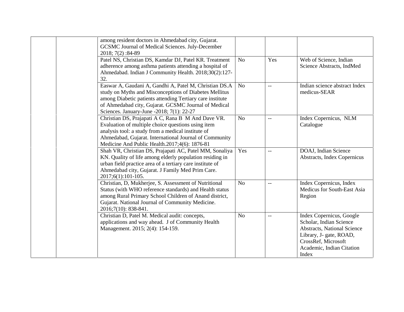| among resident doctors in Ahmedabad city, Gujarat.<br>GCSMC Journal of Medical Sciences. July-December<br>2018; 7(2): 84-89                                                                                                                                                        |                |     |                                                                                                                                                                            |
|------------------------------------------------------------------------------------------------------------------------------------------------------------------------------------------------------------------------------------------------------------------------------------|----------------|-----|----------------------------------------------------------------------------------------------------------------------------------------------------------------------------|
| Patel NS, Christian DS, Kamdar DJ, Patel KR. Treatment<br>adherence among asthma patients attending a hospital of<br>Ahmedabad. Indian J Community Health. 2018;30(2):127-<br>32.                                                                                                  | N <sub>o</sub> | Yes | Web of Science, Indian<br>Science Abstracts, IndMed                                                                                                                        |
| Easwar A, Gaudani A, Gandhi A, Patel M, Christian DS.A<br>study on Myths and Misconceptions of Diabetes Mellitus<br>among Diabetic patients attending Tertiary care institute<br>of Ahmedabad city, Gujarat. GCSMC Journal of Medical<br>Sciences. January-June -2018; 7(1): 22-27 | N <sub>o</sub> | $-$ | Indian science abstract Index<br>medicus-SEAR                                                                                                                              |
| Christian DS, Prajapati A C, Rana B M And Dave VR.<br>Evaluation of multiple choice questions using item<br>analysis tool: a study from a medical institute of<br>Ahmedabad, Gujarat. International Journal of Community<br>Medicine And Public Health.2017;4(6): 1876-81          | N <sub>o</sub> |     | Index Copernicus, NLM<br>Catalogue                                                                                                                                         |
| Shah VR, Christian DS, Prajapati AC, Patel MM, Sonaliya<br>KN. Quality of life among elderly population residing in<br>urban field practice area of a tertiary care institute of<br>Ahmedabad city, Gujarat. J Family Med Prim Care.<br>2017;6(1):101-105.                         | Yes            | $-$ | DOAJ, Indian Science<br>Abstracts, Index Copernicus                                                                                                                        |
| Christian, D, Mukherjee, S. Assessment of Nutritional<br>Status (with WHO reference standards) and Health status<br>among Rural Primary School Children of Anand district,<br>Gujarat. National Journal of Community Medicine.<br>2016;7(10): 838-841.                             | N <sub>o</sub> |     | Index Copernicus, Index<br>Medicus for South-East Asia<br>Region                                                                                                           |
| Christian D, Patel M. Medical audit: concepts,<br>applications and way ahead. J of Community Health<br>Management. 2015; 2(4): 154-159.                                                                                                                                            | N <sub>o</sub> | $-$ | Index Copernicus, Google<br>Scholar, Indian Science<br>Abstracts, National Science<br>Library, J- gate, ROAD,<br>CrossRef, Microsoft<br>Academic, Indian Citation<br>Index |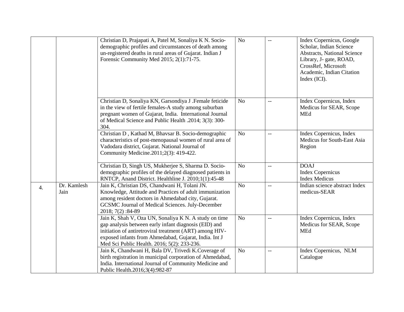|                           | Christian D, Prajapati A, Patel M, Sonaliya K N. Socio-<br>demographic profiles and circumstances of death among<br>un-registered deaths in rural areas of Gujarat. Indian J<br>Forensic Community Med 2015; 2(1):71-75.                                                          | N <sub>o</sub> | $-$                                           | Index Copernicus, Google<br>Scholar, Indian Science<br><b>Abstracts, National Science</b><br>Library, J- gate, ROAD,<br>CrossRef, Microsoft<br>Academic, Indian Citation<br>Index (ICI). |
|---------------------------|-----------------------------------------------------------------------------------------------------------------------------------------------------------------------------------------------------------------------------------------------------------------------------------|----------------|-----------------------------------------------|------------------------------------------------------------------------------------------------------------------------------------------------------------------------------------------|
|                           | Christian D, Sonaliya KN, Garsondiya J .Female feticide<br>in the view of fertile females-A study among suburban<br>pregnant women of Gujarat, India. International Journal<br>of Medical Science and Public Health .2014; 3(3): 300-<br>304.                                     | N <sub>o</sub> | $\mathord{\hspace{1pt}\text{--}\hspace{1pt}}$ | Index Copernicus, Index<br>Medicus for SEAR, Scope<br>MEd                                                                                                                                |
|                           | Christian D, Kathad M, Bhavsar B. Socio-demographic<br>characteristics of post-menopausal women of rural area of<br>Vadodara district, Gujarat. National Journal of<br>Community Medicine.2011;2(3): 419-422.                                                                     | No             | $\overline{\phantom{a}}$                      | Index Copernicus, Index<br>Medicus for South-East Asia<br>Region                                                                                                                         |
|                           | Christian D, Singh US, Mukherjee S, Sharma D. Socio-<br>demographic profiles of the delayed diagnosed patients in<br>RNTCP, Anand District. Healthline J. 2010;1(1):45-48                                                                                                         | N <sub>o</sub> | $\overline{\phantom{a}}$                      | <b>DOAJ</b><br><b>Index Copernicus</b><br><b>Index Medicus</b>                                                                                                                           |
| Dr. Kamlesh<br>4.<br>Jain | Jain K, Christian DS, Chandwani H, Tolani JN.<br>Knowledge, Attitude and Practices of adult immunization<br>among resident doctors in Ahmedabad city, Gujarat.<br>GCSMC Journal of Medical Sciences. July-December<br>2018; 7(2): 84-89                                           | N <sub>o</sub> | $\overline{a}$                                | Indian science abstract Index<br>medicus-SEAR                                                                                                                                            |
|                           | Jain K, Shah V, Oza UN, Sonaliya K N. A study on time<br>gap analysis between early infant diagnosis (EID) and<br>initiation of antiretroviral treatment (ART) among HIV-<br>exposed infants from Ahmedabad, Gujarat, India. Int J<br>Med Sci Public Health. 2016; 5(2): 233-236. | No             | $\mathbf{u}$                                  | Index Copernicus, Index<br>Medicus for SEAR, Scope<br><b>MEd</b>                                                                                                                         |
|                           | Jain K, Chandwani H, Bala DV, Trivedi K.Coverage of<br>birth registration in municipal corporation of Ahmedabad,<br>India. International Journal of Community Medicine and<br>Public Health.2016;3(4):982-87                                                                      | N <sub>o</sub> | $-$                                           | Index Copernicus, NLM<br>Catalogue                                                                                                                                                       |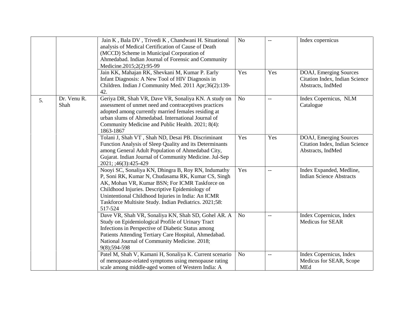|                           | Jain K, Bala DV, Trivedi K, Chandwani H. Situational<br>analysis of Medical Certification of Cause of Death<br>(MCCD) Scheme in Municipal Corporation of<br>Ahmedabad. Indian Journal of Forensic and Community<br>Medicine.2015;2(2):95-99                                                                                               | N <sub>o</sub> | $\overline{a}$           | Index copernicus                                                              |
|---------------------------|-------------------------------------------------------------------------------------------------------------------------------------------------------------------------------------------------------------------------------------------------------------------------------------------------------------------------------------------|----------------|--------------------------|-------------------------------------------------------------------------------|
|                           | Jain KK, Mahajan RK, Shevkani M, Kumar P. Early<br>Infant Diagnosis: A New Tool of HIV Diagnosis in<br>Children. Indian J Community Med. 2011 Apr;36(2):139-<br>42.                                                                                                                                                                       | Yes            | Yes                      | DOAJ, Emerging Sources<br>Citation Index, Indian Science<br>Abstracts, IndMed |
| Dr. Venu R.<br>5.<br>Shah | Geriya DR, Shah VR, Dave VR, Sonaliya KN. A study on<br>assessment of unmet need and contraceptives practices<br>adopted among currently married females residing at<br>urban slums of Ahmedabad. International Journal of<br>Community Medicine and Public Health. 2021; 8(4):<br>1863-1867                                              | N <sub>o</sub> | $\overline{\phantom{a}}$ | Index Copernicus, NLM<br>Catalogue                                            |
|                           | Tolani J, Shah VT, Shah ND, Desai PB. Discriminant<br>Function Analysis of Sleep Quality and its Determinants<br>among General Adult Population of Ahmedabad City,<br>Gujarat. Indian Journal of Community Medicine. Jul-Sep<br>2021; ;46(3):425-429                                                                                      | Yes            | Yes                      | DOAJ, Emerging Sources<br>Citation Index, Indian Science<br>Abstracts, IndMed |
|                           | Nooyi SC, Sonaliya KN, Dhingra B, Roy RN, Indumathy<br>P, Soni RK, Kumar N, Chudasama RK, Kumar CS, Singh<br>AK, Mohan VR, Kumar BSN; For ICMR Taskforce on<br>Childhood Injuries. Descriptive Epidemiology of<br>Unintentional Childhood Injuries in India: An ICMR<br>Taskforce Multisite Study. Indian Pediatrics. 2021;58:<br>517-524 | Yes            | $-$                      | Index Expanded, Medline,<br><b>Indian Science Abstracts</b>                   |
|                           | Dave VR, Shah VR, Sonaliya KN, Shah SD, Gohel AR. A<br>Study on Epidemiological Profile of Urinary Tract<br>Infections in Perspective of Diabetic Status among<br>Patients Attending Tertiary Care Hospital, Ahmedabad.<br>National Journal of Community Medicine. 2018;<br>9(8);594-598                                                  | No             | $-$                      | Index Copernicus, Index<br>Medicus for SEAR                                   |
|                           | Patel M, Shah V, Kamani H, Sonaliya K. Current scenario<br>of menopause-related symptoms using menopause rating<br>scale among middle-aged women of Western India: A                                                                                                                                                                      | No             | $\overline{\phantom{m}}$ | Index Copernicus, Index<br>Medicus for SEAR, Scope<br><b>MEd</b>              |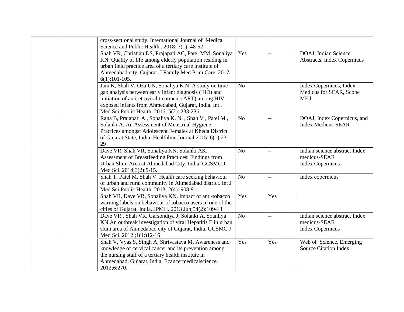| cross-sectional study. International Journal of Medical<br>Science and Public Health . 2018; 7(1): 48-52.                                                                                                                                                                         |                |                          |                                                                          |
|-----------------------------------------------------------------------------------------------------------------------------------------------------------------------------------------------------------------------------------------------------------------------------------|----------------|--------------------------|--------------------------------------------------------------------------|
| Shah VR, Christian DS, Prajapati AC, Patel MM, Sonaliya<br>KN. Quality of life among elderly population residing in<br>urban field practice area of a tertiary care institute of<br>Ahmedabad city, Gujarat. J Family Med Prim Care. 2017;<br>$6(1):101-105.$                     | Yes            | $\perp$ $\perp$          | DOAJ, Indian Science<br>Abstracts, Index Copernicus                      |
| Jain K, Shah V, Oza UN, Sonaliya K N. A study on time<br>gap analysis between early infant diagnosis (EID) and<br>initiation of antiretroviral treatment (ART) among HIV-<br>exposed infants from Ahmedabad, Gujarat, India. Int J<br>Med Sci Public Health. 2016; 5(2): 233-236. | N <sub>o</sub> | --                       | Index Copernicus, Index<br>Medicus for SEAR, Scope<br><b>MEd</b>         |
| Rana B, Prajapati A, Sonaliya K. N., Shah V, Patel M,<br>Solanki A. An Assessment of Menstrual Hygiene<br>Practices amongst Adolescent Females at Kheda District<br>of Gujarat State, India. Healthline Journal 2015; 6(1):23-<br>29                                              | N <sub>o</sub> | $\overline{\phantom{m}}$ | DOAJ, Index Copernicus, and<br><b>Index Medicus-SEAR</b>                 |
| Dave VR, Shah VR, Sonaliya KN, Solanki AK.<br>Assessment of Breastfeeding Practices: Findings from<br>Urban Slum Area at Ahmedabad City, India. GCSMC J<br>Med Sci. 2014;3(2):9-15.                                                                                               | <b>No</b>      | $\overline{\phantom{m}}$ | Indian science abstract Index<br>medicus-SEAR<br><b>Index Copernicus</b> |
| Shah T, Patel M, Shah V. Health care seeking behaviour<br>of urban and rural community in Ahmedabad district. Int J<br>Med Sci Public Health. 2013; 2(4): 908-911                                                                                                                 | N <sub>o</sub> | $\overline{\phantom{m}}$ | Index copernicus                                                         |
| Shah VR, Dave VR, Sonaliya KN. Impact of anti-tobacco<br>warning labels on behaviour of tobacco users in one of the<br>cities of Gujarat, India. JPMH. 2013 Jun;54(2):109-13.                                                                                                     | Yes            | Yes                      |                                                                          |
| Dave VR, Shah VR, Garsondiya J, Solanki A, Soanliya<br>KN. An outbreak investigation of viral Hepatitis E in urban<br>slum area of Ahmedabad city of Gujarat, India. GCSMC J<br>Med Sci. 2012.;1(1:)12-16                                                                         | No             | $\overline{\phantom{m}}$ | Indian science abstract Index<br>medicus-SEAR<br><b>Index Copernicus</b> |
| Shah V, Vyas S, Singh A, Shrivastava M. Awareness and<br>knowledge of cervical cancer and its prevention among<br>the nursing staff of a tertiary health institute in<br>Ahmedabad, Gujarat, India. Ecancermedicalscience.<br>2012;6:270.                                         | Yes            | Yes                      | Web of Science, Emerging<br><b>Source Citation Index</b>                 |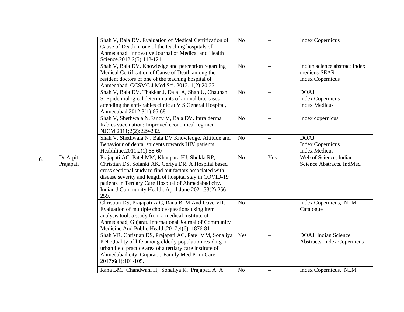|    |           | Shah V, Bala DV. Evaluation of Medical Certification of<br>Cause of Death in one of the teaching hospitals of | N <sub>o</sub> | $-$                      | <b>Index Copernicus</b>       |
|----|-----------|---------------------------------------------------------------------------------------------------------------|----------------|--------------------------|-------------------------------|
|    |           | Ahmedabad. Innovative Journal of Medical and Health                                                           |                |                          |                               |
|    |           | Science.2012;2(5):118-121                                                                                     |                |                          |                               |
|    |           | Shah V, Bala DV. Knowledge and perception regarding                                                           | No             | $\overline{\phantom{a}}$ | Indian science abstract Index |
|    |           | Medical Certification of Cause of Death among the                                                             |                |                          | medicus-SEAR                  |
|    |           | resident doctors of one of the teaching hospital of                                                           |                |                          | <b>Index Copernicus</b>       |
|    |           | Ahmedabad. GCSMC J Med Sci. 2012.;1(2):20-23                                                                  |                |                          |                               |
|    |           | Shah V, Bala DV, Thakkar J, Dalal A, Shah U, Chauhan                                                          | N <sub>o</sub> | $\overline{\phantom{a}}$ | <b>DOAJ</b>                   |
|    |           | S. Epidemiological determinants of animal bite cases                                                          |                |                          | <b>Index Copernicus</b>       |
|    |           | attending the anti-rabies clinic at V S General Hospital,                                                     |                |                          | <b>Index Medicus</b>          |
|    |           | Ahmedabad.2012;3(1):66-68                                                                                     |                |                          |                               |
|    |           | Shah V, Shethwala N, Fancy M, Bala DV. Intra dermal                                                           | N <sub>o</sub> | $\overline{\phantom{a}}$ | Index copernicus              |
|    |           | Rabies vaccination: Improved economical regimen.                                                              |                |                          |                               |
|    |           | NJCM.2011;2(2):229-232.                                                                                       |                |                          |                               |
|    |           | Shah V, Shethwala N, Bala DV Knowledge, Attitude and                                                          | N <sub>o</sub> | $\overline{\phantom{m}}$ | <b>DOAJ</b>                   |
|    |           | Behaviour of dental students towards HIV patients.                                                            |                |                          | <b>Index Copernicus</b>       |
|    |           | Healthline.2011;2(1):58-60                                                                                    |                |                          | <b>Index Medicus</b>          |
| 6. | Dr Arpit  | Prajapati AC, Patel MM, Khanpara HJ, Shukla RP,                                                               | N <sub>o</sub> | Yes                      | Web of Science, Indian        |
|    | Prajapati | Christian DS, Solanki AK, Geriya DR. A Hospital based                                                         |                |                          | Science Abstracts, IndMed     |
|    |           | cross sectional study to find out factors associated with                                                     |                |                          |                               |
|    |           | disease severity and length of hospital stay in COVID-19                                                      |                |                          |                               |
|    |           | patients in Tertiary Care Hospital of Ahmedabad city.                                                         |                |                          |                               |
|    |           | Indian J Community Health. April-June 2021;33(2):256-<br>259.                                                 |                |                          |                               |
|    |           | Christian DS, Prajapati A C, Rana B M And Dave VR.                                                            | N <sub>o</sub> | $-\, -$                  | Index Copernicus, NLM         |
|    |           | Evaluation of multiple choice questions using item                                                            |                |                          | Catalogue                     |
|    |           | analysis tool: a study from a medical institute of                                                            |                |                          |                               |
|    |           | Ahmedabad, Gujarat. International Journal of Community                                                        |                |                          |                               |
|    |           | Medicine And Public Health.2017;4(6): 1876-81                                                                 |                |                          |                               |
|    |           | Shah VR, Christian DS, Prajapati AC, Patel MM, Sonaliya                                                       | Yes            | $\overline{\phantom{a}}$ | DOAJ, Indian Science          |
|    |           | KN. Quality of life among elderly population residing in                                                      |                |                          | Abstracts, Index Copernicus   |
|    |           | urban field practice area of a tertiary care institute of                                                     |                |                          |                               |
|    |           | Ahmedabad city, Gujarat. J Family Med Prim Care.                                                              |                |                          |                               |
|    |           | $2017;6(1):101-105.$                                                                                          |                |                          |                               |
|    |           | Rana BM, Chandwani H, Sonaliya K, Prajapati A. A                                                              | No             | $-$                      | Index Copernicus, NLM         |
|    |           |                                                                                                               |                |                          |                               |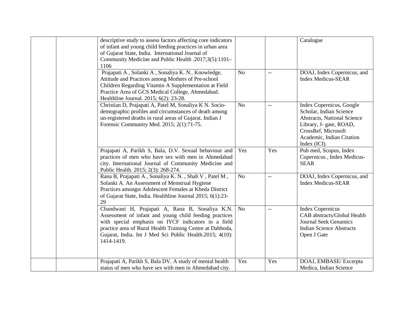| descriptive study to assess factors affecting core indicators<br>of infant and young child feeding practices in urban area<br>of Gujarat State, India. International Journal of<br>Community Medicine and Public Health .2017;3(5):1101-<br>1106                                                        |                |                          | Catalogue                                                                                                                                                                                |
|---------------------------------------------------------------------------------------------------------------------------------------------------------------------------------------------------------------------------------------------------------------------------------------------------------|----------------|--------------------------|------------------------------------------------------------------------------------------------------------------------------------------------------------------------------------------|
| Prajapati A, Solanki A, Sonaliya K. N Knowledge,<br>Attitude and Practices among Mothers of Pre-school<br>Children Regarding Vitamin A Supplementation at Field<br>Practice Area of GCS Medical College, Ahmedabad.<br>Healthline Journal. 2015; 6(2): 23-28.                                           | N <sub>o</sub> | $\overline{a}$           | DOAJ, Index Copernicus, and<br><b>Index Medicus-SEAR</b>                                                                                                                                 |
| Christian D, Prajapati A, Patel M, Sonaliya K N. Socio-<br>demographic profiles and circumstances of death among<br>un-registered deaths in rural areas of Gujarat. Indian J<br>Forensic Community Med. 2015; 2(1):71-75.                                                                               | N <sub>o</sub> | $-$                      | Index Copernicus, Google<br>Scholar, Indian Science<br><b>Abstracts, National Science</b><br>Library, J- gate, ROAD,<br>CrossRef, Microsoft<br>Academic, Indian Citation<br>Index (ICI). |
| Prajapati A, Parikh S, Bala, D.V. Sexual behaviour and<br>practices of men who have sex with men in Ahmedabad<br>city. International Journal of Community Medicine and<br>Public Health. 2015; 2(3): 268-274.                                                                                           | Yes            | Yes                      | Pub med, Scopus, Index<br>Copernicus, Index Medicus-<br><b>SEAR</b>                                                                                                                      |
| Rana B, Prajapati A, Sonaliya K. N., Shah V, Patel M,<br>Solanki A. An Assessment of Menstrual Hygiene<br>Practices amongst Adolescent Females at Kheda District<br>of Gujarat State, India. Healthline Journal 2015; 6(1):23-<br>29                                                                    | N <sub>o</sub> | $\overline{\phantom{a}}$ | DOAJ, Index Copernicus, and<br><b>Index Medicus-SEAR</b>                                                                                                                                 |
| Chandwani H, Prajapati A, Rana B, Sonaliya K.N.<br>Assessment of infant and young child feeding practices<br>with special emphasis on IYCF indicators in a field<br>practice area of Rural Health Training Centre at Dabhoda,<br>Gujarat, India. Int J Med Sci Public Health.2015; 4(10):<br>1414-1419. | N <sub>o</sub> | $-$                      | <b>Index Copernicus</b><br>CAB abstracts/Global Health<br><b>Journal Seek Genamics</b><br><b>Indian Science Abstracts</b><br>Open J Gate                                                 |
| Prajapati A, Parikh S, Bala DV. A study of mental health<br>status of men who have sex with men in Ahmedabad city.                                                                                                                                                                                      | Yes            | Yes                      | DOAJ, EMBASE/Excerpta<br>Medica, Indian Science                                                                                                                                          |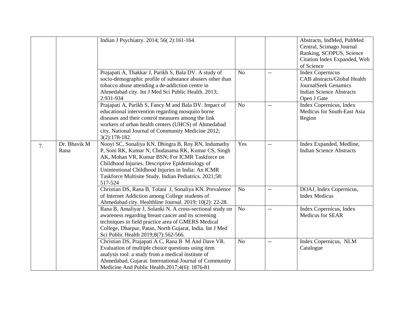|    |                      | Indian J Psychiatry. 2014; 56(2):161-164.                                                                                                                                                                                                                                                                                                 |                |                          | Abstracts, IndMed, PubMed<br>Central, Scimago Journal<br>Ranking, SCOPUS, Science<br>Citation Index Expanded, Web<br>of Science  |
|----|----------------------|-------------------------------------------------------------------------------------------------------------------------------------------------------------------------------------------------------------------------------------------------------------------------------------------------------------------------------------------|----------------|--------------------------|----------------------------------------------------------------------------------------------------------------------------------|
|    |                      | Prajapati A, Thakkar J, Parikh S, Bala DV. A study of<br>socio-demographic profile of substance abusers other than<br>tobacco abuse attending a de-addiction centre in<br>Ahmedabad city. Int J Med Sci Public Health. 2013;<br>2:931-934                                                                                                 | N <sub>o</sub> | $\overline{\phantom{m}}$ | <b>Index Copernicus</b><br>CAB abstracts/Global Health<br>JournalSeek Genamics<br><b>Indian Science Abstracts</b><br>Open J Gate |
|    |                      | Prajapati A, Parikh S, Fancy M and Bala DV. Impact of<br>educational intervention regarding mosquito borne<br>diseases and their control measures among the link<br>workers of urban health centers (UHCS) of Ahmedabad<br>city. National Journal of Community Medicine 2012;<br>$3(2):178-182.$                                          | N <sub>o</sub> | $\qquad \qquad -$        | Index Copernicus, Index<br>Medicus for South-East Asia<br>Region                                                                 |
| 7. | Dr. Bhavik M<br>Rana | Nooyi SC, Sonaliya KN, Dhingra B, Roy RN, Indumathy<br>P, Soni RK, Kumar N, Chudasama RK, Kumar CS, Singh<br>AK, Mohan VR, Kumar BSN; For ICMR Taskforce on<br>Childhood Injuries. Descriptive Epidemiology of<br>Unintentional Childhood Injuries in India: An ICMR<br>Taskforce Multisite Study. Indian Pediatrics. 2021;58:<br>517-524 | Yes            | $\overline{\phantom{m}}$ | Index Expanded, Medline,<br><b>Indian Science Abstracts</b>                                                                      |
|    |                      | Christian DS, Rana B, Tolani J, Sonaliya KN. Prevalence<br>of Internet Addiction among College students of<br>Ahmedabad city. Healthline Journal. 2019; 10(2): 22-28.                                                                                                                                                                     | N <sub>o</sub> | $\overline{\phantom{a}}$ | DOAJ, Index Copernicus,<br><b>Index Medicus</b>                                                                                  |
|    |                      | Rana B, Amaliyar J, Solanki N. A cross-sectional study on<br>awareness regarding breast cancer and its screening<br>techniques in field practice area of GMERS Medical<br>College, Dharpur, Patan, North Gujarat, India. Int J Med<br>Sci Public Health 2019;8(7):562-566.                                                                | No             | $\overline{\phantom{m}}$ | Index Copernicus, Index<br>Medicus for SEAR                                                                                      |
|    |                      | Christian DS, Prajapati A C, Rana B M And Dave VR.<br>Evaluation of multiple choice questions using item<br>analysis tool: a study from a medical institute of<br>Ahmedabad, Gujarat. International Journal of Community<br>Medicine And Public Health.2017;4(6): 1876-81                                                                 | N <sub>o</sub> | $\overline{\phantom{m}}$ | Index Copernicus, NLM<br>Catalogue                                                                                               |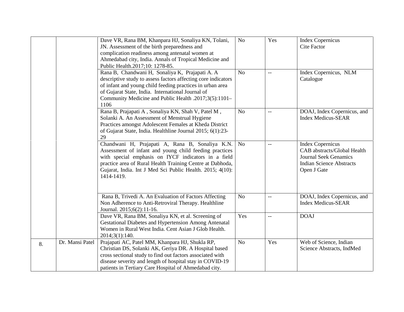|    |                 | Dave VR, Rana BM, Khanpara HJ, Sonaliya KN, Tolani,           | N <sub>o</sub> | Yes                      | <b>Index Copernicus</b>         |
|----|-----------------|---------------------------------------------------------------|----------------|--------------------------|---------------------------------|
|    |                 | JN. Assessment of the birth preparedness and                  |                |                          | <b>Cite Factor</b>              |
|    |                 | complication readiness among antenatal women at               |                |                          |                                 |
|    |                 | Ahmedabad city, India. Annals of Tropical Medicine and        |                |                          |                                 |
|    |                 | Public Health.2017;10: 1278-85.                               |                |                          |                                 |
|    |                 | Rana B, Chandwani H, Sonaliya K, Prajapati A. A               | N <sub>o</sub> | $\overline{\phantom{m}}$ | Index Copernicus, NLM           |
|    |                 | descriptive study to assess factors affecting core indicators |                |                          | Catalogue                       |
|    |                 | of infant and young child feeding practices in urban area     |                |                          |                                 |
|    |                 | of Gujarat State, India. International Journal of             |                |                          |                                 |
|    |                 | Community Medicine and Public Health .2017;3(5):1101-         |                |                          |                                 |
|    |                 | 1106                                                          |                |                          |                                 |
|    |                 | Rana B, Prajapati A, Sonaliya KN, Shah V, Patel M,            | N <sub>o</sub> |                          | DOAJ, Index Copernicus, and     |
|    |                 | Solanki A. An Assessment of Menstrual Hygiene                 |                |                          | <b>Index Medicus-SEAR</b>       |
|    |                 | Practices amongst Adolescent Females at Kheda District        |                |                          |                                 |
|    |                 | of Gujarat State, India. Healthline Journal 2015; 6(1):23-    |                |                          |                                 |
|    |                 | 29                                                            |                |                          |                                 |
|    |                 | Chandwani H, Prajapati A, Rana B, Sonaliya K.N.               | N <sub>o</sub> | $-$                      | <b>Index Copernicus</b>         |
|    |                 | Assessment of infant and young child feeding practices        |                |                          | CAB abstracts/Global Health     |
|    |                 | with special emphasis on IYCF indicators in a field           |                |                          | <b>Journal Seek Genamics</b>    |
|    |                 | practice area of Rural Health Training Centre at Dabhoda,     |                |                          | <b>Indian Science Abstracts</b> |
|    |                 | Gujarat, India. Int J Med Sci Public Health. 2015; 4(10):     |                |                          | Open J Gate                     |
|    |                 | 1414-1419.                                                    |                |                          |                                 |
|    |                 |                                                               |                |                          |                                 |
|    |                 | Rana B, Trivedi A. An Evaluation of Factors Affecting         | N <sub>o</sub> |                          | DOAJ, Index Copernicus, and     |
|    |                 | Non Adherence to Anti-Retroviral Therapy. Healthline          |                |                          | <b>Index Medicus-SEAR</b>       |
|    |                 | Journal. 2015;6(2):11-16.                                     |                |                          |                                 |
|    |                 | Dave VR, Rana BM, Sonaliya KN, et al. Screening of            | Yes            | $- -$                    | <b>DOAJ</b>                     |
|    |                 | Gestational Diabetes and Hypertension Among Antenatal         |                |                          |                                 |
|    |                 | Women in Rural West India. Cent Asian J Glob Health.          |                |                          |                                 |
|    |                 | 2014;3(1):140.                                                |                |                          |                                 |
|    | Dr. Mansi Patel | Prajapati AC, Patel MM, Khanpara HJ, Shukla RP,               | No             | Yes                      | Web of Science, Indian          |
| 8. |                 | Christian DS, Solanki AK, Geriya DR. A Hospital based         |                |                          | Science Abstracts, IndMed       |
|    |                 | cross sectional study to find out factors associated with     |                |                          |                                 |
|    |                 | disease severity and length of hospital stay in COVID-19      |                |                          |                                 |
|    |                 | patients in Tertiary Care Hospital of Ahmedabad city.         |                |                          |                                 |
|    |                 |                                                               |                |                          |                                 |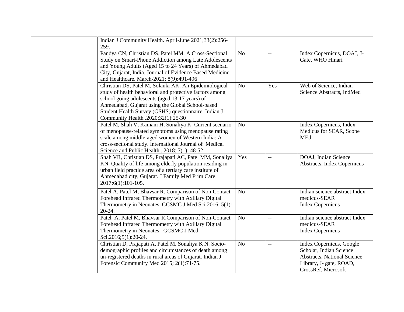| Indian J Community Health. April-June 2021;33(2):256-<br>259.                                                                                                                                                                                                                                                        |                |       |                                                                                                                                      |
|----------------------------------------------------------------------------------------------------------------------------------------------------------------------------------------------------------------------------------------------------------------------------------------------------------------------|----------------|-------|--------------------------------------------------------------------------------------------------------------------------------------|
| Pandya CN, Christian DS, Patel MM. A Cross-Sectional<br>Study on Smart-Phone Addiction among Late Adolescents<br>and Young Adults (Aged 15 to 24 Years) of Ahmedabad<br>City, Gujarat, India. Journal of Evidence Based Medicine<br>and Healthcare. March-2021; 8(9):491-496                                         | No             | $-$   | Index Copernicus, DOAJ, J-<br>Gate, WHO Hinari                                                                                       |
| Christian DS, Patel M, Solanki AK. An Epidemiological<br>study of health behavioral and protective factors among<br>school going adolescents (aged 13-17 years) of<br>Ahmedabad, Gujarat using the Global School-based<br>Student Health Survey (GSHS) questionnaire. Indian J<br>Community Health .2020;32(1):25-30 | N <sub>o</sub> | Yes   | Web of Science, Indian<br>Science Abstracts, IndMed                                                                                  |
| Patel M, Shah V, Kamani H, Sonaliya K. Current scenario<br>of menopause-related symptoms using menopause rating<br>scale among middle-aged women of Western India: A<br>cross-sectional study. International Journal of Medical<br>Science and Public Health . 2018; 7(1): 48-52.                                    | N <sub>o</sub> | $-$   | Index Copernicus, Index<br>Medicus for SEAR, Scope<br><b>MEd</b>                                                                     |
| Shah VR, Christian DS, Prajapati AC, Patel MM, Sonaliya<br>KN. Quality of life among elderly population residing in<br>urban field practice area of a tertiary care institute of<br>Ahmedabad city, Gujarat. J Family Med Prim Care.<br>2017;6(1):101-105.                                                           | Yes            |       | DOAJ, Indian Science<br>Abstracts, Index Copernicus                                                                                  |
| Patel A, Patel M, Bhavsar R. Comparison of Non-Contact<br>Forehead Infrared Thermometry with Axillary Digital<br>Thermometry in Neonates. GCSMC J Med Sci 2016; 5(1):<br>20-24.                                                                                                                                      | N <sub>o</sub> |       | Indian science abstract Index<br>medicus-SEAR<br><b>Index Copernicus</b>                                                             |
| Patel A, Patel M, Bhavsar R.Comparison of Non-Contact<br>Forehead Infrared Thermometry with Axillary Digital<br>Thermometry in Neonates. GCSMC J Med<br>Sci.2016;5(1):20-24.                                                                                                                                         | N <sub>o</sub> | $- -$ | Indian science abstract Index<br>medicus-SEAR<br><b>Index Copernicus</b>                                                             |
| Christian D, Prajapati A, Patel M, Sonaliya K N. Socio-<br>demographic profiles and circumstances of death among<br>un-registered deaths in rural areas of Gujarat. Indian J<br>Forensic Community Med 2015; 2(1):71-75.                                                                                             | N <sub>o</sub> |       | Index Copernicus, Google<br>Scholar, Indian Science<br>Abstracts, National Science<br>Library, J- gate, ROAD,<br>CrossRef, Microsoft |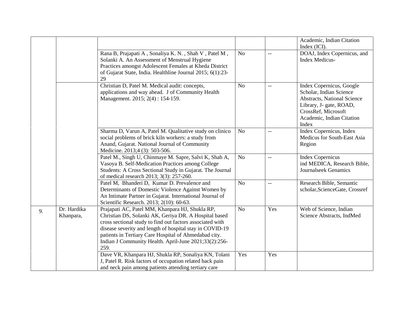|    |                          |                                                                                                                                                                                                                                                                                                                                                             |                |                | Academic, Indian Citation<br>Index (ICI).                                                                                                                                         |
|----|--------------------------|-------------------------------------------------------------------------------------------------------------------------------------------------------------------------------------------------------------------------------------------------------------------------------------------------------------------------------------------------------------|----------------|----------------|-----------------------------------------------------------------------------------------------------------------------------------------------------------------------------------|
|    |                          | Rana B, Prajapati A, Sonaliya K. N., Shah V, Patel M,<br>Solanki A. An Assessment of Menstrual Hygiene<br>Practices amongst Adolescent Females at Kheda District<br>of Gujarat State, India. Healthline Journal 2015; 6(1):23-<br>29                                                                                                                        | N <sub>o</sub> | $\overline{a}$ | DOAJ, Index Copernicus, and<br><b>Index Medicus-</b>                                                                                                                              |
|    |                          | Christian D, Patel M. Medical audit: concepts,<br>applications and way ahead. J of Community Health<br>Management. 2015; 2(4): 154-159.                                                                                                                                                                                                                     | N <sub>o</sub> | $-$            | Index Copernicus, Google<br>Scholar, Indian Science<br><b>Abstracts, National Science</b><br>Library, J- gate, ROAD,<br>CrossRef, Microsoft<br>Academic, Indian Citation<br>Index |
|    |                          | Sharma D, Varun A, Patel M. Qualitative study on clinico<br>social problems of brick kiln workers: a study from<br>Anand, Gujarat. National Journal of Community<br>Medicine. 2013;4 (3): 503-506.                                                                                                                                                          | N <sub>o</sub> | $-$            | Index Copernicus, Index<br>Medicus for South-East Asia<br>Region                                                                                                                  |
|    |                          | Patel M., Singh U, Chinmaye M. Sapre, Salvi K, Shah A,<br>Vasoya B. Self-Medication Practices among College<br>Students: A Cross Sectional Study in Gujarat. The Journal<br>of medical research 2013; 3(3): 257-260.                                                                                                                                        | N <sub>o</sub> | $-$            | <b>Index Copernicus</b><br>ind MEDICA, Research Bible,<br>Journalseek Genamics                                                                                                    |
|    |                          | Patel M, Bhanderi D, Kumar D. Prevalence and<br>Determinants of Domestic Violence Against Women by<br>An Intimate Partner in Gujarat. International Journal of<br>Scientific Research. 2013; 2(10): 60-63.                                                                                                                                                  | N <sub>o</sub> | $-$            | Research Bible, Semantic<br>scholar, ScienceGate, Crossref                                                                                                                        |
| 9. | Dr. Hardika<br>Khanpara, | Prajapati AC, Patel MM, Khanpara HJ, Shukla RP,<br>Christian DS, Solanki AK, Geriya DR. A Hospital based<br>cross sectional study to find out factors associated with<br>disease severity and length of hospital stay in COVID-19<br>patients in Tertiary Care Hospital of Ahmedabad city.<br>Indian J Community Health. April-June 2021;33(2):256-<br>259. | N <sub>o</sub> | Yes            | Web of Science, Indian<br>Science Abstracts, IndMed                                                                                                                               |
|    |                          | Dave VR, Khanpara HJ, Shukla RP, Sonaliya KN, Tolani<br>J, Patel R. Risk factors of occupation related back pain<br>and neck pain among patients attending tertiary care                                                                                                                                                                                    | Yes            | Yes            |                                                                                                                                                                                   |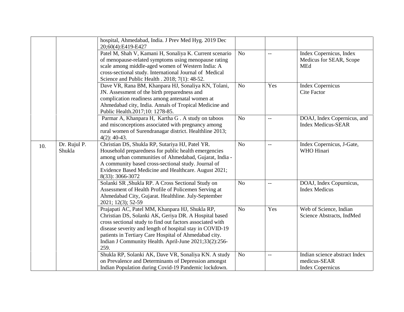|     |                        | hospital, Ahmedabad, India. J Prev Med Hyg. 2019 Dec<br>20;60(4):E419-E427                                                                                                                                                                                                                                                                                  |                |                          |                                                                          |
|-----|------------------------|-------------------------------------------------------------------------------------------------------------------------------------------------------------------------------------------------------------------------------------------------------------------------------------------------------------------------------------------------------------|----------------|--------------------------|--------------------------------------------------------------------------|
|     |                        | Patel M, Shah V, Kamani H, Sonaliya K. Current scenario<br>of menopause-related symptoms using menopause rating<br>scale among middle-aged women of Western India: A<br>cross-sectional study. International Journal of Medical<br>Science and Public Health . 2018; 7(1): 48-52.                                                                           | N <sub>o</sub> | $\overline{\phantom{m}}$ | Index Copernicus, Index<br>Medicus for SEAR, Scope<br><b>MEd</b>         |
|     |                        | Dave VR, Rana BM, Khanpara HJ, Sonaliya KN, Tolani,<br>JN. Assessment of the birth preparedness and<br>complication readiness among antenatal women at<br>Ahmedabad city, India. Annals of Tropical Medicine and<br>Public Health.2017;10: 1278-85.                                                                                                         | N <sub>o</sub> | Yes                      | <b>Index Copernicus</b><br><b>Cite Factor</b>                            |
|     |                        | Parmar A, Khanpara H, Kartha G. A study on taboos<br>and misconceptions associated with pregnancy among<br>rural women of Surendranagar district. Healthline 2013;<br>$4(2): 40-43.$                                                                                                                                                                        | N <sub>o</sub> | $-$                      | DOAJ, Index Copernicus, and<br><b>Index Medicus-SEAR</b>                 |
| 10. | Dr. Rujul P.<br>Shukla | Christian DS, Shukla RP, Sutariya HJ, Patel YR.<br>Household preparedness for public health emergencies<br>among urban communities of Ahmedabad, Gujarat, India -<br>A community based cross-sectional study. Journal of<br>Evidence Based Medicine and Healthcare. August 2021;<br>8(33): 3066-3072                                                        | N <sub>o</sub> | $\overline{\phantom{m}}$ | Index Copernicus, J-Gate,<br>WHO Hinari                                  |
|     |                        | Solanki SR, Shukla RP. A Cross Sectional Study on<br>Assessment of Health Profile of Policemen Serving at<br>Ahmedabad City, Gujarat. Healthline. July-September<br>2021; 12(3); 52-59                                                                                                                                                                      | N <sub>o</sub> | $- -$                    | DOAJ, Index Copurnicus,<br><b>Index Medicus</b>                          |
|     |                        | Prajapati AC, Patel MM, Khanpara HJ, Shukla RP,<br>Christian DS, Solanki AK, Geriya DR. A Hospital based<br>cross sectional study to find out factors associated with<br>disease severity and length of hospital stay in COVID-19<br>patients in Tertiary Care Hospital of Ahmedabad city.<br>Indian J Community Health. April-June 2021;33(2):256-<br>259. | N <sub>o</sub> | Yes                      | Web of Science, Indian<br>Science Abstracts, IndMed                      |
|     |                        | Shukla RP, Solanki AK, Dave VR, Sonaliya KN. A study<br>on Prevalence and Determinants of Depression amongst<br>Indian Population during Covid-19 Pandemic lockdown.                                                                                                                                                                                        | N <sub>o</sub> | $-$                      | Indian science abstract Index<br>medicus-SEAR<br><b>Index Copernicus</b> |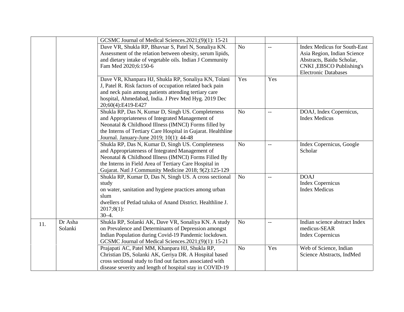|     |                    | GCSMC Journal of Medical Sciences.2021;(9)(1): 15-21                                                                                                                                                                                                                            |                |     |                                                                                                                                                             |
|-----|--------------------|---------------------------------------------------------------------------------------------------------------------------------------------------------------------------------------------------------------------------------------------------------------------------------|----------------|-----|-------------------------------------------------------------------------------------------------------------------------------------------------------------|
|     |                    | Dave VR, Shukla RP, Bhavsar S, Patel N, Sonaliya KN.<br>Assessment of the relation between obesity, serum lipids,<br>and dietary intake of vegetable oils. Indian J Community<br>Fam Med 2020;6:150-6                                                                           | N <sub>o</sub> | $-$ | <b>Index Medicus for South-East</b><br>Asia Region, Indian Science<br>Abstracts, Baidu Scholar,<br>CNKI , EBSCO Publishing's<br><b>Electronic Databases</b> |
|     |                    | Dave VR, Khanpara HJ, Shukla RP, Sonaliya KN, Tolani<br>J, Patel R. Risk factors of occupation related back pain<br>and neck pain among patients attending tertiary care<br>hospital, Ahmedabad, India. J Prev Med Hyg. 2019 Dec<br>20;60(4):E419-E427                          | Yes            | Yes |                                                                                                                                                             |
|     |                    | Shukla RP, Das N, Kumar D, Singh US. Completeness<br>and Appropriateness of Integrated Management of<br>Neonatal & Childhood Illness (IMNCI) Forms filled by<br>the Interns of Tertiary Care Hospital in Gujarat. Healthline<br>Journal. January-June 2019; 10(1): 44-48        | N <sub>o</sub> | $-$ | DOAJ, Index Copernicus,<br><b>Index Medicus</b>                                                                                                             |
|     |                    | Shukla RP, Das N, Kumar D, Singh US. Completeness<br>and Appropriateness of Integrated Management of<br>Neonatal & Childhood Illness (IMNCI) Forms Filled By<br>the Interns in Field Area of Tertiary Care Hospital in<br>Gujarat. Natl J Community Medicine 2018; 9(2):125-129 | N <sub>o</sub> | $-$ | Index Copernicus, Google<br>Scholar                                                                                                                         |
|     |                    | Shukla RP, Kumar D, Das N, Singh US. A cross sectional<br>study<br>on water, sanitation and hygiene practices among urban<br>slum<br>dwellers of Petlad taluka of Anand District. Healthline J.<br>$2017;8(1)$ :<br>$30 - 4$ .                                                  | N <sub>o</sub> | $-$ | <b>DOAJ</b><br><b>Index Copernicus</b><br><b>Index Medicus</b>                                                                                              |
| 11. | Dr Asha<br>Solanki | Shukla RP, Solanki AK, Dave VR, Sonaliya KN. A study<br>on Prevalence and Determinants of Depression amongst<br>Indian Population during Covid-19 Pandemic lockdown.<br>GCSMC Journal of Medical Sciences.2021;(9)(1): 15-21                                                    | No             | $-$ | Indian science abstract Index<br>medicus-SEAR<br><b>Index Copernicus</b>                                                                                    |
|     |                    | Prajapati AC, Patel MM, Khanpara HJ, Shukla RP,<br>Christian DS, Solanki AK, Geriya DR. A Hospital based<br>cross sectional study to find out factors associated with<br>disease severity and length of hospital stay in COVID-19                                               | N <sub>o</sub> | Yes | Web of Science, Indian<br>Science Abstracts, IndMed                                                                                                         |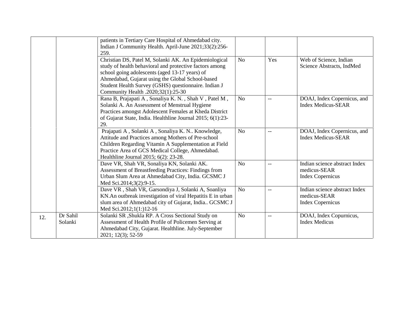|     |                     | patients in Tertiary Care Hospital of Ahmedabad city.<br>Indian J Community Health. April-June 2021;33(2):256-<br>259.                                                                                                                                                                                               |                |                          |                                                                          |
|-----|---------------------|----------------------------------------------------------------------------------------------------------------------------------------------------------------------------------------------------------------------------------------------------------------------------------------------------------------------|----------------|--------------------------|--------------------------------------------------------------------------|
|     |                     | Christian DS, Patel M, Solanki AK. An Epidemiological<br>study of health behavioral and protective factors among<br>school going adolescents (aged 13-17 years) of<br>Ahmedabad, Gujarat using the Global School-based<br>Student Health Survey (GSHS) questionnaire. Indian J<br>Community Health .2020;32(1):25-30 | N <sub>o</sub> | Yes                      | Web of Science, Indian<br>Science Abstracts, IndMed                      |
|     |                     | Rana B, Prajapati A, Sonaliya K. N., Shah V, Patel M,<br>Solanki A. An Assessment of Menstrual Hygiene<br>Practices amongst Adolescent Females at Kheda District<br>of Gujarat State, India. Healthline Journal 2015; 6(1):23-<br>29.                                                                                | N <sub>o</sub> | $- -$                    | DOAJ, Index Copernicus, and<br><b>Index Medicus-SEAR</b>                 |
|     |                     | Prajapati A, Solanki A, Sonaliya K. N Knowledge,<br>Attitude and Practices among Mothers of Pre-school<br>Children Regarding Vitamin A Supplementation at Field<br>Practice Area of GCS Medical College, Ahmedabad.<br>Healthline Journal 2015; 6(2): 23-28.                                                         | N <sub>o</sub> | $\overline{\phantom{m}}$ | DOAJ, Index Copernicus, and<br><b>Index Medicus-SEAR</b>                 |
|     |                     | Dave VR, Shah VR, Sonaliya KN, Solanki AK.<br>Assessment of Breastfeeding Practices: Findings from<br>Urban Slum Area at Ahmedabad City, India. GCSMC J<br>Med Sci.2014;3(2):9-15.                                                                                                                                   | N <sub>o</sub> | $\overline{\phantom{m}}$ | Indian science abstract Index<br>medicus-SEAR<br><b>Index Copernicus</b> |
|     |                     | Dave VR, Shah VR, Garsondiya J, Solanki A, Soanliya<br>KN.An outbreak investigation of viral Hepatitis E in urban<br>slum area of Ahmedabad city of Gujarat, India GCSMC J<br>Med Sci.2012;1(1:)12-16                                                                                                                | No             | $- -$                    | Indian science abstract Index<br>medicus-SEAR<br><b>Index Copernicus</b> |
| 12. | Dr Sahil<br>Solanki | Solanki SR ,Shukla RP. A Cross Sectional Study on<br>Assessment of Health Profile of Policemen Serving at<br>Ahmedabad City, Gujarat. Healthline. July-September<br>2021; 12(3); 52-59                                                                                                                               | N <sub>o</sub> | $\qquad \qquad -$        | DOAJ, Index Copurnicus,<br><b>Index Medicus</b>                          |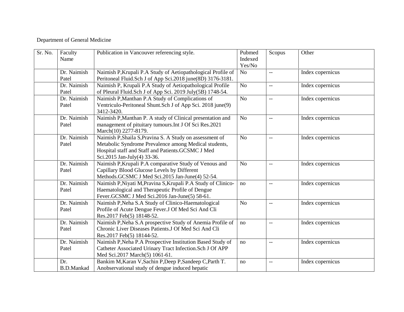## Department of General Medicine

| Sr. No. | Faculty<br>Name          | Publication in Vancouver referencing style.                                                                                                                                                           | Pubmed<br>Indexed<br>Yes/No | Scopus                   | Other            |
|---------|--------------------------|-------------------------------------------------------------------------------------------------------------------------------------------------------------------------------------------------------|-----------------------------|--------------------------|------------------|
|         | Dr. Naimish<br>Patel     | Naimish P, Krupali P.A Study of Aetiopathological Profile of<br>Peritoneal Fluid.Sch J of App Sci.2018 june(8D) 3176-3181.                                                                            | No                          | $-$                      | Index copernicus |
|         | Dr. Naimish<br>Patel     | Naimish P, Krupali P.A Study of Aetiopathological Profile<br>of Pleural Fluid.Sch J of App Sci. 2019 July(5B) 1748-54.                                                                                | N <sub>o</sub>              | $-$                      | Index copernicus |
|         | Dr. Naimish<br>Patel     | Naimish P, Manthan P.A Study of Complications of<br>Ventriculo-Peritoneal Shunt.Sch J of App Sci. 2018 june(9)<br>3412-3420.                                                                          | N <sub>o</sub>              | $\overline{\phantom{a}}$ | Index copernicus |
|         | Dr. Naimish<br>Patel     | Naimish P, Manthan P. A study of Clinical presentation and<br>management of pituitary tumours. Int J Of Sci Res. 2021<br>March(10) 2277-8179.                                                         | N <sub>o</sub>              | $\overline{\phantom{m}}$ | Index copernicus |
|         | Dr. Naimish<br>Patel     | Naimish P, Shaila S, Pravina S. A Study on assessment of<br>Metabolic Syndrome Prevalence among Medical students,<br>Hospital staff and Staff and Patients.GCSMC J Med<br>Sci.2015 Jan-July(4) 33-36. | N <sub>o</sub>              | $-$                      | Index copernicus |
|         | Dr. Naimish<br>Patel     | Naimish P, Krupali P.A comparative Study of Venous and<br>Capillary Blood Glucose Levels by Different<br>Methods.GCSMC J Med Sci.2015 Jan-June(4) 52-54.                                              | N <sub>o</sub>              | $-$                      | Index copernicus |
|         | Dr. Naimish<br>Patel     | Naimish P, Niyati M, Pravina S, Krupali P.A Study of Clinico-<br>Haematological and Therapeutic Profile of Dengue<br>Fever.GCSMC J Med Sci.2016 Jan-June(5) 58-61.                                    | no                          | $-$                      | Index copernicus |
|         | Dr. Naimish<br>Patel     | Naimish P, Neha S.A Study of Clinico-Haematological<br>Profile of Acute Dengue Fever.J Of Med Sci And Cli<br>Res.2017 Feb(5) 18148-52.                                                                | N <sub>o</sub>              | $\overline{\phantom{m}}$ | Index copernicus |
|         | Dr. Naimish<br>Patel     | Naimish P, Neha S.A prospective Study of Anemia Profile of<br>Chronic Liver Diseases Patients.J Of Med Sci And Cli<br>Res.2017 Feb(5) 18144-52.                                                       | no                          | $-\, -$                  | Index copernicus |
|         | Dr. Naimish<br>Patel     | Naimish P, Neha P.A Prospective Institution Based Study of<br>Catheter Associated Urinary Tract Infection.Sch J Of APP<br>Med Sci.2017 March(5) 1061-61.                                              | no                          | $-$                      | Index copernicus |
|         | Dr.<br><b>B.D.Mankad</b> | Bankim M, Karan V, Sachin P, Deep P, Sandeep C, Parth T.<br>Anobservational study of dengue induced hepatic                                                                                           | no                          | $\overline{\phantom{m}}$ | Index copernicus |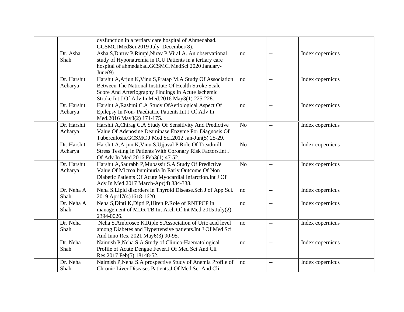|             | dysfunction in a tertiary care hospital of Ahmedabad.        |                |                          |                  |
|-------------|--------------------------------------------------------------|----------------|--------------------------|------------------|
|             | GCSMCJMedSci.2019 July-December(8).                          |                |                          |                  |
| Dr. Asha    | Asha S, Dhruv P, Rimpi, Nirav P, Viral A. An observational   | no             | $-\, -$                  | Index copernicus |
| Shah        | study of Hyponatremia in ICU Patients in a tertiary care     |                |                          |                  |
|             | hospital of ahmedabad.GCSMCJMedSci.2020 January-             |                |                          |                  |
|             | June $(9)$ .                                                 |                |                          |                  |
| Dr. Harshit | Harshit A, Arjun K, Vinu S, Pratap M.A Study Of Association  | no             | $-$                      | Index copernicus |
| Acharya     | Between The National Institute Of Health Stroke Scale        |                |                          |                  |
|             | Score And Arteriography Findings In Acute Ischemic           |                |                          |                  |
|             | Stroke.Int J Of Adv In Med.2016 May3(1) 225-228.             |                |                          |                  |
| Dr. Harshit | Harshit A, Rashmi C.A Study Of Aetiological Aspect Of        | no             | $-$                      | Index copernicus |
| Acharya     | Epilepsy In Non-Paediatric Patients. Int J Of Adv In         |                |                          |                  |
|             | Med.2016 May3(2) 171-175.                                    |                |                          |                  |
| Dr. Harshit | Harshit A, Chirag C.A Study Of Sensitivity And Predictive    | N <sub>o</sub> | $-$                      | Index copernicus |
| Acharya     | Value Of Adenosine Deaminase Enzyme For Diagnosis Of         |                |                          |                  |
|             | Tuberculosis.GCSMC J Med Sci.2012 Jan-Jun(5) 25-29.          |                |                          |                  |
| Dr. Harshit | Harshit A, Arjun K, Vinu S, Ujjaval P. Role Of Treadmill     | N <sub>o</sub> | $-\, -$                  | Index copernicus |
| Acharya     | Stress Testing In Patients With Coronary Risk Factors. Int J |                |                          |                  |
|             | Of Adv In Med.2016 Feb3(1) 47-52.                            |                |                          |                  |
| Dr. Harshit | Harshit A, Saurabh P, Mubassir S.A Study Of Predictive       | N <sub>o</sub> | $-$                      | Index copernicus |
| Acharya     | Value Of Microalbuminuria In Early Outcome Of Non            |                |                          |                  |
|             | Diabetic Patients Of Acute Myocardial Infarction.Int J Of    |                |                          |                  |
|             | Adv In Med.2017 March-Apr(4) 334-338.                        |                |                          |                  |
| Dr. Neha A  | Neha S.Lipid disorders in Thyroid Disease. Sch J of App Sci. | no             | $-$                      | Index copernicus |
| Shah        | 2019 April7(4)1618-1620.                                     |                |                          |                  |
| Dr. Neha A  | Neha S, Dipti K, Dipti P, Hiren P. Role of RNTPCP in         | no             | $-$                      | Index copernicus |
| Shah        | management of MDR TB.Int Arch Of Int Med.2015 July(2)        |                |                          |                  |
|             | 2394-0026.                                                   |                |                          |                  |
| Dr. Neha    | Neha S, Ambrosee K, Riple S. Association of Uric acid level  | no             | $- -$                    | Index copernicus |
| Shah        | among Diabetes and Hypertensive patients. Int J Of Med Sci   |                |                          |                  |
|             | And Inno Res. 2021 May6(3) 90-95.                            |                |                          |                  |
| Dr. Neha    | Naimish P, Neha S.A Study of Clinico-Haematological          | no             | $\overline{\phantom{a}}$ | Index copernicus |
| Shah        | Profile of Acute Dengue Fever.J Of Med Sci And Cli           |                |                          |                  |
|             | Res.2017 Feb(5) 18148-52.                                    |                |                          |                  |
| Dr. Neha    | Naimish P, Neha S.A prospective Study of Anemia Profile of   | no             | $-$                      | Index copernicus |
| Shah        | Chronic Liver Diseases Patients. J Of Med Sci And Cli        |                |                          |                  |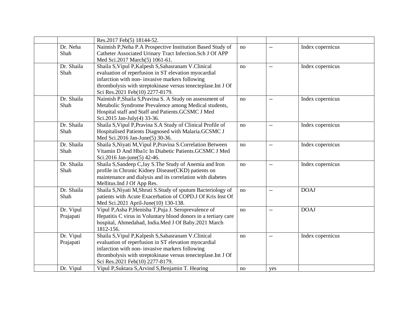|            | Res.2017 Feb(5) 18144-52.                                                               |    |                          |                  |
|------------|-----------------------------------------------------------------------------------------|----|--------------------------|------------------|
| Dr. Neha   | Naimish P, Neha P.A Prospective Institution Based Study of                              | no | $\overline{\phantom{m}}$ | Index copernicus |
| Shah       | Catheter Associated Urinary Tract Infection. Sch J Of APP                               |    |                          |                  |
|            | Med Sci.2017 March(5) 1061-61.                                                          |    |                          |                  |
| Dr. Shaila | Shaila S, Vipul P, Kalpesh S, Sahasranam V. Clinical                                    | no | $\overline{\phantom{m}}$ | Index copernicus |
| Shah       | evaluation of reperfusion in ST elevation myocardial                                    |    |                          |                  |
|            | infarction with non- invasive markers following                                         |    |                          |                  |
|            | thrombolysis with streptokinase versus tenecteplase.Int J Of                            |    |                          |                  |
|            | Sci Res.2021 Feb(10) 2277-8179.                                                         |    |                          |                  |
| Dr. Shaila | Naimish P, Shaila S, Pravina S. A Study on assessment of                                | no | $-$                      | Index copernicus |
| Shah       | Metabolic Syndrome Prevalence among Medical students,                                   |    |                          |                  |
|            | Hospital staff and Staff and Patients.GCSMC J Med                                       |    |                          |                  |
|            | Sci.2015 Jan-July(4) 33-36.                                                             |    |                          |                  |
| Dr. Shaila | Shaila S, Vipul P, Pravina S.A Study of Clinical Profile of                             | no | $-\, -$                  | Index copernicus |
| Shah       | Hospitalised Patients Diagnosed with Malaria.GCSMC J                                    |    |                          |                  |
|            | Med Sci.2016 Jan-June(5) 30-36.                                                         |    |                          |                  |
| Dr. Shaila | Shaila S, Niyati M, Vipul P, Pravina S. Correlation Between                             | no | $\overline{\phantom{m}}$ | Index copernicus |
| Shah       | Vitamin D And Hba1c In Diabetic Patients.GCSMC J Med                                    |    |                          |                  |
| Dr. Shaila | Sci.2016 Jan-june(5) 42-46.<br>Shaila S, Sandeep C, Jay S. The Study of Anemia and Iron |    |                          |                  |
| Shah       | profile in Chronic Kidney Disease(CKD) patients on                                      | no | $-$                      | Index copernicus |
|            | maintenance and dialysis and its correlation with diabetes                              |    |                          |                  |
|            | Mellitus.Ind J Of App Res.                                                              |    |                          |                  |
| Dr. Shaila | Shaila S, Niyati M, Shruti S. Study of sputum Bacteriology of                           | no | $-$                      | <b>DOAJ</b>      |
| Shah       | patients with Acute Exacerbation of COPD.J Of Kris Inst Of                              |    |                          |                  |
|            | Med Sci.2021 April-June(10) 130-138.                                                    |    |                          |                  |
| Dr. Vipul  | Vipul P, Asha P, Henisha T, Puja J. Seroprevalence of                                   | no | $\overline{\phantom{m}}$ | <b>DOAJ</b>      |
| Prajapati  | Hepatitis C virus in Voluntary blood donors in a tertiary care                          |    |                          |                  |
|            | hospital, Ahmedabad, India.Med J Of Baby.2021 March                                     |    |                          |                  |
|            | 1812-156.                                                                               |    |                          |                  |
| Dr. Vipul  | Shaila S, Vipul P, Kalpesh S, Sahasranam V. Clinical                                    | no | $\overline{\phantom{a}}$ | Index copernicus |
| Prajapati  | evaluation of reperfusion in ST elevation myocardial                                    |    |                          |                  |
|            | infarction with non- invasive markers following                                         |    |                          |                  |
|            | thrombolysis with streptokinase versus tenecteplase.Int J Of                            |    |                          |                  |
|            | Sci Res.2021 Feb(10) 2277-8179.                                                         |    |                          |                  |
| Dr. Vipul  | Vipul P, Suktara S, Arvind S, Benjamin T. Hearing                                       | no | yes                      |                  |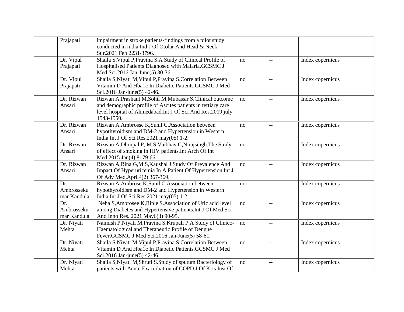| Prajapati                        | impairment in stroke patients-findings from a pilot study<br>conducted in india.Ind J Of Otolar And Head & Neck<br>Sur.2021 Feb 2231-3796.                                                               |    |                          |                  |
|----------------------------------|----------------------------------------------------------------------------------------------------------------------------------------------------------------------------------------------------------|----|--------------------------|------------------|
| Dr. Vipul<br>Prajapati           | Shaila S, Vipul P, Pravina S.A Study of Clinical Profile of<br>Hospitalised Patients Diagnosed with Malaria.GCSMC J<br>Med Sci.2016 Jan-June(5) 30-36.                                                   | no | $-$                      | Index copernicus |
| Dr. Vipul<br>Prajapati           | Shaila S, Niyati M, Vipul P, Pravina S. Correlation Between<br>Vitamin D And Hba1c In Diabetic Patients.GCSMC J Med<br>Sci.2016 Jan-june(5) 42-46.                                                       | no | $\overline{\phantom{a}}$ | Index copernicus |
| Dr. Rizwan<br>Ansari             | Rizwan A, Prashant M, Sohil M, Mubassir S. Clinical outcome<br>and demographic profile of Ascites patients in tertiary care<br>level hospital of Ahmedabad.Int J Of Sci And Res.2019 july.<br>1543-1550. | no | $-$                      | Index copernicus |
| Dr. Rizwan<br>Ansari             | Rizwan A, Ambrosse K, Sunil C. Association between<br>hypothyroidism and DM-2 and Hypertension in Western<br>India.Int J Of Sci Res.2021 may(05) 1-2.                                                    | no | $-$                      | Index copernicus |
| Dr. Rizwan<br>Ansari             | Rizwan A, Dhrupal P, M S, Vaibhav C, Nirajsingh. The Study<br>of effect of smoking in HIV patients. Int Arch Of Int<br>Med.2015 Jan(4) 8179-66.                                                          | no | $-\, -$                  | Index copernicus |
| Dr. Rizwan<br>Ansari             | Rizwan A, Rina G, M S, Kaushal J. Study Of Prevalence And<br>Impact Of Hyperuricemia In A Patient Of Hypertension. Int J<br>Of Adv Med.April4(2) 367-369.                                                | no | $\overline{\phantom{a}}$ | Index copernicus |
| Dr.<br>Ambrosseku<br>mar Kandula | Rizwan A, Ambrose K, Sunil C. Association between<br>hypothyroidism and DM-2 and Hypertension in Western<br>India.Int J Of Sci Res.2021 may(05) 1-2.                                                     | no | $\overline{\phantom{a}}$ | Index copernicus |
| Dr.<br>Ambrosseku<br>mar Kandula | Neha S, Ambrosee K, Riple S. Association of Uric acid level<br>among Diabetes and Hypertensive patients. Int J Of Med Sci<br>And Inno Res. 2021 May6(3) 90-95.                                           | no | $-$                      | Index copernicus |
| Dr. Niyati<br>Mehta              | Naimish P, Niyati M, Pravina S, Krupali P.A Study of Clinico-<br>Haematological and Therapeutic Profile of Dengue<br>Fever.GCSMC J Med Sci.2016 Jan-June(5) 58-61.                                       | no | $-$                      | Index copernicus |
| Dr. Niyati<br>Mehta              | Shaila S, Niyati M, Vipul P, Pravina S. Correlation Between<br>Vitamin D And Hba1c In Diabetic Patients.GCSMC J Med<br>Sci.2016 Jan-june(5) 42-46.                                                       | no | $-$                      | Index copernicus |
| Dr. Niyati<br>Mehta              | Shaila S, Niyati M, Shruti S. Study of sputum Bacteriology of<br>patients with Acute Exacerbation of COPD.J Of Kris Inst Of                                                                              | no | --                       | Index copernicus |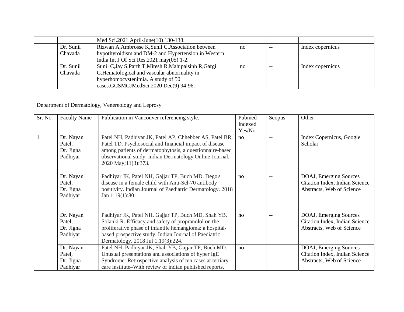|           | Med Sci.2021 April-June(10) 130-138.                    |    |       |                  |
|-----------|---------------------------------------------------------|----|-------|------------------|
| Dr. Sunil | Rizwan A, Ambrosse K, Sunil C. Association between      | no | $- -$ | Index copernicus |
| Chavada   | hypothyroidism and DM-2 and Hypertension in Western     |    |       |                  |
|           | India.Int J Of Sci Res. $2021$ may $(05)$ 1-2.          |    |       |                  |
| Dr. Sunil | Sunil C, Jay S, Parth T, Mitesh R, Mahipalsinh R, Gargi | no | $- -$ | Index copernicus |
| Chavada   | G. Hematological and vascular abnormality in            |    |       |                  |
|           | hyperhomocystenimia. A study of 50                      |    |       |                  |
|           | cases.GCSMCJMedSci.2020 Dec(9) 94-96.                   |    |       |                  |

## Department of Dermatology, Venereology and Leprosy

| Sr. No. | <b>Faculty Name</b>                          | Publication in Vancouver referencing style.                                                                                                                                                                                                                            | Pubmed<br>Indexed<br>Yes/No | Scopus | Other                                                                                 |
|---------|----------------------------------------------|------------------------------------------------------------------------------------------------------------------------------------------------------------------------------------------------------------------------------------------------------------------------|-----------------------------|--------|---------------------------------------------------------------------------------------|
|         | Dr. Nayan<br>Patel,<br>Dr. Jigna<br>Padhiyar | Patel NH, Padhiyar JK, Patel AP, Chhebber AS, Patel BR,<br>Patel TD. Psychosocial and financial impact of disease<br>among patients of dermatophytosis, a questionnaire-based<br>observational study. Indian Dermatology Online Journal.<br>2020 May; 11(3): 373.      | no                          |        | Index Copernicus, Google<br>Scholar                                                   |
|         | Dr. Nayan<br>Patel,<br>Dr. Jigna<br>Padhiyar | Padhiyar JK, Patel NH, Gajjar TP, Buch MD. Dego's<br>disease in a female child with Anti-Scl-70 antibody<br>positivity. Indian Journal of Paediatric Dermatology. 2018<br>Jan $1;19(1):80.$                                                                            | no                          |        | DOAJ, Emerging Sources<br>Citation Index, Indian Science<br>Abstracts, Web of Science |
|         | Dr. Nayan<br>Patel,<br>Dr. Jigna<br>Padhiyar | Padhiyar JK, Patel NH, Gajjar TP, Buch MD, Shah YB,<br>Solanki R. Efficacy and safety of propranolol on the<br>proliferative phase of infantile hemangioma: a hospital-<br>based prospective study. Indian Journal of Paediatric<br>Dermatology. 2018 Jul 1;19(3):224. | no                          |        | DOAJ, Emerging Sources<br>Citation Index, Indian Science<br>Abstracts, Web of Science |
|         | Dr. Nayan<br>Patel,<br>Dr. Jigna<br>Padhiyar | Patel NH, Padhiyar JK, Shah YB, Gajjar TP, Buch MD.<br>Unusual presentations and associations of hyper IgE<br>Syndrome: Retrospective analysis of ten cases at tertiary<br>care institute–With review of indian published reports.                                     | no                          |        | DOAJ, Emerging Sources<br>Citation Index, Indian Science<br>Abstracts, Web of Science |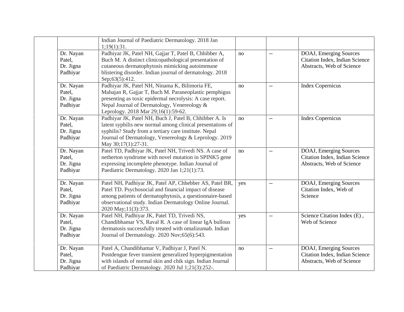|                                              | Indian Journal of Paediatric Dermatology. 2018 Jan<br>1;19(1):31.                                                                                                                                                                                                 |     |                |                                                                                       |
|----------------------------------------------|-------------------------------------------------------------------------------------------------------------------------------------------------------------------------------------------------------------------------------------------------------------------|-----|----------------|---------------------------------------------------------------------------------------|
| Dr. Nayan<br>Patel,<br>Dr. Jigna<br>Padhiyar | Padhiyar JK, Patel NH, Gajjar T, Patel B, Chhibber A,<br>Buch M. A distinct clinicopathological presentation of<br>cutaneous dermatophytosis mimicking autoimmune<br>blistering disorder. Indian journal of dermatology. 2018<br>Sep;63(5):412.                   | no  | $\overline{a}$ | DOAJ, Emerging Sources<br>Citation Index, Indian Science<br>Abstracts, Web of Science |
| Dr. Nayan<br>Patel,<br>Dr. Jigna<br>Padhiyar | Padhiyar JK, Patel NH, Ninama K, Bilimoria FE,<br>Mahajan R, Gajjar T, Buch M. Paraneoplastic pemphigus<br>presenting as toxic epidermal necrolysis: A case report.<br>Nepal Journal of Dermatology, Venereology &<br>Leprology. 2018 Mar 29;16(1):59-62.         | no  | $-$            | <b>Index Copernicus</b>                                                               |
| Dr. Nayan<br>Patel,<br>Dr. Jigna<br>Padhiyar | Padhiyar JK, Patel NH, Buch J, Patel B, Chhibber A. Is<br>latent syphilis new normal among clinical presentations of<br>syphilis? Study from a tertiary care institute. Nepal<br>Journal of Dermatology, Venereology & Leprology. 2019<br>May 30;17(1):27-31.     | no  | $-$            | <b>Index Copernicus</b>                                                               |
| Dr. Nayan<br>Patel,<br>Dr. Jigna<br>Padhiyar | Patel TD, Padhiyar JK, Patel NH, Trivedi NS. A case of<br>netherton syndrome with novel mutation in SPINK5 gene<br>expressing incomplete phenotype. Indian Journal of<br>Paediatric Dermatology. 2020 Jan 1;21(1):73.                                             | no  | $-$            | DOAJ, Emerging Sources<br>Citation Index, Indian Science<br>Abstracts, Web of Science |
| Dr. Nayan<br>Patel,<br>Dr. Jigna<br>Padhiyar | Patel NH, Padhiyar JK, Patel AP, Chhebber AS, Patel BR,<br>Patel TD. Psychosocial and financial impact of disease<br>among patients of dermatophytosis, a questionnaire-based<br>observational study. Indian Dermatology Online Journal.<br>2020 May; 11(3): 373. | yes | $-$            | DOAJ, Emerging Sources<br>Citation Index, Web of<br>Science                           |
| Dr. Nayan<br>Patel,<br>Dr. Jigna<br>Padhiyar | Patel NH, Padhiyar JK, Patel TD, Trivedi NS,<br>Chandibhamar VS, Raval R. A case of linear IgA bullous<br>dermatosis successfully treated with omalizumab. Indian<br>Journal of Dermatology. 2020 Nov;65(6):543.                                                  | yes | $-$            | Science Citation Index (E),<br>Web of Science                                         |
| Dr. Nayan<br>Patel,<br>Dr. Jigna<br>Padhiyar | Patel A, Chandibhamar V, Padhiyar J, Patel N.<br>Postdengue fever transient generalized hyperpigmentation<br>with islands of normal skin and chik sign. Indian Journal<br>of Paediatric Dermatology. 2020 Jul 1;21(3):252-.                                       | no  | $-$            | DOAJ, Emerging Sources<br>Citation Index, Indian Science<br>Abstracts, Web of Science |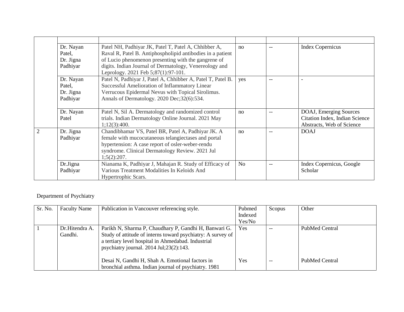| Dr. Nayan<br>Patel,   | Patel NH, Padhiyar JK, Patel T, Patel A, Chhibber A,<br>Raval R, Patel B. Antiphospholipid antibodies in a patient | no             |     | <b>Index Copernicus</b>        |
|-----------------------|--------------------------------------------------------------------------------------------------------------------|----------------|-----|--------------------------------|
| Dr. Jigna             | of Lucio phenomenon presenting with the gangrene of                                                                |                |     |                                |
| Padhiyar              | digits. Indian Journal of Dermatology, Venereology and                                                             |                |     |                                |
|                       | Leprology. 2021 Feb 5;87(1):97-101.                                                                                |                |     |                                |
| Dr. Nayan             | Patel N, Padhiyar J, Patel A, Chhibber A, Patel T, Patel B.                                                        | yes            | --  | $\blacksquare$                 |
| Patel,                | Successful Amelioration of Inflammatory Linear                                                                     |                |     |                                |
| Dr. Jigna             | Verrucous Epidermal Nevus with Topical Sirolimus.                                                                  |                |     |                                |
| Padhiyar              | Annals of Dermatology. 2020 Dec;32(6):534.                                                                         |                |     |                                |
| Dr. Nayan             | Patel N, Sil A. Dermatology and randomized control                                                                 | no             | $-$ | DOAJ, Emerging Sources         |
| Patel                 | trials. Indian Dermatology Online Journal. 2021 May                                                                |                |     | Citation Index, Indian Science |
|                       | 1;12(3):400.                                                                                                       |                |     | Abstracts, Web of Science      |
| Dr. Jigna<br>Padhiyar | Chandibhamar VS, Patel BR, Patel A, Padhiyar JK. A<br>female with mucocutaneous telangiectases and portal          | no             |     | <b>DOAJ</b>                    |
|                       | hypertension: A case report of osler-weber-rendu                                                                   |                |     |                                |
|                       | syndrome. Clinical Dermatology Review. 2021 Jul                                                                    |                |     |                                |
|                       | 1;5(2):207.                                                                                                        |                |     |                                |
| Dr.Jigna              | Nianama K, Padhiyar J, Mahajan R. Study of Efficacy of                                                             | N <sub>o</sub> | $-$ | Index Copernicus, Google       |
| Padhiyar              | Various Treatment Modalities In Keloids And                                                                        |                |     | Scholar                        |
|                       | Hypertrophic Scars.                                                                                                |                |     |                                |

# Department of Psychiatry

| Sr. No. | <b>Faculty Name</b>       | Publication in Vancouver referencing style.                                                                                                                                                                                        | Pubmed<br>Indexed<br>Yes/No | Scopus | Other          |
|---------|---------------------------|------------------------------------------------------------------------------------------------------------------------------------------------------------------------------------------------------------------------------------|-----------------------------|--------|----------------|
|         | Dr.Hitendra A.<br>Gandhi. | Parikh N, Sharma P, Chaudhary P, Gandhi H, Banwari G.<br>Study of attitude of interns toward psychiatry: A survey of<br>a tertiary level hospital in Ahmedabad. Industrial<br>psychiatry journal. $2014 \text{ Jul}; 23(2): 143$ . | Yes.                        | $- -$  | PubMed Central |
|         |                           | Desai N, Gandhi H, Shah A. Emotional factors in<br>bronchial asthma. Indian journal of psychiatry. 1981                                                                                                                            | <b>Yes</b>                  | $- -$  | PubMed Central |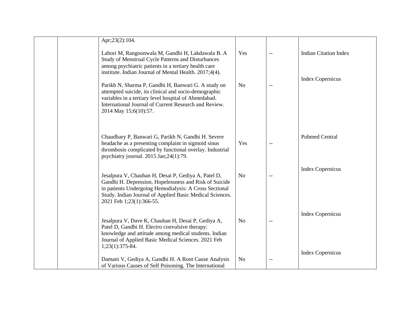| Apr;23(2):104.                                                                                                                                                                                                                                                  |                |     |                                                         |
|-----------------------------------------------------------------------------------------------------------------------------------------------------------------------------------------------------------------------------------------------------------------|----------------|-----|---------------------------------------------------------|
| Lahori M, Rangoonwala M, Gandhi H, Lakdawala B. A<br>Study of Menstrual Cycle Patterns and Disturbances<br>among psychiatric patients in a tertiary health care<br>institute. Indian Journal of Mental Health. 2017;4(4).                                       | Yes            | $-$ | <b>Indian Citation Index</b><br><b>Index Copernicus</b> |
| Parikh N, Sharma P, Gandhi H, Banwari G. A study on<br>attempted suicide, its clinical and socio-demographic<br>variables in a tertiary level hospital of Ahmedabad.<br>International Journal of Current Research and Review.<br>2014 May 15;6(10):57.          | N <sub>0</sub> | $-$ |                                                         |
| Chaudhary P, Banwari G, Parikh N, Gandhi H. Severe<br>headache as a presenting complaint in sigmoid sinus<br>thrombosis complicated by functional overlay. Industrial<br>psychiatry journal. 2015 Jan;24(1):79.                                                 | Yes<br>$-$     |     | <b>Pubmed Central</b>                                   |
| Jesalpura V, Chauhan H, Desai P, Gediya A, Patel D,<br>Gandhi H. Depression, Hopelessness and Risk of Suicide<br>in patients Undergoing Hemodialysis: A Cross Sectional<br>Study. Indian Journal of Applied Basic Medical Sciences.<br>2021 Feb 1;23(1):366-55. | No             | $-$ | <b>Index Copernicus</b>                                 |
| Jesalpura V, Dave K, Chauhan H, Desai P, Gediya A,<br>Patel D, Gandhi H. Electro convulsive therapy:<br>knowledge and attitude among medical students. Indian<br>Journal of Applied Basic Medical Sciences. 2021 Feb<br>1;23(1):375-84.                         | N <sub>0</sub> | $-$ | <b>Index Copernicus</b><br><b>Index Copernicus</b>      |
| Damani V, Gediya A, Gandhi H. A Root Cause Analysis<br>of Various Causes of Self Poisoning. The International                                                                                                                                                   | N <sub>0</sub> | $-$ |                                                         |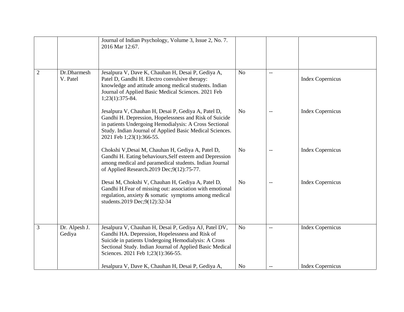|                |                         | Journal of Indian Psychology, Volume 3, Issue 2, No. 7.<br>2016 Mar 12:67.                                                                                                                                                                                         |                |                          |                         |
|----------------|-------------------------|--------------------------------------------------------------------------------------------------------------------------------------------------------------------------------------------------------------------------------------------------------------------|----------------|--------------------------|-------------------------|
| $\overline{2}$ | Dr.Dharmesh<br>V. Patel | Jesalpura V, Dave K, Chauhan H, Desai P, Gediya A,<br>Patel D, Gandhi H. Electro convulsive therapy:<br>knowledge and attitude among medical students. Indian<br>Journal of Applied Basic Medical Sciences. 2021 Feb<br>$1;23(1):375-84.$                          | N <sub>o</sub> |                          | <b>Index Copernicus</b> |
|                |                         | Jesalpura V, Chauhan H, Desai P, Gediya A, Patel D,<br>Gandhi H. Depression, Hopelessness and Risk of Suicide<br>in patients Undergoing Hemodialysis: A Cross Sectional<br>Study. Indian Journal of Applied Basic Medical Sciences.<br>2021 Feb 1;23(1):366-55.    | N <sub>o</sub> | $\sim$                   | <b>Index Copernicus</b> |
|                |                         | Chokshi V, Desai M, Chauhan H, Gediya A, Patel D,<br>Gandhi H. Eating behaviours, Self esteem and Depression<br>among medical and paramedical students. Indian Journal<br>of Applied Research.2019 Dec;9(12):75-77.                                                | N <sub>o</sub> |                          | <b>Index Copernicus</b> |
|                |                         | Desai M, Chokshi V, Chauhan H, Gediya A, Patel D,<br>Gandhi H.Fear of missing out: association with emotional<br>regulation, anxiety & somatic symptoms among medical<br>students.2019 Dec;9(12):32-34                                                             | N <sub>o</sub> |                          | <b>Index Copernicus</b> |
| 3              | Dr. Alpesh J.<br>Gediya | Jesalpura V, Chauhan H, Desai P, Gediya AJ, Patel DV,<br>Gandhi HA. Depression, Hopelessness and Risk of<br>Suicide in patients Undergoing Hemodialysis: A Cross<br>Sectional Study. Indian Journal of Applied Basic Medical<br>Sciences. 2021 Feb 1;23(1):366-55. | N <sub>o</sub> | $\overline{\phantom{a}}$ | <b>Index Copernicus</b> |
|                |                         | Jesalpura V, Dave K, Chauhan H, Desai P, Gediya A,                                                                                                                                                                                                                 | N <sub>0</sub> |                          | <b>Index Copernicus</b> |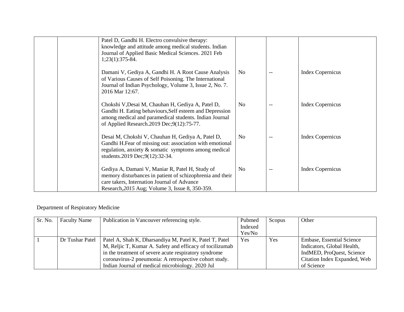| Patel D, Gandhi H. Electro convulsive therapy:<br>knowledge and attitude among medical students. Indian<br>Journal of Applied Basic Medical Sciences. 2021 Feb<br>$1;23(1):375-84.$                                 |                |                         |
|---------------------------------------------------------------------------------------------------------------------------------------------------------------------------------------------------------------------|----------------|-------------------------|
| Damani V, Gediya A, Gandhi H. A Root Cause Analysis<br>of Various Causes of Self Poisoning. The International<br>Journal of Indian Psychology, Volume 3, Issue 2, No. 7.<br>2016 Mar 12:67.                         | No.            | <b>Index Copernicus</b> |
| Chokshi V, Desai M, Chauhan H, Gediya A, Patel D,<br>Gandhi H. Eating behaviours, Self esteem and Depression<br>among medical and paramedical students. Indian Journal<br>of Applied Research.2019 Dec;9(12):75-77. | N <sub>0</sub> | <b>Index Copernicus</b> |
| Desai M, Chokshi V, Chauhan H, Gediya A, Patel D,<br>Gandhi H.Fear of missing out: association with emotional<br>regulation, anxiety $\&$ somatic symptoms among medical<br>students.2019 Dec;9(12):32-34.          | No.            | <b>Index Copernicus</b> |
| Gediya A, Damani V, Maniar R, Patel H, Study of<br>memory disturbances in patient of schizophrenia and their<br>care takers, Internation Journal of Advance<br>Research, 2015 Aug; Volume 3, Issue 8, 350-359.      | N <sub>0</sub> | <b>Index Copernicus</b> |

#### Department of Respiratory Medicine

| Sr. No. | <b>Faculty Name</b> | Publication in Vancouver referencing style.              | Pubmed  | Scopus | Other                            |
|---------|---------------------|----------------------------------------------------------|---------|--------|----------------------------------|
|         |                     |                                                          | Indexed |        |                                  |
|         |                     |                                                          | Yes/No  |        |                                  |
|         | Dr Tushar Patel     | Patel A, Shah K, Dharsandiya M, Patel K, Patel T, Patel  | Yes     | Yes    | <b>Embase, Essential Science</b> |
|         |                     | M, Reljic T, Kumar A. Safety and efficacy of tocilizumab |         |        | Indicators, Global Health,       |
|         |                     | in the treatment of severe acute respiratory syndrome    |         |        | IndMED, ProQuest, Science        |
|         |                     | coronavirus-2 pneumonia: A retrospective cohort study.   |         |        | Citation Index Expanded, Web     |
|         |                     | Indian Journal of medical microbiology. 2020 Jul         |         |        | of Science                       |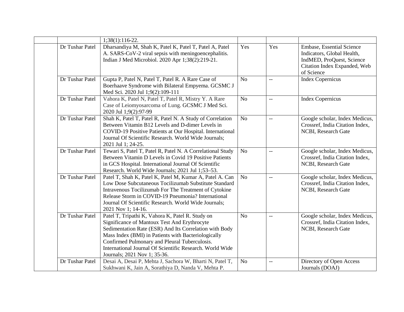|                 | 1;38(1):116-22.                                                                                                                                                                                                                                                                                                                                                |                |                          |                                                                                                                                    |
|-----------------|----------------------------------------------------------------------------------------------------------------------------------------------------------------------------------------------------------------------------------------------------------------------------------------------------------------------------------------------------------------|----------------|--------------------------|------------------------------------------------------------------------------------------------------------------------------------|
| Dr Tushar Patel | Dharsandiya M, Shah K, Patel K, Patel T, Patel A, Patel<br>A. SARS-CoV-2 viral sepsis with meningoencephalitis.<br>Indian J Med Microbiol. 2020 Apr 1;38(2):219-21.                                                                                                                                                                                            | Yes            | Yes                      | Embase, Essential Science<br>Indicators, Global Health,<br>IndMED, ProQuest, Science<br>Citation Index Expanded, Web<br>of Science |
| Dr Tushar Patel | Gupta P, Patel N, Patel T, Patel R. A Rare Case of<br>Boerhaave Syndrome with Bilateral Empyema. GCSMC J<br>Med Sci. 2020 Jul 1;9(2):109-111                                                                                                                                                                                                                   | N <sub>o</sub> | $\overline{a}$           | <b>Index Copernicus</b>                                                                                                            |
| Dr Tushar Patel | Vahora K, Patel N, Patel T, Patel R, Mistry Y. A Rare<br>Case of Leiomyosarcoma of Lung. GCSMC J Med Sci.<br>2020 Jul 1;9(2):97-99                                                                                                                                                                                                                             | No             | $\overline{\phantom{m}}$ | <b>Index Copernicus</b>                                                                                                            |
| Dr Tushar Patel | Shah K, Patel T, Patel R, Patel N. A Study of Correlation<br>Between Vitamin B12 Levels and D-dimer Levels in<br>COVID-19 Positive Patients at Our Hospital. International<br>Journal Of Scientific Research. World Wide Journals;<br>2021 Jul 1; 24-25.                                                                                                       | N <sub>o</sub> | $\overline{\phantom{a}}$ | Google scholar, Index Medicus,<br>Crossref, India Citation Index,<br>NCBI, Research Gate                                           |
| Dr Tushar Patel | Tewari S, Patel T, Patel R, Patel N. A Correlational Study<br>Between Vitamin D Levels in Covid 19 Positive Patients<br>in GCS Hospital. International Journal Of Scientific<br>Research. World Wide Journals; 2021 Jul 1;53-53.                                                                                                                               | N <sub>o</sub> | $\mathbf{u}$             | Google scholar, Index Medicus,<br>Crossref, India Citation Index,<br>NCBI, Research Gate                                           |
| Dr Tushar Patel | Patel T, Shah K, Patel K, Patel M, Kumar A, Patel A. Can<br>Low Dose Subcutaneous Tocilizumab Substitute Standard<br>Intravenous Tocilizumab For The Treatment of Cytokine<br>Release Storm in COVID-19 Pneumonia? International<br>Journal Of Scientific Research. World Wide Journals;<br>2021 Nov 1; 14-16.                                                 | N <sub>o</sub> | $\mathbf{u}$             | Google scholar, Index Medicus,<br>Crossref, India Citation Index,<br>NCBI, Research Gate                                           |
| Dr Tushar Patel | Patel T, Tripathi K, Vahora K, Patel R. Study on<br>Significance of Mantoux Test And Erythrocyte<br>Sedimentation Rate (ESR) And Its Correlation with Body<br>Mass Index (BMI) in Patients with Bacteriologically<br>Confirmed Pulmonary and Pleural Tuberculosis.<br>International Journal Of Scientific Research. World Wide<br>Journals; 2021 Nov 1; 35-36. | N <sub>o</sub> | $\overline{\phantom{m}}$ | Google scholar, Index Medicus,<br>Crossref, India Citation Index,<br>NCBI, Research Gate                                           |
| Dr Tushar Patel | Desai A, Desai P, Mehta J, Sachora W, Bharti N, Patel T,<br>Sukhwani K, Jain A, Sorathiya D, Nanda V, Mehta P.                                                                                                                                                                                                                                                 | N <sub>o</sub> | $\overline{a}$           | Directory of Open Access<br>Journals (DOAJ)                                                                                        |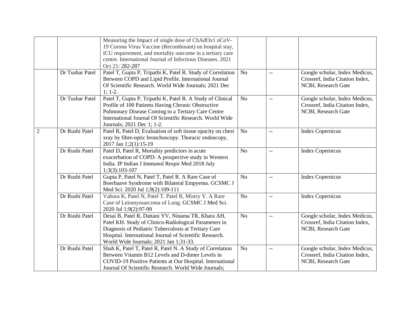|                |                 | Measuring the Impact of single dose of ChAdOx1 nCoV-<br>19 Corona Virus Vaccine (Recombinant) on hospital stay,<br>ICU requirement, and mortality outcome in a tertiary care<br>centre. International Journal of Infectious Diseases. 2021<br>Oct 21: 282-287            |                |                          |                                                                                          |
|----------------|-----------------|--------------------------------------------------------------------------------------------------------------------------------------------------------------------------------------------------------------------------------------------------------------------------|----------------|--------------------------|------------------------------------------------------------------------------------------|
|                | Dr Tushar Patel | Patel T, Gupta P, Tripathi K, Patel R. Study of Correlation<br>Between COPD and Lipid Profile. International Journal<br>Of Scientific Research. World Wide Journals; 2021 Dec<br>$1; 1-2.$                                                                               | N <sub>o</sub> | $\overline{a}$           | Google scholar, Index Medicus,<br>Crossref, India Citation Index,<br>NCBI, Research Gate |
|                | Dr Tushar Patel | Patel T, Gupta P, Tripathi K, Patel R. A Study of Clinical<br>Profile of 100 Patients Having Chronic Obstructive<br>Pulmonary Disease Coming to a Tertiary Care Centre<br>International Journal Of Scientific Research, World Wide<br>Journals; 2021 Dec 1; 1-2.         | N <sub>o</sub> |                          | Google scholar, Index Medicus,<br>Crossref, India Citation Index,<br>NCBI, Research Gate |
| $\overline{2}$ | Dr Rushi Patel  | Patel R, Patel D, Evaluation of soft tissue opacity on chest<br>xray by fibre-optic bronchoscopy. Thoracic endoscopy,<br>2017 Jan 1;2(1):15-19                                                                                                                           | N <sub>o</sub> | $-$                      | <b>Index Copernicus</b>                                                                  |
|                | Dr Rushi Patel  | Patel D, Patel R, Mortality predictors in acute<br>exacerbation of COPD: A prospective study in Western<br>India. IP Indian J Immunol Respir Med 2018 July<br>$1;3(3):103-107$                                                                                           | No             | $\overline{\phantom{a}}$ | Index Copernicus                                                                         |
|                | Dr Rushi Patel  | Gupta P, Patel N, Patel T, Patel R. A Rare Case of<br>Boerhaave Syndrome with Bilateral Empyema. GCSMC J<br>Med Sci. 2020 Jul 1;9(2):109-111                                                                                                                             | N <sub>o</sub> | $-$                      | <b>Index Copernicus</b>                                                                  |
|                | Dr Rushi Patel  | Vahora K, Patel N, Patel T, Patel R, Mistry Y. A Rare<br>Case of Leiomyosarcoma of Lung. GCSMC J Med Sci.<br>2020 Jul 1;9(2):97-99                                                                                                                                       | N <sub>o</sub> | $-$                      | <b>Index Copernicus</b>                                                                  |
|                | Dr Rushi Patel  | Desai B, Patel R, Dattani YV, Ninama TR, Khara AH,<br>Patel KH. Study of Clinico-Radiological Parameters in<br>Diagnosis of Pediatric Tuberculosis at Tertiary Care<br>Hospital. International Journal of Scientific Research.<br>World Wide Journals; 2021 Jan 1;31-33. | N <sub>o</sub> | $-$                      | Google scholar, Index Medicus,<br>Crossref, India Citation Index,<br>NCBI, Research Gate |
|                | Dr Rushi Patel  | Shah K, Patel T, Patel R, Patel N. A Study of Correlation<br>Between Vitamin B12 Levels and D-dimer Levels in<br>COVID-19 Positive Patients at Our Hospital. International<br>Journal Of Scientific Research. World Wide Journals;                                       | N <sub>o</sub> | $\overline{\phantom{m}}$ | Google scholar, Index Medicus,<br>Crossref, India Citation Index,<br>NCBI, Research Gate |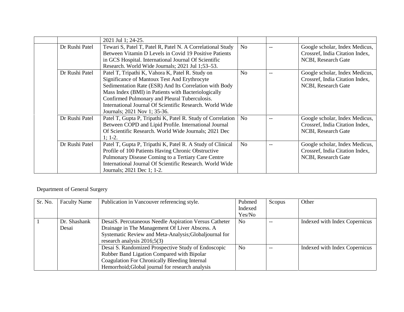|                | 2021 Jul 1; 24-25.                                                                                                                                                                                                                                                                                                                                             |                |     |                                                                                          |
|----------------|----------------------------------------------------------------------------------------------------------------------------------------------------------------------------------------------------------------------------------------------------------------------------------------------------------------------------------------------------------------|----------------|-----|------------------------------------------------------------------------------------------|
| Dr Rushi Patel | Tewari S, Patel T, Patel R, Patel N. A Correlational Study<br>Between Vitamin D Levels in Covid 19 Positive Patients<br>in GCS Hospital. International Journal Of Scientific<br>Research. World Wide Journals; 2021 Jul 1;53-53.                                                                                                                               | N <sub>o</sub> |     | Google scholar, Index Medicus,<br>Crossref, India Citation Index,<br>NCBI, Research Gate |
| Dr Rushi Patel | Patel T, Tripathi K, Vahora K, Patel R. Study on<br>Significance of Mantoux Test And Erythrocyte<br>Sedimentation Rate (ESR) And Its Correlation with Body<br>Mass Index (BMI) in Patients with Bacteriologically<br>Confirmed Pulmonary and Pleural Tuberculosis.<br>International Journal Of Scientific Research. World Wide<br>Journals; 2021 Nov 1; 35-36. | N <sub>o</sub> | $-$ | Google scholar, Index Medicus,<br>Crossref, India Citation Index,<br>NCBI, Research Gate |
| Dr Rushi Patel | Patel T, Gupta P, Tripathi K, Patel R. Study of Correlation<br>Between COPD and Lipid Profile. International Journal<br>Of Scientific Research. World Wide Journals; 2021 Dec<br>$1; 1-2.$                                                                                                                                                                     | No             |     | Google scholar, Index Medicus,<br>Crossref, India Citation Index,<br>NCBI, Research Gate |
| Dr Rushi Patel | Patel T, Gupta P, Tripathi K, Patel R. A Study of Clinical<br>Profile of 100 Patients Having Chronic Obstructive<br>Pulmonary Disease Coming to a Tertiary Care Centre<br>International Journal Of Scientific Research. World Wide<br>Journals; 2021 Dec 1; 1-2.                                                                                               | N <sub>o</sub> |     | Google scholar, Index Medicus,<br>Crossref, India Citation Index,<br>NCBI, Research Gate |

## Department of General Surgery

| Sr. No. | <b>Faculty Name</b> | Publication in Vancouver referencing style.            | Pubmed         | Scopus | Other                         |
|---------|---------------------|--------------------------------------------------------|----------------|--------|-------------------------------|
|         |                     |                                                        | Indexed        |        |                               |
|         |                     |                                                        | Yes/No         |        |                               |
|         | Dr. Shashank        | DesaiS. Percutaneous Needle Aspiration Versus Catheter | N <sub>0</sub> |        | Indexed with Index Copernicus |
|         | Desai               | Drainage in The Management Of Liver Abscess. A         |                |        |                               |
|         |                     | Systematic Review and Meta-Analysis; Globaljournal for |                |        |                               |
|         |                     | research analysis $2016;5(3)$                          |                |        |                               |
|         |                     | Desai S. Randomized Prospective Study of Endoscopic    | N <sub>o</sub> |        | Indexed with Index Copernicus |
|         |                     | Rubber Band Ligation Compared with Bipolar             |                |        |                               |
|         |                     | Coagulation For Chronically Bleeding Internal          |                |        |                               |
|         |                     | Hemorrhoid; Global journal for research analysis       |                |        |                               |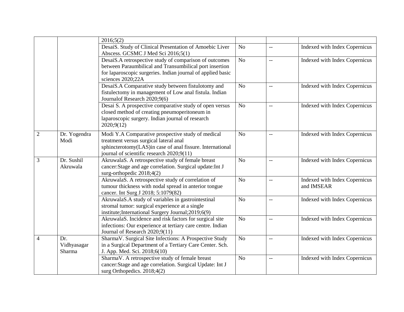|                |                              | 2016;5(2)                                                                                                                                                                                             |                |                          |                                             |
|----------------|------------------------------|-------------------------------------------------------------------------------------------------------------------------------------------------------------------------------------------------------|----------------|--------------------------|---------------------------------------------|
|                |                              | DesaiS. Study of Clinical Presentation of Amoebic Liver<br>Abscess. GCSMC J Med Sci 2016;5(1)                                                                                                         | N <sub>o</sub> | $\overline{\phantom{m}}$ | Indexed with Index Copernicus               |
|                |                              | DesaiS.A retrospective study of comparison of outcomes<br>between Paraumbilical and Transumbilical port insertion<br>for laparoscopic surgeries. Indian journal of applied basic<br>sciences 2020;22A | No             | $\overline{\phantom{m}}$ | Indexed with Index Copernicus               |
|                |                              | DesaiS.A Comparative study between fistulotomy and<br>fistulectomy in management of Low anal fistula. Indian<br>Journal of Research 2020;9(6)                                                         | No             | $\overline{\phantom{a}}$ | Indexed with Index Copernicus               |
|                |                              | Desai S. A prospective comparative study of open versus<br>closed method of creating pneumoperitoneum in<br>laparoscopic surgery. Indian journal of research<br>2020;9(12)                            | No             | $\overline{a}$           | Indexed with Index Copernicus               |
| $\overline{2}$ | Dr. Yogendra<br>Modi         | Modi Y.A Comparative prospective study of medical<br>treatment versus surgical lateral anal<br>sphincterotomy(LAS)in case of anal fissure. International<br>journal of scientific research 2020;9(11) | No             | $\overline{\phantom{a}}$ | Indexed with Index Copernicus               |
| 3              | Dr. Sushil<br>Akruwala       | AkruwalaS. A retrospective study of female breast<br>cancer: Stage and age correlation. Surgical update: Int J<br>surg-orthopedic 2018;4(2)                                                           | N <sub>o</sub> | $-$                      | Indexed with Index Copernicus               |
|                |                              | AkruwalaS. A retrospective study of correlation of<br>tumour thickness with nodal spread in anterior tongue<br>cancer. Int Surg J 2018; 5:1079(82)                                                    | N <sub>o</sub> | $\overline{\phantom{a}}$ | Indexed with Index Copernicus<br>and IMSEAR |
|                |                              | AkruwalaS.A study of variables in gastrointestinal<br>stromal tumor: surgical experience at a single<br>institute;International Surgery Journal;2019;6(9)                                             | N <sub>o</sub> | $-\,-$                   | Indexed with Index Copernicus               |
|                |                              | AkruwalaS. Incidence and risk factors for surgical site<br>infections: Our experience at tertiary care centre. Indian<br>Journal of Research 2020;9(11)                                               | N <sub>o</sub> | $\overline{\phantom{m}}$ | Indexed with Index Copernicus               |
| $\overline{4}$ | Dr.<br>Vidhyasagar<br>Sharma | SharmaV. Surgical Site Infections: A Prospective Study<br>in a Surgical Department of a Tertiary Care Center. Sch.<br>J. App. Med. Sci. 2018;6(10)                                                    | No             | $-$                      | <b>Indexed with Index Copernicus</b>        |
|                |                              | SharmaV. A retrospective study of female breast<br>cancer: Stage and age correlation. Surgical Update: Int J<br>surg Orthopedics. $2018;4(2)$                                                         | No             | $-\,-$                   | Indexed with Index Copernicus               |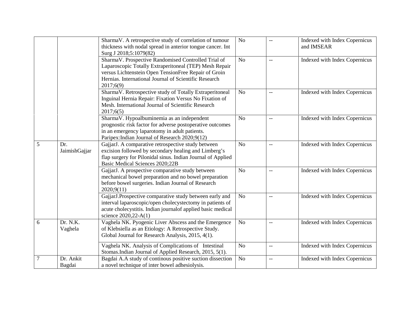|                |                      | SharmaV. A retrospective study of correlation of tumour<br>thickness with nodal spread in anterior tongue cancer. Int<br>Surg J 2018;5:1079(82)                                                                                             | N <sub>o</sub> | $-$                      | Indexed with Index Copernicus<br>and IMSEAR |
|----------------|----------------------|---------------------------------------------------------------------------------------------------------------------------------------------------------------------------------------------------------------------------------------------|----------------|--------------------------|---------------------------------------------|
|                |                      | SharmaV. Prospective Randomised Controlled Trial of<br>Laparoscopic Totally Extraperitoneal (TEP) Mesh Repair<br>versus Lichtenstein Open TensionFree Repair of Groin<br>Hernias. International Journal of Scientific Research<br>2017;6(9) | N <sub>o</sub> | $\overline{\phantom{m}}$ | Indexed with Index Copernicus               |
|                |                      | SharmaV. Retrospective study of Totally Extraperitoneal<br>Inguinal Hernia Repair: Fixation Versus No Fixation of<br>Mesh. International Journal of Scientific Research<br>2017;6(5)                                                        | N <sub>o</sub> | $-$                      | Indexed with Index Copernicus               |
|                |                      | SharmaV. Hypoalbuminemia as an independent<br>prognostic risk factor for adverse postoperative outcomes<br>in an emergency laparotomy in adult patients.<br>Paripex: Indian Journal of Research 2020;9(12)                                  | N <sub>o</sub> | $\overline{\phantom{a}}$ | Indexed with Index Copernicus               |
| 5              | Dr.<br>JaimishGajjar | GajjarJ. A comparative retrospective study between<br>excision followed by secondary healing and Limberg's<br>flap surgery for Pilonidal sinus. Indian Journal of Applied<br>Basic Medical Sciences 2020;22B                                | No             | $\overline{a}$           | Indexed with Index Copernicus               |
|                |                      | GajjarJ. A prospective comparative study between<br>mechanical bowel preparation and no bowel preparation<br>before bowel surgeries. Indian Journal of Research<br>2020;9(11)                                                               | N <sub>o</sub> | $-$                      | Indexed with Index Copernicus               |
|                |                      | GajjarJ.Prospective comparative study between early and<br>interval laparoscopic/open cholecystectomy in patients of<br>acute cholecystitis. Indian journalof applied basic medical<br>science 2020, 22-A(1)                                | N <sub>o</sub> | $\overline{\phantom{a}}$ | Indexed with Index Copernicus               |
| 6              | Dr. N.K.<br>Vaghela  | Vaghela NK. Pyogenic Liver Abscess and the Emergence<br>of Klebsiella as an Etiology: A Retrospective Study.<br>Global Journal for Research Analysis, 2015, 4(1).                                                                           | N <sub>o</sub> | $-$                      | Indexed with Index Copernicus               |
|                |                      | Vaghela NK. Analysis of Complications of Intestinal<br>Stomas.Indian Journal of Applied Research, 2015, 5(1).                                                                                                                               | N <sub>o</sub> | $-\,-$                   | Indexed with Index Copernicus               |
| $\overline{7}$ | Dr. Ankit<br>Bagdai  | Bagdai A.A study of continous positive suction dissection<br>a novel technique of inter bowel adhesiolysis.                                                                                                                                 | N <sub>o</sub> | $-$                      | Indexed with Index Copernicus               |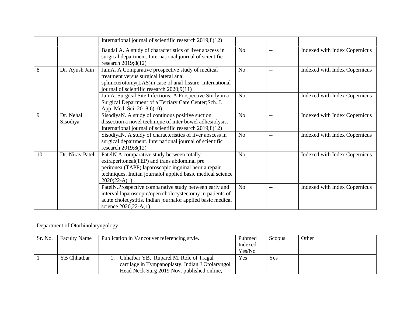|    |                       | International journal of scientific research 2019;8(12)                                                                                                                                                                             |                |     |                               |
|----|-----------------------|-------------------------------------------------------------------------------------------------------------------------------------------------------------------------------------------------------------------------------------|----------------|-----|-------------------------------|
|    |                       | Bagdai A. A study of characteristics of liver abscess in<br>surgical department. International journal of scientific<br>research $2019;8(12)$                                                                                       | N <sub>o</sub> |     | Indexed with Index Copernicus |
| 8  | Dr. Ayush Jain        | JainA. A Comparative prospective study of medical<br>treatment versus surgical lateral anal<br>sphincterotomy(LAS)in case of anal fissure. International<br>journal of scientific research 2020;9(11)                               | N <sub>0</sub> | $-$ | Indexed with Index Copernicus |
|    |                       | JainA. Surgical Site Infections: A Prospective Study in a<br>Surgical Department of a Tertiary Care Center; Sch. J.<br>App. Med. Sci. 2018;6(10)                                                                                    | N <sub>o</sub> | $-$ | Indexed with Index Copernicus |
| 9  | Dr. Nehal<br>Sisodiya | SisodiyaN. A study of continous positive suction<br>dissection a novel technique of inter bowel adhesiolysis.<br>International journal of scientific research 2019;8(12)                                                            | <b>No</b>      | $-$ | Indexed with Index Copernicus |
|    |                       | SisodiyaN. A study of characteristics of liver abscess in<br>surgical department. International journal of scientific<br>research $2019;8(12)$                                                                                      | N <sub>o</sub> | --  | Indexed with Index Copernicus |
| 10 | Dr. Nirav Patel       | PatelN.A comparative study between totally<br>extraperitoneal(TEP) and trans abdominal pre<br>peritoneal(TAPP) laparoscopic inguinal hernia repair<br>techniques. Indian journal of applied basic medical science<br>$2020;22-A(1)$ | No             | $-$ | Indexed with Index Copernicus |
|    |                       | PatelN.Prospective comparative study between early and<br>interval laparoscopic/open cholecystectomy in patients of<br>acute cholecystitis. Indian journal of applied basic medical<br>science $2020,22-A(1)$                       | N <sub>o</sub> |     | Indexed with Index Copernicus |

## Department of Otorhinolaryngology

| Sr. No. | <b>Faculty Name</b> | Publication in Vancouver referencing style.                                                                                              | Pubmed<br>Indexed<br>Yes/No | Scopus | Other |
|---------|---------------------|------------------------------------------------------------------------------------------------------------------------------------------|-----------------------------|--------|-------|
|         | YB Chhatbar         | Chhatbar YB, Ruparel M. Role of Tragal<br>cartilage in Tympanoplasty. Indian J Otolaryngol<br>Head Neck Surg 2019 Nov. published online, | Yes                         | Yes    |       |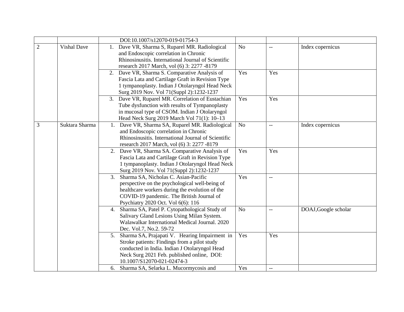|                |                    | DOI:10.1007/s12070-019-01754-3                                                                                                                                                                                                    |                |                          |                      |
|----------------|--------------------|-----------------------------------------------------------------------------------------------------------------------------------------------------------------------------------------------------------------------------------|----------------|--------------------------|----------------------|
| $\overline{2}$ | <b>Vishal Dave</b> | Dave VR, Sharma S, Ruparel MR. Radiological<br>1.<br>and Endoscopic correlation in Chronic<br>Rhinosinusitis. International Journal of Scientific<br>research 2017 March, vol (6) 3: 2277 -8179                                   | N <sub>o</sub> | $\overline{\phantom{a}}$ | Index copernicus     |
|                |                    | 2. Dave VR, Sharma S. Comparative Analysis of<br>Fascia Lata and Cartilage Graft in Revision Type<br>1 tympanoplasty. Indian J Otolaryngol Head Neck<br>Surg 2019 Nov. Vol 71(Suppl 2):1232-1237                                  | Yes            | Yes                      |                      |
|                |                    | 3. Dave VR, Ruparel MR. Correlation of Eustachian<br>Tube dysfunction with results of Tympanoplasty<br>in mucosal type of CSOM. Indian J Otolaryngol<br>Head Neck Surg 2019 March Vol 71(1): 10-13                                | Yes            | Yes                      |                      |
| 3              | Suktara Sharma     | Dave VR, Sharma SA, Ruparel MR. Radiological<br>1.<br>and Endoscopic correlation in Chronic<br>Rhinosinusitis. International Journal of Scientific<br>research 2017 March, vol (6) 3: 2277 -8179                                  | N <sub>o</sub> | $\overline{\phantom{m}}$ | Index copernicus     |
|                |                    | Dave VR, Sharma SA. Comparative Analysis of<br>2.<br>Fascia Lata and Cartilage Graft in Revision Type<br>1 tympanoplasty. Indian J Otolaryngol Head Neck<br>Surg 2019 Nov. Vol 71(Suppl 2):1232-1237                              | Yes            | Yes                      |                      |
|                |                    | 3.<br>Sharma SA, Nicholas C. Asian-Pacific<br>perspective on the psychological well-being of<br>healthcare workers during the evolution of the<br>COVID-19 pandemic. The British Journal of<br>Psychiatry 2020 Oct. Vol 6(6): 116 | Yes            | $\overline{a}$           |                      |
|                |                    | Sharma SA, Patel P. Cytopathological Study of<br>4.<br>Salivary Gland Lesions Using Milan System.<br>Walawalkar International Medical Journal. 2020<br>Dec. Vol.7, No.2. 59-72                                                    | N <sub>o</sub> | $\overline{\phantom{m}}$ | DOAJ, Google scholar |
|                |                    | Sharma SA, Prajapati V. Hearing Impairment in<br>5.<br>Stroke patients: Findings from a pilot study<br>conducted in India. Indian J Otolaryngol Head<br>Neck Surg 2021 Feb. published online, DOI:<br>10.1007/S12070-021-02474-3  | Yes            | Yes                      |                      |
|                |                    | Sharma SA, Selarka L. Mucormycosis and<br>6.                                                                                                                                                                                      | Yes            |                          |                      |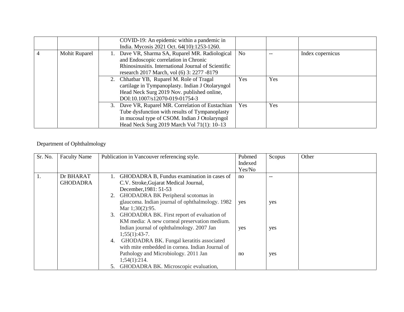|   |               | COVID-19: An epidemic within a pandemic in<br>India. Mycosis 2021 Oct. 64(10):1253-1260.                                                                                                           |            |     |                  |
|---|---------------|----------------------------------------------------------------------------------------------------------------------------------------------------------------------------------------------------|------------|-----|------------------|
| 4 | Mohit Ruparel | Dave VR, Sharma SA, Ruparel MR. Radiological<br>and Endoscopic correlation in Chronic<br>Rhinosinusitis. International Journal of Scientific<br>research 2017 March, vol (6) 3: 2277 -8179         | No.        | --  | Index copernicus |
|   |               | Chhatbar YB, Ruparel M. Role of Tragal<br>2.<br>cartilage in Tympanoplasty. Indian J Otolaryngol<br>Head Neck Surg 2019 Nov. published online,<br>DOI:10.1007/s12070-019-01754-3                   | <b>Yes</b> | Yes |                  |
|   |               | 3. Dave VR, Ruparel MR. Correlation of Eustachian<br>Tube dysfunction with results of Tympanoplasty<br>in mucosal type of CSOM. Indian J Otolaryngol<br>Head Neck Surg 2019 March Vol 71(1): 10–13 | Yes        | Yes |                  |

## Department of Ophthalmology

| Sr. No. | <b>Faculty Name</b> | Publication in Vancouver referencing style.      | Pubmed<br>Indexed | Scopus | Other |
|---------|---------------------|--------------------------------------------------|-------------------|--------|-------|
|         |                     |                                                  | Yes/No            |        |       |
|         |                     |                                                  |                   |        |       |
|         | Dr BHARAT           | GHODADRA B, Fundus examination in cases of       | no                | $-$    |       |
|         | <b>GHODADRA</b>     | C.V. Stroke, Gujarat Medical Journal,            |                   |        |       |
|         |                     | December, 1981: 51-53                            |                   |        |       |
|         |                     | GHODADRA BK Peripheral scotomas in<br>2.         |                   |        |       |
|         |                     | glaucoma. Indian journal of ophthalmology. 1982  | yes               | yes    |       |
|         |                     | Mar $1;30(2):95$ .                               |                   |        |       |
|         |                     | GHODADRA BK. First report of evaluation of<br>3. |                   |        |       |
|         |                     | KM media: A new corneal preservation medium.     |                   |        |       |
|         |                     | Indian journal of ophthalmology. 2007 Jan        | yes               | yes    |       |
|         |                     | $1;55(1):43-7.$                                  |                   |        |       |
|         |                     | GHODADRA BK. Fungal keratitis associated<br>4.   |                   |        |       |
|         |                     | with mite embedded in cornea. Indian Journal of  |                   |        |       |
|         |                     | Pathology and Microbiology. 2011 Jan             | no                | yes    |       |
|         |                     | 1;54(1):214.                                     |                   |        |       |
|         |                     | GHODADRA BK. Microscopic evaluation,<br>5.       |                   |        |       |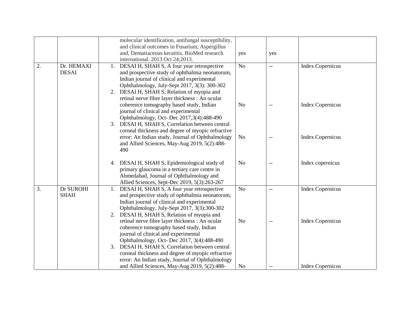|    |                            | molecular identification, antifungal susceptibility,<br>and clinical outcomes in Fusarium, Aspergillus                                                                                                                                                                                                                                        |                |              |                         |
|----|----------------------------|-----------------------------------------------------------------------------------------------------------------------------------------------------------------------------------------------------------------------------------------------------------------------------------------------------------------------------------------------|----------------|--------------|-------------------------|
|    |                            | and, Dematiaceous keratitis. BioMed research<br>international. 2013 Oct 24;2013.                                                                                                                                                                                                                                                              | yes            | yes          |                         |
| 2. | Dr. HEMAXI<br><b>DESAI</b> | DESAI H, SHAH S, A four year retrospective<br>1.<br>and prospective study of ophthalmia neonatorum,<br>Indian journal of clinical and experimental<br>Ophthalmology, July-Sept 2017, 3(3): 300-302<br>2. DESAI H, SHAH S, Relation of myopia and<br>retinal nerve fibre layer thickness : An ocular                                           | N <sub>o</sub> | $\mathbf{u}$ | <b>Index Copernicus</b> |
|    |                            | coherence tomography based study, Indian<br>journal of clinical and experimental<br>Ophthalmology, Oct- Dec 2017,3(4):488-490<br>DESAI H, SHAH S, Correlation between central<br>3.<br>corneal thickness and degree of myopic refractive                                                                                                      | N <sub>o</sub> |              | <b>Index Copernicus</b> |
|    |                            | error: An Indian study, Journal of Ophthalmology<br>and Allied Sciences, May-Aug 2019, 5(2):488-<br>490                                                                                                                                                                                                                                       | N <sub>o</sub> | $-$          | <b>Index Copernicus</b> |
|    |                            | 4. DESAI H, SHAH S, Epidemiological study of<br>primary glaucoma in a tertiary care centre in<br>Ahmedabad, Journal of Ophthalmology and<br>Allied Sciences, Sept-Dec 2019, 5(3):263-267                                                                                                                                                      | N <sub>o</sub> | $-$          | Index copernicus        |
| 3. | Dr SUROHI<br><b>SHAH</b>   | DESAI H, SHAH S, A four year retrospective<br>and prospective study of ophthalmia neonatorum,<br>Indian journal of clinical and experimental<br>Ophthalmology, July-Sept 2017, 3(3):300-302<br>2. DESAI H, SHAH S, Relation of myopia and                                                                                                     | N <sub>o</sub> | $-$          | <b>Index Copernicus</b> |
|    |                            | retinal nerve fibre layer thickness : An ocular<br>coherence tomography based study, Indian<br>journal of clinical and experimental<br>Ophthalmology, Oct- Dec 2017, 3(4):488-490<br>3. DESAI H, SHAH S, Correlation between central<br>corneal thickness and degree of myopic refractive<br>error: An Indian study, Journal of Ophthalmology | N <sub>o</sub> | $-$          | <b>Index Copernicus</b> |
|    |                            | and Allied Sciences, May-Aug 2019, 5(2):488-                                                                                                                                                                                                                                                                                                  | N <sub>o</sub> |              | <b>Index Copernicus</b> |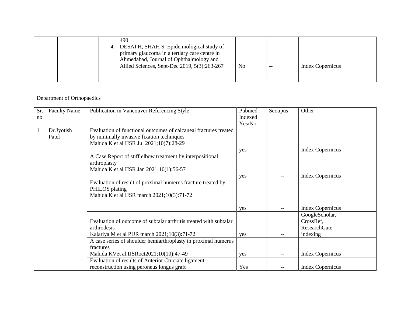| 490<br>DESAI H, SHAH S, Epidemiological study of<br>4.<br>primary glaucoma in a tertiary care centre in<br>Ahmedabad, Journal of Ophthalmology and<br>Allied Sciences, Sept-Dec 2019, 5(3):263-267 | No | $- -$ | Index Copernicus |
|----------------------------------------------------------------------------------------------------------------------------------------------------------------------------------------------------|----|-------|------------------|
|----------------------------------------------------------------------------------------------------------------------------------------------------------------------------------------------------|----|-------|------------------|

#### Department of Orthopaedics

| Sr.          | <b>Faculty Name</b> | Publication in Vancouver Referencing Style                                                                                   | Pubmed  | Scoupus | Other                   |
|--------------|---------------------|------------------------------------------------------------------------------------------------------------------------------|---------|---------|-------------------------|
| no           |                     |                                                                                                                              | Indexed |         |                         |
|              |                     |                                                                                                                              | Yes/No  |         |                         |
| $\mathbf{1}$ | Dr.Jyotish          | Evaluation of functional outcomes of calcaneal fractures treated                                                             |         |         |                         |
|              | Patel               | by minimally invasive fixation techniques                                                                                    |         |         |                         |
|              |                     | Mahida K et al IJSR Jul 2021;10(7):28-29                                                                                     |         |         |                         |
|              |                     |                                                                                                                              | yes     | --      | <b>Index Copernicus</b> |
|              |                     | A Case Report of stiff elbow treatment by interpositional<br>arthroplasty                                                    |         |         |                         |
|              |                     | Mahida K et al IJSR Jan 2021;10(1):56-57                                                                                     |         |         |                         |
|              |                     |                                                                                                                              | yes     |         | <b>Index Copernicus</b> |
|              |                     | Evaluation of result of proximal humerus fracture treated by<br>PHILOS plating<br>Mahida K et al IJSR march 2021;10(3):71-72 |         |         |                         |
|              |                     |                                                                                                                              | yes     | --      | <b>Index Copernicus</b> |
|              |                     |                                                                                                                              |         |         | GoogleScholar,          |
|              |                     | Evaluation of outcome of subtalar arthritis treated with subtalar                                                            |         |         | CrossRef.               |
|              |                     | arthrodesis                                                                                                                  |         |         | ResearchGate            |
|              |                     | Kalariya M et al PIJR march 2021;10(3):71-72                                                                                 | yes     | --      | indexing                |
|              |                     | A case series of shoulder hemiarthroplasty in proximal humerus                                                               |         |         |                         |
|              |                     | fractures                                                                                                                    |         |         |                         |
|              |                     | Mahida KVet al.IJSRoct2021;10(10):47-49                                                                                      | yes     | --      | <b>Index Copernicus</b> |
|              |                     | Evaluation of results of Anterior Cruciate ligament                                                                          |         |         |                         |
|              |                     | reconstruction using peroneus longus graft                                                                                   | Yes     |         | <b>Index Copernicus</b> |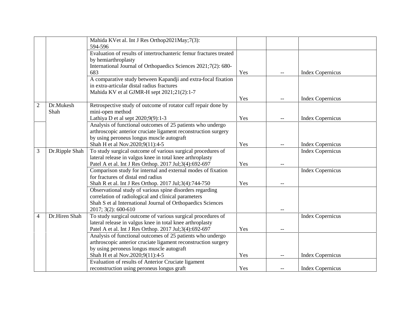|                |                   | Mahida KVet al. Int J Res Orthop2021May;7(3):<br>594-596                          |     |     |                         |
|----------------|-------------------|-----------------------------------------------------------------------------------|-----|-----|-------------------------|
|                |                   | Evaluation of results of intertrochanteric femur fractures treated                |     |     |                         |
|                |                   | by hemiarthroplasty                                                               |     |     |                         |
|                |                   | International Journal of Orthopaedics Sciences 2021;7(2): 680-                    |     |     |                         |
|                |                   | 683                                                                               | Yes |     | <b>Index Copernicus</b> |
|                |                   | A comparative study between Kapandji and extra-focal fixation                     |     |     |                         |
|                |                   | in extra-articular distal radius fractures                                        |     |     |                         |
|                |                   | Mahida KV et al GJMR-H sept 2021;21(2):1-7                                        |     |     |                         |
|                |                   |                                                                                   | Yes | $-$ | <b>Index Copernicus</b> |
| $\overline{2}$ | Dr.Mukesh<br>Shah | Retrospective study of outcome of rotator cuff repair done by<br>mini-open method |     |     |                         |
|                |                   | Lathiya D et al sept 2020;9(9):1-3                                                | Yes |     | <b>Index Copernicus</b> |
|                |                   | Analysis of functional outcomes of 25 patients who undergo                        |     |     |                         |
|                |                   | arthroscopic anterior cruciate ligament reconstruction surgery                    |     |     |                         |
|                |                   | by using peroneus longus muscle autograft                                         |     |     |                         |
|                |                   | Shah H et al Nov.2020;9(11):4-5                                                   | Yes |     | <b>Index Copernicus</b> |
| 3              | Dr.Ripple Shah    | To study surgical outcome of various surgical procedures of                       |     |     | <b>Index Copernicus</b> |
|                |                   | lateral release in valgus knee in total knee arthroplasty                         |     |     |                         |
|                |                   | Patel A et al. Int J Res Orthop. 2017 Jul;3(4):692-697                            | Yes |     |                         |
|                |                   | Comparison study for internal and external modes of fixation                      |     |     | <b>Index Copernicus</b> |
|                |                   | for fractures of distal end radius                                                |     |     |                         |
|                |                   | Shah R et al. Int J Res Orthop. 2017 Jul;3(4):744-750                             | Yes | $-$ |                         |
|                |                   | Observational study of various spine disorders regarding                          |     |     |                         |
|                |                   | correlation of radiological and clinical parameters                               |     |     |                         |
|                |                   | Shah S et al International Journal of Orthopaedics Sciences                       |     |     |                         |
|                |                   | 2017; 3(2): 600-610                                                               |     |     |                         |
| 4              | Dr.Hiren Shah     | To study surgical outcome of various surgical procedures of                       |     |     | <b>Index Copernicus</b> |
|                |                   | lateral release in valgus knee in total knee arthroplasty                         |     |     |                         |
|                |                   | Patel A et al. Int J Res Orthop. 2017 Jul;3(4):692-697                            | Yes | $-$ |                         |
|                |                   | Analysis of functional outcomes of 25 patients who undergo                        |     |     |                         |
|                |                   | arthroscopic anterior cruciate ligament reconstruction surgery                    |     |     |                         |
|                |                   | by using peroneus longus muscle autograft                                         |     |     |                         |
|                |                   | Shah H et al Nov.2020;9(11):4-5                                                   | Yes | $-$ | <b>Index Copernicus</b> |
|                |                   | Evaluation of results of Anterior Cruciate ligament                               |     |     |                         |
|                |                   | reconstruction using peroneus longus graft                                        | Yes |     | <b>Index Copernicus</b> |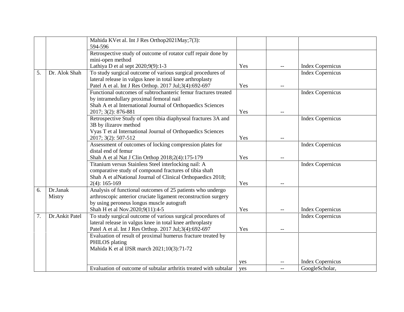|    |                | Mahida KVet al. Int J Res Orthop2021May;7(3):                     |     |     |                         |
|----|----------------|-------------------------------------------------------------------|-----|-----|-------------------------|
|    |                | 594-596                                                           |     |     |                         |
|    |                | Retrospective study of outcome of rotator cuff repair done by     |     |     |                         |
|    |                | mini-open method                                                  |     |     |                         |
|    |                | Lathiya D et al sept 2020;9(9):1-3                                | Yes | $-$ | Index Copernicus        |
| 5. | Dr. Alok Shah  | To study surgical outcome of various surgical procedures of       |     |     | <b>Index Copernicus</b> |
|    |                | lateral release in valgus knee in total knee arthroplasty         |     |     |                         |
|    |                | Patel A et al. Int J Res Orthop. 2017 Jul;3(4):692-697            | Yes |     |                         |
|    |                | Functional outcomes of subtrochanteric femur fractures treated    |     |     | <b>Index Copernicus</b> |
|    |                | by intramedullary proximal femoral nail                           |     |     |                         |
|    |                | Shah A et al International Journal of Orthopaedics Sciences       |     |     |                         |
|    |                | 2017; 3(2): 876-881                                               | Yes |     |                         |
|    |                | Retrospective Study of open tibia diaphyseal fractures 3A and     |     |     | <b>Index Copernicus</b> |
|    |                | 3B by ilizarov method                                             |     |     |                         |
|    |                | Vyas T et al International Journal of Orthopaedics Sciences       |     |     |                         |
|    |                | 2017; 3(2): 507-512                                               | Yes |     |                         |
|    |                | Assessment of outcomes of locking compression plates for          |     |     | <b>Index Copernicus</b> |
|    |                | distal end of femur                                               |     |     |                         |
|    |                | Shah A et al Nat J Clin Orthop 2018;2(4):175-179                  | Yes |     |                         |
|    |                | Titanium versus Stainless Steel interlocking nail: A              |     |     | <b>Index Copernicus</b> |
|    |                | comparative study of compound fractures of tibia shaft            |     |     |                         |
|    |                | Shah A et alNational Journal of Clinical Orthopaedics 2018;       |     |     |                         |
|    |                | $2(4): 165-169$                                                   | Yes |     |                         |
| 6. | Dr.Janak       | Analysis of functional outcomes of 25 patients who undergo        |     |     |                         |
|    | Mistry         | arthroscopic anterior cruciate ligament reconstruction surgery    |     |     |                         |
|    |                | by using peroneus longus muscle autograft                         |     |     |                         |
|    |                | Shah H et al Nov.2020;9(11):4-5                                   | Yes |     | <b>Index Copernicus</b> |
| 7. | Dr.Ankit Patel | To study surgical outcome of various surgical procedures of       |     |     | <b>Index Copernicus</b> |
|    |                | lateral release in valgus knee in total knee arthroplasty         |     |     |                         |
|    |                | Patel A et al. Int J Res Orthop. 2017 Jul;3(4):692-697            | Yes |     |                         |
|    |                | Evaluation of result of proximal humerus fracture treated by      |     |     |                         |
|    |                | PHILOS plating                                                    |     |     |                         |
|    |                | Mahida K et al IJSR march 2021;10(3):71-72                        |     |     |                         |
|    |                |                                                                   | yes |     | <b>Index Copernicus</b> |
|    |                | Evaluation of outcome of subtalar arthritis treated with subtalar | yes |     | GoogleScholar,          |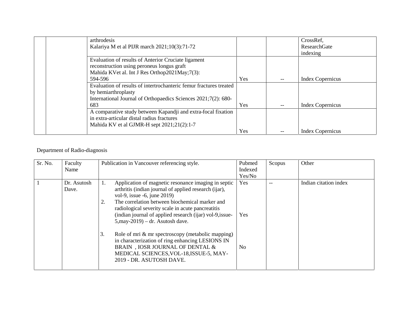| arthrodesis                                                        |            | CrossRef,               |
|--------------------------------------------------------------------|------------|-------------------------|
| Kalariya M et al PIJR march 2021;10(3):71-72                       |            | <b>ResearchGate</b>     |
|                                                                    |            | indexing                |
| Evaluation of results of Anterior Cruciate ligament                |            |                         |
| reconstruction using peroneus longus graft                         |            |                         |
| Mahida KVet al. Int J Res Orthop2021May;7(3):                      |            |                         |
| 594-596                                                            | <b>Yes</b> | <b>Index Copernicus</b> |
| Evaluation of results of intertrochanteric femur fractures treated |            |                         |
| by hemiarthroplasty                                                |            |                         |
| International Journal of Orthopaedics Sciences 2021;7(2): 680-     |            |                         |
| 683                                                                | <b>Yes</b> | <b>Index Copernicus</b> |
| A comparative study between Kapandji and extra-focal fixation      |            |                         |
| in extra-articular distal radius fractures                         |            |                         |
| Mahida KV et al GJMR-H sept $2021;21(2):1-7$                       |            |                         |
|                                                                    | <b>Yes</b> | <b>Index Copernicus</b> |

#### Department of Radio-diagnosis

| Sr. No. | Faculty<br>Name      | Publication in Vancouver referencing style.                                                                                                                                                                                                                                                                                                                                                                                                                                                                                                                                                | Pubmed<br>Indexed<br>Yes/No | Scopus | Other                 |
|---------|----------------------|--------------------------------------------------------------------------------------------------------------------------------------------------------------------------------------------------------------------------------------------------------------------------------------------------------------------------------------------------------------------------------------------------------------------------------------------------------------------------------------------------------------------------------------------------------------------------------------------|-----------------------------|--------|-----------------------|
|         | Dr. Asutosh<br>Dave. | Application of magnetic resonance imaging in septic<br>Ī.<br>arthritis (indian journal of applied research (ijar),<br>vol-9, issue -6, june 2019)<br>The correlation between biochemical marker and<br>2.<br>radiological severity scale in acute pancreatitis<br>(indian journal of applied research (ijar) vol-9, issue-<br>$5$ , may-2019) – dr. Asutosh dave.<br>Role of mri & mr spectroscopy (metabolic mapping)<br>3.<br>in characterization of ring enhancing LESIONS IN<br>BRAIN, JOSR JOURNAL OF DENTAL &<br>MEDICAL SCIENCES, VOL-18, ISSUE-5, MAY-<br>2019 - DR. ASUTOSH DAVE. | Yes<br>Yes<br>No.           |        | Indian citation index |
|         |                      |                                                                                                                                                                                                                                                                                                                                                                                                                                                                                                                                                                                            |                             |        |                       |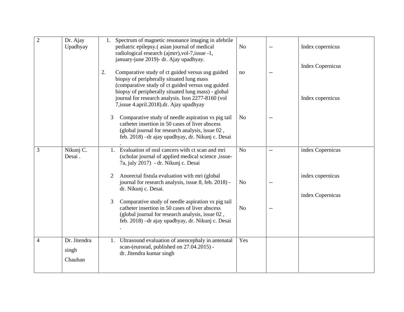| $\overline{2}$ | Dr. Ajay<br>Upadhyay             | Spectrum of magnetic resonance imaging in afebrile<br>1.<br>pediatric epilepsy.(asian journal of medical<br>radiological research (ajmrr), vol-7, issue -1,<br>january-june 2019)- dr. Ajay upadhyay.                                                                                                                | N <sub>o</sub> |     | Index copernicus<br><b>Index Copernicus</b> |
|----------------|----------------------------------|----------------------------------------------------------------------------------------------------------------------------------------------------------------------------------------------------------------------------------------------------------------------------------------------------------------------|----------------|-----|---------------------------------------------|
|                |                                  | 2.<br>Comparative study of ct guided versus usg guided<br>biopsy of peripherally situated lung mass<br>(comparative study of ct guided versus usg guided<br>biopsy of peripherally situated lung mass) - global<br>journal for research analysis. Issn 2277-8160 (vol<br>7, issue 4. april. 2018). dr. Ajay upadhyay | no             | $-$ | Index copernicus                            |
|                |                                  | Comparative study of needle aspiration vs pig tail<br>3<br>catheter insertion in 50 cases of liver abscess<br>(global journal for research analysis, issue 02,<br>feb. 2018) - dr ajay upadhyay, dr. Nikunj c. Desai                                                                                                 | N <sub>o</sub> |     |                                             |
| 3              | Nikunj C.<br>Desai.              | Evaluation of oral cancers with ct scan and mri<br>1.<br>(scholar journal of applied medical science , issue-<br>7a, july 2017) - dr. Nikunj c. Desai                                                                                                                                                                | N <sub>o</sub> | $-$ | index Copernicus                            |
|                |                                  | Anorectal fistula evaluation with mri (global<br>2<br>journal for research analysis, issue 8, feb. 2018) -<br>dr. Nikunj c. Desai.                                                                                                                                                                                   | N <sub>o</sub> | $-$ | index copernicus                            |
|                |                                  | Comparative study of needle aspiration vs pig tail<br>3<br>catheter insertion in 50 cases of liver abscess<br>(global journal for research analysis, issue 02,<br>feb. 2018) - dr ajay upadhyay, dr. Nikunj c. Desai                                                                                                 | N <sub>o</sub> | $-$ | index Copernicus                            |
| 4              | Dr. Jitendra<br>singh<br>Chauhan | Ultrasound evaluation of anencephaly in antenatal<br>1.<br>scan-(eurorad, published on 27.04.2015) -<br>dr. Jitendra kumar singh                                                                                                                                                                                     | Yes            |     |                                             |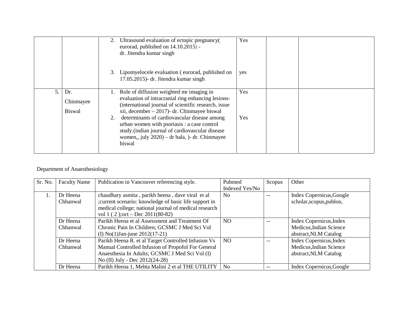|    | 2.                                | Ultrasound evaluation of ectopic pregnancy(<br>eurorad, published on 14.10.2015) -<br>dr. Jitendra kumar singh                                                                                                 | Yes |  |
|----|-----------------------------------|----------------------------------------------------------------------------------------------------------------------------------------------------------------------------------------------------------------|-----|--|
|    |                                   | 3. Lipomyelocele evaluation (eurorad, published on<br>17.05.2015)- dr. Jitendra kumar singh                                                                                                                    | yes |  |
| 5. | Dr.<br>Chinmayee<br><b>Biswal</b> | Role of diffusion weighted mr imaging in<br>evaluation of intracranial ring enhancing lesions-<br>(international journal of scientific research, issue<br>xii, december $-2017$ )- dr. Chinmayee biswal        | Yes |  |
|    | 2.                                | determinants of cardiovascular disease among<br>urban women with psoriasis : a case control<br>study. (indian journal of cardiovascular disease<br>women,, july $2020$ ) – dr bala, )- dr. Chinmayee<br>biswal | Yes |  |

#### Department of Anaesthesiology

| Sr. No. | <b>Faculty Name</b>  | Publication in Vancouver referencing style.                                                                                                                                                              | Pubmed<br>Indexed Yes/No | Scopus | Other                                                                       |
|---------|----------------------|----------------------------------------------------------------------------------------------------------------------------------------------------------------------------------------------------------|--------------------------|--------|-----------------------------------------------------------------------------|
| 1.      | Dr Heena<br>Chhanwal | chaudhary asmita, parikh heena, dave viral et al<br>;current scenario: knowledge of basic life support in<br>medical college; national journal of medical research<br>vol 1 (2); oct – Dec $2011(80-82)$ | N <sub>0</sub>           |        | Index Copernicus, Google<br>scholar, scopus, publon,                        |
|         | Dr Heena<br>Chhanwal | Parikh Heena et al Assessment and Treatment Of<br>Chronic Pain In Children; GCSMC J Med Sci Vol<br>(I) No(1) Jan-june $2012(17-21)$                                                                      | NO.                      |        | Index Copernicus, Index<br>Medicus, Indian Science<br>abstract, NLM Catalog |
|         | Dr Heena<br>Chhanwal | Parikh Heena R. et al Target Controlled Infusion Vs<br>Manual Controlled Infusion of Propofol For General<br>Anaesthesia In Adults; GCSMC J Med Sci Vol (I)<br>No (II) July - Dec 2012(24-28)            | NO.                      |        | Index Copernicus, Index<br>Medicus, Indian Science<br>abstract, NLM Catalog |
|         | Dr Heena             | Parikh Heena 1, Mehta Malini 2 et al THE UTILITY                                                                                                                                                         | N <sub>0</sub>           | $- -$  | Index Copernicus, Google                                                    |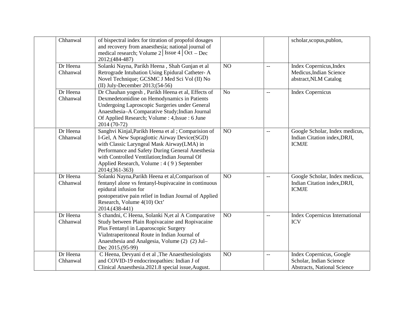| Chhanwal             | of bispectral index for titration of propofol dosages<br>and recovery from anaesthesia; national journal of<br>medical research; Volume 2 Issue 4 Oct - Dec<br>2012;(484-487)                                                                                                                                          |                |                          | scholar, scopus, publon,                                                                  |
|----------------------|------------------------------------------------------------------------------------------------------------------------------------------------------------------------------------------------------------------------------------------------------------------------------------------------------------------------|----------------|--------------------------|-------------------------------------------------------------------------------------------|
| Dr Heena<br>Chhanwal | Solanki Nayna, Parikh Heena, Shah Gunjan et al<br>Retrograde Intubation Using Epidural Catheter-A<br>Novel Technique; GCSMC J Med Sci Vol (II) No<br>(II) July-December $2013$ ; $(54-56)$                                                                                                                             | NO             | $\overline{\phantom{m}}$ | Index Copernicus, Index<br>Medicus, Indian Science<br>abstract, NLM Catalog               |
| Dr Heena<br>Chhanwal | Dr Chauhan yogesh, Parikh Heena et al, Effects of<br>Dexmedetomidine on Hemodynamics in Patients<br>Undergoing Laproscopic Surgeries under General<br>Anaesthesia-A Comparative Study; Indian Journal<br>Of Applied Research; Volume : 4, Issue : 6 June<br>2014 (70-72)                                               | N <sub>o</sub> | $\overline{\phantom{m}}$ | <b>Index Copernicus</b>                                                                   |
| Dr Heena<br>Chhanwal | Sanghvi Kinjal, Parikh Heena et al; Comparision of<br>I-Gel, A New Supraglottic Airway Device(SGD)<br>with Classic Laryngeal Mask Airway(LMA) in<br>Performance and Safety During General Anesthesia<br>with Controlled Ventilation; Indian Journal Of<br>Applied Research, Volume : 4 (9) September<br>2014;(361-363) | NO             | $\overline{\phantom{m}}$ | Google Scholar, Index medicus,<br>Indian Citation index, DRJI,<br><b>ICMJE</b>            |
| Dr Heena<br>Chhanwal | Solanki Nayna, Parikh Heena et al, Comparison of<br>fentanyl alone vs fentanyl-bupivacaine in continuous<br>epidural infusion for<br>postoperative pain relief in Indian Journal of Applied<br>Research, Volume 4(10) Oct'<br>2014.(438-441)                                                                           | NO             | $\overline{\phantom{m}}$ | Google Scholar, Index medicus,<br>Indian Citation index, DRJI,<br><b>ICMJE</b>            |
| Dr Heena<br>Chhanwal | S chandni, C Heena, Solanki N, et al A Comparative<br>Study between Plain Ropivacaine and Ropivacaine<br>Plus Fentanyl in Laparoscopic Surgery<br>ViaIntraperitoneal Route in Indian Journal of<br>Anaesthesia and Analgesia, Volume (2) (2) Jul-<br>Dec 2015.(95-99)                                                  | NO             | $\overline{\phantom{m}}$ | <b>Index Copernicus International</b><br><b>ICV</b>                                       |
| Dr Heena<br>Chhanwal | C Heena, Devyani d et al , The Anaesthesiologists<br>and COVID-19 endocrinopathies: Indian J of<br>Clinical Anaesthesia.2021.8 special issue, August.                                                                                                                                                                  | NO             | $\overline{\phantom{m}}$ | Index Copernicus, Google<br>Scholar, Indian Science<br><b>Abstracts, National Science</b> |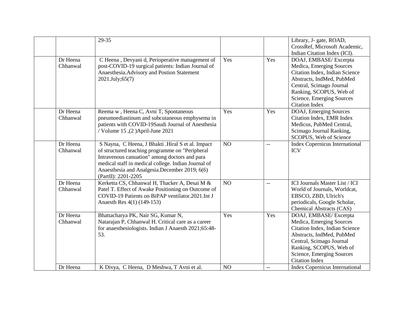|                      | 29-35                                                                                                                                                                                                                                                                                |     |                          | Library, J- gate, ROAD,<br>CrossRef, Microsoft Academic,<br>Indian Citation Index (ICI).                                                                                                                                      |
|----------------------|--------------------------------------------------------------------------------------------------------------------------------------------------------------------------------------------------------------------------------------------------------------------------------------|-----|--------------------------|-------------------------------------------------------------------------------------------------------------------------------------------------------------------------------------------------------------------------------|
| Dr Heena<br>Chhanwal | C Heena, Devyani d, Perioperative management of<br>post-COVID-19 surgical patients: Indian Journal of<br>Anaesthesia. Advisory and Postion Statement<br>2021.July;65(7)                                                                                                              | Yes | Yes                      | DOAJ, EMBASE/Excerpta<br>Medica, Emerging Sources<br>Citation Index, Indian Science<br>Abstracts, IndMed, PubMed<br>Central, Scimago Journal<br>Ranking, SCOPUS, Web of<br>Science, Emerging Sources<br><b>Citation Index</b> |
| Dr Heena<br>Chhanwal | Reema w, Heena C, Avni T, Spontaneous<br>pneumoediastinum and subcutaneous emphysema in<br>patients with COVID-19Saudi Journal of Anesthesia<br>/ Volume 15, (2) April-June 2021                                                                                                     | Yes | Yes                      | DOAJ, Emerging Sources<br>Citation Index, EMR Index<br>Medicus, PubMed Central,<br>Scimago Journal Ranking,<br>SCOPUS, Web of Science                                                                                         |
| Dr Heena<br>Chhanwal | S Nayna, C Heena, J Bhakti .Hiral S et al. Impact<br>of structured teaching programme on "Peripheral<br>Intravenous canuation" among doctors and para<br>medical staff in medical college. Indian Journal of<br>Anaesthesia and Analgesia.December 2019; 6(6)<br>(PartII): 2201-2205 | NO  | $\overline{\phantom{m}}$ | <b>Index Copernicus International</b><br><b>ICV</b>                                                                                                                                                                           |
| Dr Heena<br>Chhanwal | Kerketta CS, Chhanwal H, Thacker A, Desai M &<br>Patel T. Effect of Awake Positioning on Outcome of<br>COVID-19 Patients on BiPAP ventilator.2021.Int J<br>Anaesth Res 4(1) (149-153)                                                                                                | NO  | $-$                      | ICI Journals Master List / ICI<br>World of Journals, Worldcat,<br>EBSCO, ZBD, Ulrich's<br>periodicals, Google Scholar,<br><b>Chemical Abstracts (CAS)</b>                                                                     |
| Dr Heena<br>Chhanwal | Bhattacharya PK, Nair SG, Kumar N,<br>Natarajan P, Chhanwal H. Critical care as a career<br>for anaesthesiologists. Indian J Anaesth 2021;65:48-<br>53.                                                                                                                              | Yes | Yes                      | DOAJ, EMBASE/Excerpta<br>Medica, Emerging Sources<br>Citation Index, Indian Science<br>Abstracts, IndMed, PubMed<br>Central, Scimago Journal<br>Ranking, SCOPUS, Web of<br>Science, Emerging Sources<br><b>Citation Index</b> |
| Dr Heena             | K Divya, C Heena, D Meshwa, T Avni et al.                                                                                                                                                                                                                                            | NO  | $-$                      | <b>Index Copernicus International</b>                                                                                                                                                                                         |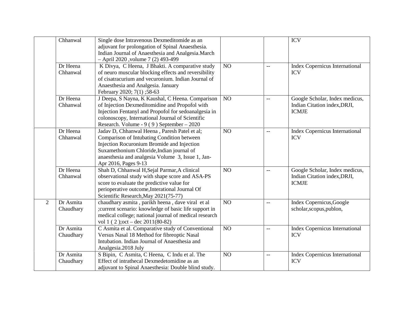|   | Chhanwal               | Single dose Intravenous Dexmeditomide as an<br>adjuvant for prolongation of Spinal Anaesthesia.<br>Indian Journal of Anaesthesia and Analgesia. March<br>- April 2020, volume 7 (2) 493-499                                                                        |    |                          | <b>ICV</b>                                                                     |
|---|------------------------|--------------------------------------------------------------------------------------------------------------------------------------------------------------------------------------------------------------------------------------------------------------------|----|--------------------------|--------------------------------------------------------------------------------|
|   | Dr Heena<br>Chhanwal   | K Divya, C Heena, J Bhakti. A comparative study<br>of neuro muscular blocking effects and reversibility<br>of cisatracurium and vecuronium. Indian Journal of<br>Anaesthesia and Analgesia. January<br>February 2020; 7(1) ;58-63                                  | NO | $\overline{a}$           | <b>Index Copernicus International</b><br><b>ICV</b>                            |
|   | Dr Heena<br>Chhanwal   | J Deepa, S Nayna, K Kaushal, C Heena. Comparison<br>of Injection Dexmeditomidine and Propofol with<br>Injection Fentanyl and Propofol for sedoanalgesia in<br>colonoscopy, International Journal of Scientific<br>Research. Volume - $9(9)$ September - 2020       | NO | $-$                      | Google Scholar, Index medicus,<br>Indian Citation index, DRJI,<br><b>ICMJE</b> |
|   | Dr Heena<br>Chhanwal   | Jadav D, Chhanwal Heena, Paresh Patel et al;<br>Comparison of Intubating Condition between<br>Injection Rocuronium Bromide and Injection<br>Suxamethonium Chloride, Indian journal of<br>anaesthesia and analgesia Volume 3, Issue 1, Jan-<br>Apr 2016, Pages 9-13 | NO | $\overline{\phantom{a}}$ | <b>Index Copernicus International</b><br><b>ICV</b>                            |
|   | Dr Heena<br>Chhanwal   | Shah D, Chhanwal H, Sejal Parmar, A clinical<br>observational study with shape score and ASA-PS<br>score to evaluate the predictive value for<br>perioperative outcome, Interational Journal Of<br>Scientific Research, May 2021(75-77)                            | NO | $\mathbf{L}$             | Google Scholar, Index medicus,<br>Indian Citation index, DRJI,<br><b>ICMJE</b> |
| 2 | Dr Asmita<br>Chaudhary | chaudhary asmita, parikh heena, dave viral et al<br>; current scenario: knowledge of basic life support in<br>medical college; national journal of medical research<br>vol 1 (2); oct – dec $2011(80-82)$                                                          | NO | $\overline{\phantom{a}}$ | Index Copernicus, Google<br>scholar, scopus, publon,                           |
|   | Dr Asmita<br>Chaudhary | C Asmita et al. Comparative study of Conventional<br>Versus Nasal 18 Method for fibreoptic Nasal<br>Intubation. Indian Journal of Anaesthesia and<br>Analgesia.2018 July                                                                                           | NO | $\overline{\phantom{a}}$ | <b>Index Copernicus International</b><br><b>ICV</b>                            |
|   | Dr Asmita<br>Chaudhary | S Bipin, C Asmita, C Heena, C Indu et al. The<br>Effect of intrathecal Dexmedetomidine as an<br>adjuvant to Spinal Anaesthesia: Double blind study.                                                                                                                | NO | $-$                      | <b>Index Copernicus International</b><br><b>ICV</b>                            |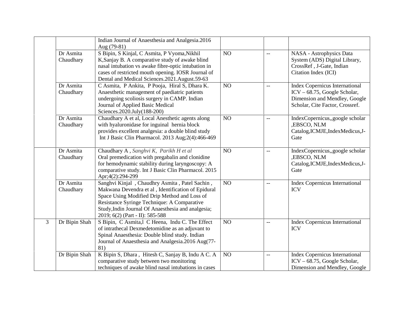|   |                        | Indian Journal of Anaesthesia and Analgesia.2016<br>Aug (79-81)                                                                                                                                                                                                                              |    |                |                                                                                                                                           |
|---|------------------------|----------------------------------------------------------------------------------------------------------------------------------------------------------------------------------------------------------------------------------------------------------------------------------------------|----|----------------|-------------------------------------------------------------------------------------------------------------------------------------------|
|   | Dr Asmita<br>Chaudhary | S Bipin, S Kinjal, C Asmita, P Vyoma, Nikhil<br>K, Sanjay B. A comparative study of awake blind<br>nasal intubation vs awake fibre-optic intubation in<br>cases of restricted mouth opening. IOSR Journal of<br>Dental and Medical Sciences.2021.August.59-63                                | NO | $\overline{a}$ | NASA - Astrophysics Data<br>System (ADS) Digital Library,<br>CrossRef, J-Gate, Indian<br>Citation Index (ICI)                             |
|   | Dr Asmita<br>Chaudhary | C Asmita, P Ankita, P Pooja, Hiral S, Dhara K.<br>Anaesthetic management of paediatric patients<br>undergoing scoliosis surgery in CAMP. Indian<br>Journal of Applied Basic Medical<br>Sciences.2020.July(188-200)                                                                           | NO | $-$            | <b>Index Copernicus International</b><br>ICV - 68.75, Google Scholar,<br>Dimension and Mendley, Google<br>Scholar, Cite Factor, Crossref. |
|   | Dr Asmita<br>Chaudhary | Chaudhary A et al, Local Anesthetic agents along<br>with hyaluronidase for inguinal hernia block<br>provides excellent analgesia: a double blind study<br>Int J Basic Clin Pharmacol. 2013 Aug; 2(4): 466-469                                                                                | NO | $-$            | IndexCopernicus,,google scholar<br>,EBSCO, NLM<br>Catalog, ICMJE, IndexMedicus, J-<br>Gate                                                |
|   | Dr Asmita<br>Chaudhary | Chaudhary A, Sanghvi K, Parikh H et al<br>Oral premedication with pregabalin and clonidine<br>for hemodynamic stability during laryngoscopy: A<br>comparative study. Int J Basic Clin Pharmacol. 2015<br>Apr;4(2):294-299                                                                    | NO | $\overline{a}$ | IndexCopernicus,,google scholar<br>,EBSCO, NLM<br>Catalog, ICMJE, Index Medicus, J-<br>Gate                                               |
|   | Dr Asmita<br>Chaudhary | Sanghvi Kinjal, Chaudhry Asmita, Patel Sachin,<br>Makwana Devendra et al, Identification of Epidural<br>Space Using Modified Drip Method and Loss of<br>Resistance Syringe Technique: A Comparative<br>Study, Indin Journal Of Anaesthesia and analgesia;<br>2019; 6(2) (Part - II): 585-588 | NO | $-$            | <b>Index Copernicus International</b><br><b>ICV</b>                                                                                       |
| 3 | Dr Bipin Shah          | S Bipin, C Asmita, I C Heena, Indu C. The Effect<br>of intrathecal Dexmedetomidine as an adjuvant to<br>Spinal Anaesthesia: Double blind study. Indian<br>Journal of Anaesthesia and Analgesia.2016 Aug(77-<br>81)                                                                           | NO | $\overline{a}$ | <b>Index Copernicus International</b><br><b>ICV</b>                                                                                       |
|   | Dr Bipin Shah          | K Bipin S, Dhara, Hitesh C, Sanjay B, Indu A C. A<br>comparative study between two monitoring<br>techniques of awake blind nasal intubations in cases                                                                                                                                        | NO | $-$            | <b>Index Copernicus International</b><br>$ICV - 68.75$ , Google Scholar,<br>Dimension and Mendley, Google                                 |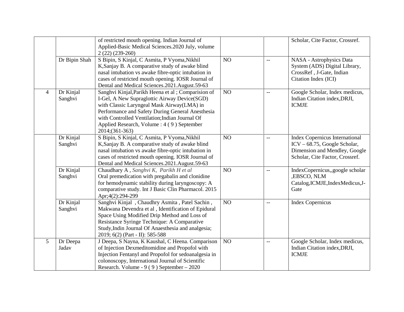|                |                      | of restricted mouth opening. Indian Journal of<br>Applied-Basic Medical Sciences.2020 July, volume<br>$2(22)(239-260)$                                                                                                                                                                                                 |    |                          | Scholar, Cite Factor, Crossref.                                                                                                           |
|----------------|----------------------|------------------------------------------------------------------------------------------------------------------------------------------------------------------------------------------------------------------------------------------------------------------------------------------------------------------------|----|--------------------------|-------------------------------------------------------------------------------------------------------------------------------------------|
|                | Dr Bipin Shah        | S Bipin, S Kinjal, C Asmita, P Vyoma, Nikhil<br>K, Sanjay B. A comparative study of awake blind<br>nasal intubation vs awake fibre-optic intubation in<br>cases of restricted mouth opening. IOSR Journal of<br>Dental and Medical Sciences.2021.August.59-63                                                          | NO | $-$                      | NASA - Astrophysics Data<br>System (ADS) Digital Library,<br>CrossRef, J-Gate, Indian<br>Citation Index (ICI)                             |
| $\overline{4}$ | Dr Kinjal<br>Sanghvi | Sanghvi Kinjal, Parikh Heena et al; Comparision of<br>I-Gel, A New Supraglottic Airway Device(SGD)<br>with Classic Laryngeal Mask Airway(LMA) in<br>Performance and Safety During General Anesthesia<br>with Controlled Ventilation; Indian Journal Of<br>Applied Research, Volume : 4 (9) September<br>2014;(361-363) | NO |                          | Google Scholar, Index medicus,<br>Indian Citation index, DRJI,<br><b>ICMJE</b>                                                            |
|                | Dr Kinjal<br>Sanghvi | S Bipin, S Kinjal, C Asmita, P Vyoma, Nikhil<br>K, Sanjay B. A comparative study of awake blind<br>nasal intubation vs awake fibre-optic intubation in<br>cases of restricted mouth opening. IOSR Journal of<br>Dental and Medical Sciences.2021.August.59-63                                                          | NO | $-$                      | <b>Index Copernicus International</b><br>ICV - 68.75, Google Scholar,<br>Dimension and Mendley, Google<br>Scholar, Cite Factor, Crossref. |
|                | Dr Kinjal<br>Sanghvi | Chaudhary A, Sanghvi K, Parikh H et al<br>Oral premedication with pregabalin and clonidine<br>for hemodynamic stability during laryngoscopy: A<br>comparative study. Int J Basic Clin Pharmacol. 2015<br>Apr;4(2):294-299                                                                                              | NO | $-\,-$                   | IndexCopernicus,,google scholar<br>,EBSCO, NLM<br>Catalog, ICMJE, Index Medicus, J-<br>Gate                                               |
|                | Dr Kinjal<br>Sanghvi | Sanghvi Kinjal, Chaudhry Asmita, Patel Sachin,<br>Makwana Devendra et al, Identification of Epidural<br>Space Using Modified Drip Method and Loss of<br>Resistance Syringe Technique: A Comparative<br>Study, Indin Journal Of Anaesthesia and analgesia;<br>2019; 6(2) (Part - II): 585-588                           | NO | $-$                      | <b>Index Copernicus</b>                                                                                                                   |
| 5 <sup>5</sup> | Dr Deepa<br>Jadav    | J Deepa, S Nayna, K Kaushal, C Heena. Comparison<br>of Injection Dexmeditomidine and Propofol with<br>Injection Fentanyl and Propofol for sedoanalgesia in<br>colonoscopy, International Journal of Scientific<br>Research. Volume - $9(9)$ September - 2020                                                           | NO | $\overline{\phantom{m}}$ | Google Scholar, Index medicus,<br>Indian Citation index, DRJI,<br><b>ICMJE</b>                                                            |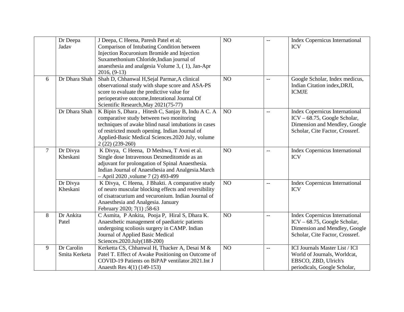|                | Dr Deepa<br>Jadav           | J Deepa, C Heena, Paresh Patel et al;<br>Comparison of Intubating Condition between<br>Injection Rocuronium Bromide and Injection<br>Suxamethonium Chloride, Indian journal of<br>anaesthesia and analgesia Volume 3, (1), Jan-Apr<br>$2016, (9-13)$                            | NO              | $-$                                 | <b>Index Copernicus International</b><br><b>ICV</b>                                                                                       |
|----------------|-----------------------------|---------------------------------------------------------------------------------------------------------------------------------------------------------------------------------------------------------------------------------------------------------------------------------|-----------------|-------------------------------------|-------------------------------------------------------------------------------------------------------------------------------------------|
| 6              | Dr Dhara Shah               | Shah D, Chhanwal H, Sejal Parmar, A clinical<br>observational study with shape score and ASA-PS<br>score to evaluate the predictive value for<br>perioperative outcome, Interational Journal Of<br>Scientific Research, May 2021(75-77)                                         | NO <sub>1</sub> | $-$                                 | Google Scholar, Index medicus,<br>Indian Citation index, DRJI,<br><b>ICMJE</b>                                                            |
|                | Dr Dhara Shah               | K Bipin S, Dhara, Hitesh C, Sanjay B, Indu A C. A<br>comparative study between two monitoring<br>techniques of awake blind nasal intubations in cases<br>of restricted mouth opening. Indian Journal of<br>Applied-Basic Medical Sciences.2020 July, volume<br>$2(22)(239-260)$ | NO              | $-$                                 | <b>Index Copernicus International</b><br>ICV - 68.75, Google Scholar,<br>Dimension and Mendley, Google<br>Scholar, Cite Factor, Crossref. |
| $\overline{7}$ | Dr Divya<br>Kheskani        | K Divya, C Heena, D Meshwa, T Avni et al.<br>Single dose Intravenous Dexmeditomide as an<br>adjuvant for prolongation of Spinal Anaesthesia.<br>Indian Journal of Anaesthesia and Analgesia. March<br>- April 2020, volume 7 (2) 493-499                                        | NO              | $\overline{\phantom{m}}$            | <b>Index Copernicus International</b><br><b>ICV</b>                                                                                       |
|                | Dr Divya<br>Kheskani        | K Divya, C Heena, J Bhakti. A comparative study<br>of neuro muscular blocking effects and reversibility<br>of cisatracurium and vecuronium. Indian Journal of<br>Anaesthesia and Analgesia. January<br>February 2020; 7(1) ;58-63                                               | NO              | $-$                                 | <b>Index Copernicus International</b><br><b>ICV</b>                                                                                       |
| 8              | Dr Ankita<br>Patel          | C Asmita, P Ankita, Pooja P, Hiral S, Dhara K.<br>Anaesthetic management of paediatric patients<br>undergoing scoliosis surgery in CAMP. Indian<br>Journal of Applied Basic Medical<br>Sciences.2020.July(188-200)                                                              | NO              | $\hspace{0.05cm}$ $\hspace{0.05cm}$ | <b>Index Copernicus International</b><br>ICV – 68.75, Google Scholar,<br>Dimension and Mendley, Google<br>Scholar, Cite Factor, Crossref. |
| 9              | Dr Carolin<br>Smita Kerketa | Kerketta CS, Chhanwal H, Thacker A, Desai M &<br>Patel T. Effect of Awake Positioning on Outcome of<br>COVID-19 Patients on BiPAP ventilator.2021.Int J<br>Anaesth Res 4(1) (149-153)                                                                                           | NO              | $\overline{\phantom{m}}$            | ICI Journals Master List / ICI<br>World of Journals, Worldcat,<br>EBSCO, ZBD, Ulrich's<br>periodicals, Google Scholar,                    |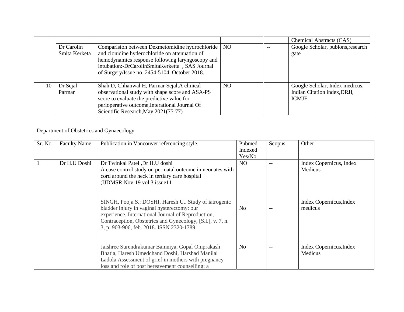|    |               |                                                  |                 |       | Chemical Abstracts (CAS)          |
|----|---------------|--------------------------------------------------|-----------------|-------|-----------------------------------|
|    | Dr Carolin    | Comparision between Dexmetomidine hydrochloride  | NO <sub>1</sub> | $- -$ | Google Scholar, publons, research |
|    | Smita Kerketa | and clonidine hyderochloride on attenuation of   |                 |       | gate                              |
|    |               | hemodynamics response following laryngoscopy and |                 |       |                                   |
|    |               | intubation:-DrCarolinSmitaKerketta, SAS Journal  |                 |       |                                   |
|    |               | of Surgery/Issue no. 2454-5104, October 2018.    |                 |       |                                   |
|    |               |                                                  |                 |       |                                   |
| 10 | Dr Sejal      | Shah D, Chhanwal H, Parmar Sejal, A clinical     | <b>NO</b>       | $-$   | Google Scholar, Index medicus,    |
|    | Parmar        | observational study with shape score and ASA-PS  |                 |       | Indian Citation index, DRJI,      |
|    |               | score to evaluate the predictive value for       |                 |       | <b>ICMJE</b>                      |
|    |               | perioperative outcome, Interational Journal Of   |                 |       |                                   |
|    |               | Scientific Research, May 2021(75-77)             |                 |       |                                   |

Department of Obstetrics and Gynaecology

| Sr. No. | <b>Faculty Name</b> | Publication in Vancouver referencing style.                                                                                                                                                                                                                          | Pubmed<br>Indexed<br>Yes/No | Scopus | Other                              |
|---------|---------------------|----------------------------------------------------------------------------------------------------------------------------------------------------------------------------------------------------------------------------------------------------------------------|-----------------------------|--------|------------------------------------|
|         | Dr H.U Doshi        | Dr Twinkal Patel ,Dr H.U doshi<br>A case control study on perinatal outcome in neonates with<br>cord around the neck in tertiary care hospital<br>;IJDMSR Nov-19 vol 3 issue11                                                                                       | NO.                         |        | Index Copernicus, Index<br>Medicus |
|         |                     | SINGH, Pooja S.; DOSHI, Haresh U. Study of iatrogenic<br>bladder injury in vaginal hysterectomy: our<br>experience. International Journal of Reproduction,<br>Contraception, Obstetrics and Gynecology, [S.l.], v. 7, n.<br>3, p. 903-906, feb. 2018. ISSN 2320-1789 | No.                         |        | Index Copernicus, Index<br>medicus |
|         |                     | Jaishree Surendrakumar Bamniya, Gopal Omprakash<br>Bhatia, Haresh Umedchand Doshi, Harshad Manilal<br>Ladola Assessment of grief in mothers with pregnancy<br>loss and role of post bereavement counselling: a                                                       | N <sub>0</sub>              | --     | Index Copernicus, Index<br>Medicus |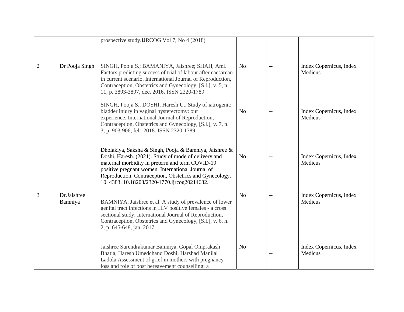|                |                        | prospective study.IJRCOG Vol 7, No 4 (2018)                                                                                                                                                                                                                                                                                     |                |     |                                    |
|----------------|------------------------|---------------------------------------------------------------------------------------------------------------------------------------------------------------------------------------------------------------------------------------------------------------------------------------------------------------------------------|----------------|-----|------------------------------------|
| $\overline{2}$ | Dr Pooja Singh         | SINGH, Pooja S.; BAMANIYA, Jaishree; SHAH, Ami.<br>Factors predicting success of trial of labour after caesarean<br>in current scenario. International Journal of Reproduction,<br>Contraception, Obstetrics and Gynecology, [S.l.], v. 5, n.<br>11, p. 3893-3897, dec. 2016. ISSN 2320-1789                                    | N <sub>o</sub> | $-$ | Index Copernicus, Index<br>Medicus |
|                |                        | SINGH, Pooja S.; DOSHI, Haresh U. Study of iatrogenic<br>bladder injury in vaginal hysterectomy: our<br>experience. International Journal of Reproduction,<br>Contraception, Obstetrics and Gynecology, [S.l.], v. 7, n.<br>3, p. 903-906, feb. 2018. ISSN 2320-1789                                                            | N <sub>o</sub> | $-$ | Index Copernicus, Index<br>Medicus |
|                |                        | Dholakiya, Saksha & Singh, Pooja & Bamniya, Jaishree &<br>Doshi, Haresh. (2021). Study of mode of delivery and<br>maternal morbidity in preterm and term COVID-19<br>positive pregnant women. International Journal of<br>Reproduction, Contraception, Obstetrics and Gynecology.<br>10.4383.10.18203/2320-1770.ijrcog20214632. | N <sub>o</sub> | $-$ | Index Copernicus, Index<br>Medicus |
| 3              | Dr.Jaishree<br>Bamniya | BAMNIYA, Jaishree et al. A study of prevalence of lower<br>genital tract infections in HIV positive females - a cross<br>sectional study. International Journal of Reproduction,<br>Contraception, Obstetrics and Gynecology, [S.l.], v. 6, n.<br>2, p. 645-648, jan. 2017                                                      | N <sub>o</sub> | $-$ | Index Copernicus, Index<br>Medicus |
|                |                        | Jaishree Surendrakumar Bamniya, Gopal Omprakash<br>Bhatia, Haresh Umedchand Doshi, Harshad Manilal<br>Ladola Assessment of grief in mothers with pregnancy<br>loss and role of post bereavement counselling: a                                                                                                                  | N <sub>o</sub> | $-$ | Index Copernicus, Index<br>Medicus |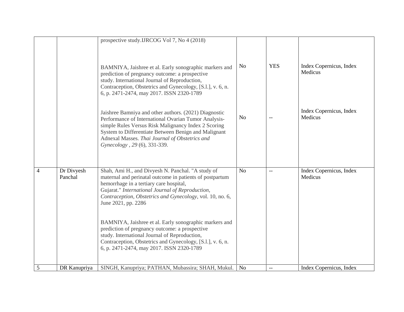|   |                       | prospective study.IJRCOG Vol 7, No 4 (2018)                                                                                                                                                                                                                                                                    |                |                          |                                    |
|---|-----------------------|----------------------------------------------------------------------------------------------------------------------------------------------------------------------------------------------------------------------------------------------------------------------------------------------------------------|----------------|--------------------------|------------------------------------|
|   |                       | BAMNIYA, Jaishree et al. Early sonographic markers and<br>prediction of pregnancy outcome: a prospective<br>study. International Journal of Reproduction,<br>Contraception, Obstetrics and Gynecology, [S.l.], v. 6, n.<br>6, p. 2471-2474, may 2017. ISSN 2320-1789                                           | N <sub>o</sub> | <b>YES</b>               | Index Copernicus, Index<br>Medicus |
|   |                       | Jaishree Bamniya and other authors. (2021) Diagnostic<br>Performance of International Ovarian Tumor Analysis-<br>simple Rules Versus Risk Malignancy Index 2 Scoring<br>System to Differentiate Between Benign and Malignant<br>Adnexal Masses. Thai Journal of Obstetrics and<br>Gynecology, 29 (6), 331-339. | N <sub>o</sub> | --                       | Index Copernicus, Index<br>Medicus |
| 4 | Dr Divyesh<br>Panchal | Shah, Ami H., and Divyesh N. Panchal. "A study of<br>maternal and perinatal outcome in patients of postpartum<br>hemorrhage in a tertiary care hospital,<br>Gujarat." International Journal of Reproduction,<br>Contraception, Obstetrics and Gynecology, vol. 10, no. 6,<br>June 2021, pp. 2286               | N <sub>o</sub> | $\overline{\phantom{a}}$ | Index Copernicus, Index<br>Medicus |
|   |                       | BAMNIYA, Jaishree et al. Early sonographic markers and<br>prediction of pregnancy outcome: a prospective<br>study. International Journal of Reproduction,<br>Contraception, Obstetrics and Gynecology, [S.l.], v. 6, n.<br>6, p. 2471-2474, may 2017. ISSN 2320-1789                                           |                |                          |                                    |
| 5 | DR Kanupriya          | SINGH, Kanupriya; PATHAN, Mubassira; SHAH, Mukul.                                                                                                                                                                                                                                                              | N <sub>0</sub> | $-\,-$                   | Index Copernicus, Index            |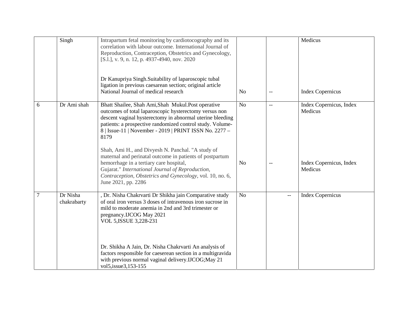|        | Singh                   | Intrapartum fetal monitoring by cardiotocography and its<br>correlation with labour outcome. International Journal of<br>Reproduction, Contraception, Obstetrics and Gynecology,<br>[S.l.], v. 9, n. 12, p. 4937-4940, nov. 2020<br>Dr Kanupriya Singh.Suitability of laparoscopic tubal<br>ligation in previous caesarean section; original article<br>National Journal of medical research | No             | $\qquad \qquad -$ | Medicus<br><b>Index Copernicus</b> |
|--------|-------------------------|----------------------------------------------------------------------------------------------------------------------------------------------------------------------------------------------------------------------------------------------------------------------------------------------------------------------------------------------------------------------------------------------|----------------|-------------------|------------------------------------|
| 6      | Dr Ami shah             | Bhatt Shailee, Shah Ami, Shah Mukul. Post operative<br>outcomes of total laparoscopic hysterectomy versus non<br>descent vaginal hysterectomy in abnormal uterine bleeding<br>patients: a prospective randomized control study. Volume-<br>8   Issue-11   November - 2019   PRINT ISSN No. 2277 -<br>8179                                                                                    | N <sub>o</sub> | $-$               | Index Copernicus, Index<br>Medicus |
|        |                         | Shah, Ami H., and Divyesh N. Panchal. "A study of<br>maternal and perinatal outcome in patients of postpartum<br>hemorrhage in a tertiary care hospital,<br>Gujarat." International Journal of Reproduction,<br>Contraception, Obstetrics and Gynecology, vol. 10, no. 6,<br>June 2021, pp. 2286                                                                                             | N <sub>o</sub> | $-$               | Index Copernicus, Index<br>Medicus |
| $\tau$ | Dr Nisha<br>chakrabarty | , Dr. Nisha Chakrvarti Dr Shikha jain Comparative study<br>of oral iron versus 3 doses of intravenous iron sucrose in<br>mild to moderate anemia in 2nd and 3rd trimester or<br>pregnancy.IJCOG May 2021<br>VOL 5, ISSUE 3, 228-231                                                                                                                                                          | N <sub>o</sub> |                   | <b>Index Copernicus</b>            |
|        |                         | Dr. Shikha A Jain, Dr. Nisha Chakrvarti An analysis of<br>factors responsible for caeserean section in a multigravida<br>with previous normal vaginal delivery.IJCOG; May 21<br>vol5, issue 3, 153-155                                                                                                                                                                                       |                |                   |                                    |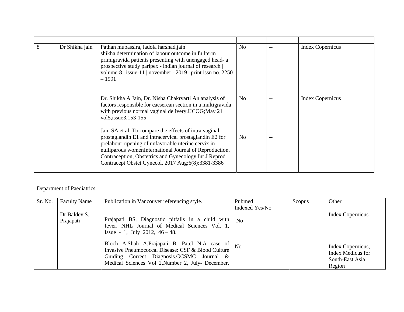| 8 | Dr Shikha jain | Pathan mubassira, ladola harshad, jain<br>shikha.determination of labour outcome in fullterm<br>primigravida patients presenting with unengaged head- a<br>prospective study paripex - indian journal of research  <br>volume-8   issue-11   november - 2019   print issn no. 2250<br>$-1991$                                                        | N <sub>o</sub> |     | <b>Index Copernicus</b> |
|---|----------------|------------------------------------------------------------------------------------------------------------------------------------------------------------------------------------------------------------------------------------------------------------------------------------------------------------------------------------------------------|----------------|-----|-------------------------|
|   |                | Dr. Shikha A Jain, Dr. Nisha Chakrvarti An analysis of<br>factors responsible for caeserean section in a multigravida<br>with previous normal vaginal delivery.IJCOG; May 21<br>vol5, issue 3, 153-155                                                                                                                                               | N <sub>0</sub> |     | <b>Index Copernicus</b> |
|   |                | Jain SA et al. To compare the effects of intra vaginal<br>prostaglandin E1 and intracervical prostaglandin E2 for<br>prelabour ripening of unfavorable uterine cervix in<br>nulliparous womenInternational Journal of Reproduction,<br>Contraception, Obstetrics and Gynecology Int J Reprod<br>Contracept Obstet Gynecol. 2017 Aug; 6(8): 3381-3386 | N <sub>0</sub> | $-$ |                         |

## Department of Paediatrics

| Sr. No. | <b>Faculty Name</b>       | Publication in Vancouver referencing style.                                                                                                                                                           | Pubmed<br>Indexed Yes/No | Scopus | Other                                                               |
|---------|---------------------------|-------------------------------------------------------------------------------------------------------------------------------------------------------------------------------------------------------|--------------------------|--------|---------------------------------------------------------------------|
|         | Dr Baldev S.<br>Prajapati | Prajapati BS, Diagnostic pitfalls in a child with<br>fever. NHL Journal of Medical Sciences Vol. 1,<br>Issue - 1, July 2012, $46 - 48$ .                                                              | $\mathbf{N}\mathbf{O}$   | --     | <b>Index Copernicus</b>                                             |
|         |                           | Bloch A,Shah A,Prajapati B, Patel N.A case of<br>Invasive Pneumococcal Disease: CSF & Blood Culture<br>Guiding Correct Diagnosis.GCSMC Journal &<br>Medical Sciences Vol 2, Number 2, July- December, | N <sub>0</sub>           |        | Index Copernicus,<br>Index Medicus for<br>South-East Asia<br>Region |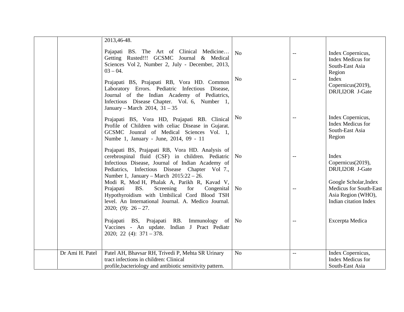|                 | 2013,46-48.                                                                                                                                                                                                                                                                                                                                                                                     |                      |                          |                                                                                                                               |
|-----------------|-------------------------------------------------------------------------------------------------------------------------------------------------------------------------------------------------------------------------------------------------------------------------------------------------------------------------------------------------------------------------------------------------|----------------------|--------------------------|-------------------------------------------------------------------------------------------------------------------------------|
|                 | Pajapati BS. The Art of Clinical Medicine<br>Getting Rusted!!! GCSMC Journal & Medical<br>Sciences Vol 2, Number 2, July - December, 2013,<br>$03 - 04.$<br>Prajapati BS, Prajapati RB, Vora HD. Common<br>Laboratory Errors. Pediatric Infectious Disease,<br>Journal of the Indian Academy of Pediatrics,<br>Infectious Disease Chapter. Vol. 6, Number 1,<br>January – March 2014, $31 - 35$ | No<br>N <sub>o</sub> | $-$<br>$-$               | Index Copernicus,<br><b>Index Medicus for</b><br>South-East Asia<br>Region<br>Index<br>Copernicus(2019),<br>DRJI, I2OR J-Gate |
|                 | Prajapati BS, Vora HD, Prajapati RB. Clinical<br>Profile of Children with celiac Disease in Gujarat.<br>GCSMC Jounral of Medical Sciences Vol. 1,<br>Numbe 1, January - June, 2014, 09 - 11                                                                                                                                                                                                     | N <sub>0</sub>       | --                       | Index Copernicus,<br>Index Medicus for<br>South-East Asia<br>Region                                                           |
|                 | Prajapati BS, Prajapati RB, Vora HD. Analysis of<br>cerebrospinal fluid (CSF) in children. Pediatric<br>Infectious Disease, Journal of Indian Academy of<br>Pediatrics, Infectious Disease Chapter Vol 7.,<br>Number 1, January – March $2015:22 - 26$ .                                                                                                                                        | No                   | $\overline{\phantom{m}}$ | Index<br>Copernicus(2019),<br>DRJI, I2OR J-Gate                                                                               |
|                 | Modi R, Mod H, Phalak A, Parikh R, Kavad V,<br>BS.<br>Screening<br>for<br>Prajapati<br>Congenital<br>Hypothyroidism with Umbilical Cord Blood TSH<br>level. An International Journal. A. Medico Journal.<br>2020; (9): $26-27$ .                                                                                                                                                                | N <sub>0</sub>       | --                       | Google Scholar, Index<br>Medicus for South-East<br>Asia Region (WHO),<br>Indian citation Index                                |
|                 | Prajapati BS, Prajapati RB. Immunology of<br>Vaccines - An update. Indian J Pract Pediatr<br>$2020; 22 (4): 371 - 378.$                                                                                                                                                                                                                                                                         | No                   | $-$                      | Excerpta Medica                                                                                                               |
| Dr Ami H. Patel | Patel AH, Bhavsar RH, Trivedi P, Mehta SR Urinary<br>tract infections in children: Clinical<br>profile, bacteriology and antibiotic sensitivity pattern.                                                                                                                                                                                                                                        | N <sub>o</sub>       | $-$                      | Index Copernicus,<br><b>Index Medicus for</b><br>South-East Asia                                                              |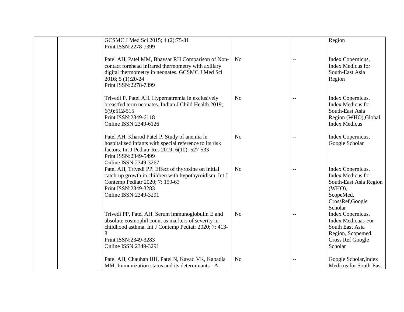| GCSMC J Med Sci 2015; 4 (2):75-81<br>Print ISSN:2278-7399                                                                                                                                                              |                |     | Region                                                                                                                       |
|------------------------------------------------------------------------------------------------------------------------------------------------------------------------------------------------------------------------|----------------|-----|------------------------------------------------------------------------------------------------------------------------------|
| Patel AH, Patel MM, Bhavsar RH Comparison of Non-<br>contact forehead infrared thermometry with axillary<br>digital thermometry in neonates. GCSMC J Med Sci<br>2016; 5 (1):20-24<br>Print ISSN:2278-7399              | N <sub>o</sub> | $-$ | Index Copernicus,<br><b>Index Medicus for</b><br>South-East Asia<br>Region                                                   |
| Trivedi P, Patel AH. Hypernatremia in exclusively<br>breastfed term neonates. Indian J Child Health 2019;<br>$6(9):512-515$<br>Print ISSN:2349-6118<br>Online ISSN:2349-6126                                           | No             |     | Index Copernicus,<br>Index Medicus for<br>South-East Asia<br>Region (WHO), Global<br><b>Index Medicus</b>                    |
| Patel AH, Kharod Patel P. Study of anemia in<br>hospitalised infants with special reference to its risk<br>factors. Int J Pediatr Res 2019; 6(10): 527-533<br>Print ISSN:2349-5499<br>Online ISSN:2349-3267            | N <sub>o</sub> | $-$ | Index Copernicus,<br>Google Scholar                                                                                          |
| Patel AH, Trivedi PP. Effect of thyroxine on initial<br>catch-up growth in children with hypothyroidism. Int J<br>Contemp Pediatr 2020; 7: 159-63<br>Print ISSN:2349-3283<br>Online ISSN:2349-3291                     | N <sub>o</sub> | $-$ | Index Copernicus,<br>Index Medicus for<br>South-East Asia Region<br>(WHO),<br>ScopeMed,<br>CrossRef,Google<br>Scholar        |
| Trivedi PP, Patel AH. Serum immunoglobulin E and<br>absolute eosinophil count as markers of severity in<br>childhood asthma. Int J Contemp Pediatr 2020; 7: 413-<br>8<br>Print ISSN:2349-3283<br>Online ISSN:2349-3291 | N <sub>o</sub> | $-$ | Index Copernicus,<br><b>Index Medicuas For</b><br>South East Asia<br>Region, Scopemed,<br><b>Cross Ref Google</b><br>Scholar |
| Patel AH, Chauhan HH, Patel N, Kavad VK, Kapadia<br>MM. Immunization status and its determinants - A                                                                                                                   | N <sub>o</sub> | $-$ | Google Scholar, Index<br><b>Medicus for South-East</b>                                                                       |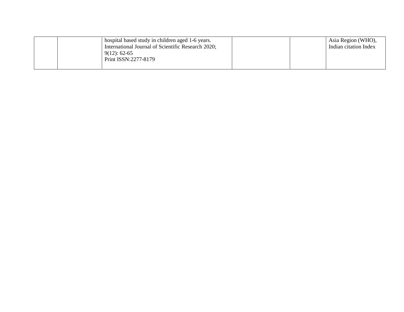| hospital based study in children aged 1-6 years.   | Asia Region (WHO),    |
|----------------------------------------------------|-----------------------|
| International Journal of Scientific Research 2020; | Indian citation Index |
| $9(12): 62-65$                                     |                       |
| Print ISSN: 2277-8179                              |                       |
|                                                    |                       |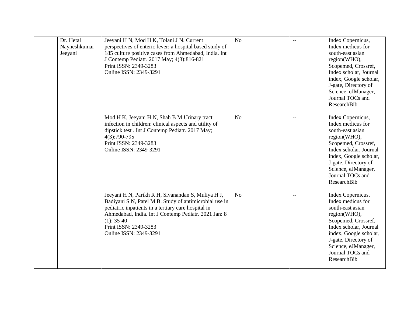| Dr. Hetal<br>Nayneshkumar<br>Jeeyani | Jeeyani H N, Mod H K, Tolani J N. Current<br>perspectives of enteric fever: a hospital based study of<br>185 culture positive cases from Ahmedabad, India. Int<br>J Contemp Pediatr. 2017 May; 4(3):816-821<br>Print ISSN: 2349-3283<br>Online ISSN: 2349-3291                                 | No             | $-$ | Index Copernicus,<br>Index medicus for<br>south-east asian<br>region(WHO),<br>Scopemed, Crossref,<br>Index scholar, Journal<br>index, Google scholar,<br>J-gate, Directory of<br>Science, eJManager,<br>Journal TOCs and<br><b>ResearchBib</b> |
|--------------------------------------|------------------------------------------------------------------------------------------------------------------------------------------------------------------------------------------------------------------------------------------------------------------------------------------------|----------------|-----|------------------------------------------------------------------------------------------------------------------------------------------------------------------------------------------------------------------------------------------------|
|                                      | Mod H K, Jeeyani H N, Shah B M. Urinary tract<br>infection in children: clinical aspects and utility of<br>dipstick test. Int J Contemp Pediatr. 2017 May;<br>4(3):790-795<br>Print ISSN: 2349-3283<br>Online ISSN: 2349-3291                                                                  | N <sub>o</sub> |     | Index Copernicus,<br>Index medicus for<br>south-east asian<br>region(WHO),<br>Scopemed, Crossref,<br>Index scholar, Journal<br>index, Google scholar,<br>J-gate, Directory of<br>Science, eJManager,<br>Journal TOCs and<br>ResearchBib        |
|                                      | Jeeyani H N, Parikh R H, Sivanandan S, Muliya H J,<br>Badiyani S N, Patel M B. Study of antimicrobial use in<br>pediatric inpatients in a tertiary care hospital in<br>Ahmedabad, India. Int J Contemp Pediatr. 2021 Jan: 8<br>$(1): 35-40$<br>Print ISSN: 2349-3283<br>Online ISSN: 2349-3291 | N <sub>o</sub> |     | Index Copernicus,<br>Index medicus for<br>south-east asian<br>region(WHO),<br>Scopemed, Crossref,<br>Index scholar, Journal<br>index, Google scholar,<br>J-gate, Directory of<br>Science, eJManager,<br>Journal TOCs and<br>ResearchBib        |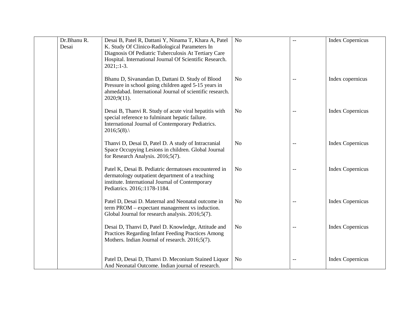| Dr.Bhanu R.<br>Desai | Desai B, Patel R, Dattani Y, Ninama T, Khara A, Patel<br>K. Study Of Clinico-Radiological Parameters In<br>Diagnosis Of Pediatric Tuberculosis At Tertiary Care<br>Hospital. International Journal Of Scientific Research.<br>$2021;1-3.$ | N <sub>o</sub> | $-$ | <b>Index Copernicus</b> |
|----------------------|-------------------------------------------------------------------------------------------------------------------------------------------------------------------------------------------------------------------------------------------|----------------|-----|-------------------------|
|                      | Bhanu D, Sivanandan D, Dattani D. Study of Blood<br>Pressure in school going children aged 5-15 years in<br>ahmedabad. International Journal of scientific research.<br>2020;9(11).                                                       | N <sub>0</sub> | --  | Index copernicus        |
|                      | Desai B, Thanvi R. Study of acute viral hepatitis with<br>special reference to fulminant hepatic failure.<br>International Journal of Contemporary Pediatrics.<br>$2016;5(8)$ .                                                           | N <sub>0</sub> |     | <b>Index Copernicus</b> |
|                      | Thanvi D, Desai D, Patel D. A study of Intracranial<br>Space Occupying Lesions in children. Global Journal<br>for Research Analysis. 2016;5(7).                                                                                           | N <sub>o</sub> | $-$ | <b>Index Copernicus</b> |
|                      | Patel K, Desai B. Pediatric dermatoses encountered in<br>dermatology outpatient department of a teaching<br>institute. International Journal of Contemporary<br>Pediatrics. 2016;:1178-1184.                                              | N <sub>o</sub> | $-$ | <b>Index Copernicus</b> |
|                      | Patel D, Desai D. Maternal and Neonatal outcome in<br>term PROM – expectant management vs induction.<br>Global Journal for research analysis. 2016;5(7).                                                                                  | N <sub>o</sub> | $-$ | <b>Index Copernicus</b> |
|                      | Desai D, Thanvi D, Patel D. Knowledge, Attitude and<br>Practices Regarding Infant Feeding Practices Among<br>Mothers. Indian Journal of research. 2016;5(7).                                                                              | N <sub>o</sub> | $-$ | <b>Index Copernicus</b> |
|                      | Patel D, Desai D, Thanvi D. Meconium Stained Liquor<br>And Neonatal Outcome. Indian journal of research.                                                                                                                                  | N <sub>0</sub> | $-$ | <b>Index Copernicus</b> |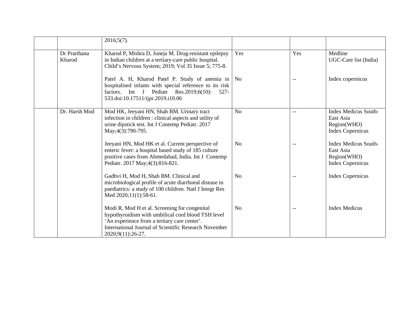|                        | $2016;5(7)$ .                                                                                                                                                                                                                     |                |       |                                                                                    |
|------------------------|-----------------------------------------------------------------------------------------------------------------------------------------------------------------------------------------------------------------------------------|----------------|-------|------------------------------------------------------------------------------------|
| Dr Prarthana<br>Kharod | Kharod P, Mishra D, Juneja M. Drug-resistant epilepsy<br>in Indian children at a tertiary-care public hospital.<br>Child's Nervous System; 2019; Vol 35 Issue 5; 775-8.                                                           | Yes            | Yes   | Medline<br>UGC-Care list (India)                                                   |
|                        | Patel A. H, Kharod Patel P. Study of anemia in   No<br>hospitalised infants with special reference to its risk<br>factors. Int J Pediatr Res.2019;6(10):<br>$527 -$<br>533.doi:10.17511/ijpr.2019.i10.06                          |                | $-$   | Index copernicus                                                                   |
| Dr. Harsh Mod          | Mod HK, Jeeyani HN, Shah BM. Urinary tract<br>infection in children : clinical aspects and utility of<br>urine dipstick test. Int J Contemp Pediatr. 2017<br>May; 4(3): 790-795.                                                  | N <sub>o</sub> | $- -$ | <b>Index Medicus South-</b><br>East Asia<br>Region(WHO)<br><b>Index Copernicus</b> |
|                        | Jeeyani HN, Mod HK et al. Current perspective of<br>enteric fever: a hospital based study of 185 culture<br>positive cases from Ahmedabad, India. Int J Contemp<br>Pediatr. 2017 May; 4(3): 816-821.                              | N <sub>o</sub> | $-$   | <b>Index Medicus South-</b><br>East Asia<br>Region(WHO)<br><b>Index Copernicus</b> |
|                        | Gadhvi H, Mod H, Shah BM. Clinical and<br>microbiological profile of acute diarrhoeal disease in<br>paediatrics: a study of 100 children. Natl J Integr Res<br>Med 2020;11(1):58-61.                                              | N <sub>0</sub> | --    | <b>Index Copernicus</b>                                                            |
|                        | Modi R, Mod H et al. Screening for congenital<br>hypothyroidism with umbilical cord blood TSH level<br>'An experience from a tertiary care center'.<br>International Journal of Scientific Research November<br>2020;9(11):26-27. | N <sub>o</sub> | $-$   | <b>Index Medicus</b>                                                               |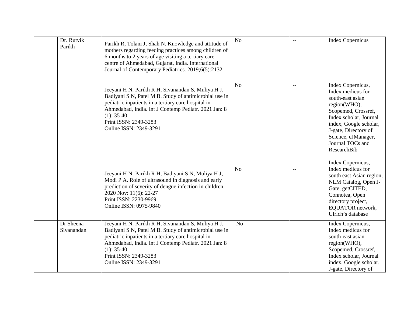| Dr. Rutvik<br>Parikh    | Parikh R, Tolani J, Shah N. Knowledge and attitude of<br>mothers regarding feeding practices among children of<br>6 months to 2 years of age visiting a tertiary care<br>centre of Ahmedabad, Gujarat, India. International<br>Journal of Contemporary Pediatrics. 2019;6(5):2132.             | N <sub>o</sub> |     | <b>Index Copernicus</b>                                                                                                                                                                                                                        |
|-------------------------|------------------------------------------------------------------------------------------------------------------------------------------------------------------------------------------------------------------------------------------------------------------------------------------------|----------------|-----|------------------------------------------------------------------------------------------------------------------------------------------------------------------------------------------------------------------------------------------------|
|                         | Jeeyani H N, Parikh R H, Sivanandan S, Muliya H J,<br>Badiyani S N, Patel M B. Study of antimicrobial use in<br>pediatric inpatients in a tertiary care hospital in<br>Ahmedabad, India. Int J Contemp Pediatr. 2021 Jan: 8<br>$(1): 35-40$<br>Print ISSN: 2349-3283<br>Online ISSN: 2349-3291 | N <sub>o</sub> |     | Index Copernicus,<br>Index medicus for<br>south-east asian<br>region(WHO),<br>Scopemed, Crossref,<br>Index scholar, Journal<br>index, Google scholar,<br>J-gate, Directory of<br>Science, eJManager,<br>Journal TOCs and<br><b>ResearchBib</b> |
|                         | Jeeyani H N, Parikh R H, Badiyani S N, Muliya H J,<br>Modi P A. Role of ultrasound in diagnosis and early<br>prediction of severity of dengue infection in children.<br>2020 Nov: 11(6): 22-27<br>Print ISSN: 2230-9969<br>Online ISSN: 0975-9840                                              | N <sub>o</sub> |     | Index Copernicus,<br>Index medicus for<br>south east Asian region,<br>NLM Catalog, Open J-<br>Gate, getCITED,<br>Connotea, Open<br>directory project,<br>EQUATOR network,<br>Ulrich's database                                                 |
| Dr Sheena<br>Sivanandan | Jeeyani H N, Parikh R H, Sivanandan S, Muliya H J,<br>Badiyani S N, Patel M B. Study of antimicrobial use in<br>pediatric inpatients in a tertiary care hospital in<br>Ahmedabad, India. Int J Contemp Pediatr. 2021 Jan: 8<br>$(1): 35-40$<br>Print ISSN: 2349-3283<br>Online ISSN: 2349-3291 | N <sub>o</sub> | $-$ | Index Copernicus,<br>Index medicus for<br>south-east asian<br>region(WHO),<br>Scopemed, Crossref,<br>Index scholar, Journal<br>index, Google scholar,<br>J-gate, Directory of                                                                  |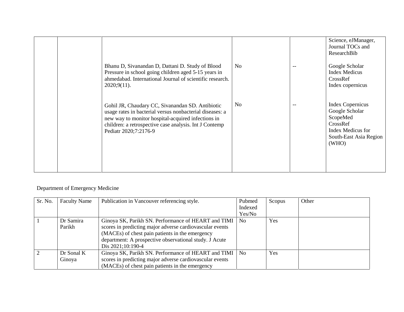|  |                                                                                                                                                                                                                                                       |                | Science, eJManager,<br>Journal TOCs and<br>ResearchBib                                                                    |
|--|-------------------------------------------------------------------------------------------------------------------------------------------------------------------------------------------------------------------------------------------------------|----------------|---------------------------------------------------------------------------------------------------------------------------|
|  | Bhanu D, Sivanandan D, Dattani D. Study of Blood<br>Pressure in school going children aged 5-15 years in<br>ahmedabad. International Journal of scientific research.<br>$2020;9(11)$ .                                                                | No.            | Google Scholar<br><b>Index Medicus</b><br>CrossRef<br>Index copernicus                                                    |
|  | Gohil JR, Chaudary CC, Sivanandan SD. Antibiotic<br>usage rates in bacterial versus nonbacterial diseases: a<br>new way to monitor hospital-acquired infections in<br>children: a retrospective case analysis. Int J Contemp<br>Pediatr 2020;7:2176-9 | N <sub>0</sub> | <b>Index Copernicus</b><br>Google Scholar<br>ScopeMed<br>CrossRef<br>Index Medicus for<br>South-East Asia Region<br>(WHO) |

## Department of Emergency Medicine

| Sr. No.       | <b>Faculty Name</b> | Publication in Vancouver referencing style.              | Pubmed<br>Indexed | Scopus | Other |
|---------------|---------------------|----------------------------------------------------------|-------------------|--------|-------|
|               |                     |                                                          |                   |        |       |
|               |                     |                                                          | Yes/No            |        |       |
|               | Dr Samira           | Ginoya SK, Parikh SN. Performance of HEART and TIMI      | N <sub>0</sub>    | Yes    |       |
|               | Parikh              | scores in predicting major adverse cardiovascular events |                   |        |       |
|               |                     | (MACEs) of chest pain patients in the emergency          |                   |        |       |
|               |                     | department: A prospective observational study. J Acute   |                   |        |       |
|               |                     | Dis 2021;10:190-4                                        |                   |        |       |
| $\mathcal{L}$ | Dr Sonal K          | Ginoya SK, Parikh SN. Performance of HEART and TIMI      | N <sub>0</sub>    | Yes    |       |
|               | Ginoya              | scores in predicting major adverse cardiovascular events |                   |        |       |
|               |                     | (MACEs) of chest pain patients in the emergency          |                   |        |       |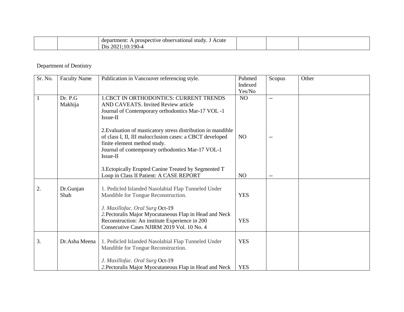| Acute<br>department:<br>A prospective observational study. |  |  |
|------------------------------------------------------------|--|--|
| Dis 2021;10:1<br>$190 -$                                   |  |  |

## Department of Dentistry

| Sr. No. | <b>Faculty Name</b> | Publication in Vancouver referencing style.                                                                                                                                                                               | Pubmed<br>Indexed<br>Yes/No | Scopus                   | Other |
|---------|---------------------|---------------------------------------------------------------------------------------------------------------------------------------------------------------------------------------------------------------------------|-----------------------------|--------------------------|-------|
| 1       | Dr. P.G<br>Makhija  | <b>1.CBCT IN ORTHODONTICS: CURRENT TRENDS</b><br>AND CAVEATS. Invited Review article<br>Journal of Contemporary orthodontics Mar-17 VOL -1<br>Issue-II                                                                    | N <sub>O</sub>              | $\overline{\phantom{a}}$ |       |
|         |                     | 2. Evaluation of masticatory stress distribution in mandible<br>of class I, II, III malocclusion cases: a CBCT developed<br>finite element method study.<br>Journal of contemporary orthodontics Mar-17 VOL-1<br>Issue-II | N <sub>O</sub>              | $-$                      |       |
|         |                     | 3. Ectopically Erupted Canine Treated by Segmented T<br>Loop in Class II Patient: A CASE REPORT                                                                                                                           | NO                          | $-$                      |       |
| 2.      | Dr.Gunjan<br>Shah   | 1. Pedicled Islanded Nasolabial Flap Tunneled Under<br>Mandible for Tongue Reconstruction.<br>J. Maxillofac. Oral Surg Oct-19                                                                                             | <b>YES</b>                  |                          |       |
|         |                     | 2. Pectoralis Major Myocutaneous Flap in Head and Neck<br>Reconstruction: An institute Experience in 200<br>Consecutive Cases NJIRM 2019 Vol. 10 No. 4                                                                    | <b>YES</b>                  |                          |       |
| 3.      | Dr.Asha Meena       | 1. Pedicled Islanded Nasolabial Flap Tunneled Under<br>Mandible for Tongue Reconstruction.                                                                                                                                | <b>YES</b>                  |                          |       |
|         |                     | J. Maxillofac. Oral Surg Oct-19<br>2. Pectoralis Major Myocutaneous Flap in Head and Neck                                                                                                                                 | <b>YES</b>                  |                          |       |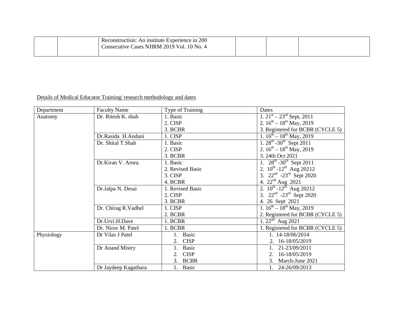| Reconstruction: An institute Experience in 200<br>Consecutive Cases NJIRM 2019 Vol. 10 No. 4 |  |  |
|----------------------------------------------------------------------------------------------|--|--|
|                                                                                              |  |  |

## Details of Medical Educator Training/ research methodology and dates

| Department | <b>Faculty Name</b>  | Type of Training   | Dates                                                        |
|------------|----------------------|--------------------|--------------------------------------------------------------|
| Anatomy    | Dr. Ritesh K. shah   | 1. Basic           | 1. $21^{st} - 23^{rd}$ Sept, 2011                            |
|            |                      | 2. CISP            | 2. $16^{th} - 18^{th}$ May, 2019                             |
|            |                      | 3. BCBR            | 3. Registered for BCBR (CYCLE 5)                             |
|            | Dr.Rasida H.Andani   | 1. CISP            | 1. $16^{th} - 18^{th}$ May, 2019                             |
|            | Dr. Shital T.Shah    | 1. Basic           | 1. $28^{th}$ -30 <sup>th</sup> Sept 2011                     |
|            |                      | 2. CISP            | 2. $16^{th} - 18^{th}$ May, 2019                             |
|            |                      | 3. BCBR            | 3. 24th Oct 2021                                             |
|            | Dr.Kiran V. Arora.   | 1. Basic           | $\overline{1.}$ 28 <sup>th</sup> -30 <sup>th</sup> Sept 2011 |
|            |                      | 2. Revised Basic   | 2. $10^{th}$ -12 <sup>th</sup> Aug 20212                     |
|            |                      | 3. CISP            | 3. 22 <sup>nd</sup> -23 <sup>rd</sup> Sept 2020              |
|            |                      | 4. BCBR            | 4. $22nd$ Aug 2021                                           |
|            | Dr.Jalpa N. Desai    | 1. Revised Basic   | 2. $10^{th}$ -12 <sup>th</sup> Aug 20212                     |
|            |                      | 2. CISP            | 3. $22nd -23rd$ Sept 2020                                    |
|            |                      | 3. BCBR            | 4. 26 Sept 2021                                              |
|            | Dr. Chirag R. Vadhel | 1. CISP            | 1. $16^{th} - 18^{th}$ May, 2019                             |
|            |                      | 2. BCBR            | 2. Registered for BCBR (CYCLE 5)                             |
|            | Dr.Urvi.H.Dave       | 1. BCBR            | 1. $22nd$ Aug 2021                                           |
|            | Dr. Nirav M. Patel   | 1. BCBR            | 1. Registered for BCBR (CYCLE 5)                             |
| Physiology | Dr Vilas J Patel     | Basic<br>1.        | 1. 14-18/06/2014                                             |
|            |                      | <b>CISP</b><br>2.  | 2. 16-18/05/2019                                             |
|            | Dr Anand Mistry      | <b>Basic</b>       | 21-23/09/2011                                                |
|            |                      | <b>CISP</b><br>2.  | 16-18/05/2019<br>2.                                          |
|            |                      | <b>BCBR</b><br>3.  | March-June 2021<br>3.                                        |
|            | Dr Jaydeep Kagathara | <b>Basic</b><br>1. | 24-26/09/2013<br>1.                                          |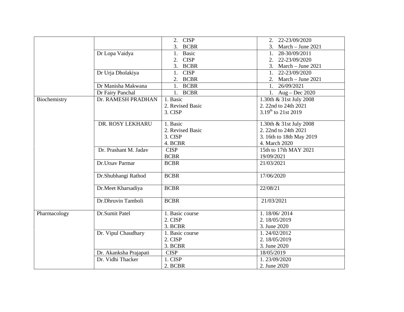|              |                        | <b>CISP</b><br>2. | 22-23/09/2020<br>2.             |
|--------------|------------------------|-------------------|---------------------------------|
|              |                        | 3. BCBR           | 3. March – June 2021            |
|              | Dr Lopa Vaidya         | Basic<br>1.       | 1. 28-30/09/2011                |
|              |                        | <b>CISP</b><br>2. | 2. 22-23/09/2020                |
|              |                        | 3. BCBR           | 3. March – June 2021            |
|              | Dr Urja Dholakiya      | <b>CISP</b><br>1. | 1. 22-23/09/2020                |
|              |                        | 2. BCBR           | 2. March – June $2021$          |
|              | Dr Manisha Makwana     | <b>BCBR</b><br>1. | 26/09/2021<br>1.                |
|              | Dr Fairy Panchal       | 1. BCBR           | 1. $Aug - Dec 2020$             |
| Biochemistry | Dr. RAMESH PRADHAN     | 1. Basic          | 1.30th & 31st July 2008         |
|              |                        | 2. Revised Basic  | 2. 22nd to 24th 2021            |
|              |                        | 3. CISP           | 3.19 <sup>th</sup> to 21st 2019 |
|              |                        |                   |                                 |
|              | DR. ROSY LEKHARU       | 1. Basic          | 1.30th & 31st July 2008         |
|              |                        | 2. Revised Basic  | 2. 22nd to 24th 2021            |
|              |                        | 3. CISP           | 3. 16th to 18th May 2019        |
|              |                        | 4. BCBR           | 4. March 2020                   |
|              | Dr. Prashant M. Jadav  | <b>CISP</b>       | 15th to 17th MAY 2021           |
|              |                        | <b>BCBR</b>       | 19/09/2021                      |
|              | Dr.Utsav Parmar        | <b>BCBR</b>       | 21/03/2021                      |
|              |                        |                   |                                 |
|              | Dr.Shubhangi Rathod    | <b>BCBR</b>       | 17/06/2020                      |
|              |                        |                   |                                 |
|              | Dr.Meet Kharsadiya     | <b>BCBR</b>       | 22/08/21                        |
|              | Dr.Dhruvin Tamboli     | <b>BCBR</b>       | 21/03/2021                      |
|              |                        |                   |                                 |
| Pharmacology | Dr.Sumit Patel         | 1. Basic course   | 1.18/06/2014                    |
|              |                        | 2. CISP           | 2.18/05/2019                    |
|              |                        | 3. BCBR           | 3. June 2020                    |
|              | Dr. Vipul Chaudhary    | 1. Basic course   | 1.24/02/2012                    |
|              |                        | 2. CISP           | 2.18/05/2019                    |
|              |                        | 3. BCBR           | 3. June 2020                    |
|              | Dr. Akanksha Prajapati | <b>CISP</b>       | 18/05/2019                      |
|              | Dr. Vidhi Thacker      | 1. CISP           | 1.23/09/2020                    |
|              |                        | 2. BCBR           | 2. June 2020                    |
|              |                        |                   |                                 |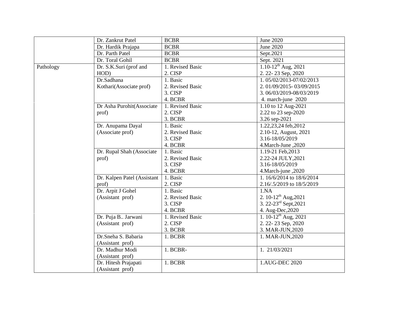|           | Dr. Zankrut Patel           | <b>BCBR</b>      | June 2020                           |
|-----------|-----------------------------|------------------|-------------------------------------|
|           | Dr. Hardik Prajapa          | <b>BCBR</b>      | June 2020                           |
|           | Dr. Parth Patel             | <b>BCBR</b>      | Sept.2021                           |
|           | Dr. Toral Gohil             | <b>BCBR</b>      | Sept. 2021                          |
| Pathology | Dr. S.K.Suri (prof and      | 1. Revised Basic | $1.10 - 12$ <sup>th</sup> Aug, 2021 |
|           | HOD)                        | 2. CISP          | 2. 22-23 Sep, 2020                  |
|           | Dr.Sadhana                  | 1. Basic         | 1.05/02/2013-07/02/2013             |
|           | Kothari(Associate prof)     | 2. Revised Basic | 2.01/09/2015-03/09/2015             |
|           |                             | 3. CISP          | 3.06/03/2019-08/03/2019             |
|           |                             | 4. BCBR          | 4. march-june 2020                  |
|           | Dr Asha Purohit(Associate   | 1. Revised Basic | 1.10 to 12 Aug-2021                 |
|           | prof)                       | 2. CISP          | 2.22 to 23 sep-2020                 |
|           |                             | 3. BCBR          | 3.26 sep-2021                       |
|           | Dr. Anupama Dayal           | 1. Basic         | 1.22,23,24 feb,2012                 |
|           | (Associate prof)            | 2. Revised Basic | 2.10-12, August, 2021               |
|           |                             | 3. CISP          | 3.16-18/05/2019                     |
|           |                             | 4. BCBR          | 4. March-June, 2020                 |
|           | Dr. Rupal Shah (Associate   | 1. Basic         | 1.19-21 Feb, 2013                   |
|           | prof)                       | 2. Revised Basic | 2.22-24 JULY, 2021                  |
|           |                             | 3. CISP          | 3.16-18/05/2019                     |
|           |                             | 4. BCBR          | 4. March-june, 2020                 |
|           | Dr. Kalpen Patel (Assistant | 1. Basic         | 1.16/6/2014 to 18/6/2014            |
|           | prof)                       | 2. CISP          | 2.16/.5/2019 to 18/5/2019           |
|           | Dr. Arpit J Gohel           | 1. Basic         | 1.NA                                |
|           | (Assistant prof)            | 2. Revised Basic | 2. 10-12 <sup>th</sup> Aug, 2021    |
|           |                             | 3. CISP          | 3. 22-23 <sup>rd</sup> Sept, 2021   |
|           |                             | 4. BCBR          | 4. Aug-Dec, 2020                    |
|           | Dr. Puja B Jarwani          | 1. Revised Basic | 1. $10-12^{th}$ Aug, 2021           |
|           | (Assistant prof)            | 2. CISP          | 2. 22-23 Sep, 2020                  |
|           |                             | 3. BCBR          | 3. MAR-JUN, 2020                    |
|           | Dr.Sneha S. Babaria         | 1. BCBR          | 1. MAR-JUN, 2020                    |
|           | (Assistant prof)            |                  |                                     |
|           | Dr. Madhur Modi             | 1. BCBR-         | 1. 21/03/2021                       |
|           | (Assistant prof)            |                  |                                     |
|           | Dr. Hitesh Prajapati        | 1. BCBR          | 1.AUG-DEC 2020                      |
|           | (Assistant prof)            |                  |                                     |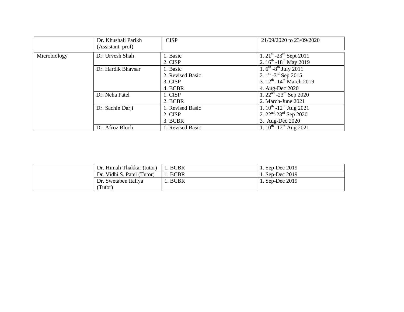|              | Dr. Khushali Parikh<br>(Assistant prof) | <b>CISP</b>                                        | 21/09/2020 to 23/09/2020                                                                                                                               |
|--------------|-----------------------------------------|----------------------------------------------------|--------------------------------------------------------------------------------------------------------------------------------------------------------|
| Microbiology | Dr. Urvesh Shah                         | 1. Basic<br>2. CISP                                | 1. $21^{\text{st}}$ -23 <sup>rd</sup> Sept 2011<br>2. $16^{th}$ -18 <sup>th</sup> May 2019                                                             |
|              | Dr. Hardik Bhavsar                      | 1. Basic<br>2. Revised Basic<br>3. CISP<br>4. BCBR | 1. $6^{\text{th}}$ -8 <sup>th</sup> July 2011<br>2. $1^{st}$ -3 <sup>rd</sup> Sep 2015<br>3. $12^{th}$ -14 <sup>th</sup> March 2019<br>4. Aug-Dec 2020 |
|              | Dr. Neha Patel                          | 1. CISP<br>2. BCBR                                 | $1.22nd - 23rd$ Sep 2020<br>2. March-June 2021                                                                                                         |
|              | Dr. Sachin Darji                        | 1. Revised Basic<br>2. CISP<br>3. BCBR             | 1. $10^{th}$ -12 <sup>th</sup> Aug 2021<br>2. $22nd - 23rd$ Sep 2020<br>3. Aug-Dec 2020                                                                |
|              | Dr. Afroz Bloch                         | 1. Revised Basic                                   | 1. $10^{th}$ -12 <sup>th</sup> Aug 2021                                                                                                                |

| Dr. Himali Thakkar (tutor) | . BCBR      | 1. Sep-Dec 2019   |
|----------------------------|-------------|-------------------|
| Dr. Vidhi S. Patel (Tutor) | 1. BCBR     | 1. Sep-Dec $2019$ |
| Dr. Swetaben Italiya       | <b>BCBR</b> | 1. Sep-Dec 2019   |
| Tutor)                     |             |                   |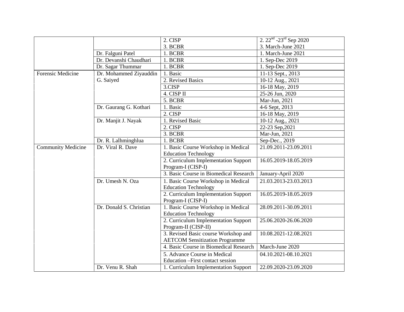|                           |                         | 2. CISP                                | 2. $22^{nd}$ - $23^{rd}$ Sep 2020 |
|---------------------------|-------------------------|----------------------------------------|-----------------------------------|
|                           |                         | 3. BCBR                                | 3. March-June 2021                |
|                           | Dr. Falguni Patel       | 1. BCBR                                | 1. March-June 2021                |
|                           | Dr. Devanshi Chaudhari  | 1. BCBR                                | 1. Sep-Dec 2019                   |
|                           | Dr. Sagar Thummar       | 1. BCBR                                | 1. Sep-Dec 2019                   |
| <b>Forensic Medicine</b>  | Dr. Mohammed Ziyauddin  | 1. Basic                               | 11-13 Sept., 2013                 |
|                           | G. Saiyed               | 2. Revised Basics                      | 10-12 Aug., 2021                  |
|                           |                         | 3.CISP                                 | 16-18 May, 2019                   |
|                           |                         | 4. CISP II                             | 25-26 Jun, 2020                   |
|                           |                         | 5. BCBR                                | Mar-Jun, 2021                     |
|                           | Dr. Gaurang G. Kothari  | 1. Basic                               | 4-6 Sept, 2013                    |
|                           |                         | 2. CISP                                | 16-18 May, 2019                   |
|                           | Dr. Manjit J. Nayak     | 1. Revised Basic                       | 10-12 Aug., 2021                  |
|                           |                         | 2. CISP                                | 22-23 Sep, 2021                   |
|                           |                         | 3. BCBR                                | Mar-Jun, 2021                     |
|                           | Dr. R. Lalhminghlua     | 1. BCBR                                | Sep-Dec., 2019                    |
| <b>Community Medicine</b> | Dr. Viral R. Dave       | 1. Basic Course Workshop in Medical    | 21.09.2011-23.09.2011             |
|                           |                         | <b>Education Technology</b>            |                                   |
|                           |                         | 2. Curriculum Implementation Support   | 16.05.2019-18.05.2019             |
|                           |                         | Program-I (CISP-I)                     |                                   |
|                           |                         | 3. Basic Course in Biomedical Research | January-April 2020                |
|                           | Dr. Umesh N. Oza        | 1. Basic Course Workshop in Medical    | 21.03.2013-23.03.2013             |
|                           |                         | <b>Education Technology</b>            |                                   |
|                           |                         | 2. Curriculum Implementation Support   | 16.05.2019-18.05.2019             |
|                           |                         | Program-I (CISP-I)                     |                                   |
|                           | Dr. Donald S. Christian | 1. Basic Course Workshop in Medical    | 28.09.2011-30.09.2011             |
|                           |                         | <b>Education Technology</b>            |                                   |
|                           |                         | 2. Curriculum Implementation Support   | 25.06.2020-26.06.2020             |
|                           |                         | Program-II (CISP-II)                   |                                   |
|                           |                         | 3. Revised Basic course Workshop and   | 10.08.2021-12.08.2021             |
|                           |                         | <b>AETCOM Sensitization Programme</b>  |                                   |
|                           |                         | 4. Basic Course in Biomedical Research | March-June 2020                   |
|                           |                         | 5. Advance Course in Medical           | 04.10.2021-08.10.2021             |
|                           |                         | Education - First contact session      |                                   |
|                           | Dr. Venu R. Shah        | 1. Curriculum Implementation Support   | 22.09.2020-23.09.2020             |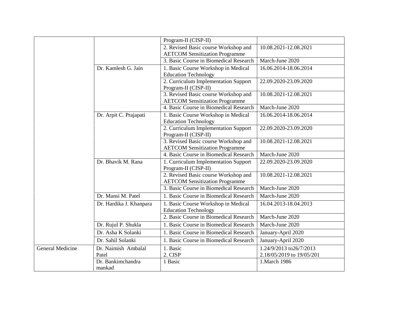|                  |                             | Program-II (CISP-II)                                                          |                           |
|------------------|-----------------------------|-------------------------------------------------------------------------------|---------------------------|
|                  |                             | 2. Revised Basic course Workshop and                                          | 10.08.2021-12.08.2021     |
|                  |                             | <b>AETCOM Sensitization Programme</b>                                         |                           |
|                  |                             | 3. Basic Course in Biomedical Research                                        | March-June 2020           |
|                  | Dr. Kamlesh G. Jain         | 1. Basic Course Workshop in Medical                                           | 16.06.2014-18.06.2014     |
|                  |                             | <b>Education Technology</b>                                                   |                           |
|                  |                             | 2. Curriculum Implementation Support                                          | 22.09.2020-23.09.2020     |
|                  |                             | Program-II (CISP-II)                                                          |                           |
|                  |                             | 3. Revised Basic course Workshop and                                          | 10.08.2021-12.08.2021     |
|                  |                             | <b>AETCOM Sensitization Programme</b>                                         |                           |
|                  |                             | 4. Basic Course in Biomedical Research                                        | March-June 2020           |
|                  | Dr. Arpit C. Prajapati      | 1. Basic Course Workshop in Medical<br><b>Education Technology</b>            | 16.06.2014-18.06.2014     |
|                  |                             | 2. Curriculum Implementation Support                                          | 22.09.2020-23.09.2020     |
|                  |                             | Program-II (CISP-II)                                                          |                           |
|                  |                             | 3. Revised Basic course Workshop and                                          | 10.08.2021-12.08.2021     |
|                  |                             | <b>AETCOM Sensitization Programme</b>                                         |                           |
|                  |                             | 4. Basic Course in Biomedical Research                                        | March-June 2020           |
|                  | Dr. Bhavik M. Rana          | 1. Curriculum Implementation Support                                          | 22.09.2020-23.09.2020     |
|                  |                             | Program-II (CISP-II)                                                          |                           |
|                  |                             | 2. Revised Basic course Workshop and<br><b>AETCOM Sensitization Programme</b> | 10.08.2021-12.08.2021     |
|                  |                             | 3. Basic Course in Biomedical Research                                        | March-June 2020           |
|                  | Dr. Mansi M. Patel          | 1. Basic Course in Biomedical Research                                        | March-June 2020           |
|                  | Dr. Hardika J. Khanpara     | 1. Basic Course Workshop in Medical                                           | 16.04.2013-18.04.2013     |
|                  |                             | <b>Education Technology</b>                                                   |                           |
|                  |                             | 2. Basic Course in Biomedical Research                                        | March-June 2020           |
|                  | Dr. Rujul P. Shukla         | 1. Basic Course in Biomedical Research                                        | March-June 2020           |
|                  | Dr. Asha K Solanki          | 1. Basic Course in Biomedical Research                                        | January-April 2020        |
|                  | Dr. Sahil Solanki           | 1. Basic Course in Biomedical Research                                        | January-April 2020        |
| General Medicine | Dr. Naimish Ambalal         | 1. Basic                                                                      | 1.24/9/2013 to26/7/2013   |
|                  | Patel                       | 2. CISP                                                                       | 2.18/05/2019 to 19/05/201 |
|                  | Dr. Bankimchandra<br>mankad | 1 Basic                                                                       | 1. March 1986             |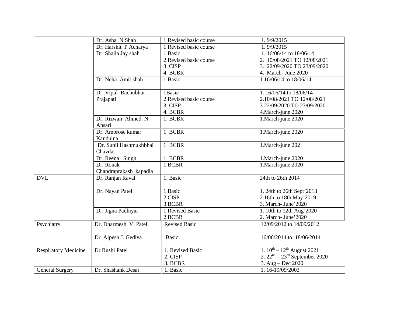|                             | Dr. Asha N Shah                  | 1 Revised basic course | 1.9/9/2015                         |
|-----------------------------|----------------------------------|------------------------|------------------------------------|
|                             | Dr. Harshit P Acharya            | 1 Revised basic course | 1.9/9/2015                         |
|                             | Dr. Shaila Jay shah              | 1 Basic                | 1.16/06/14 to 18/06/14             |
|                             |                                  | 2 Revised basic course | 2. 10/08/2021 TO 12/08/2021        |
|                             |                                  | 3. CISP                | 3. 22/09/2020 TO 23/09/2020        |
|                             |                                  | 4. BCBR                | 4. March- June 2020                |
|                             | Dr. Neha Amit shah               | 1 Basic                | 1.16/06/14 to 18/06/14             |
|                             | Dr . Vipul Bachubhai             | 1Basic                 | 1.16/06/14 to 18/06/14             |
|                             | Prajapati                        | 2 Revised basic course | 2.10/08/2021 TO 12/08/2021         |
|                             |                                  | 3. CISP                | 3.22/09/2020 TO 23/09/2020         |
|                             |                                  | 4. BCBR                | 4. March-june 2020                 |
|                             | Dr. Rizwan Ahmed N<br>Ansari     | 1. BCBR                | 1. March-june 2020                 |
|                             | Dr. Ambrose kumar<br>Kandulna    | 1 BCBR                 | 1. March-june 2020                 |
|                             | Dr. Sunil Hashmukhbhai<br>Chavda | 1 BCBR                 | 1. March-june 202                  |
|                             | Dr. Reena Singh                  | 1 BCBR                 | 1. March-june 2020                 |
|                             | Dr. Ronak                        | 1 BCBR                 | 1. March-june 2020                 |
|                             | Chandraprakash kapadia           |                        |                                    |
| <b>DVL</b>                  | Dr. Ranjan Raval                 | 1. Basic               | 24th to 26th 2014                  |
|                             | Dr. Nayan Patel                  | 1.Basic                | 1. 24th to 26th Sept'2013          |
|                             |                                  | 2.CISP                 | 2.16th to 18th May'2019            |
|                             |                                  | 3.BCBR                 | 3. March- June' 2020               |
|                             | Dr. Jigna Padhiyar               | 1.Revised Basic        | 1. 10th to 12th Aug'2020           |
|                             |                                  | 2.BCBR                 | 2. March- June' 2020               |
| Psychiatry                  | Dr. Dharmesh V. Patel            | <b>Revised Basic</b>   | 12/09/2012 to 14/09/2012           |
|                             | Dr. Alpesh J. Gediya             | <b>Basic</b>           | 16/06/2014 to 18/06/2014           |
| <b>Respiratory Medicine</b> | Dr Rushi Patel                   | 1. Revised Basic       | 1. $10^{th} - 12^{th}$ August 2021 |
|                             |                                  | 2. CISP                | 2. $22nd - 23rd$ September 2020    |
|                             |                                  | 3. BCBR                | 3. Aug – Dec 2020                  |
| <b>General Surgery</b>      | Dr. Shashank Desai               | 1. Basic               | 1.16-19/09/2003                    |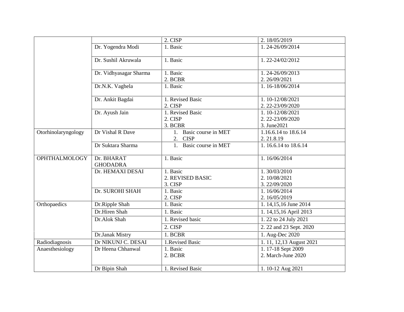|                      |                        | 2. CISP                      | 2.18/05/2019                 |
|----------------------|------------------------|------------------------------|------------------------------|
|                      | Dr. Yogendra Modi      | 1. Basic                     | 1.24-26/09/2014              |
|                      |                        |                              |                              |
|                      | Dr. Sushil Akruwala    | 1. Basic                     | 1.22-24/02/2012              |
|                      |                        |                              |                              |
|                      | Dr. Vidhyasagar Sharma | 1. Basic                     | 1.24-26/09/2013              |
|                      |                        | 2. BCBR                      | 2.26/09/2021                 |
|                      | Dr.N.K. Vaghela        | 1. Basic                     | 1.16-18/06/2014              |
|                      |                        |                              |                              |
|                      | Dr. Ankit Bagdai       | 1. Revised Basic             | 1.10-12/08/2021              |
|                      |                        | 2. CISP                      | 2. 22-23/09/2020             |
|                      | Dr. Ayush Jain         | 1. Revised Basic             | 1.10-12/08/2021              |
|                      |                        | 2. CISP                      | 2. 22-23/09/2020             |
|                      |                        | 3. BCBR                      | 3. June2021                  |
| Otorhinolaryngology  | Dr Vishal R Dave       | 1. Basic course in MET       | 1.16.6.14 to 18.6.14         |
|                      |                        | 2. CISP                      | 2.21.8.19                    |
|                      | Dr Suktara Sharma      | 1. Basic course in MET       | 1.16.6.14 to 18.6.14         |
|                      |                        |                              |                              |
| <b>OPHTHALMOLOGY</b> | Dr. BHARAT             | 1. Basic                     | 1.16/06/2014                 |
|                      | <b>GHODADRA</b>        |                              |                              |
|                      | Dr. HEMAXI DESAI       | 1. Basic<br>2. REVISED BASIC | 1.30/03/2010<br>2.10/08/2021 |
|                      |                        | 3. CISP                      | 3.22/09/2020                 |
|                      | Dr. SUROHI SHAH        | 1. Basic                     | 1.16/06/2014                 |
|                      |                        | 2. CISP                      | 2.16/05/2019                 |
| Orthopaedics         | Dr.Ripple Shah         | 1. Basic                     | 1. 14, 15, 16 June 2014      |
|                      | Dr.Hiren Shah          | 1. Basic                     |                              |
|                      |                        |                              | 1. 14,15,16 April 2013       |
|                      | Dr.Alok Shah           | 1. Revised basic             | 1. 22 to 24 July 2021        |
|                      |                        | 2. CISP                      | 2. 22 and 23 Sept. 2020      |
|                      | Dr.Janak Mistry        | 1. BCBR                      | 1. Aug-Dec 2020              |
| Radiodiagnosis       | Dr NIKUNJ C. DESAI     | 1.Revised Basic              | 1. 11, 12,13 August 2021     |
| Anaesthesiology      | Dr Heena Chhanwal      | 1. Basic                     | 1.17-18 Sept 2009            |
|                      |                        | 2. BCBR                      | 2. March-June 2020           |
|                      |                        |                              |                              |
|                      | Dr Bipin Shah          | 1. Revised Basic             | 1.10-12 Aug 2021             |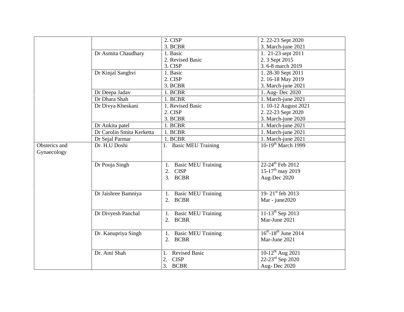|               |                           | 2. CISP                    | 2. 22-23 Sept 2020                    |
|---------------|---------------------------|----------------------------|---------------------------------------|
|               |                           | 3. BCBR                    | 3. March-june 2021                    |
|               | Dr Asmita Chaudhary       | 1. Basic                   | 1. 21-23 sept 2011                    |
|               |                           | 2. Revised Basic           | 2. 3 Sept 2015                        |
|               |                           | 3. CISP                    | 3.6-8 march 2019                      |
|               | Dr Kinjal Sanghvi         | 1. Basic                   | 1.28-30 Sept 2011                     |
|               |                           | 2. CISP                    | 2.16-18 May 2019                      |
|               |                           | 3. BCBR                    | 3. March-june 2021                    |
|               | Dr Deepa Jadav            | 1. BCBR                    | 1. Aug-Dec 2020                       |
|               | Dr Dhara Shah             | 1. BCBR                    | 1. March-june 2021                    |
|               | Dr Divya Kheskani         | 1. Revised Basic           | 1. 10-12 August 2021                  |
|               |                           | 2. CISP                    | 2. 22-23 Sept 2020                    |
|               |                           | 3. BCBR                    | 3. March-june 2020                    |
|               | Dr Ankita patel           | 1. BCBR                    | 1. March-june 2021                    |
|               | Dr Carolin Smita Kerketta | 1. BCBR                    | 1. March-june 2021                    |
|               | Dr Sejal Parmar           | 1. BCBR                    | 1. March-june 2021                    |
| Obsterics and | Dr. H.U Doshi             | 1. Basic MEU Training      | $10-19$ <sup>th</sup> March 1999      |
| Gynaecology   |                           |                            |                                       |
|               |                           |                            |                                       |
|               | Dr Pooja Singh            | 1. Basic MEU Training      | 22-24 <sup>th</sup> Feb 2012          |
|               |                           | 2. CISP                    | $15-17^{\text{th}}$ may 2019          |
|               |                           | 3. BCBR                    | Aug-Dec 2020                          |
|               |                           |                            |                                       |
|               | Dr Jaishree Bamniya       | 1. Basic MEU Training      | 19-21st feb 2013                      |
|               |                           | 2. BCBR                    | Mar - june2020                        |
|               |                           |                            |                                       |
|               | Dr Divyesh Panchal        | 1. Basic MEU Training      | $11-13^{th}$ Sep 2013                 |
|               |                           | 2. BCBR                    | Mar-June 2021                         |
|               |                           |                            |                                       |
|               | Dr. Kanupriya Singh       | 1. Basic MEU Training      | $16^{th}$ -18 <sup>th</sup> June 2014 |
|               |                           | 2. BCBR                    | Mar-June 2021                         |
|               |                           |                            |                                       |
|               | Dr. Ami Shah              | <b>Revised Basic</b><br>1. | $10-12^{th}$ Aug 2021                 |
|               |                           | 2.<br><b>CISP</b>          | 22-23rd Sep 2020                      |
|               |                           | 3. BCBR                    | Aug-Dec 2020                          |
|               |                           |                            |                                       |